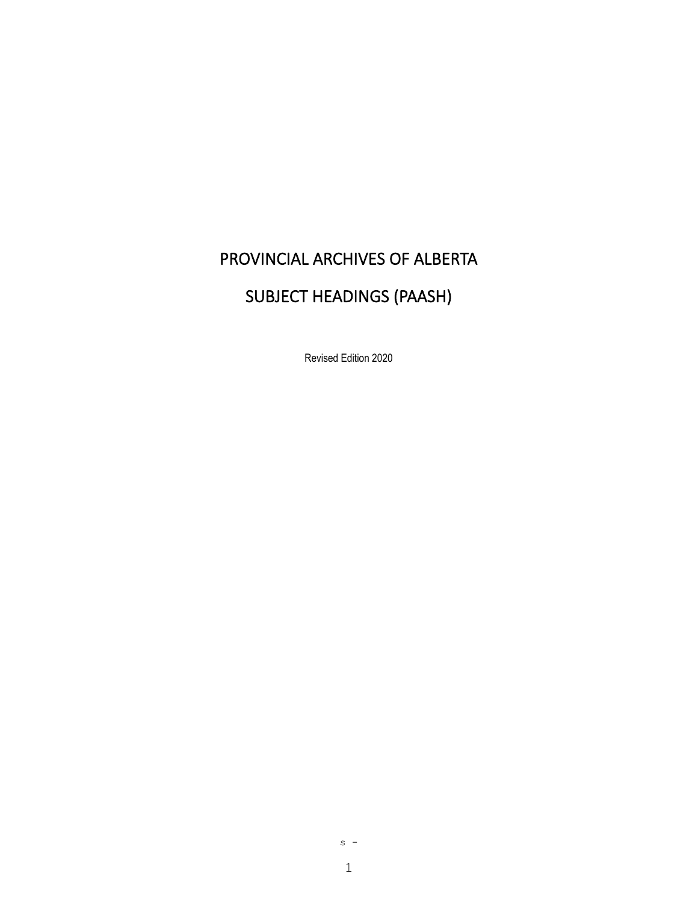# PROVINCIAL ARCHIVES OF ALBERTA

# SUBJECT HEADINGS (PAASH)

Revised Edition 2020

 $s -$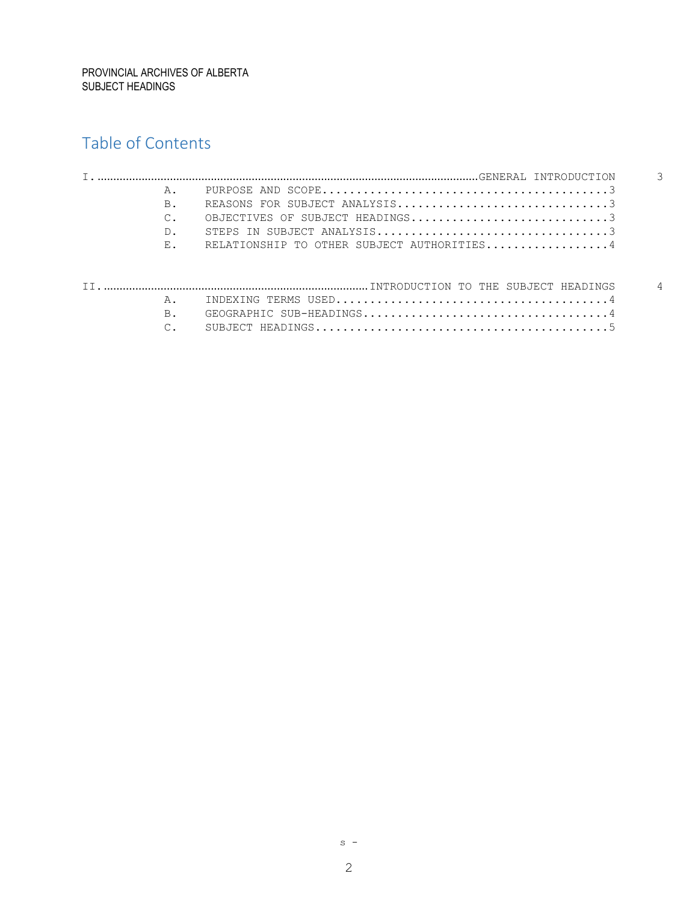# Table of Contents

|  | $A$ .       |                                            |          |
|--|-------------|--------------------------------------------|----------|
|  | B.          |                                            |          |
|  |             | OBJECTIVES OF SUBJECT HEADINGS3            |          |
|  | D.          |                                            |          |
|  | $E_{\star}$ | RELATIONSHIP TO OTHER SUBJECT AUTHORITIES4 |          |
|  |             |                                            |          |
|  |             |                                            | $\Delta$ |
|  | Α.          |                                            |          |
|  | <b>B.</b>   |                                            |          |
|  |             |                                            |          |

2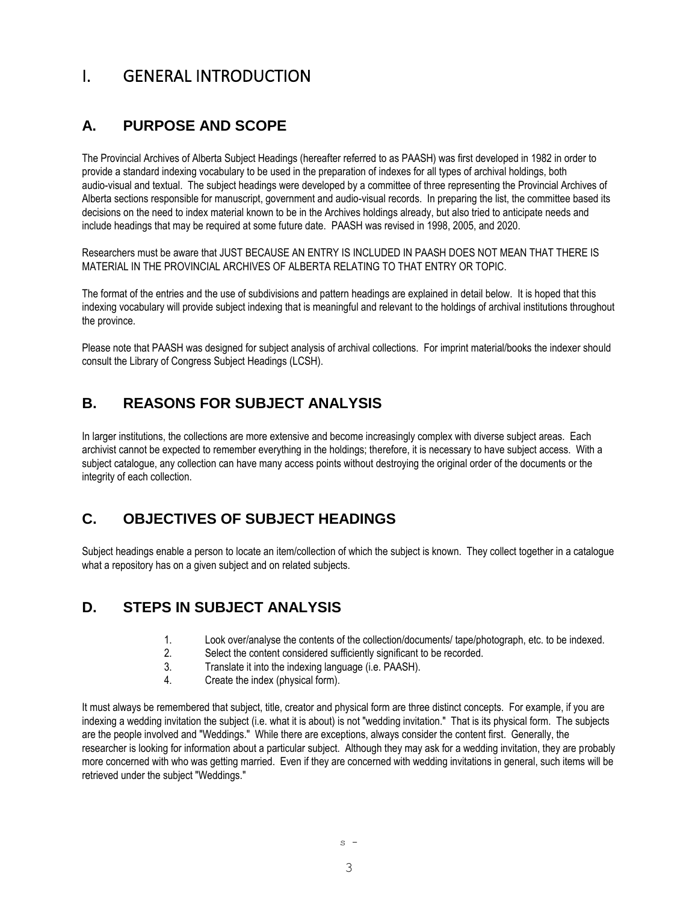# <span id="page-2-0"></span>I. GENERAL INTRODUCTION

# <span id="page-2-1"></span>**A. PURPOSE AND SCOPE**

The Provincial Archives of Alberta Subject Headings (hereafter referred to as PAASH) was first developed in 1982 in order to provide a standard indexing vocabulary to be used in the preparation of indexes for all types of archival holdings, both audio-visual and textual. The subject headings were developed by a committee of three representing the Provincial Archives of Alberta sections responsible for manuscript, government and audio-visual records. In preparing the list, the committee based its decisions on the need to index material known to be in the Archives holdings already, but also tried to anticipate needs and include headings that may be required at some future date. PAASH was revised in 1998, 2005, and 2020.

Researchers must be aware that JUST BECAUSE AN ENTRY IS INCLUDED IN PAASH DOES NOT MEAN THAT THERE IS MATERIAL IN THE PROVINCIAL ARCHIVES OF ALBERTA RELATING TO THAT ENTRY OR TOPIC.

The format of the entries and the use of subdivisions and pattern headings are explained in detail below. It is hoped that this indexing vocabulary will provide subject indexing that is meaningful and relevant to the holdings of archival institutions throughout the province.

Please note that PAASH was designed for subject analysis of archival collections. For imprint material/books the indexer should consult the Library of Congress Subject Headings (LCSH).

# <span id="page-2-2"></span>**B. REASONS FOR SUBJECT ANALYSIS**

In larger institutions, the collections are more extensive and become increasingly complex with diverse subject areas. Each archivist cannot be expected to remember everything in the holdings; therefore, it is necessary to have subject access. With a subject catalogue, any collection can have many access points without destroying the original order of the documents or the integrity of each collection.

# <span id="page-2-3"></span>**C. OBJECTIVES OF SUBJECT HEADINGS**

Subject headings enable a person to locate an item/collection of which the subject is known. They collect together in a catalogue what a repository has on a given subject and on related subjects.

# <span id="page-2-4"></span>**D. STEPS IN SUBJECT ANALYSIS**

- 1. Look over/analyse the contents of the collection/documents/ tape/photograph, etc. to be indexed.
- 2. Select the content considered sufficiently significant to be recorded.
- 3. Translate it into the indexing language (i.e. PAASH).
- 4. Create the index (physical form).

It must always be remembered that subject, title, creator and physical form are three distinct concepts. For example, if you are indexing a wedding invitation the subject (i.e. what it is about) is not "wedding invitation." That is its physical form. The subjects are the people involved and "Weddings." While there are exceptions, always consider the content first. Generally, the researcher is looking for information about a particular subject. Although they may ask for a wedding invitation, they are probably more concerned with who was getting married. Even if they are concerned with wedding invitations in general, such items will be retrieved under the subject "Weddings."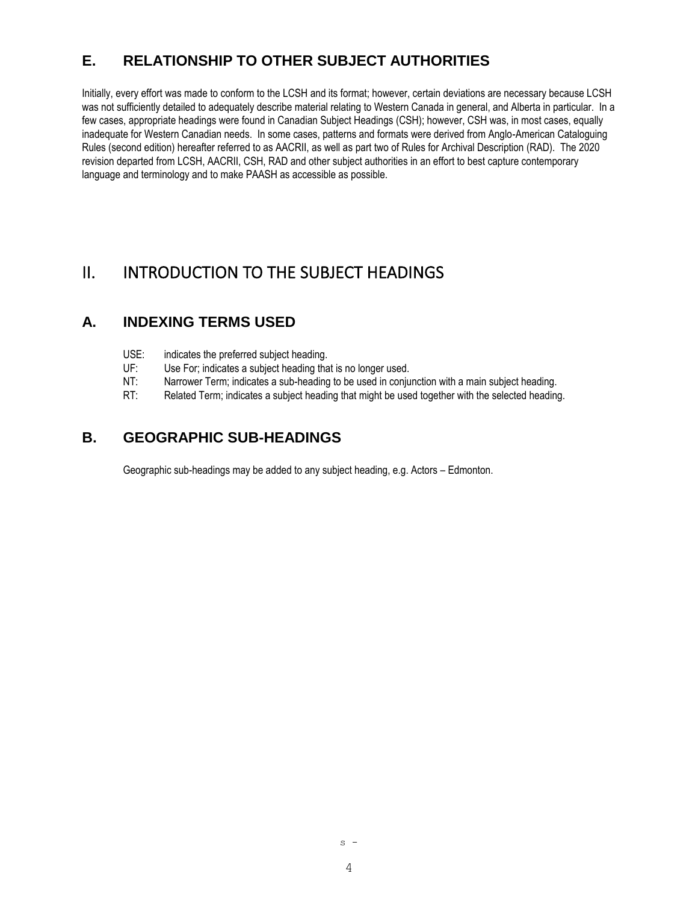# <span id="page-3-0"></span>**E. RELATIONSHIP TO OTHER SUBJECT AUTHORITIES**

Initially, every effort was made to conform to the LCSH and its format; however, certain deviations are necessary because LCSH was not sufficiently detailed to adequately describe material relating to Western Canada in general, and Alberta in particular. In a few cases, appropriate headings were found in Canadian Subject Headings (CSH); however, CSH was, in most cases, equally inadequate for Western Canadian needs. In some cases, patterns and formats were derived from Anglo-American Cataloguing Rules (second edition) hereafter referred to as AACRII, as well as part two of Rules for Archival Description (RAD). The 2020 revision departed from LCSH, AACRII, CSH, RAD and other subject authorities in an effort to best capture contemporary language and terminology and to make PAASH as accessible as possible.

# <span id="page-3-1"></span>II. INTRODUCTION TO THE SUBJECT HEADINGS

## <span id="page-3-2"></span>**A. INDEXING TERMS USED**

- USE: indicates the preferred subject heading.
- UF: Use For; indicates a subject heading that is no longer used.
- NT: Narrower Term; indicates a sub-heading to be used in conjunction with a main subject heading.
- RT: Related Term; indicates a subject heading that might be used together with the selected heading.

# <span id="page-3-3"></span>**B. GEOGRAPHIC SUB-HEADINGS**

Geographic sub-headings may be added to any subject heading, e.g. Actors – Edmonton.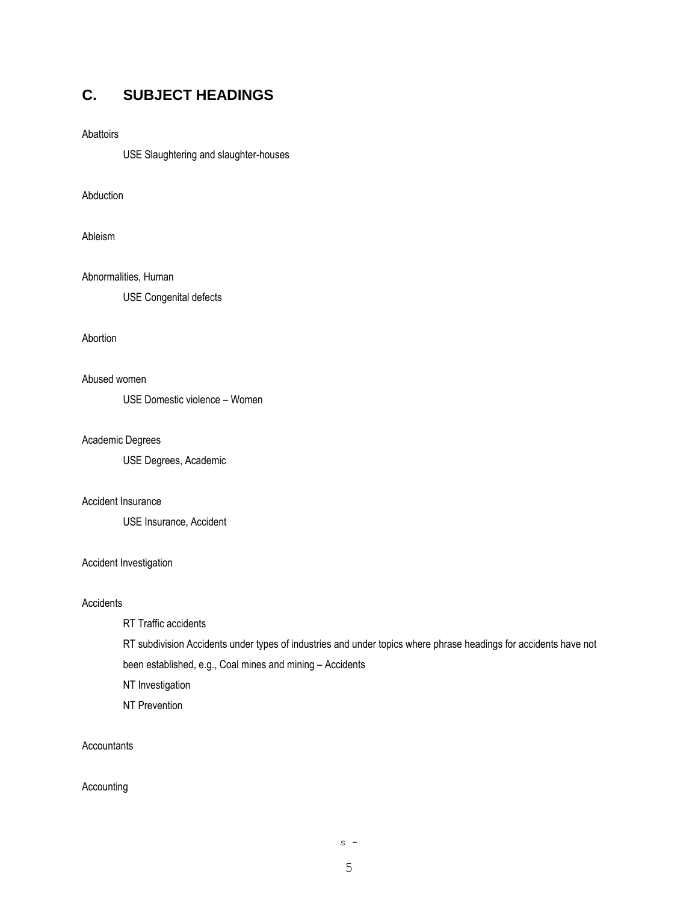# <span id="page-4-0"></span>**C. SUBJECT HEADINGS**

#### Abattoirs

USE Slaughtering and slaughter-houses

#### Abduction

Ableism

Abnormalities, Human USE Congenital defects

Abortion

#### Abused women

USE Domestic violence – Women

#### Academic Degrees

USE Degrees, Academic

#### Accident Insurance

USE Insurance, Accident

#### Accident Investigation

#### **Accidents**

RT Traffic accidents

RT subdivision Accidents under types of industries and under topics where phrase headings for accidents have not

been established, e.g., Coal mines and mining – Accidents

NT Investigation

NT Prevention

#### Accountants

Accounting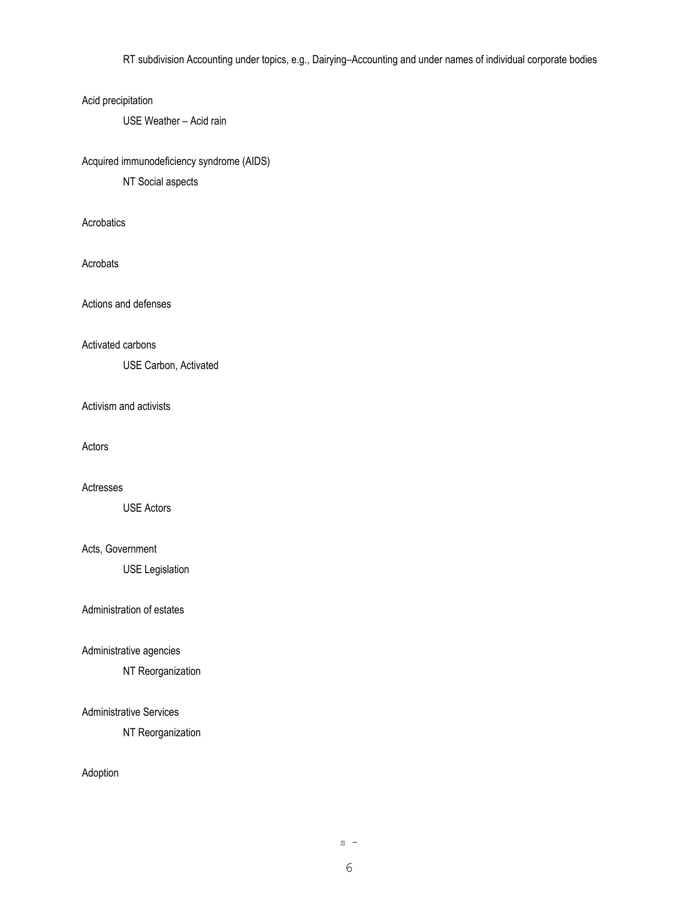RT subdivision Accounting under topics, e.g., Dairying–Accounting and under names of individual corporate bodies

#### Acid precipitation

USE Weather – Acid rain

#### Acquired immunodeficiency syndrome (AIDS)

NT Social aspects

Acrobatics

Acrobats

Actions and defenses

Activated carbons

USE Carbon, Activated

Activism and activists

Actors

Actresses

USE Actors

Acts, Government

USE Legislation

Administration of estates

Administrative agencies

NT Reorganization

## Administrative Services

NT Reorganization

Adoption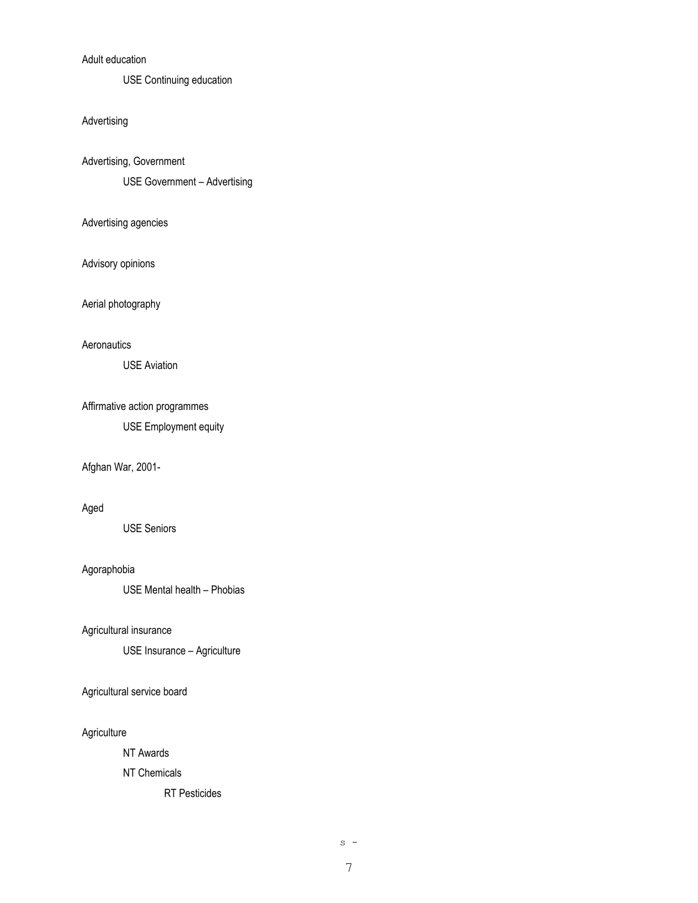## Adult education

USE Continuing education

#### Advertising

Advertising, Government

USE Government – Advertising

#### Advertising agencies

Advisory opinions

Aerial photography

#### **Aeronautics**

USE Aviation

Affirmative action programmes

USE Employment equity

#### Afghan War, 2001-

#### Aged

USE Seniors

#### Agoraphobia

USE Mental health – Phobias

Agricultural insurance

USE Insurance – Agriculture

Agricultural service board

#### Agriculture

NT Awards

## NT Chemicals

RT Pesticides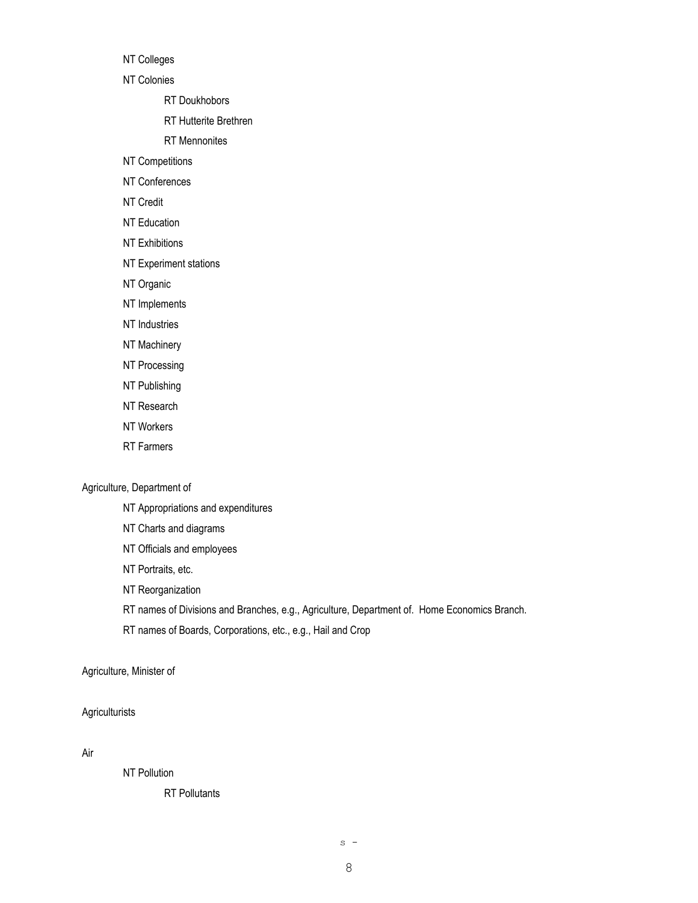NT Colleges

NT Colonies

RT Doukhobors

RT Hutterite Brethren

RT Mennonites

NT Competitions

NT Conferences

NT Credit

NT Education

NT Exhibitions

NT Experiment stations

NT Organic

NT Implements

NT Industries

NT Machinery

NT Processing

NT Publishing

NT Research

NT Workers

RT Farmers

#### Agriculture, Department of

NT Appropriations and expenditures

NT Charts and diagrams

NT Officials and employees

NT Portraits, etc.

NT Reorganization

RT names of Divisions and Branches, e.g., Agriculture, Department of. Home Economics Branch.

RT names of Boards, Corporations, etc., e.g., Hail and Crop

#### Agriculture, Minister of

## **Agriculturists**

Air

NT Pollution

RT Pollutants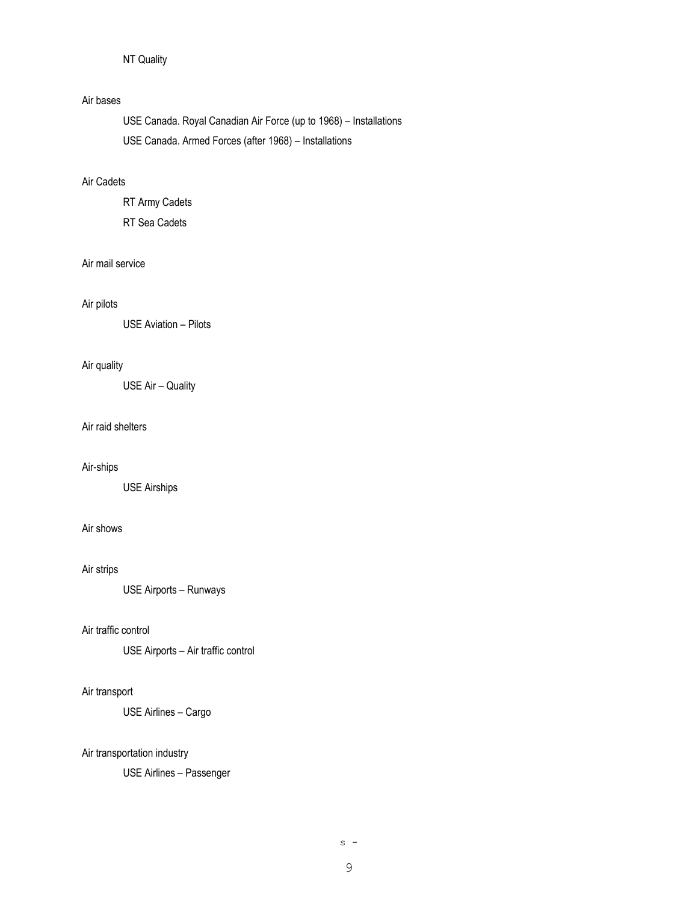## NT Quality

#### Air bases

USE Canada. Royal Canadian Air Force (up to 1968) – Installations USE Canada. Armed Forces (after 1968) – Installations

### Air Cadets

RT Army Cadets RT Sea Cadets

## Air mail service

#### Air pilots

USE Aviation – Pilots

#### Air quality

USE Air – Quality

#### Air raid shelters

#### Air-ships

USE Airships

### Air shows

#### Air strips

USE Airports – Runways

#### Air traffic control

USE Airports – Air traffic control

## Air transport

USE Airlines – Cargo

#### Air transportation industry

USE Airlines – Passenger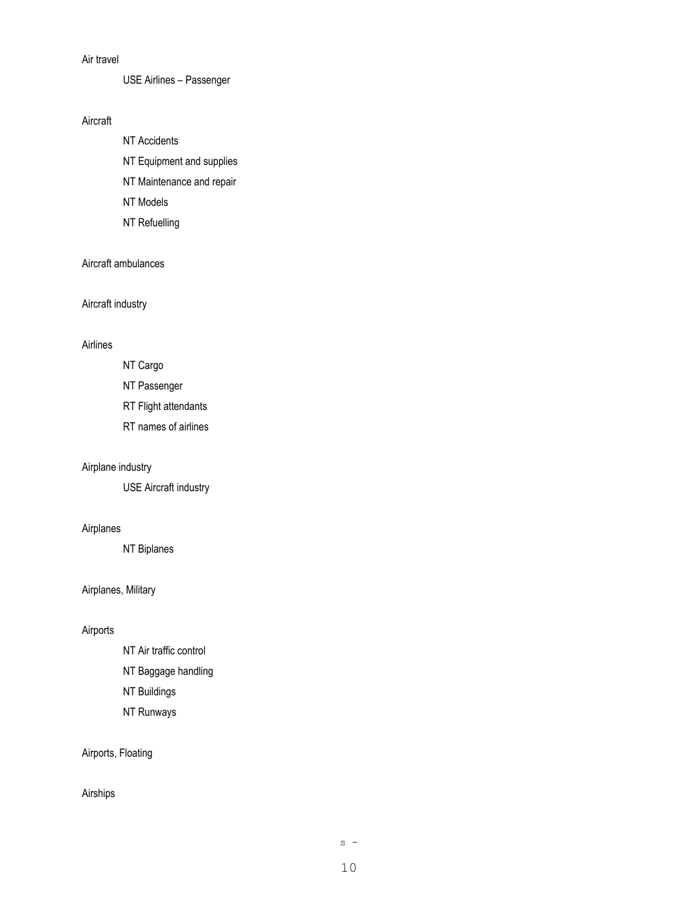### Air travel

USE Airlines – Passenger

## Aircraft

NT Accidents NT Equipment and supplies NT Maintenance and repair NT Models NT Refuelling

## Aircraft ambulances

Aircraft industry

#### Airlines

NT Cargo

NT Passenger

RT Flight attendants

RT names of airlines

#### Airplane industry

USE Aircraft industry

## Airplanes

NT Biplanes

## Airplanes, Military

## Airports

NT Air traffic control NT Baggage handling NT Buildings NT Runways

## Airports, Floating

#### Airships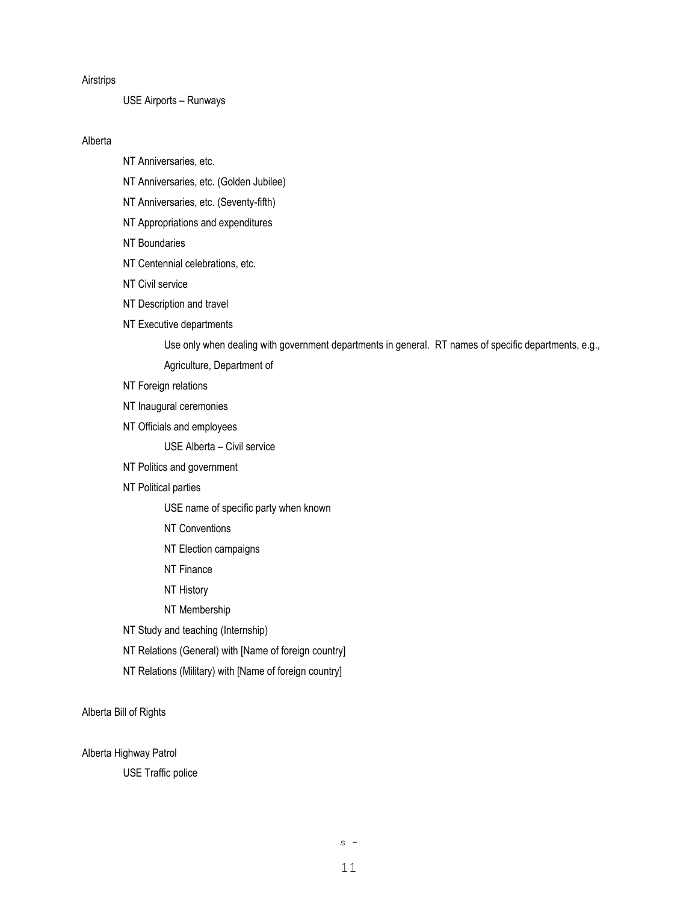#### Airstrips

USE Airports – Runways

#### Alberta

NT Anniversaries, etc.

NT Anniversaries, etc. (Golden Jubilee)

NT Anniversaries, etc. (Seventy-fifth)

NT Appropriations and expenditures

NT Boundaries

NT Centennial celebrations, etc.

NT Civil service

NT Description and travel

#### NT Executive departments

Use only when dealing with government departments in general. RT names of specific departments, e.g.,

Agriculture, Department of

- NT Foreign relations
- NT Inaugural ceremonies
- NT Officials and employees

USE Alberta – Civil service

NT Politics and government

#### NT Political parties

USE name of specific party when known

- NT Conventions
- NT Election campaigns
- NT Finance
- NT History
- NT Membership

NT Study and teaching (Internship)

- NT Relations (General) with [Name of foreign country]
- NT Relations (Military) with [Name of foreign country]

Alberta Bill of Rights

Alberta Highway Patrol

USE Traffic police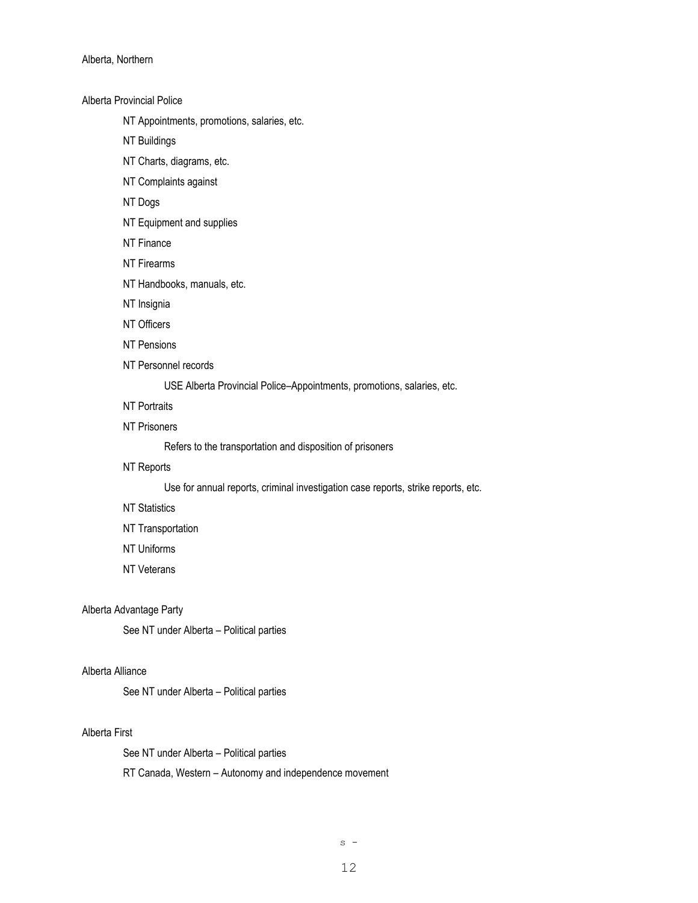Alberta, Northern

Alberta Provincial Police

NT Appointments, promotions, salaries, etc.

NT Buildings

NT Charts, diagrams, etc.

NT Complaints against

NT Dogs

NT Equipment and supplies

NT Finance

NT Firearms

NT Handbooks, manuals, etc.

NT Insignia

NT Officers

NT Pensions

NT Personnel records

USE Alberta Provincial Police–Appointments, promotions, salaries, etc.

NT Portraits

NT Prisoners

Refers to the transportation and disposition of prisoners

NT Reports

Use for annual reports, criminal investigation case reports, strike reports, etc.

NT Statistics

NT Transportation

NT Uniforms

NT Veterans

#### Alberta Advantage Party

See NT under Alberta – Political parties

#### Alberta Alliance

See NT under Alberta – Political parties

#### Alberta First

See NT under Alberta – Political parties

RT Canada, Western – Autonomy and independence movement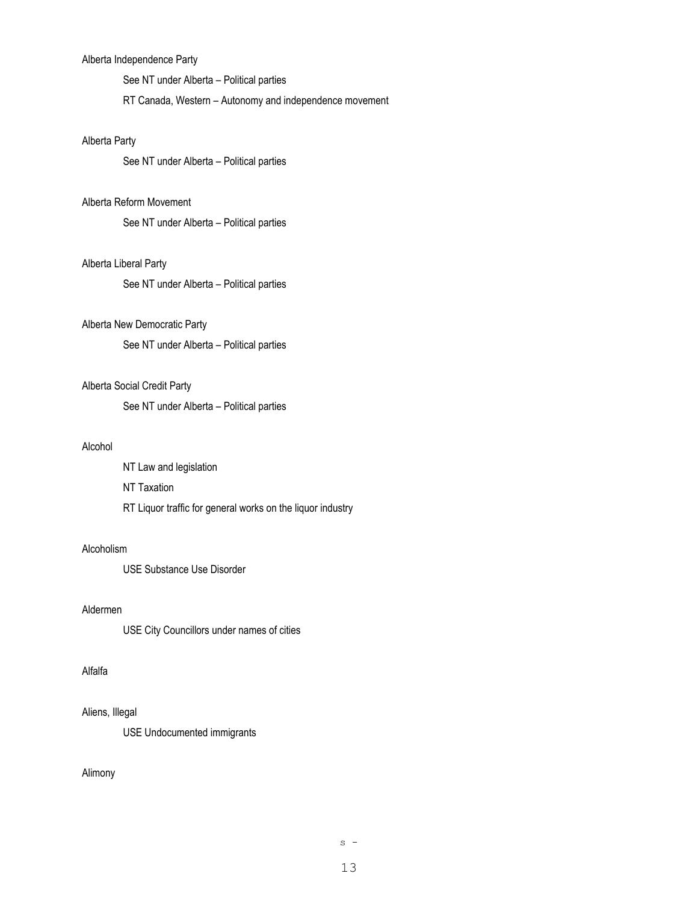#### Alberta Independence Party

See NT under Alberta – Political parties

RT Canada, Western – Autonomy and independence movement

#### Alberta Party

See NT under Alberta – Political parties

#### Alberta Reform Movement

See NT under Alberta – Political parties

## Alberta Liberal Party

See NT under Alberta – Political parties

#### Alberta New Democratic Party

See NT under Alberta – Political parties

#### Alberta Social Credit Party

See NT under Alberta – Political parties

#### Alcohol

NT Law and legislation NT Taxation RT Liquor traffic for general works on the liquor industry

#### Alcoholism

USE Substance Use Disorder

#### Aldermen

USE City Councillors under names of cities

#### Alfalfa

#### Aliens, Illegal

USE Undocumented immigrants

#### Alimony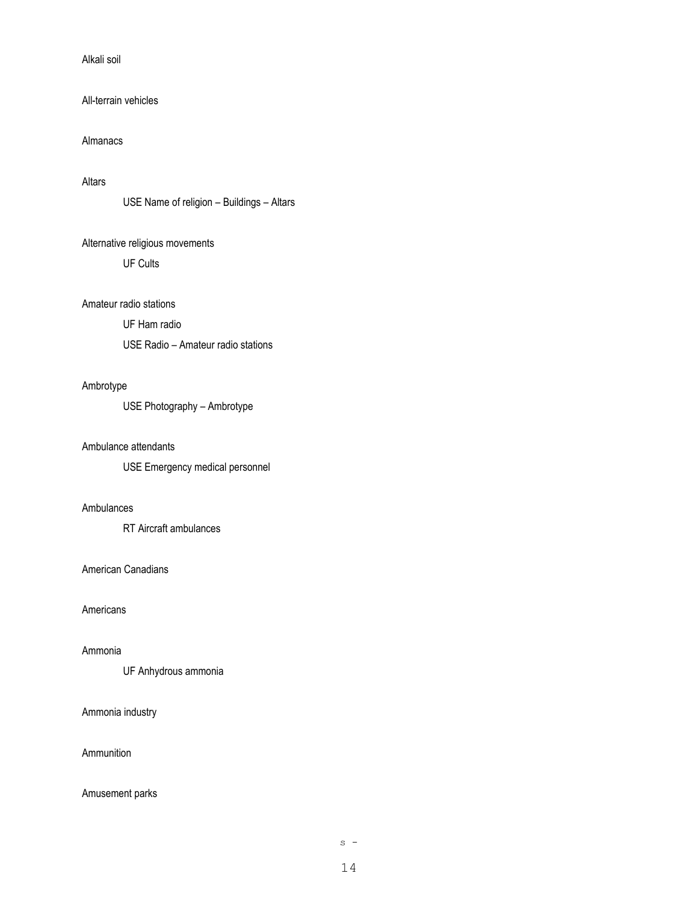### Alkali soil

#### All-terrain vehicles

#### Almanacs

#### Altars

```
USE Name of religion – Buildings – Altars
```
## Alternative religious movements

UF Cults

#### Amateur radio stations

UF Ham radio

USE Radio – Amateur radio stations

#### Ambrotype

USE Photography – Ambrotype

#### Ambulance attendants

USE Emergency medical personnel

## Ambulances

RT Aircraft ambulances

#### American Canadians

## Americans

#### Ammonia

UF Anhydrous ammonia

#### Ammonia industry

## Ammunition

#### Amusement parks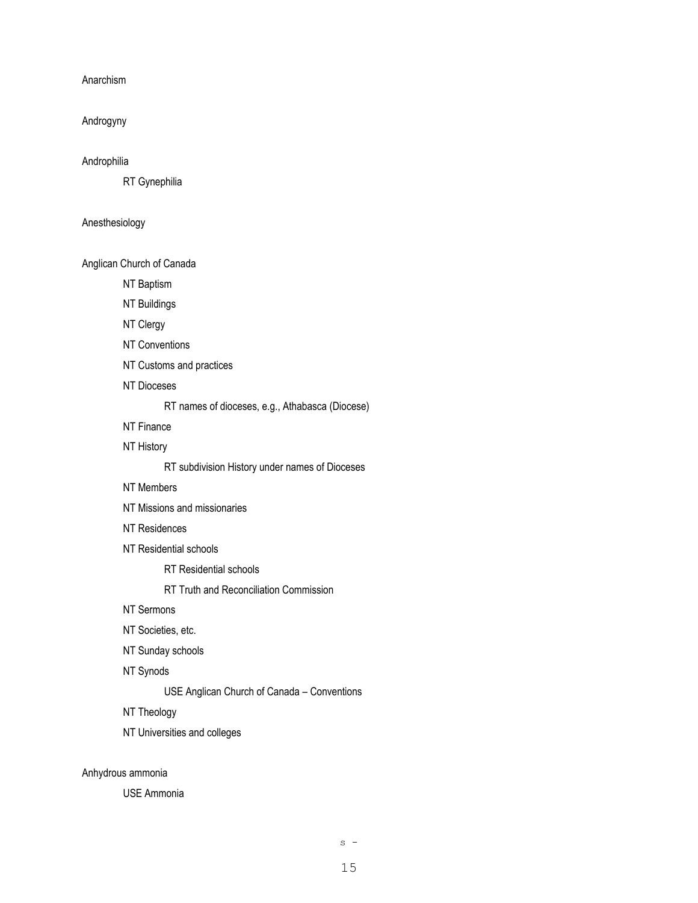Anarchism

Androgyny

#### Androphilia

RT Gynephilia

#### Anesthesiology

Anglican Church of Canada

NT Baptism

NT Buildings

NT Clergy

NT Conventions

NT Customs and practices

NT Dioceses

RT names of dioceses, e.g., Athabasca (Diocese)

NT Finance

NT History

RT subdivision History under names of Dioceses

NT Members

NT Missions and missionaries

NT Residences

NT Residential schools

RT Residential schools

RT Truth and Reconciliation Commission

NT Sermons

NT Societies, etc.

NT Sunday schools

NT Synods

USE Anglican Church of Canada – Conventions

NT Theology

NT Universities and colleges

Anhydrous ammonia

USE Ammonia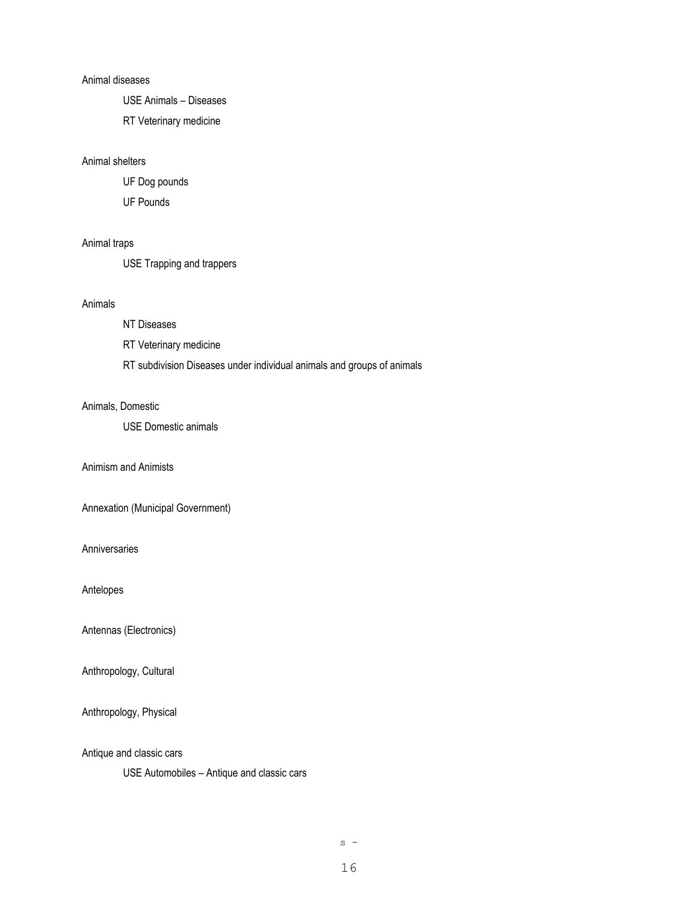#### Animal diseases

USE Animals – Diseases

RT Veterinary medicine

#### Animal shelters

UF Dog pounds

UF Pounds

#### Animal traps

USE Trapping and trappers

#### Animals

#### NT Diseases

RT Veterinary medicine

RT subdivision Diseases under individual animals and groups of animals

#### Animals, Domestic

USE Domestic animals

Animism and Animists

Annexation (Municipal Government)

Anniversaries

Antelopes

Antennas (Electronics)

Anthropology, Cultural

Anthropology, Physical

Antique and classic cars

USE Automobiles – Antique and classic cars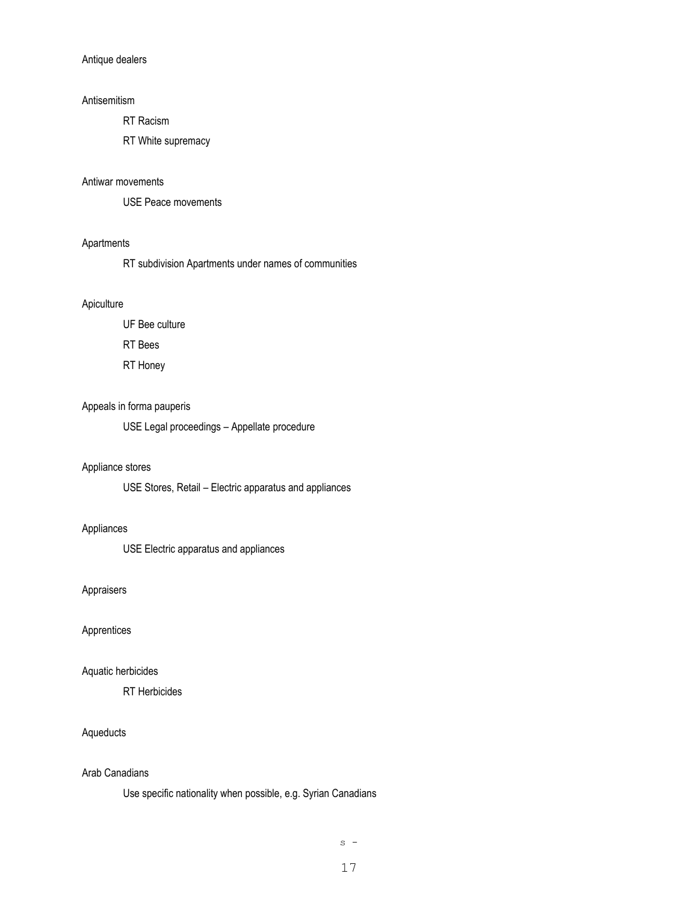#### Antique dealers

#### Antisemitism

RT Racism

RT White supremacy

#### Antiwar movements

USE Peace movements

#### Apartments

RT subdivision Apartments under names of communities

#### Apiculture

UF Bee culture

RT Bees

RT Honey

#### Appeals in forma pauperis

USE Legal proceedings – Appellate procedure

#### Appliance stores

USE Stores, Retail – Electric apparatus and appliances

#### Appliances

USE Electric apparatus and appliances

#### Appraisers

Apprentices

#### Aquatic herbicides

RT Herbicides

#### Aqueducts

#### Arab Canadians

Use specific nationality when possible, e.g. Syrian Canadians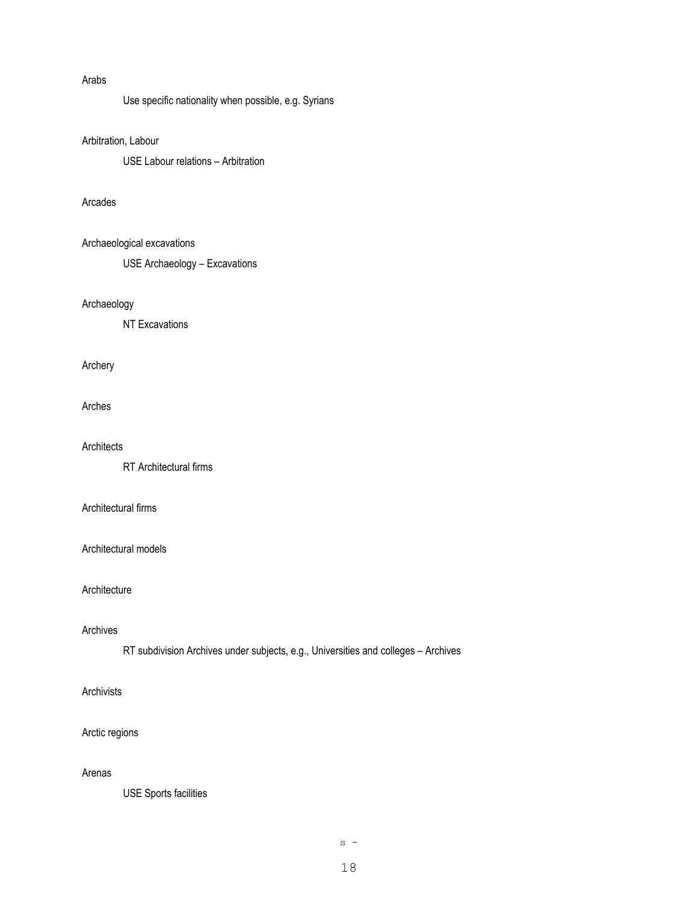## Arabs

Use specific nationality when possible, e.g. Syrians

## Arbitration, Labour

USE Labour relations – Arbitration

#### Arcades

#### Archaeological excavations

USE Archaeology – Excavations

#### Archaeology

NT Excavations

## Archery

#### Arches

#### **Architects**

RT Architectural firms

## Architectural firms

#### Architectural models

#### Architecture

#### Archives

RT subdivision Archives under subjects, e.g., Universities and colleges – Archives

## Archivists

#### Arctic regions

#### Arenas

USE Sports facilities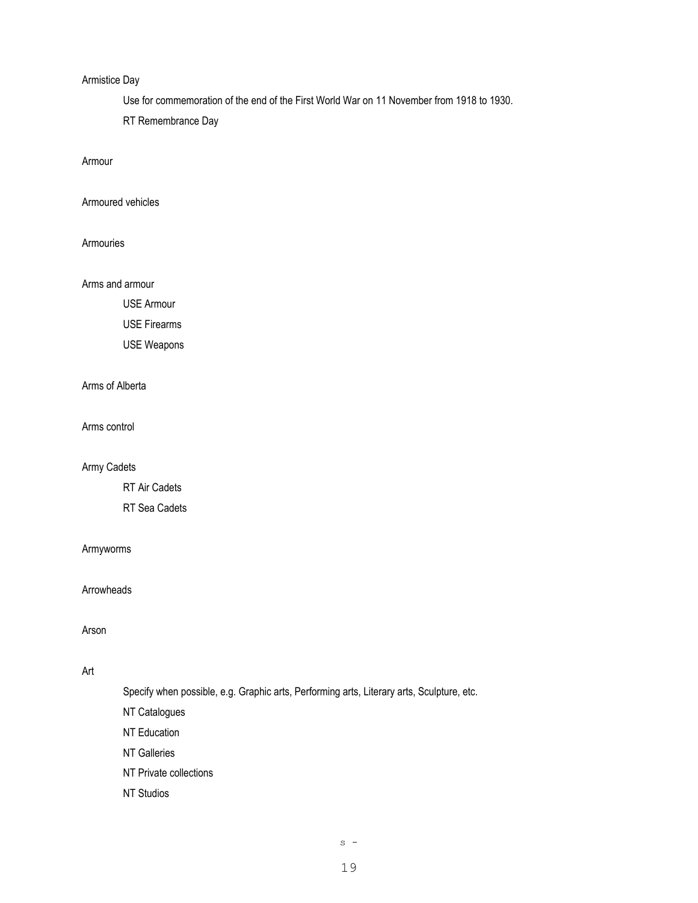#### Armistice Day

Use for commemoration of the end of the First World War on 11 November from 1918 to 1930.

RT Remembrance Day

Armour

Armoured vehicles

Armouries

Arms and armour

USE Armour

USE Firearms

USE Weapons

Arms of Alberta

Arms control

Army Cadets

RT Air Cadets

RT Sea Cadets

#### Armyworms

Arrowheads

Arson

## Art

Specify when possible, e.g. Graphic arts, Performing arts, Literary arts, Sculpture, etc.

NT Catalogues

NT Education

NT Galleries

NT Private collections

NT Studios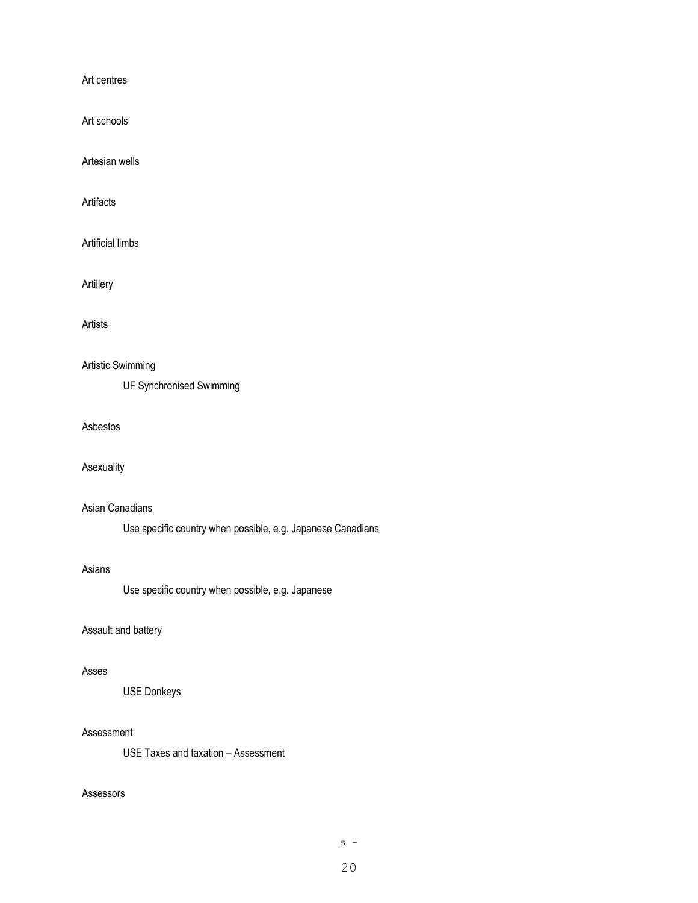Art centres

Art schools

Artesian wells

Artifacts

Artificial limbs

Artillery

Artists

## Artistic Swimming

UF Synchronised Swimming

Asbestos

#### Asexuality

#### Asian Canadians

Use specific country when possible, e.g. Japanese Canadians

#### Asians

Use specific country when possible, e.g. Japanese

#### Assault and battery

#### Asses

USE Donkeys

#### Assessment

USE Taxes and taxation – Assessment

#### Assessors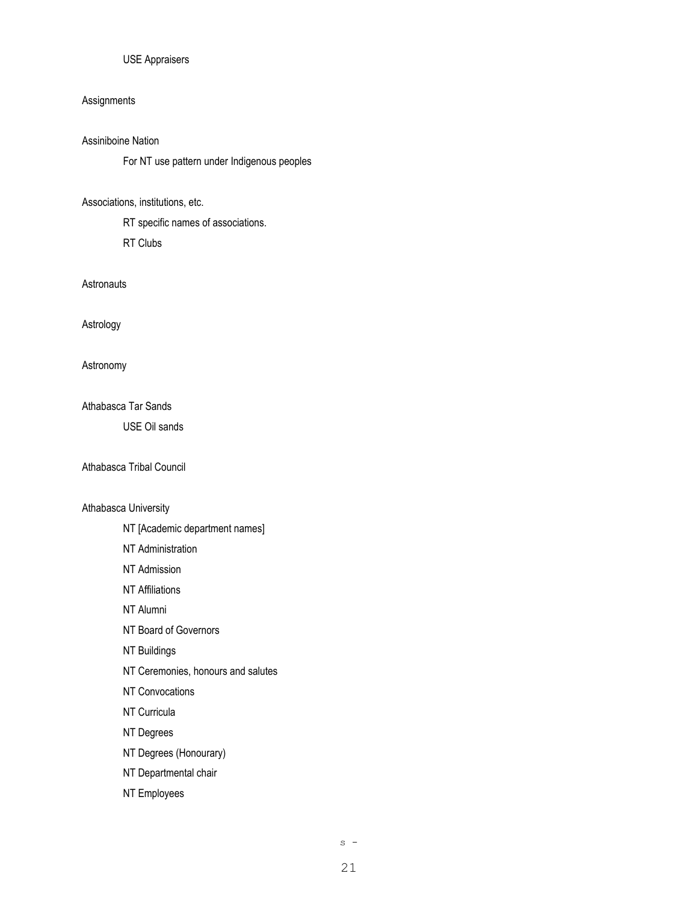#### USE Appraisers

#### **Assignments**

## Assiniboine Nation

For NT use pattern under Indigenous peoples

#### Associations, institutions, etc.

RT specific names of associations.

RT Clubs

#### **Astronauts**

Astrology

Astronomy

Athabasca Tar Sands

USE Oil sands

#### Athabasca Tribal Council

#### Athabasca University

- NT [Academic department names]
- NT Administration
- NT Admission
- NT Affiliations
- NT Alumni
- NT Board of Governors
- NT Buildings
- NT Ceremonies, honours and salutes
- NT Convocations
- NT Curricula
- NT Degrees
- NT Degrees (Honourary)
- NT Departmental chair
- NT Employees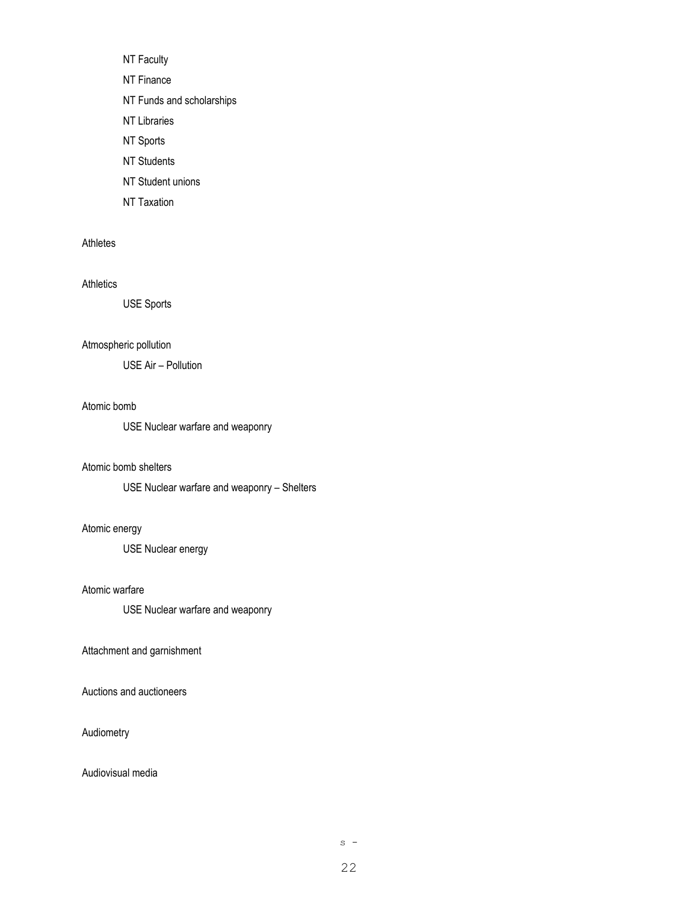NT Faculty NT Finance NT Funds and scholarships NT Libraries NT Sports NT Students NT Student unions

NT Taxation

#### Athletes

#### Athletics

USE Sports

#### Atmospheric pollution

USE Air – Pollution

#### Atomic bomb

USE Nuclear warfare and weaponry

#### Atomic bomb shelters

USE Nuclear warfare and weaponry – Shelters

#### Atomic energy

USE Nuclear energy

#### Atomic warfare

USE Nuclear warfare and weaponry

#### Attachment and garnishment

Auctions and auctioneers

#### Audiometry

#### Audiovisual media

 $s -$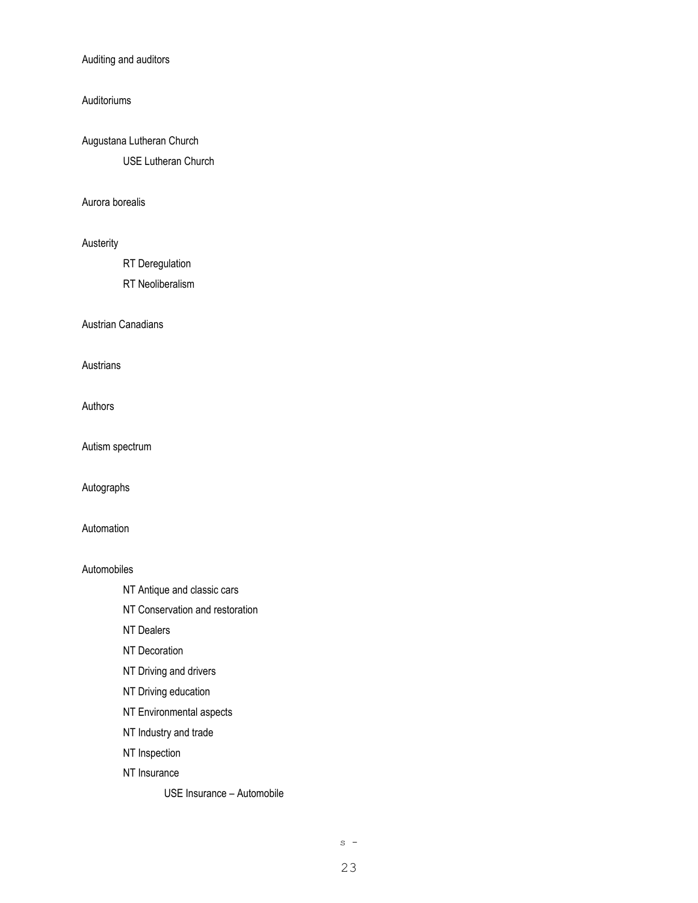#### Auditing and auditors

#### Auditoriums

Augustana Lutheran Church USE Lutheran Church

#### Aurora borealis

#### Austerity

RT Deregulation

RT Neoliberalism

Austrian Canadians

Austrians

Authors

Autism spectrum

Autographs

### Automation

#### Automobiles

- NT Antique and classic cars
- NT Conservation and restoration
- NT Dealers
- NT Decoration
- NT Driving and drivers
- NT Driving education
- NT Environmental aspects
- NT Industry and trade
- NT Inspection
- NT Insurance

USE Insurance – Automobile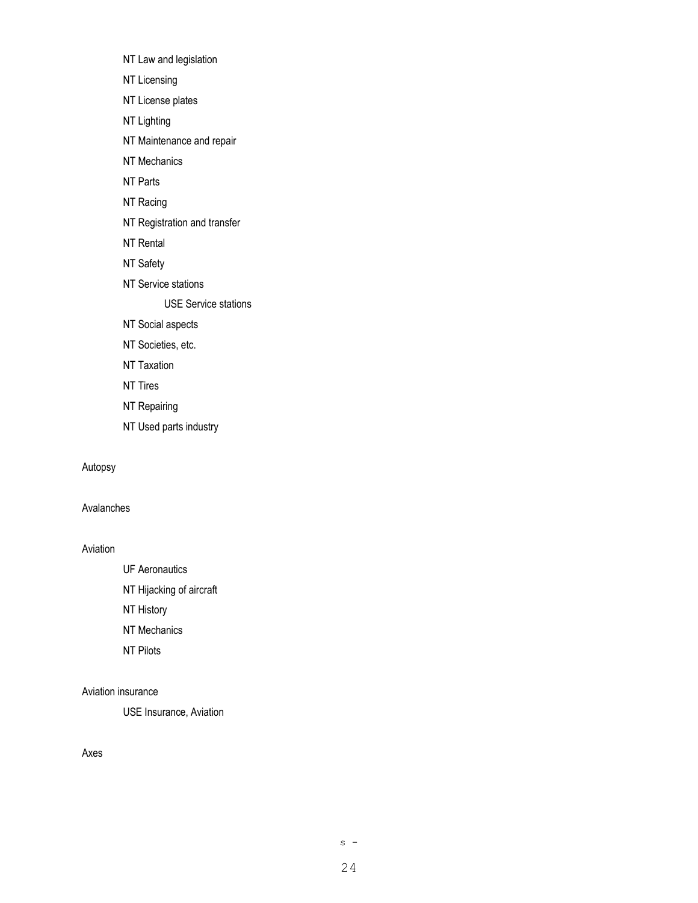- NT Law and legislation
- NT Licensing
- NT License plates
- NT Lighting
- NT Maintenance and repair
- NT Mechanics
- NT Parts
- NT Racing
- NT Registration and transfer
- NT Rental
- NT Safety
- NT Service stations

USE Service stations

- NT Social aspects
- NT Societies, etc.
- NT Taxation
- NT Tires
- NT Repairing
- NT Used parts industry

#### Autopsy

## Avalanches

#### Aviation

- UF Aeronautics
- NT Hijacking of aircraft
- NT History
- NT Mechanics
- NT Pilots

## Aviation insurance

USE Insurance, Aviation

#### Axes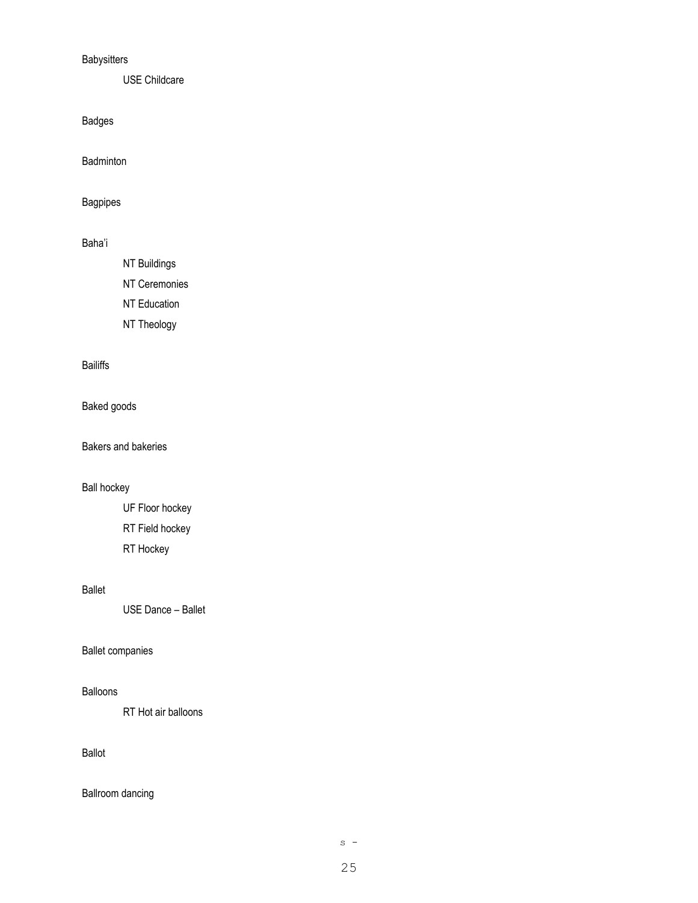## **Babysitters**

USE Childcare

Badges

Badminton

Bagpipes

## Baha'i

NT Buildings

NT Ceremonies

NT Education

NT Theology

## Bailiffs

Baked goods

Bakers and bakeries

## Ball hockey

UF Floor hockey RT Field hockey RT Hockey

## Ballet

USE Dance – Ballet

#### Ballet companies

#### Balloons

RT Hot air balloons

## Ballot

Ballroom dancing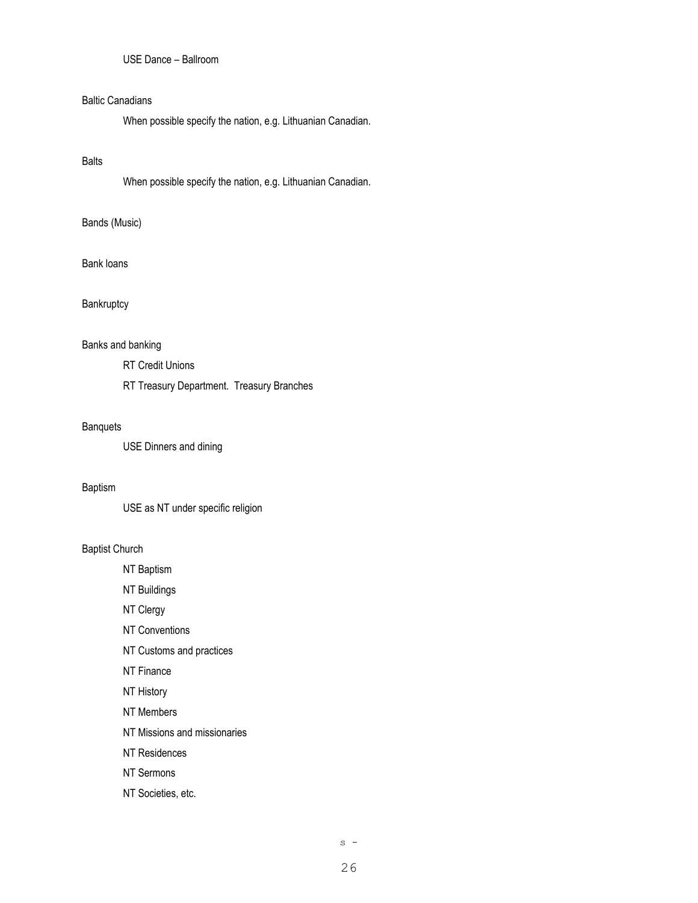## USE Dance – Ballroom

#### Baltic Canadians

When possible specify the nation, e.g. Lithuanian Canadian.

### Balts

When possible specify the nation, e.g. Lithuanian Canadian.

#### Bands (Music)

#### Bank loans

## **Bankruptcy**

#### Banks and banking

RT Credit Unions

RT Treasury Department. Treasury Branches

#### **Banquets**

USE Dinners and dining

#### Baptism

USE as NT under specific religion

#### Baptist Church

NT Baptism

NT Buildings

NT Clergy

NT Conventions

NT Customs and practices

NT Finance

NT History

NT Members

NT Missions and missionaries

NT Residences

NT Sermons

NT Societies, etc.

 $s -$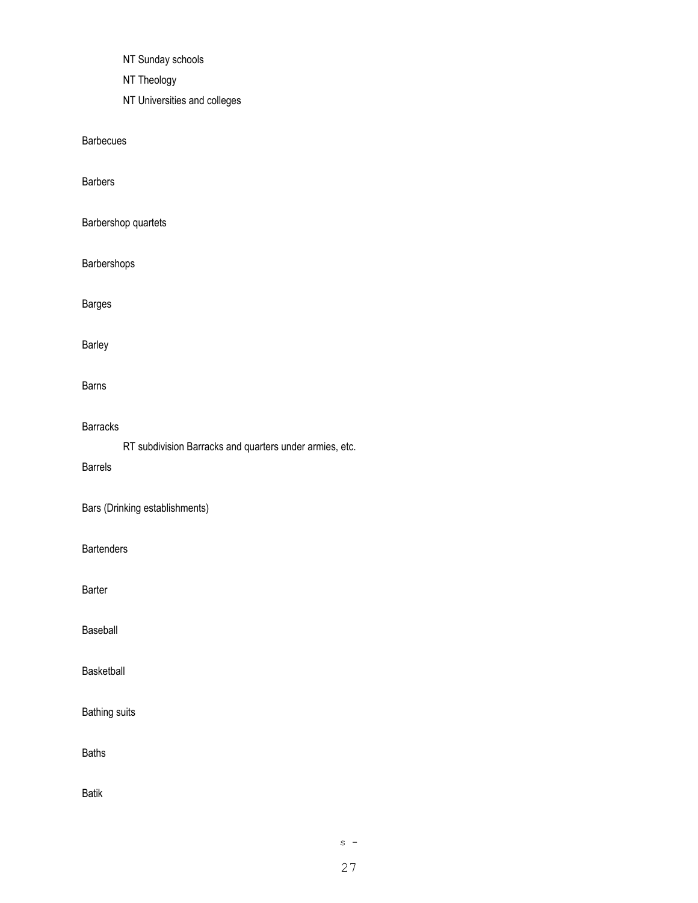NT Sunday schools

NT Theology

NT Universities and colleges

Barbecues

Barbers

Barbershop quartets

Barbershops

Barges

Barley

Barns

#### Barracks

RT subdivision Barracks and quarters under armies, etc.

Barrels

Bars (Drinking establishments)

**Bartenders** 

Barter

Baseball

Basketball

Bathing suits

Baths

Batik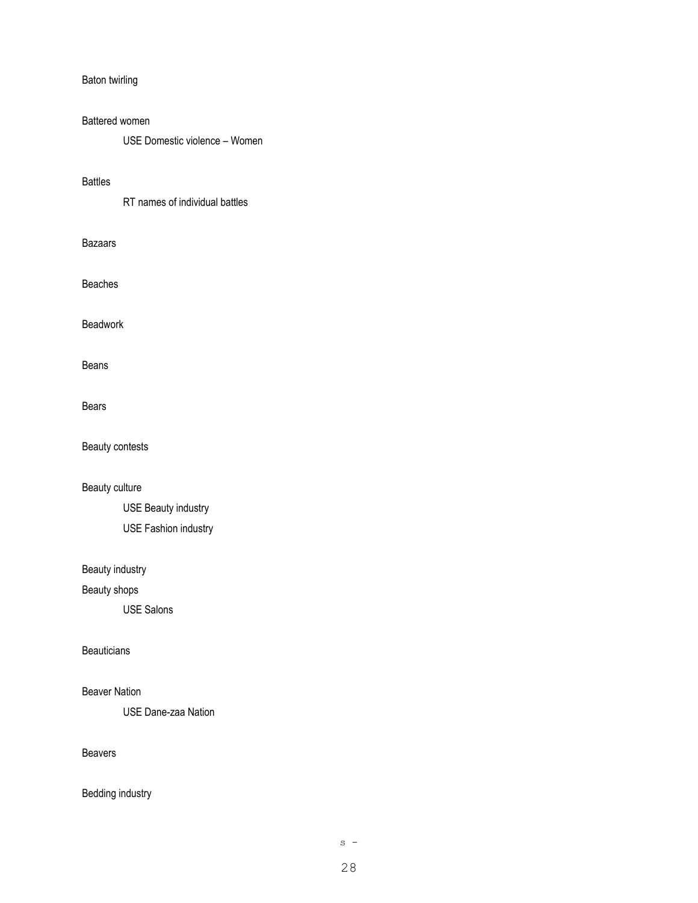#### Baton twirling

#### Battered women

USE Domestic violence – Women

#### Battles

RT names of individual battles

#### Bazaars

Beaches

Beadwork

Beans

#### Bears

Beauty contests

Beauty culture

USE Beauty industry USE Fashion industry

## Beauty industry

Beauty shops

USE Salons

#### **Beauticians**

#### Beaver Nation

USE Dane-zaa Nation

## Beavers

## Bedding industry

 $s -$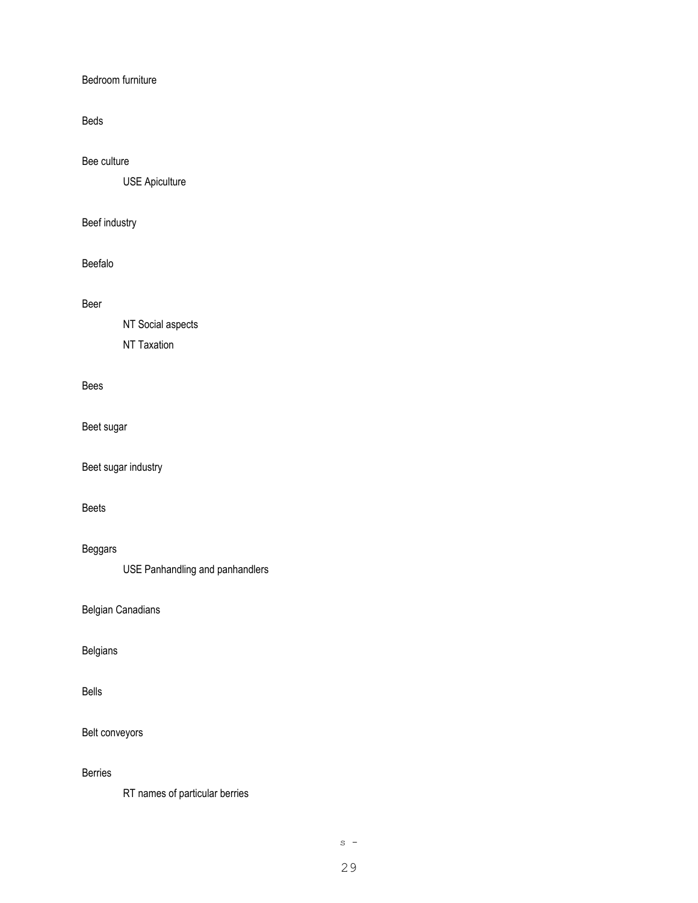#### Bedroom furniture

## Beds

#### Bee culture

USE Apiculture

## Beef industry

## Beefalo

#### Beer

NT Social aspects

NT Taxation

#### Bees

Beet sugar

Beet sugar industry

## Beets

## Beggars

USE Panhandling and panhandlers

Belgian Canadians

#### Belgians

#### Bells

Belt conveyors

## Berries

RT names of particular berries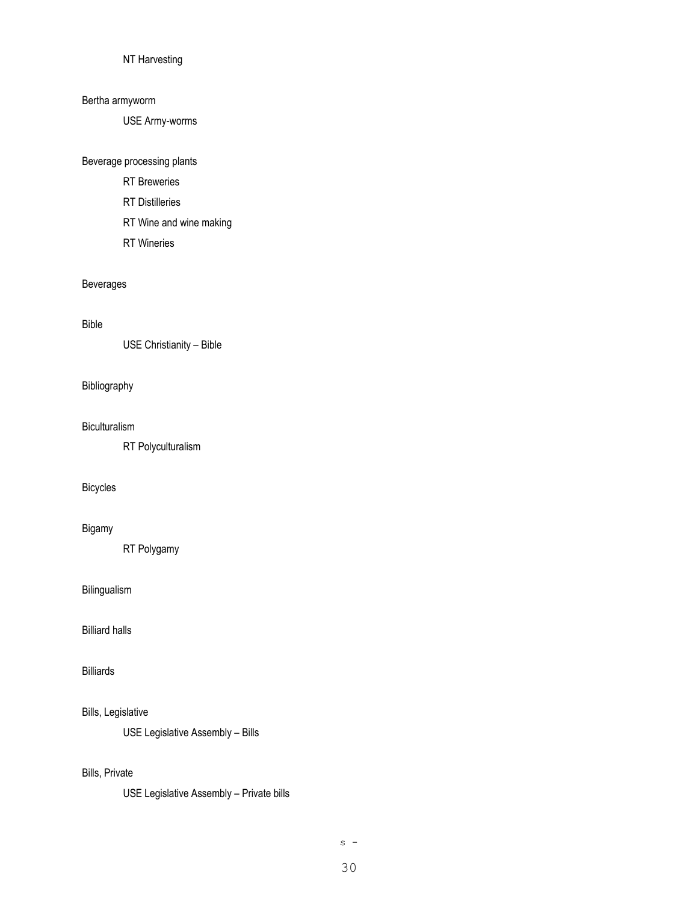#### NT Harvesting

#### Bertha armyworm

USE Army-worms

#### Beverage processing plants

- RT Breweries
- RT Distilleries
- RT Wine and wine making
- RT Wineries

#### Beverages

#### Bible

USE Christianity – Bible

#### Bibliography

#### Biculturalism

RT Polyculturalism

## Bicycles

## Bigamy

RT Polygamy

## Bilingualism

Billiard halls

## Billiards

#### Bills, Legislative

USE Legislative Assembly – Bills

## Bills, Private

USE Legislative Assembly – Private bills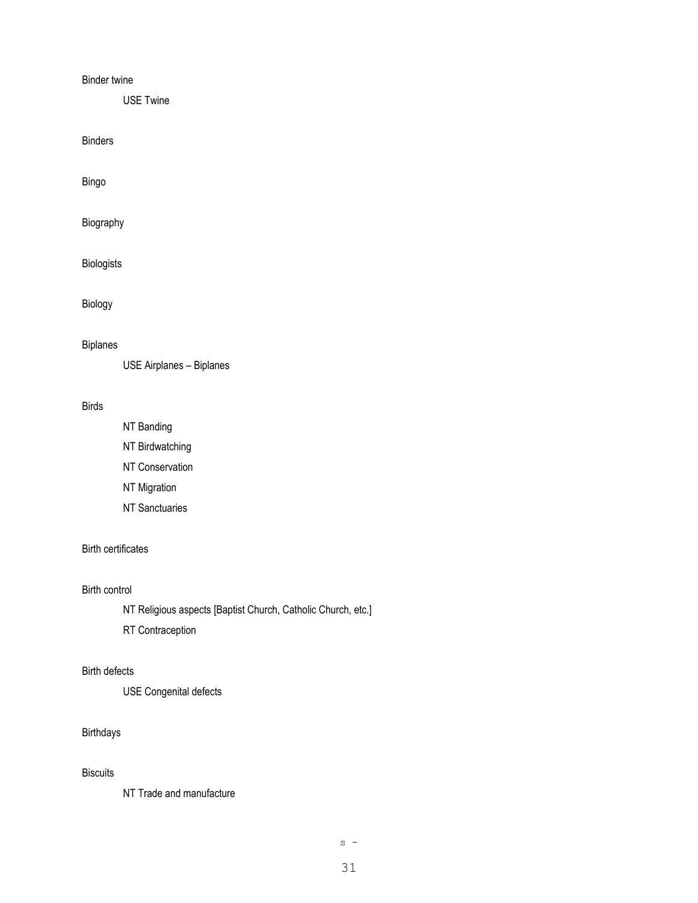#### Binder twine

USE Twine

Binders

Bingo

Biography

Biologists

Biology

#### Biplanes

USE Airplanes – Biplanes

## Birds

NT Banding

NT Birdwatching

NT Conservation

NT Migration

NT Sanctuaries

## Birth certificates

#### Birth control

NT Religious aspects [Baptist Church, Catholic Church, etc.]

RT Contraception

## Birth defects

USE Congenital defects

#### Birthdays

## **Biscuits**

NT Trade and manufacture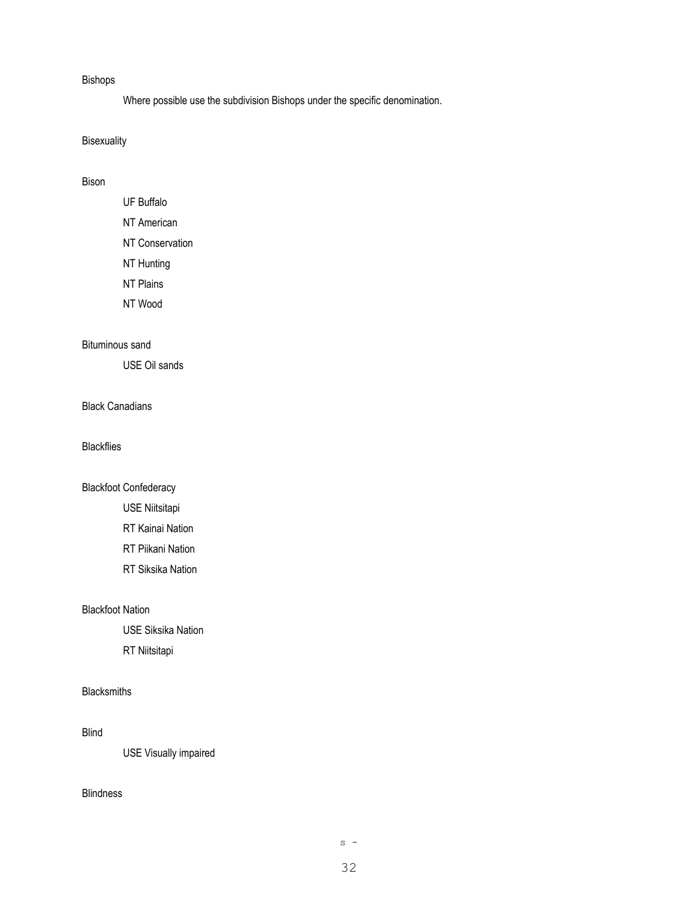#### Bishops

Where possible use the subdivision Bishops under the specific denomination.

## Bisexuality

#### Bison

UF Buffalo NT American NT Conservation NT Hunting NT Plains NT Wood

#### Bituminous sand

USE Oil sands

## Black Canadians

Blackflies

#### Blackfoot Confederacy

- USE Niitsitapi
- RT Kainai Nation
- RT Piikani Nation
- RT Siksika Nation

#### Blackfoot Nation

USE Siksika Nation RT Niitsitapi

#### Blacksmiths

#### Blind

USE Visually impaired

#### Blindness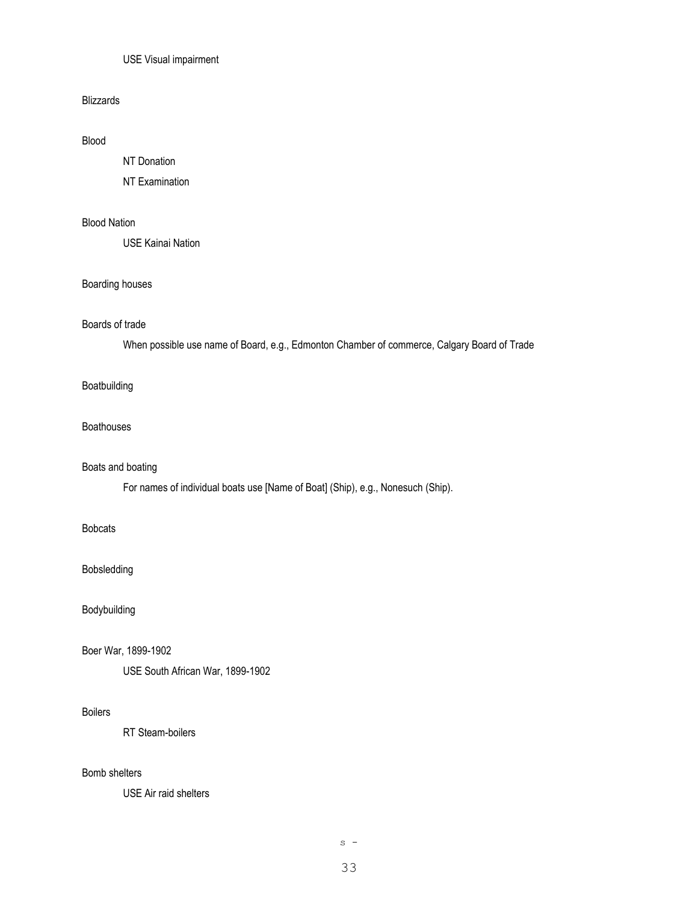#### USE Visual impairment

#### Blizzards

## Blood

NT Donation

NT Examination

## Blood Nation

USE Kainai Nation

#### Boarding houses

## Boards of trade

When possible use name of Board, e.g., Edmonton Chamber of commerce, Calgary Board of Trade

#### Boatbuilding

#### Boathouses

#### Boats and boating

For names of individual boats use [Name of Boat] (Ship), e.g., Nonesuch (Ship).

## Bobcats

#### Bobsledding

Bodybuilding

#### Boer War, 1899-1902

USE South African War, 1899-1902

#### Boilers

RT Steam-boilers

## Bomb shelters

USE Air raid shelters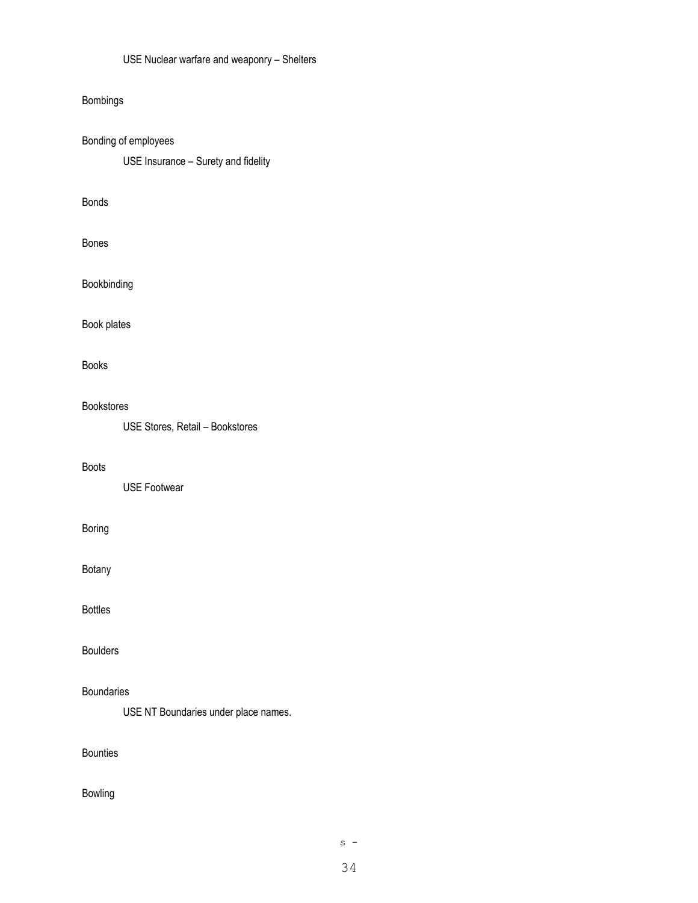## Bombings

Bonding of employees USE Insurance – Surety and fidelity

#### Bonds

Bones

Bookbinding

Book plates

Books

#### Bookstores

USE Stores, Retail – Bookstores

#### Boots

USE Footwear

## Boring

Botany

Bottles

Boulders

## Boundaries

USE NT Boundaries under place names.

Bounties

## Bowling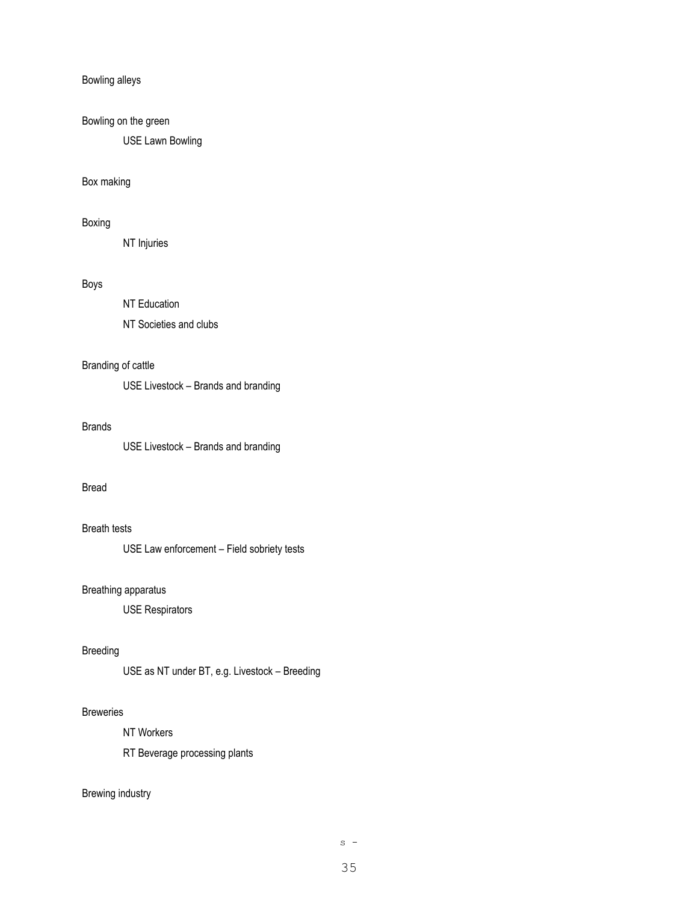#### Bowling alleys

## Bowling on the green

USE Lawn Bowling

#### Box making

#### Boxing

NT Injuries

## Boys

NT Education NT Societies and clubs

## Branding of cattle

USE Livestock – Brands and branding

#### Brands

USE Livestock – Brands and branding

## Bread

### Breath tests

USE Law enforcement – Field sobriety tests

#### Breathing apparatus

USE Respirators

#### Breeding

USE as NT under BT, e.g. Livestock – Breeding

## **Breweries**

NT Workers

RT Beverage processing plants

## Brewing industry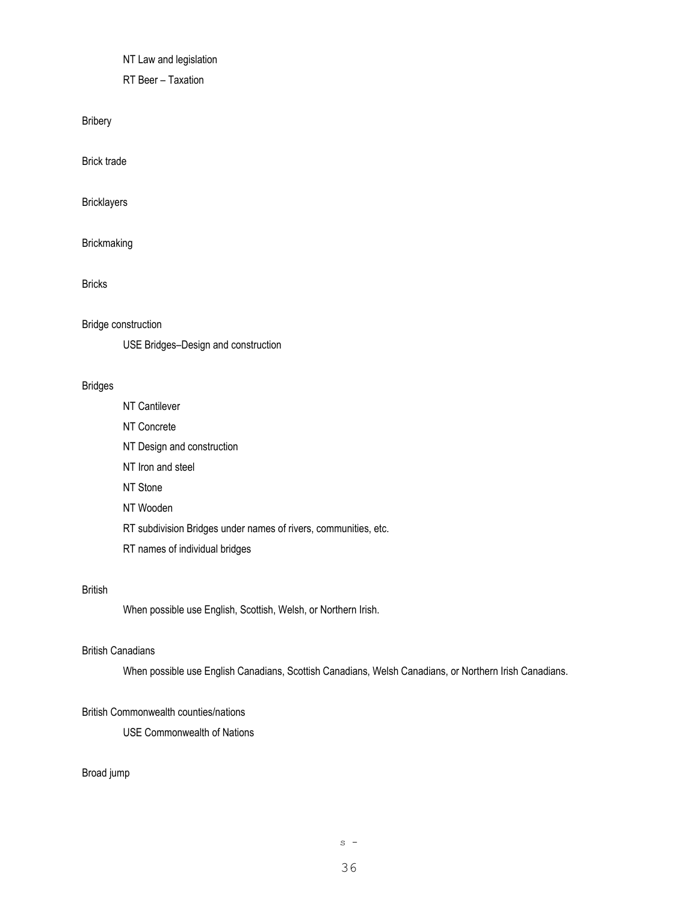NT Law and legislation

RT Beer – Taxation

Bribery

Brick trade

**Bricklayers** 

Brickmaking

Bricks

Bridge construction

USE Bridges–Design and construction

#### Bridges

NT Cantilever NT Concrete NT Design and construction NT Iron and steel NT Stone NT Wooden RT subdivision Bridges under names of rivers, communities, etc. RT names of individual bridges

## British

When possible use English, Scottish, Welsh, or Northern Irish.

#### British Canadians

When possible use English Canadians, Scottish Canadians, Welsh Canadians, or Northern Irish Canadians.

## British Commonwealth counties/nations

USE Commonwealth of Nations

## Broad jump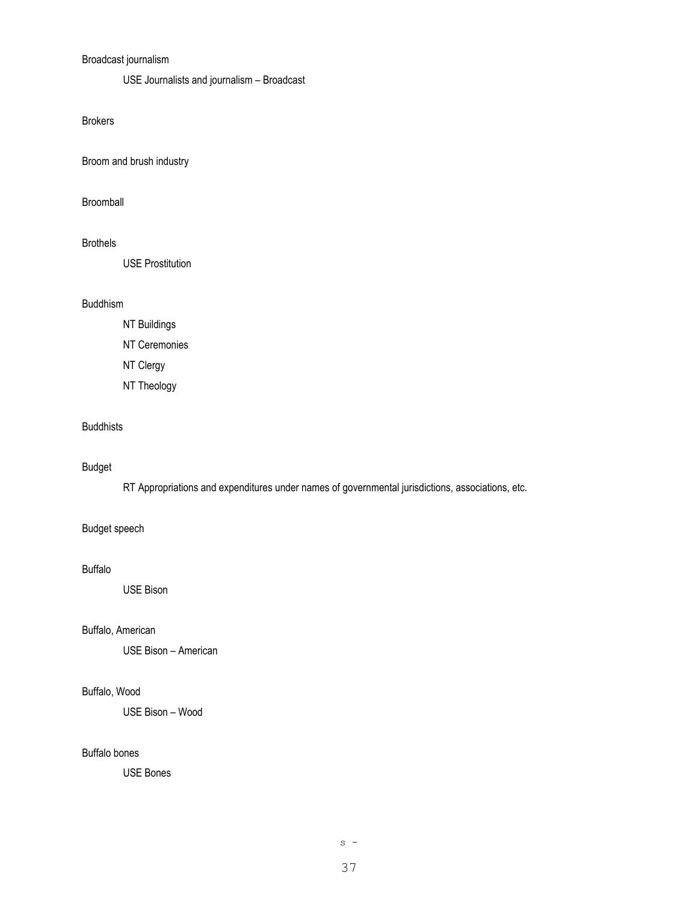# Broadcast journalism

USE Journalists and journalism – Broadcast

Brokers

Broom and brush industry

Broomball

## Brothels

USE Prostitution

## Buddhism

- NT Buildings
- NT Ceremonies
- NT Clergy
- NT Theology

# Buddhists

## Budget

RT Appropriations and expenditures under names of governmental jurisdictions, associations, etc.

# Budget speech

## Buffalo

USE Bison

## Buffalo, American

USE Bison – American

# Buffalo, Wood

USE Bison – Wood

# Buffalo bones

USE Bones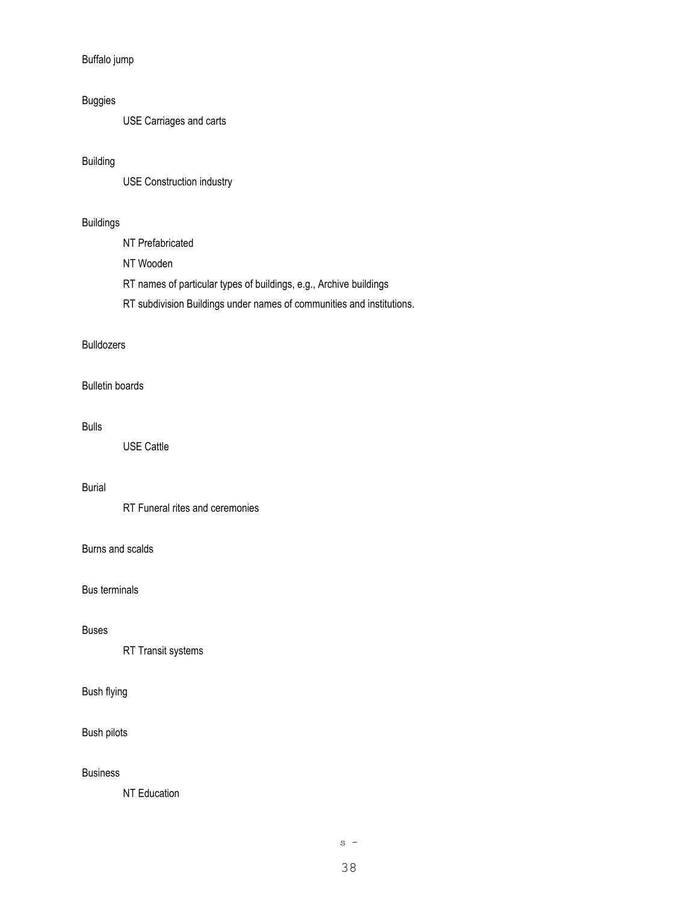Buffalo jump

# Buggies

USE Carriages and carts

# Building

USE Construction industry

# Buildings

NT Prefabricated

NT Wooden

RT names of particular types of buildings, e.g., Archive buildings

RT subdivision Buildings under names of communities and institutions.

# Bulldozers

### Bulletin boards

#### Bulls

USE Cattle

# Burial

RT Funeral rites and ceremonies

# Burns and scalds

# Bus terminals

## Buses

RT Transit systems

# Bush flying

### Bush pilots

#### Business

NT Education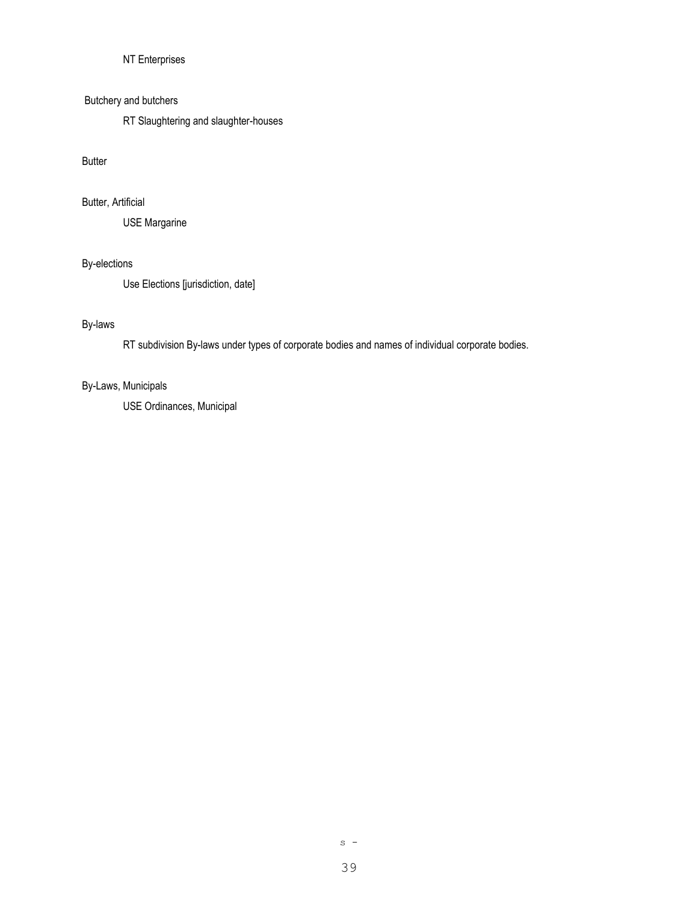# NT Enterprises

### Butchery and butchers

RT Slaughtering and slaughter-houses

## Butter

# Butter, Artificial

USE Margarine

# By-elections

Use Elections [jurisdiction, date]

# By-laws

RT subdivision By-laws under types of corporate bodies and names of individual corporate bodies.

## By-Laws, Municipals

USE Ordinances, Municipal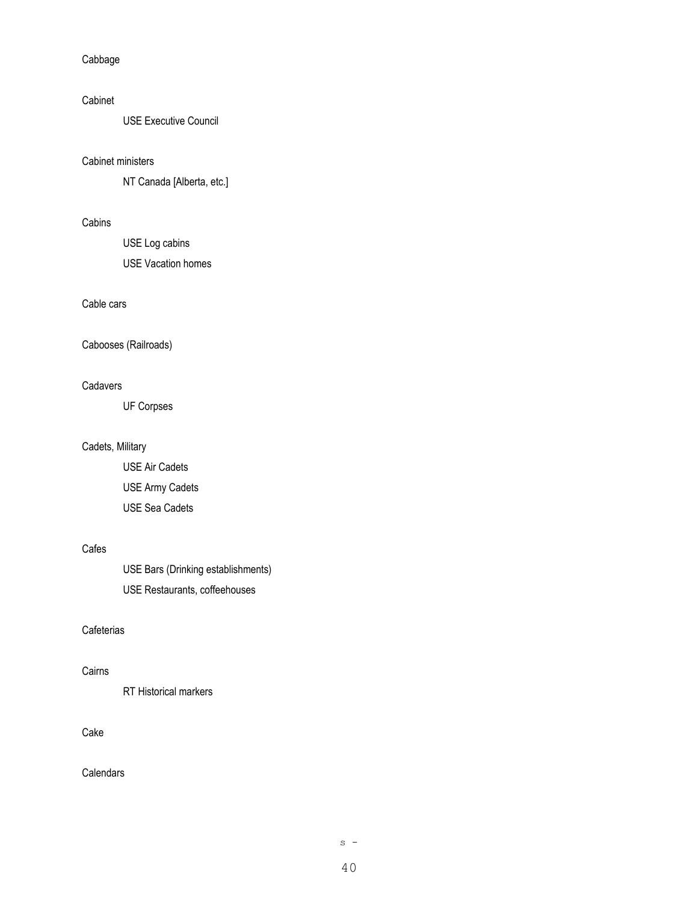Cabbage

## Cabinet

USE Executive Council

#### Cabinet ministers

NT Canada [Alberta, etc.]

# Cabins

USE Log cabins USE Vacation homes

# Cable cars

Cabooses (Railroads)

### **Cadavers**

UF Corpses

## Cadets, Military

USE Air Cadets USE Army Cadets USE Sea Cadets

# Cafes

USE Bars (Drinking establishments) USE Restaurants, coffeehouses

# **Cafeterias**

## Cairns

RT Historical markers

#### Cake

**Calendars**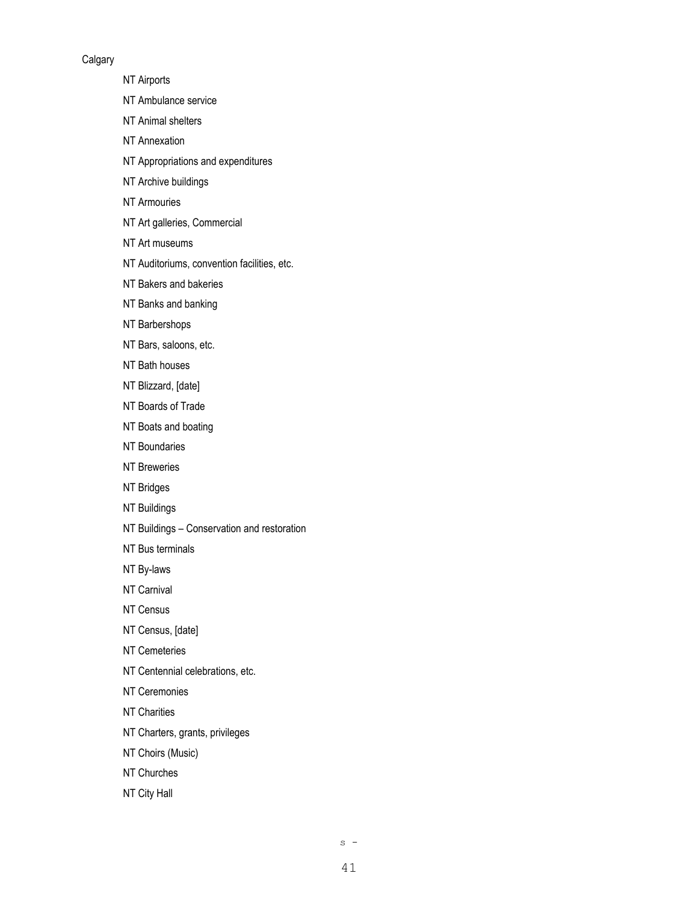#### **Calgary**

NT Airports

NT Ambulance service

NT Animal shelters

NT Annexation

NT Appropriations and expenditures

NT Archive buildings

NT Armouries

NT Art galleries, Commercial

NT Art museums

NT Auditoriums, convention facilities, etc.

NT Bakers and bakeries

NT Banks and banking

NT Barbershops

NT Bars, saloons, etc.

NT Bath houses

NT Blizzard, [date]

NT Boards of Trade

NT Boats and boating

NT Boundaries

NT Breweries

NT Bridges

NT Buildings

NT Buildings – Conservation and restoration

NT Bus terminals

NT By-laws

NT Carnival

NT Census

NT Census, [date]

NT Cemeteries

NT Centennial celebrations, etc.

NT Ceremonies

NT Charities

NT Charters, grants, privileges

NT Choirs (Music)

NT Churches

NT City Hall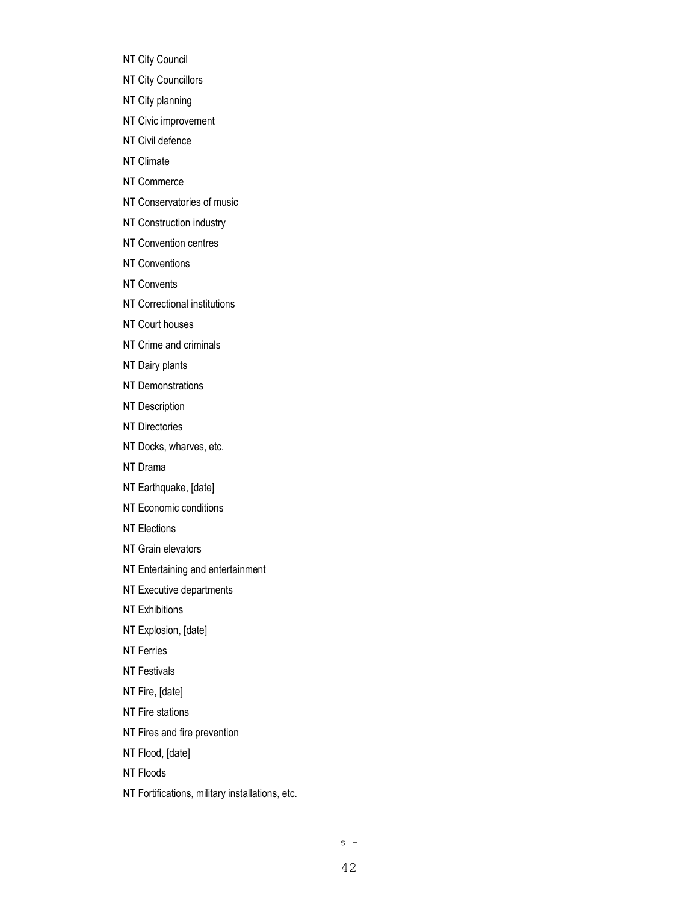NT City Council

NT City Councillors

NT City planning

NT Civic improvement

NT Civil defence

NT Climate

NT Commerce

NT Conservatories of music

NT Construction industry

NT Convention centres

NT Conventions

NT Convents

NT Correctional institutions

NT Court houses

NT Crime and criminals

NT Dairy plants

NT Demonstrations

NT Description

NT Directories

NT Docks, wharves, etc.

NT Drama

NT Earthquake, [date]

NT Economic conditions

NT Elections

NT Grain elevators

NT Entertaining and entertainment

NT Executive departments

NT Exhibitions

NT Explosion, [date]

NT Ferries

NT Festivals

NT Fire, [date]

NT Fire stations

NT Fires and fire prevention

NT Flood, [date]

NT Floods

NT Fortifications, military installations, etc.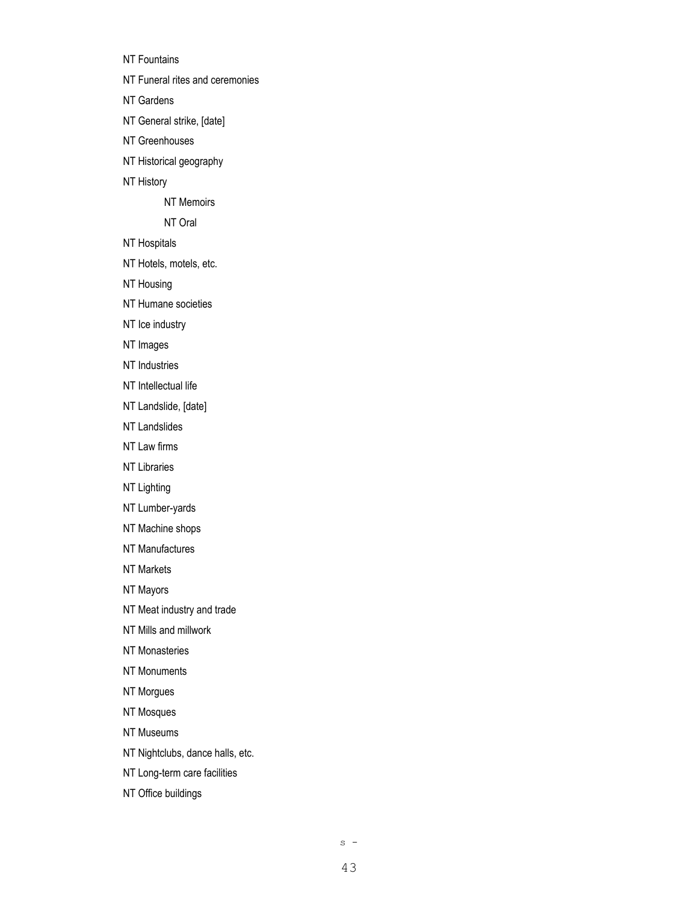NT Fountains

NT Funeral rites and ceremonies

NT Gardens

NT General strike, [date]

NT Greenhouses

NT Historical geography

NT History

NT Memoirs

NT Oral

NT Hospitals

NT Hotels, motels, etc.

NT Housing

NT Humane societies

NT Ice industry

NT Images

NT Industries

NT Intellectual life

NT Landslide, [date]

NT Landslides

NT Law firms

NT Libraries

NT Lighting

NT Lumber-yards

NT Machine shops

NT Manufactures

NT Markets

NT Mayors

NT Meat industry and trade

NT Mills and millwork

NT Monasteries

NT Monuments

NT Morgues

NT Mosques

NT Museums

NT Nightclubs, dance halls, etc.

NT Long-term care facilities

NT Office buildings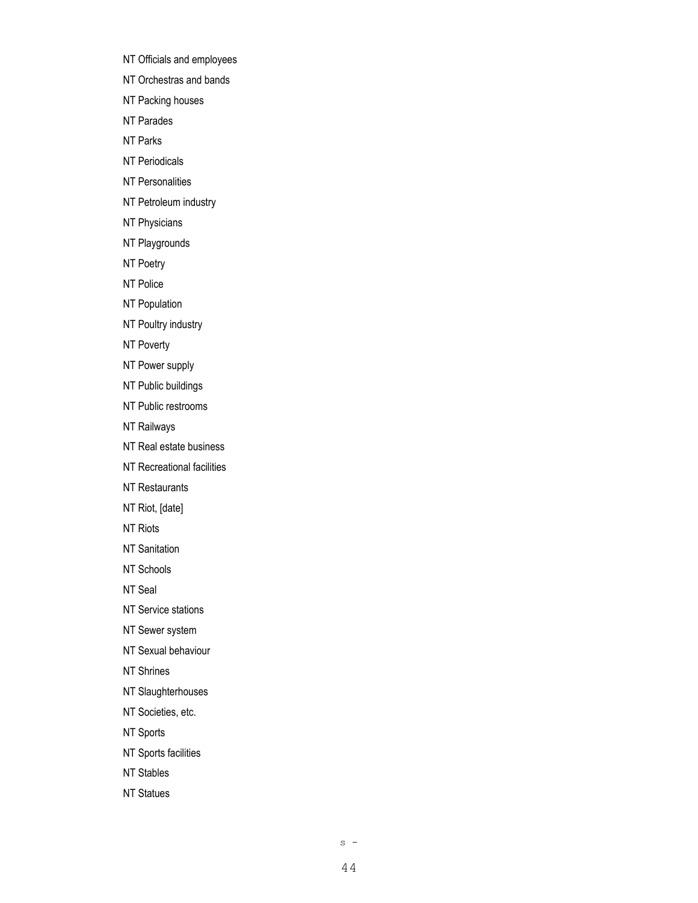NT Officials and employees

NT Orchestras and bands

NT Packing houses

NT Parades

NT Parks

NT Periodicals

NT Personalities

NT Petroleum industry

NT Physicians

NT Playgrounds

NT Poetry

NT Police

NT Population

NT Poultry industry

NT Poverty

NT Power supply

NT Public buildings

NT Public restrooms

NT Railways

NT Real estate business

NT Recreational facilities

NT Restaurants

NT Riot, [date]

NT Riots

NT Sanitation

NT Schools

NT Seal

NT Service stations

NT Sewer system

NT Sexual behaviour

NT Shrines

NT Slaughterhouses

NT Societies, etc.

NT Sports

NT Sports facilities

NT Stables

NT Statues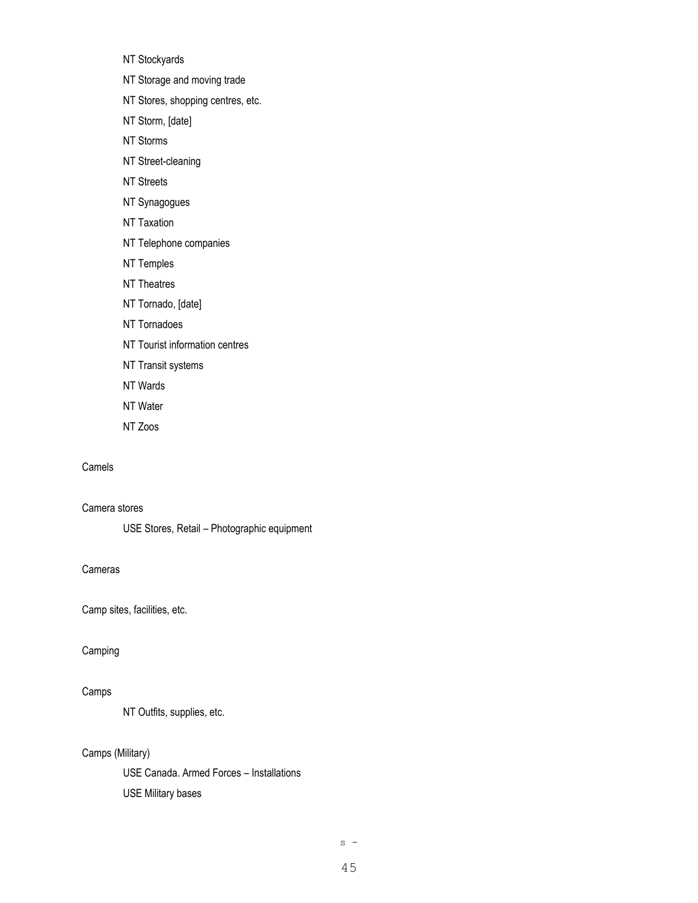NT Stockyards

NT Storage and moving trade

- NT Stores, shopping centres, etc.
- NT Storm, [date]
- NT Storms
- NT Street-cleaning
- NT Streets
- NT Synagogues
- NT Taxation
- NT Telephone companies
- NT Temples
- NT Theatres
- NT Tornado, [date]
- NT Tornadoes
- NT Tourist information centres
- NT Transit systems
- NT Wards
- NT Water
- NT Zoos

#### Camels

Camera stores

USE Stores, Retail – Photographic equipment

#### Cameras

Camp sites, facilities, etc.

#### Camping

# Camps

NT Outfits, supplies, etc.

### Camps (Military)

USE Canada. Armed Forces – Installations USE Military bases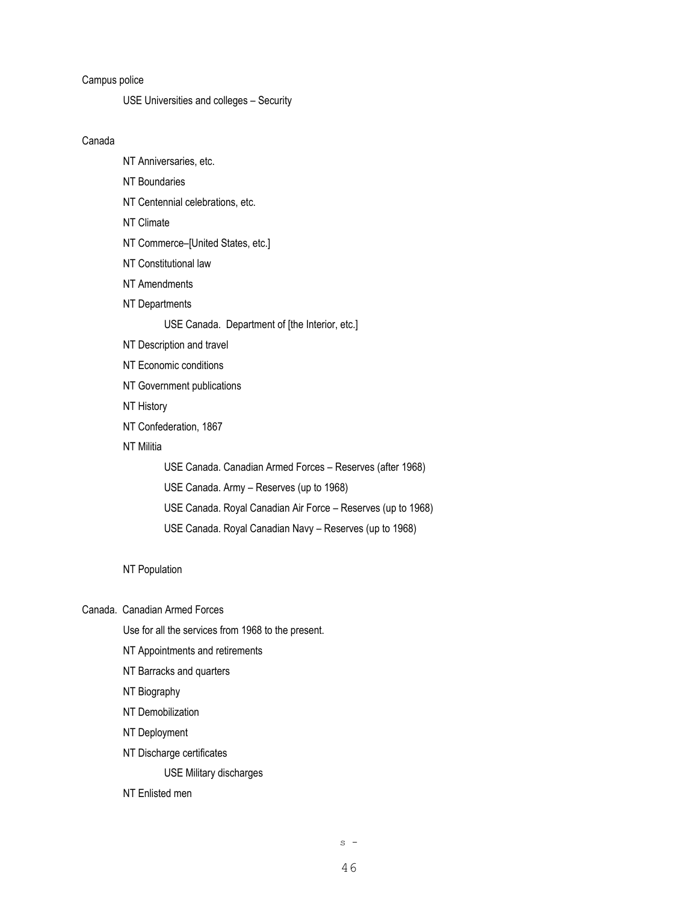## Campus police

USE Universities and colleges – Security

#### Canada

- NT Anniversaries, etc.
- NT Boundaries
- NT Centennial celebrations, etc.
- NT Climate
- NT Commerce–[United States, etc.]
- NT Constitutional law
- NT Amendments
- NT Departments

#### USE Canada. Department of [the Interior, etc.]

- NT Description and travel
- NT Economic conditions
- NT Government publications
- NT History
- NT Confederation, 1867
- NT Militia

USE Canada. Canadian Armed Forces – Reserves (after 1968) USE Canada. Army – Reserves (up to 1968) USE Canada. Royal Canadian Air Force – Reserves (up to 1968) USE Canada. Royal Canadian Navy – Reserves (up to 1968)

#### NT Population

Canada. Canadian Armed Forces

Use for all the services from 1968 to the present.

- NT Appointments and retirements
- NT Barracks and quarters
- NT Biography
- NT Demobilization
- NT Deployment
- NT Discharge certificates

USE Military discharges

#### NT Enlisted men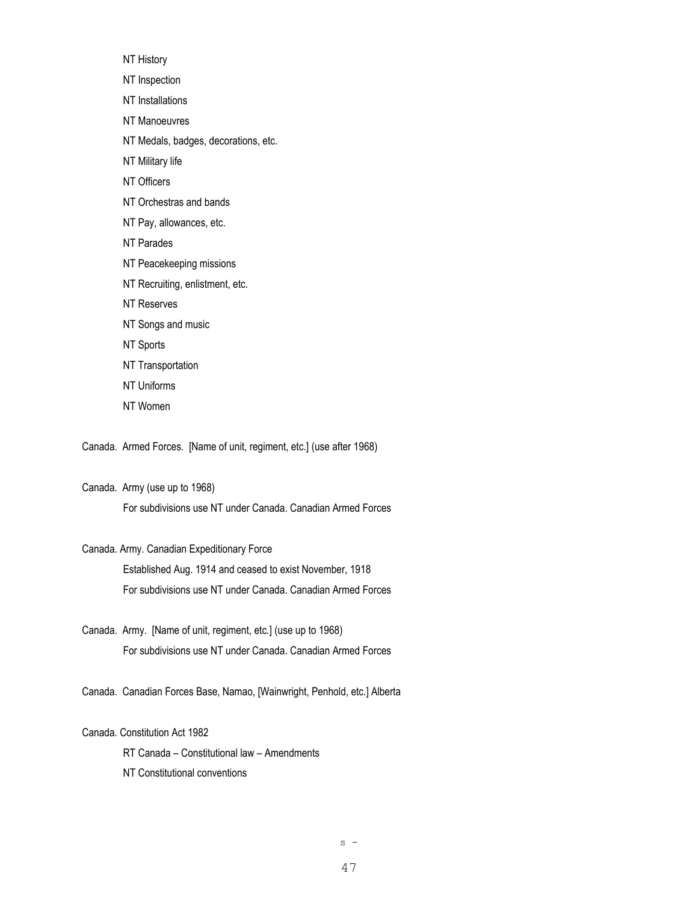- NT History
- NT Inspection
- NT Installations
- NT Manoeuvres
- NT Medals, badges, decorations, etc.
- NT Military life
- NT Officers
- NT Orchestras and bands
- NT Pay, allowances, etc.
- NT Parades
- NT Peacekeeping missions
- NT Recruiting, enlistment, etc.
- NT Reserves
- NT Songs and music
- NT Sports
- NT Transportation
- NT Uniforms
- NT Women

Canada. Armed Forces. [Name of unit, regiment, etc.] (use after 1968)

#### Canada. Army (use up to 1968)

For subdivisions use NT under Canada. Canadian Armed Forces

#### Canada. Army. Canadian Expeditionary Force

Established Aug. 1914 and ceased to exist November, 1918 For subdivisions use NT under Canada. Canadian Armed Forces

- Canada. Army. [Name of unit, regiment, etc.] (use up to 1968) For subdivisions use NT under Canada. Canadian Armed Forces
- Canada. Canadian Forces Base, Namao, [Wainwright, Penhold, etc.] Alberta

#### Canada. Constitution Act 1982

RT Canada – Constitutional law – Amendments

NT Constitutional conventions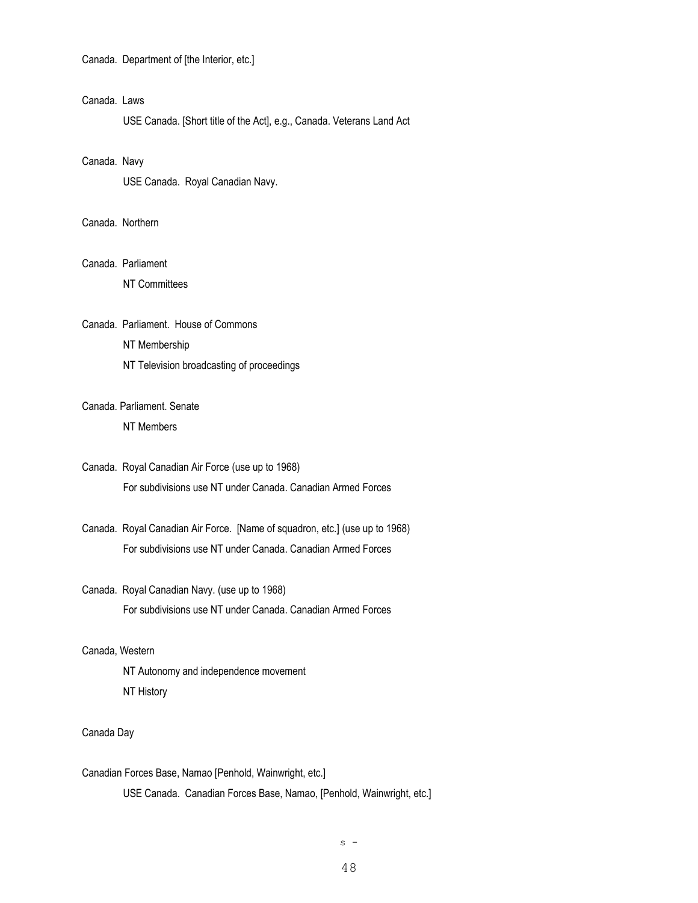Canada. Department of [the Interior, etc.]

## Canada. Laws

USE Canada. [Short title of the Act], e.g., Canada. Veterans Land Act

#### Canada. Navy

USE Canada. Royal Canadian Navy.

## Canada. Northern

## Canada. Parliament

NT Committees

#### Canada. Parliament. House of Commons

NT Membership

NT Television broadcasting of proceedings

# Canada. Parliament. Senate

NT Members

# Canada. Royal Canadian Air Force (use up to 1968) For subdivisions use NT under Canada. Canadian Armed Forces

Canada. Royal Canadian Air Force. [Name of squadron, etc.] (use up to 1968) For subdivisions use NT under Canada. Canadian Armed Forces

# Canada. Royal Canadian Navy. (use up to 1968) For subdivisions use NT under Canada. Canadian Armed Forces

#### Canada, Western

NT Autonomy and independence movement NT History

#### Canada Day

Canadian Forces Base, Namao [Penhold, Wainwright, etc.] USE Canada. Canadian Forces Base, Namao, [Penhold, Wainwright, etc.]

48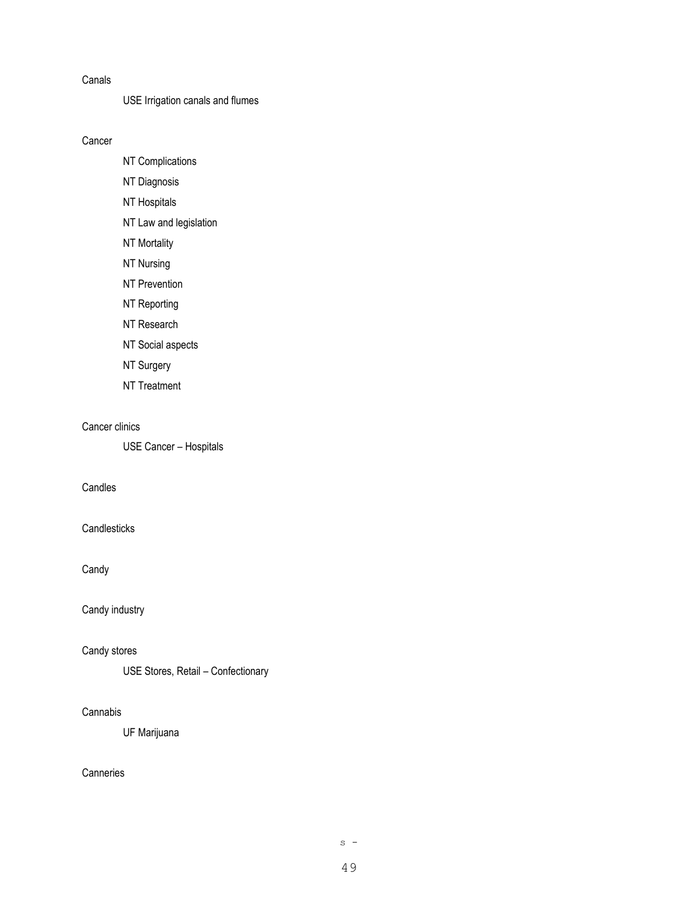#### Canals

# USE Irrigation canals and flumes

Cancer

- NT Complications
- NT Diagnosis
- NT Hospitals
- NT Law and legislation
- NT Mortality
- NT Nursing
- NT Prevention
- NT Reporting
- NT Research
- NT Social aspects
- NT Surgery
- NT Treatment

#### Cancer clinics

USE Cancer – Hospitals

# Candles

## **Candlesticks**

Candy

# Candy industry

### Candy stores

USE Stores, Retail – Confectionary

# Cannabis

UF Marijuana

# **Canneries**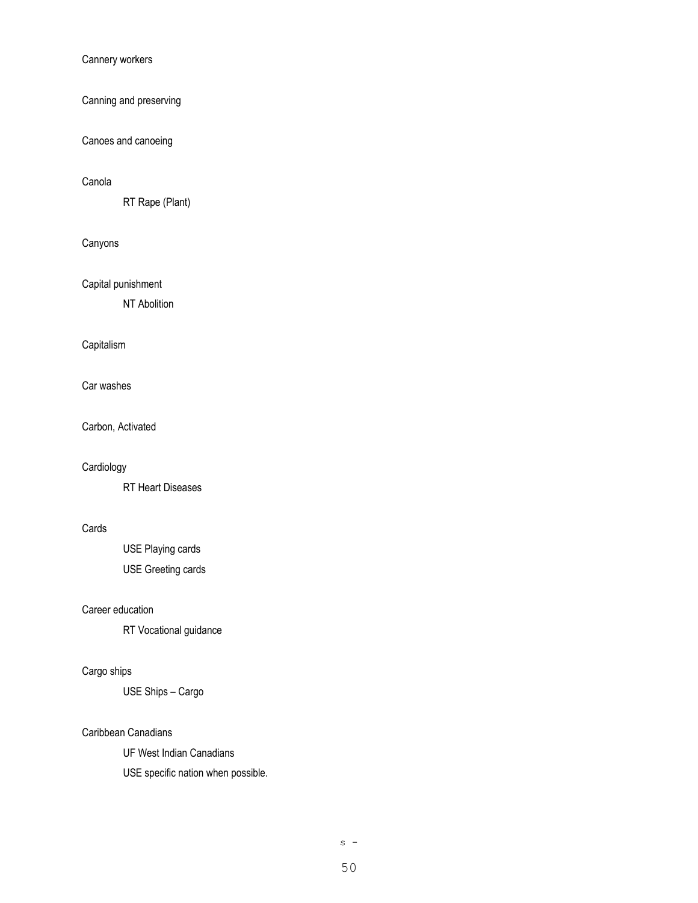### Cannery workers

# Canning and preserving

## Canoes and canoeing

## Canola

RT Rape (Plant)

# Canyons

Capital punishment

NT Abolition

## **Capitalism**

Car washes

Carbon, Activated

### **Cardiology**

RT Heart Diseases

## Cards

USE Playing cards USE Greeting cards

# Career education

RT Vocational guidance

# Cargo ships

USE Ships – Cargo

#### Caribbean Canadians

UF West Indian Canadians

USE specific nation when possible.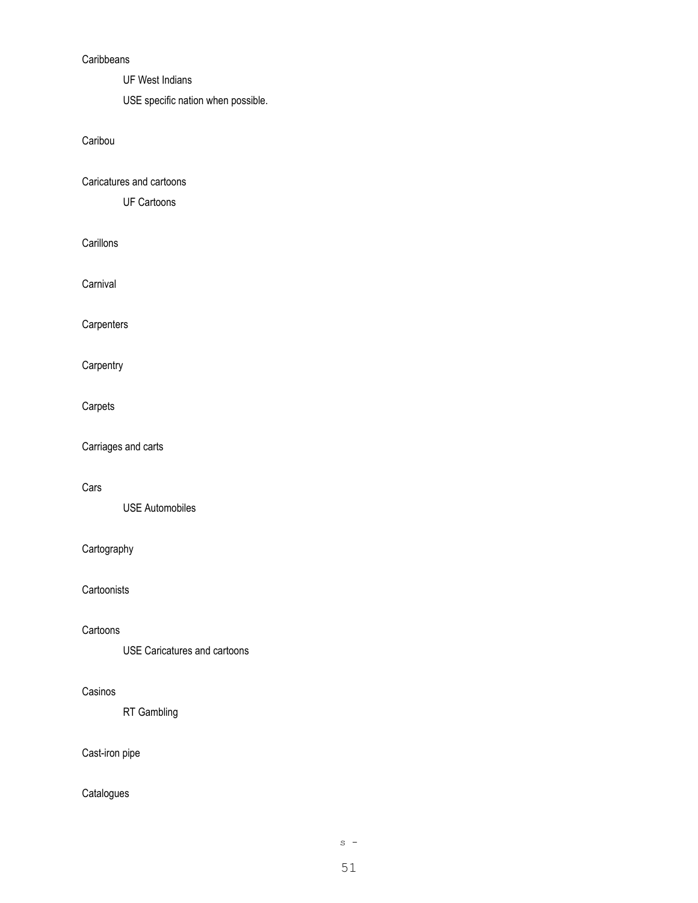## **Caribbeans**

UF West Indians

USE specific nation when possible.

# Caribou

Caricatures and cartoons

UF Cartoons

**Carillons** 

**Carnival** 

**Carpenters** 

**Carpentry** 

# Carpets

Carriages and carts

# Cars

USE Automobiles

# Cartography

**Cartoonists** 

#### **Cartoons**

USE Caricatures and cartoons

#### Casinos

RT Gambling

# Cast-iron pipe

# Catalogues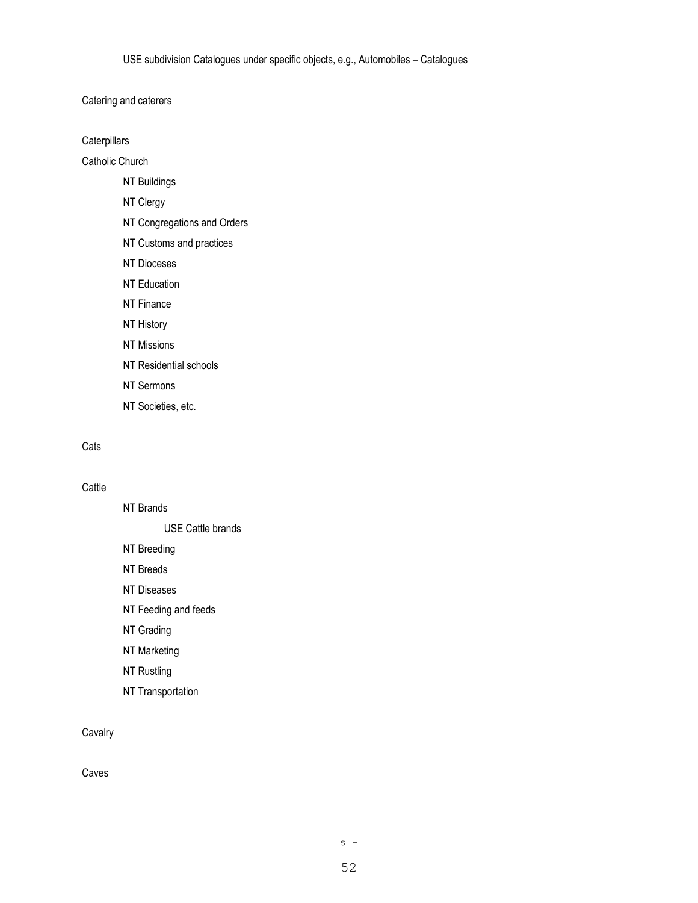Catering and caterers

**Caterpillars** 

Catholic Church

NT Buildings

NT Clergy

NT Congregations and Orders

NT Customs and practices

NT Dioceses

NT Education

NT Finance

NT History

NT Missions

NT Residential schools

NT Sermons

NT Societies, etc.

# **Cats**

## **Cattle**

NT Brands

USE Cattle brands

NT Breeding

NT Breeds

NT Diseases

NT Feeding and feeds

NT Grading

NT Marketing

NT Rustling

NT Transportation

## Cavalry

Caves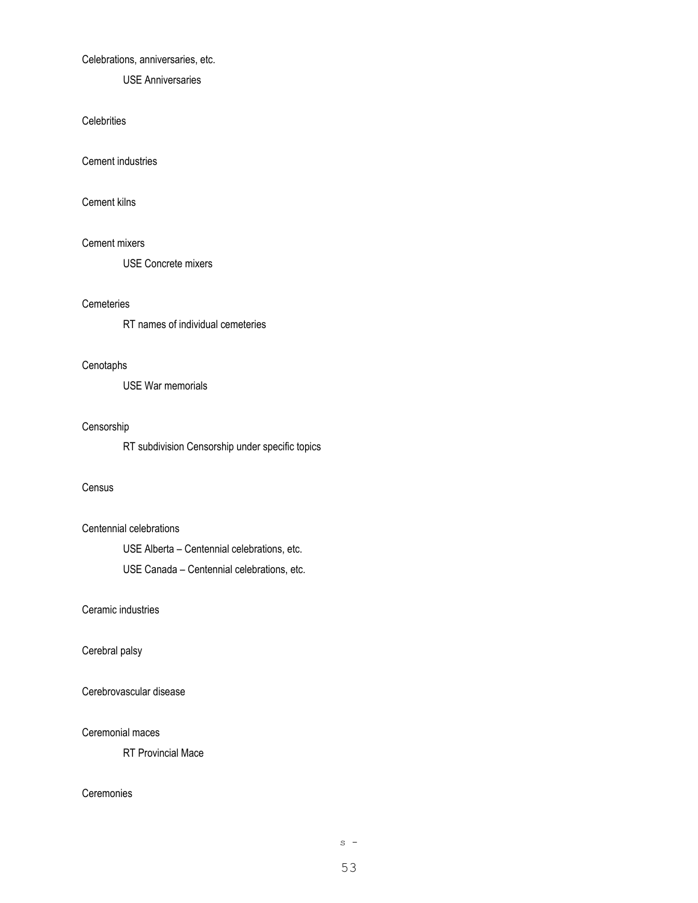#### Celebrations, anniversaries, etc.

USE Anniversaries

#### **Celebrities**

Cement industries

Cement kilns

#### Cement mixers

USE Concrete mixers

#### **Cemeteries**

RT names of individual cemeteries

#### **Cenotaphs**

USE War memorials

#### Censorship

RT subdivision Censorship under specific topics

#### **Census**

### Centennial celebrations

USE Alberta – Centennial celebrations, etc. USE Canada – Centennial celebrations, etc.

Ceramic industries

#### Cerebral palsy

Cerebrovascular disease

#### Ceremonial maces

RT Provincial Mace

#### **Ceremonies**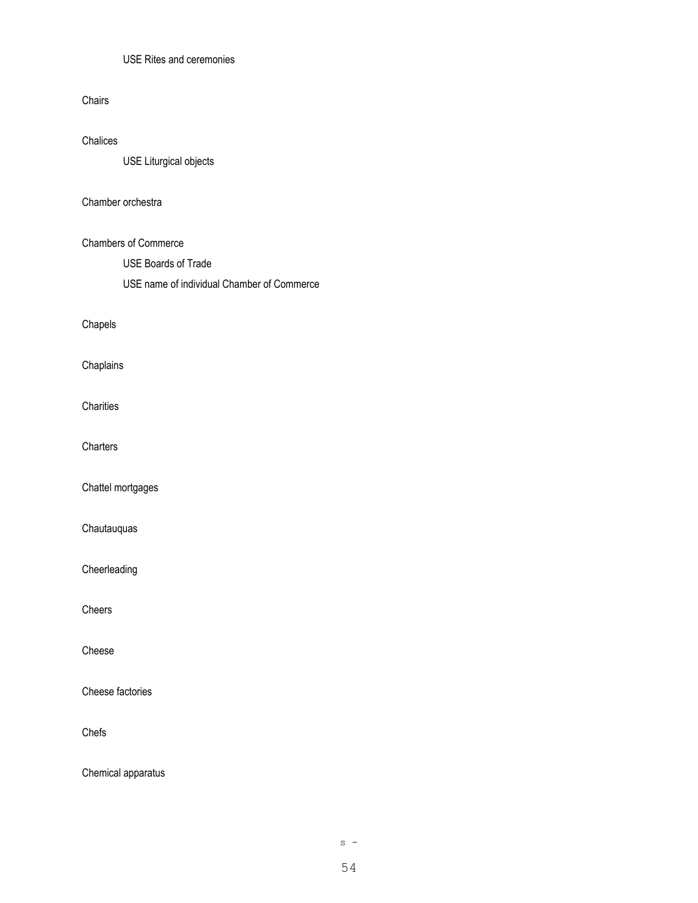## USE Rites and ceremonies

#### Chairs

## Chalices

USE Liturgical objects

#### Chamber orchestra

## Chambers of Commerce

USE Boards of Trade

USE name of individual Chamber of Commerce

# Chapels

Chaplains

**Charities** 

**Charters** 

Chattel mortgages

Chautauquas

Cheerleading

Cheers

Cheese

Cheese factories

Chefs

Chemical apparatus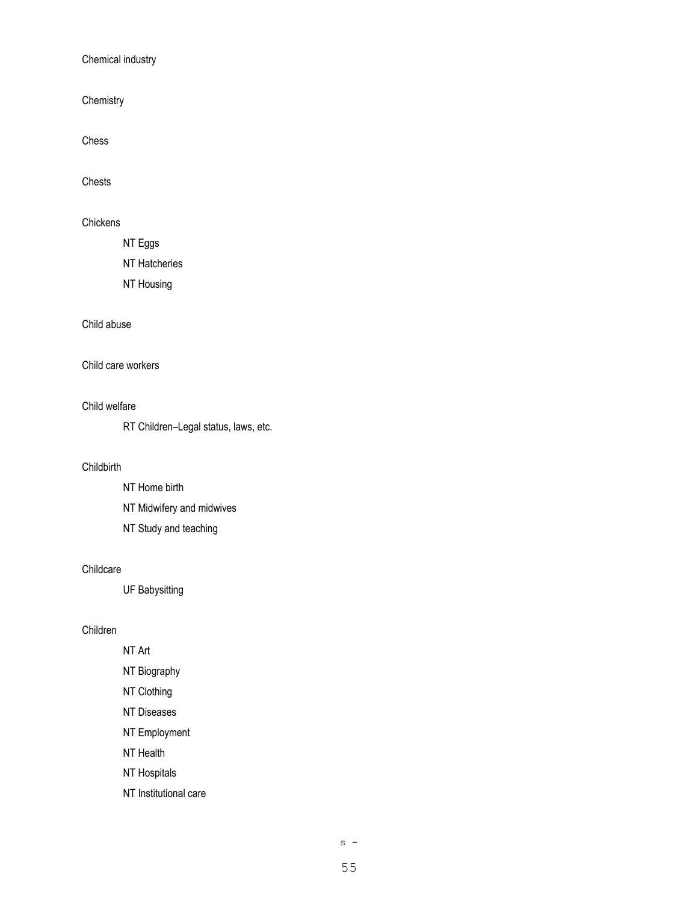Chemical industry

**Chemistry** 

Chess

Chests

**Chickens** 

NT Eggs

NT Hatcheries

NT Housing

### Child abuse

Child care workers

Child welfare

RT Children–Legal status, laws, etc.

## **Childbirth**

NT Home birth NT Midwifery and midwives

NT Study and teaching

#### Childcare

UF Babysitting

## Children

NT Art NT Biography NT Clothing

NT Diseases

NT Employment

NT Health

NT Hospitals

NT Institutional care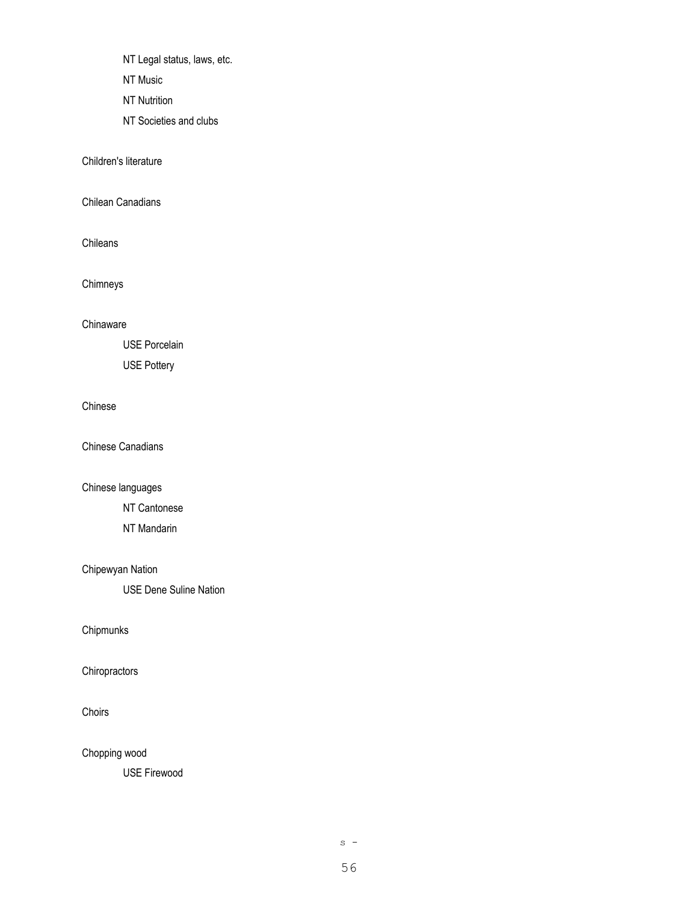NT Legal status, laws, etc.

NT Music

NT Nutrition

NT Societies and clubs

Children's literature

Chilean Canadians

Chileans

Chimneys

**Chinaware** 

USE Porcelain

USE Pottery

### Chinese

Chinese Canadians

Chinese languages

NT Cantonese

NT Mandarin

# Chipewyan Nation

USE Dene Suline Nation

Chipmunks

**Chiropractors** 

Choirs

Chopping wood

USE Firewood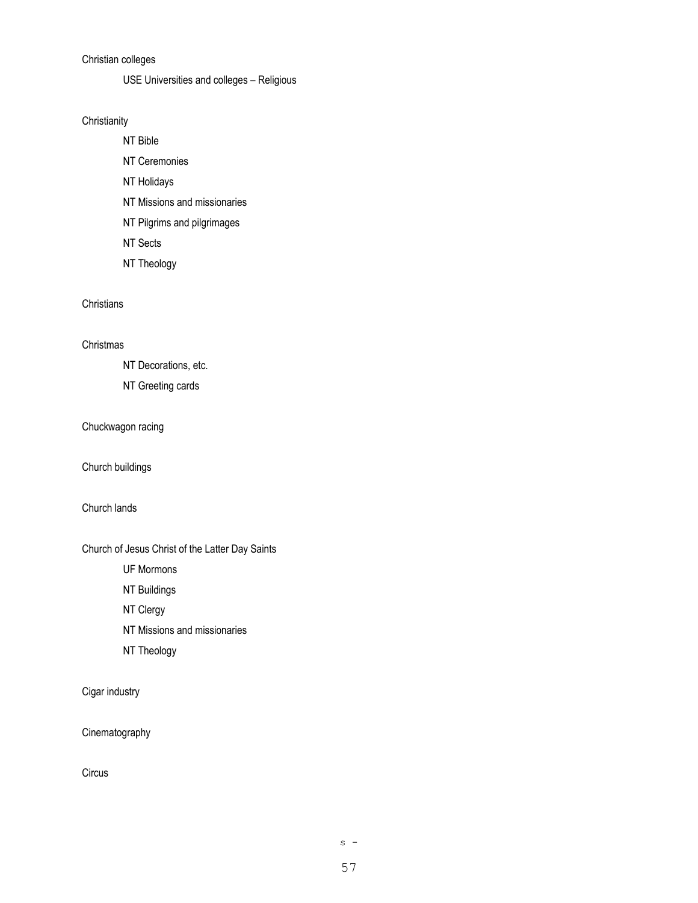# Christian colleges

USE Universities and colleges – Religious

### **Christianity**

NT Bible

NT Ceremonies NT Holidays NT Missions and missionaries

NT Pilgrims and pilgrimages

NT Sects

NT Theology

# **Christians**

### **Christmas**

NT Decorations, etc.

NT Greeting cards

## Chuckwagon racing

Church buildings

# Church lands

# Church of Jesus Christ of the Latter Day Saints

UF Mormons

NT Buildings

NT Clergy

NT Missions and missionaries

NT Theology

# Cigar industry

Cinematography

**Circus**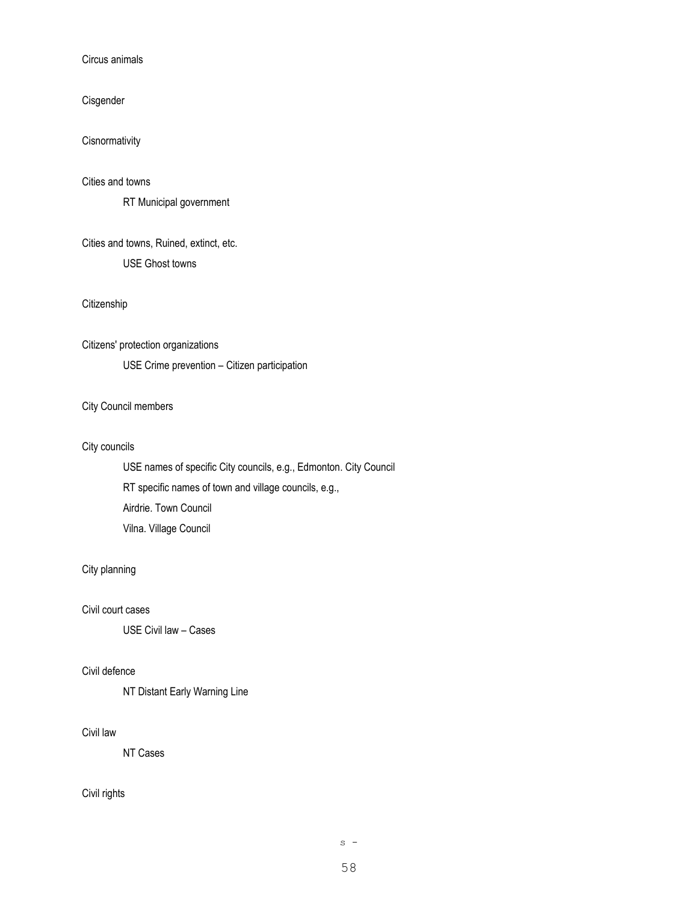## Circus animals

Cisgender

Cisnormativity

Cities and towns

RT Municipal government

Cities and towns, Ruined, extinct, etc. USE Ghost towns

**Citizenship** 

Citizens' protection organizations USE Crime prevention – Citizen participation

## City Council members

## City councils

USE names of specific City councils, e.g., Edmonton. City Council RT specific names of town and village councils, e.g., Airdrie. Town Council Vilna. Village Council

#### City planning

## Civil court cases

USE Civil law – Cases

### Civil defence

NT Distant Early Warning Line

## Civil law

NT Cases

### Civil rights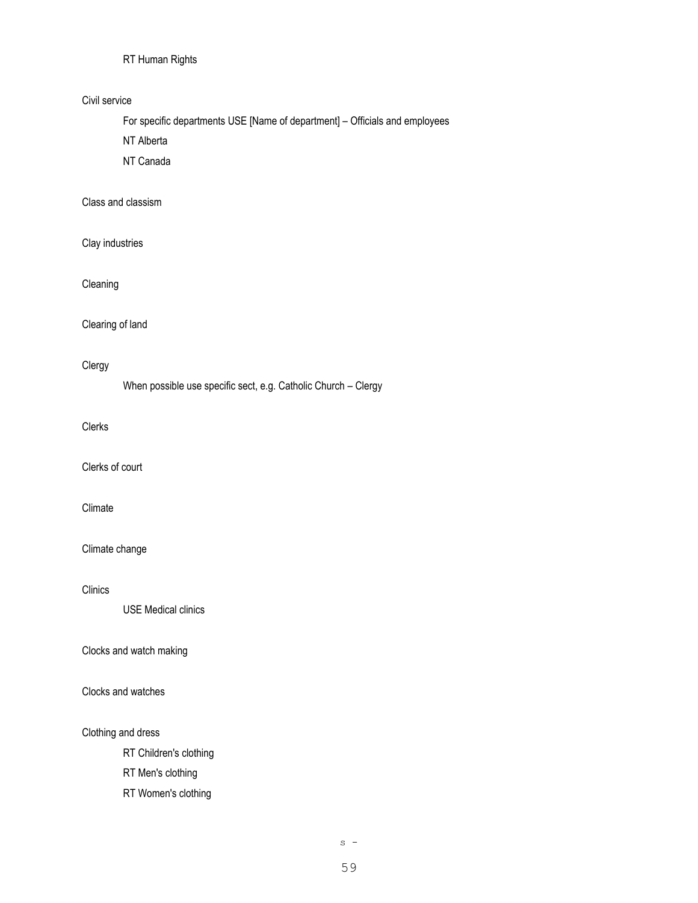# RT Human Rights

### Civil service

For specific departments USE [Name of department] – Officials and employees

NT Alberta

NT Canada

# Class and classism

Clay industries

# Cleaning

### Clearing of land

## Clergy

When possible use specific sect, e.g. Catholic Church – Clergy

#### Clerks

Clerks of court

# Climate

### Climate change

## Clinics

USE Medical clinics

### Clocks and watch making

#### Clocks and watches

### Clothing and dress

RT Children's clothing

RT Men's clothing

RT Women's clothing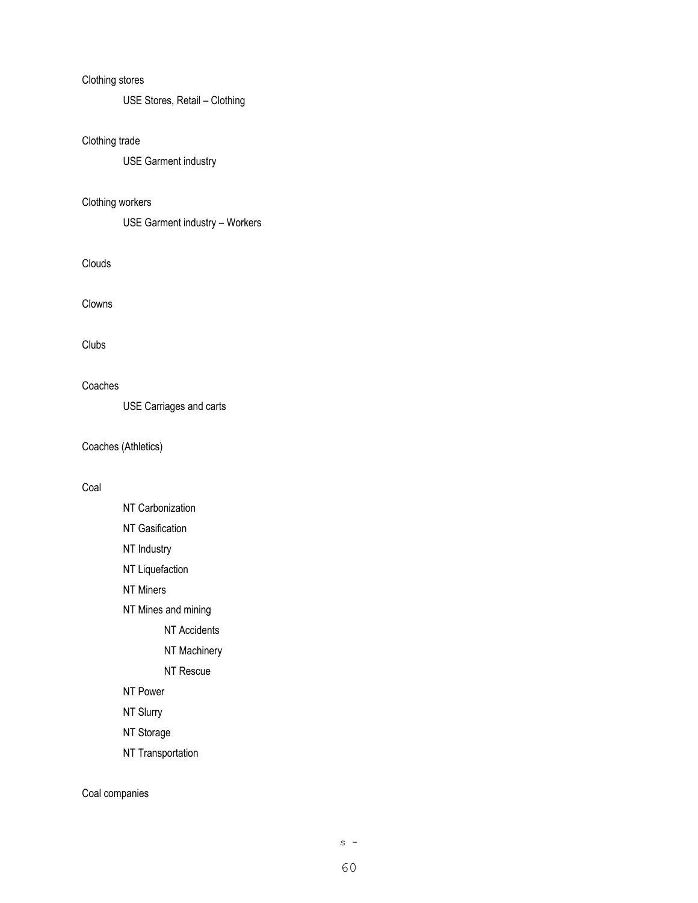## Clothing stores

USE Stores, Retail – Clothing

# Clothing trade

USE Garment industry

# Clothing workers

USE Garment industry – Workers

Clouds

Clowns

#### Clubs

Coaches

USE Carriages and carts

Coaches (Athletics)

## Coal

- NT Carbonization
- NT Gasification
- NT Industry
- NT Liquefaction
- NT Miners
- NT Mines and mining
	- NT Accidents
	- NT Machinery
	- NT Rescue
- NT Power
- NT Slurry
- NT Storage
- NT Transportation

Coal companies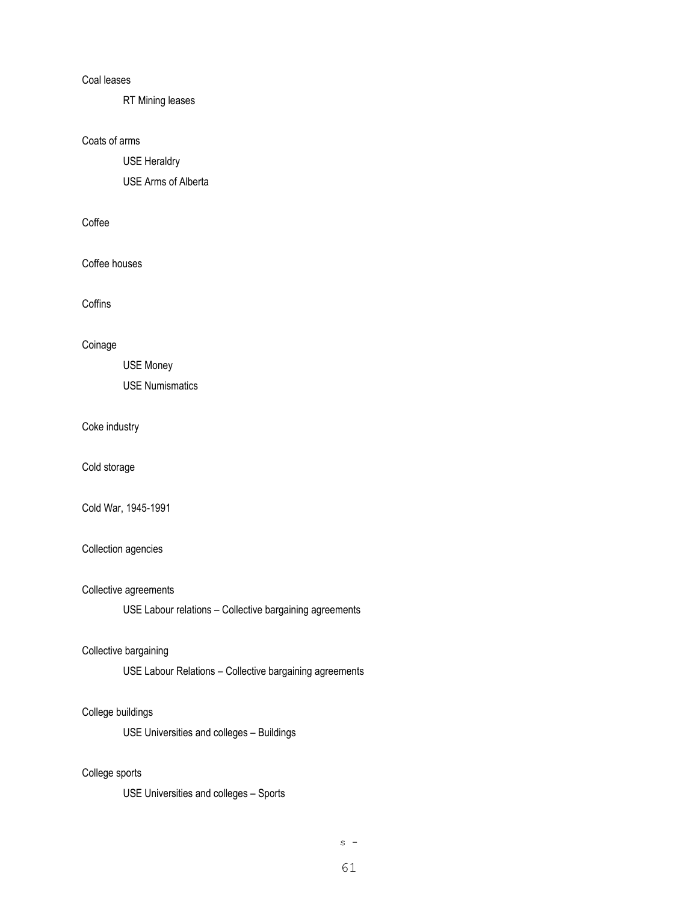#### Coal leases

RT Mining leases

## Coats of arms

USE Heraldry

USE Arms of Alberta

# Coffee

Coffee houses

**Coffins** 

## Coinage

USE Money USE Numismatics

# Coke industry

Cold storage

Cold War, 1945-1991

### Collection agencies

#### Collective agreements

USE Labour relations – Collective bargaining agreements

### Collective bargaining

USE Labour Relations – Collective bargaining agreements

### College buildings

USE Universities and colleges – Buildings

## College sports

USE Universities and colleges – Sports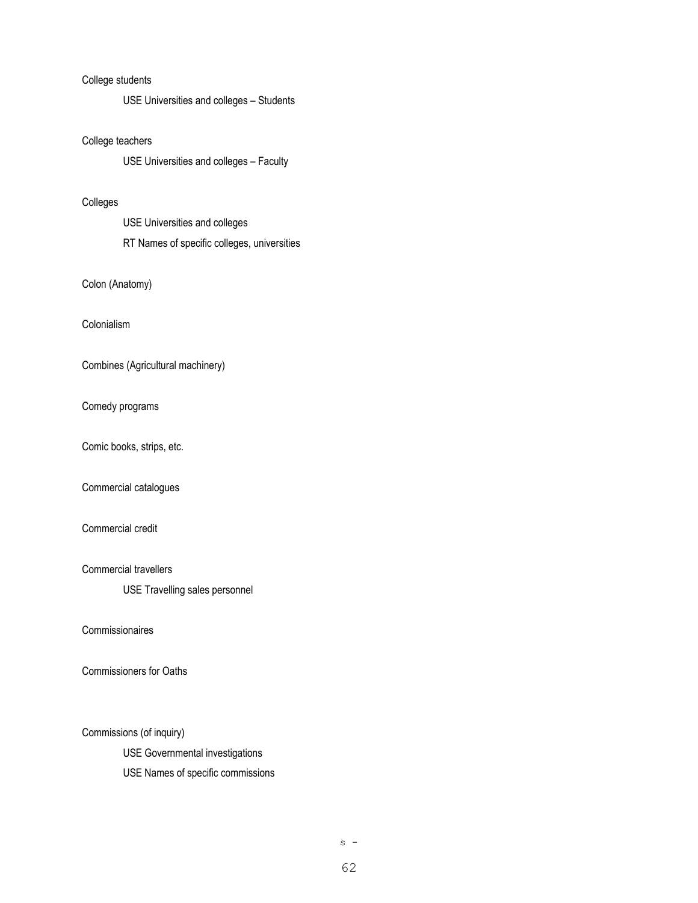### College students

USE Universities and colleges – Students

### College teachers

USE Universities and colleges – Faculty

#### Colleges

USE Universities and colleges RT Names of specific colleges, universities

## Colon (Anatomy)

Colonialism

Combines (Agricultural machinery)

#### Comedy programs

Comic books, strips, etc.

### Commercial catalogues

## Commercial credit

Commercial travellers

USE Travelling sales personnel

Commissionaires

Commissioners for Oaths

Commissions (of inquiry)

USE Governmental investigations

USE Names of specific commissions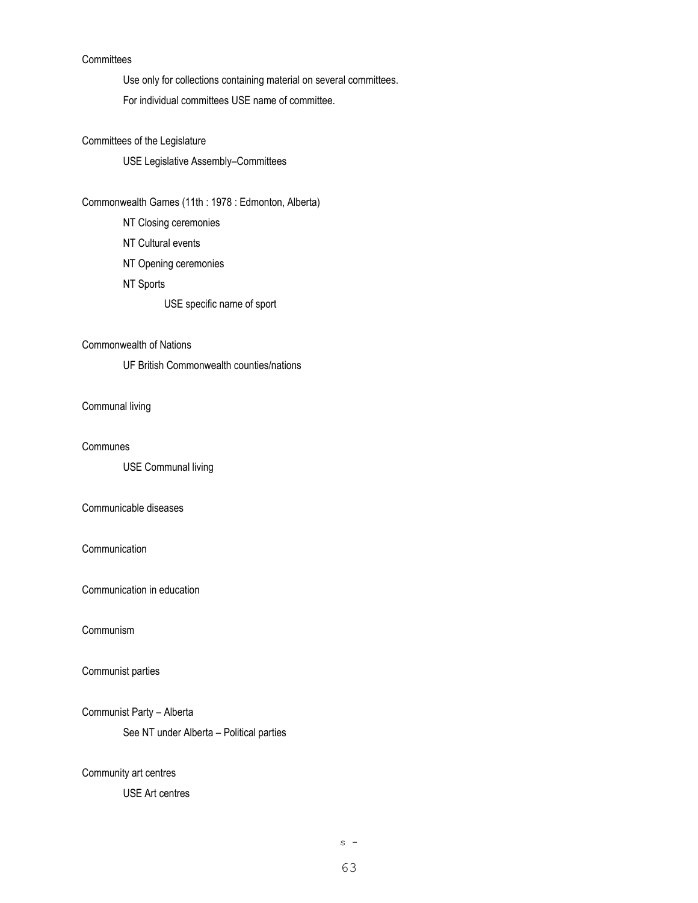# **Committees**

Use only for collections containing material on several committees.

For individual committees USE name of committee.

# Committees of the Legislature

USE Legislative Assembly–Committees

#### Commonwealth Games (11th : 1978 : Edmonton, Alberta)

NT Closing ceremonies NT Cultural events NT Opening ceremonies NT Sports USE specific name of sport

### Commonwealth of Nations

UF British Commonwealth counties/nations

## Communal living

#### **Communes**

USE Communal living

# Communicable diseases

#### **Communication**

Communication in education

## Communism

#### Communist parties

### Communist Party – Alberta

See NT under Alberta – Political parties

## Community art centres

#### USE Art centres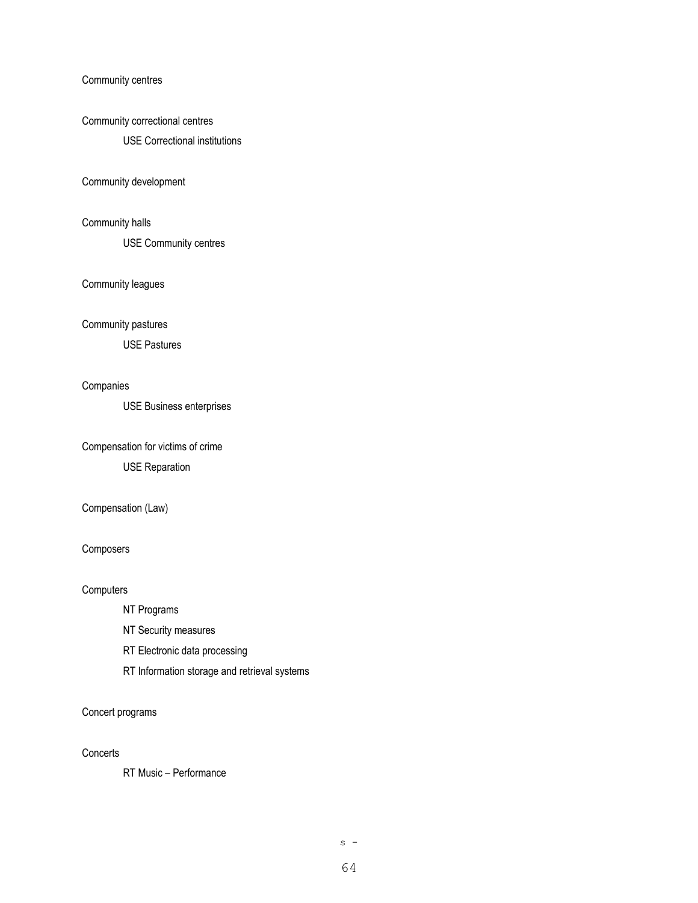Community centres

#### Community correctional centres

USE Correctional institutions

### Community development

# Community halls

USE Community centres

#### Community leagues

#### Community pastures

USE Pastures

### Companies

USE Business enterprises

## Compensation for victims of crime

USE Reparation

# Compensation (Law)

#### Composers

#### **Computers**

- NT Programs
- NT Security measures
- RT Electronic data processing
- RT Information storage and retrieval systems

### Concert programs

## **Concerts**

RT Music – Performance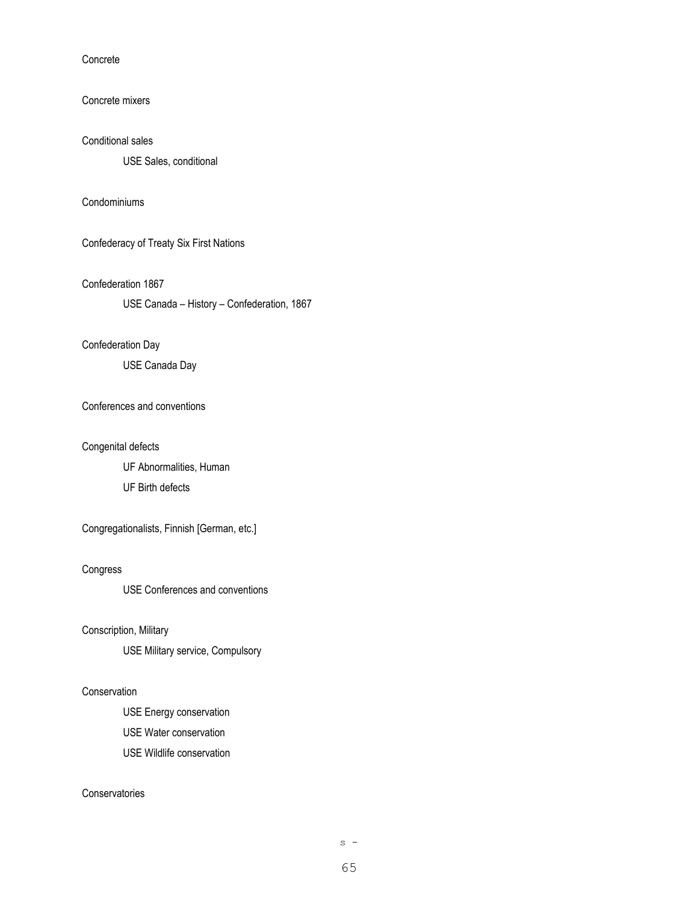Concrete

## Concrete mixers

#### Conditional sales

USE Sales, conditional

## Condominiums

Confederacy of Treaty Six First Nations

#### Confederation 1867

USE Canada – History – Confederation, 1867

### Confederation Day

USE Canada Day

#### Conferences and conventions

#### Congenital defects

UF Abnormalities, Human UF Birth defects

Congregationalists, Finnish [German, etc.]

#### Congress

USE Conferences and conventions

### Conscription, Military

USE Military service, Compulsory

## Conservation

USE Energy conservation USE Water conservation USE Wildlife conservation

## **Conservatories**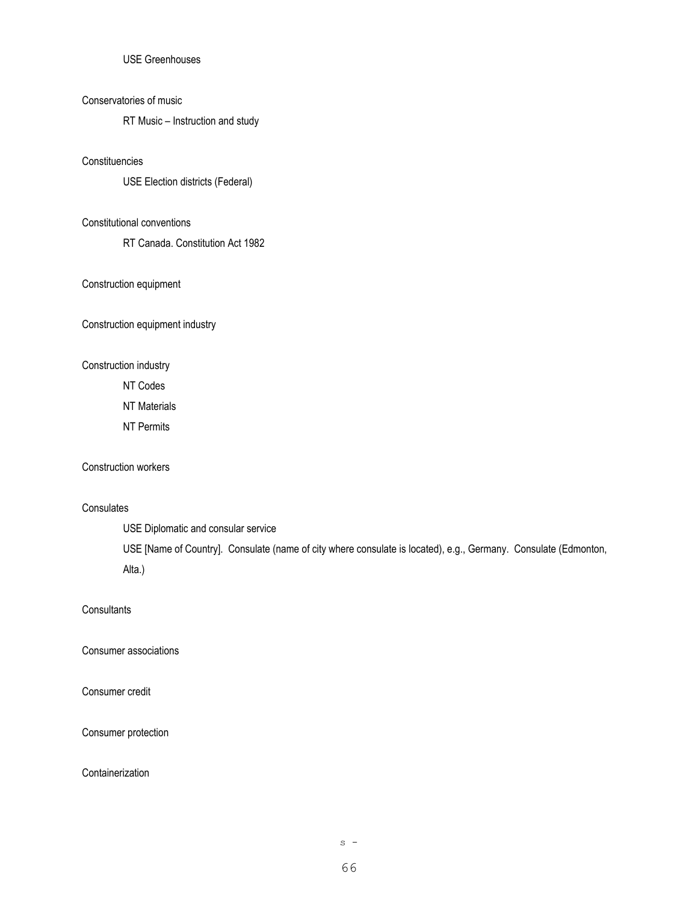# USE Greenhouses

## Conservatories of music

RT Music – Instruction and study

#### **Constituencies**

USE Election districts (Federal)

# Constitutional conventions

RT Canada. Constitution Act 1982

#### Construction equipment

Construction equipment industry

### Construction industry

NT Codes

NT Materials

NT Permits

#### Construction workers

# **Consulates**

USE Diplomatic and consular service

USE [Name of Country]. Consulate (name of city where consulate is located), e.g., Germany. Consulate (Edmonton, Alta.)

# **Consultants**

Consumer associations

## Consumer credit

#### Consumer protection

## **Containerization**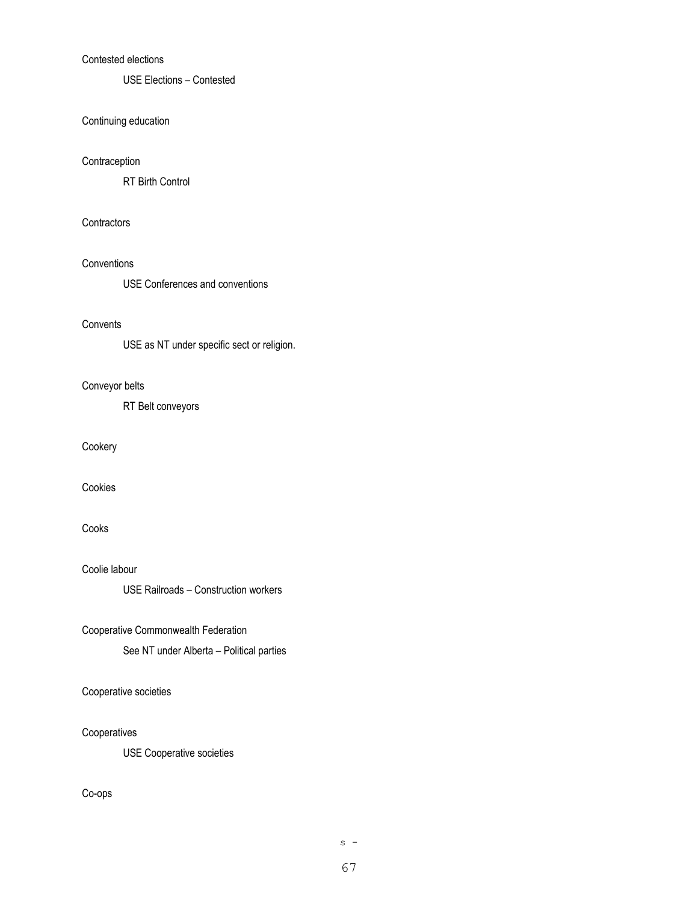# Contested elections

USE Elections – Contested

#### Continuing education

#### **Contraception**

RT Birth Control

# **Contractors**

## **Conventions**

USE Conferences and conventions

#### **Convents**

USE as NT under specific sect or religion.

# Conveyor belts

RT Belt conveyors

## Cookery

Cookies

# Cooks

Coolie labour

USE Railroads – Construction workers

## Cooperative Commonwealth Federation

See NT under Alberta – Political parties

# Cooperative societies

### Cooperatives

USE Cooperative societies

## Co-ops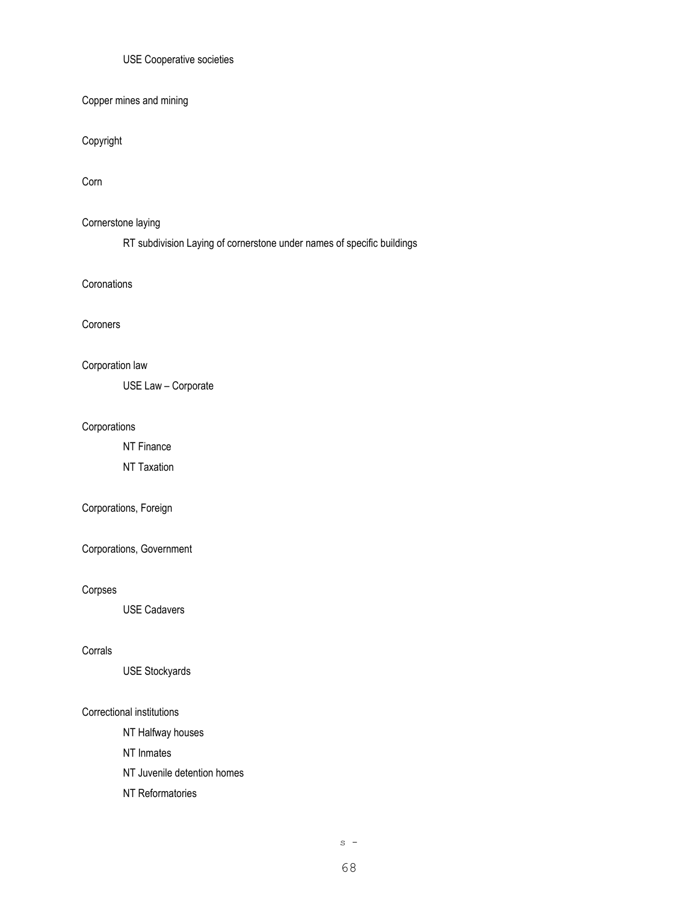## USE Cooperative societies

Copper mines and mining

Copyright

Corn

### Cornerstone laying

RT subdivision Laying of cornerstone under names of specific buildings

**Coronations** 

#### Coroners

# Corporation law

USE Law – Corporate

### Corporations

NT Finance

NT Taxation

# Corporations, Foreign

Corporations, Government

#### Corpses

USE Cadavers

#### Corrals

USE Stockyards

#### Correctional institutions

NT Halfway houses

NT Inmates

- NT Juvenile detention homes
- NT Reformatories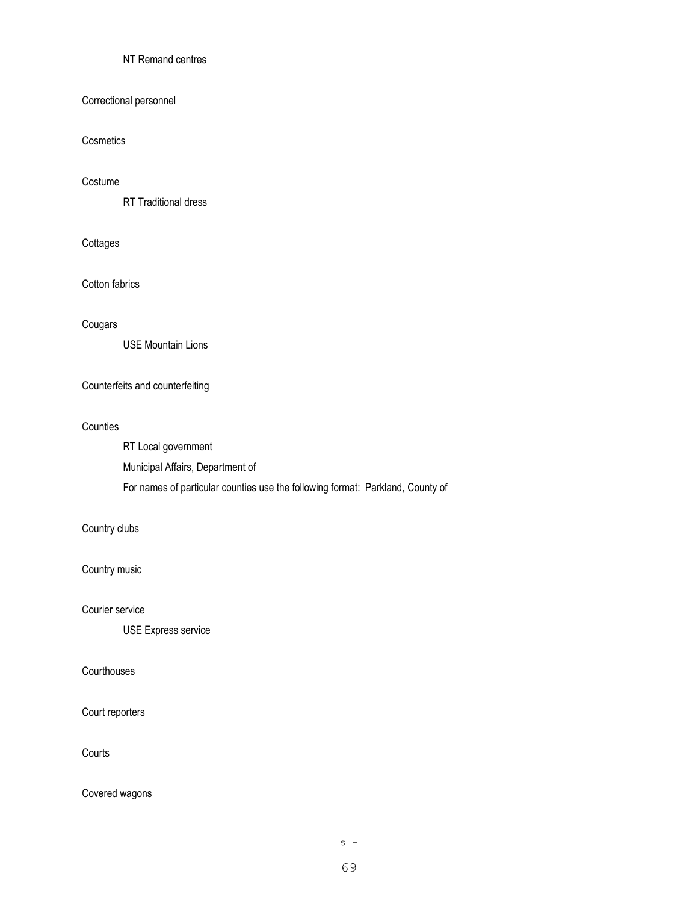# NT Remand centres

## Correctional personnel

# **Cosmetics**

#### Costume

RT Traditional dress

# **Cottages**

Cotton fabrics

#### Cougars

USE Mountain Lions

## Counterfeits and counterfeiting

#### **Counties**

RT Local government Municipal Affairs, Department of For names of particular counties use the following format: Parkland, County of

## Country clubs

Country music

Courier service

USE Express service

## **Courthouses**

Court reporters

**Courts** 

Covered wagons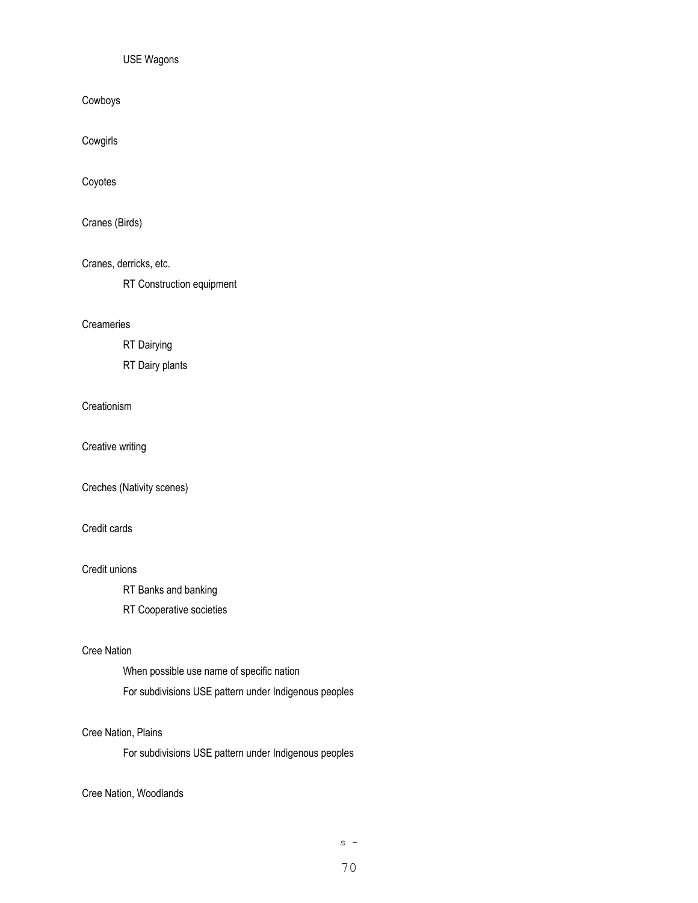### USE Wagons

Cowboys

Cowgirls

Coyotes

Cranes (Birds)

Cranes, derricks, etc.

RT Construction equipment

#### **Creameries**

RT Dairying

RT Dairy plants

### **Creationism**

Creative writing

Creches (Nativity scenes)

## Credit cards

#### Credit unions

RT Banks and banking

RT Cooperative societies

#### Cree Nation

When possible use name of specific nation For subdivisions USE pattern under Indigenous peoples

## Cree Nation, Plains

For subdivisions USE pattern under Indigenous peoples

Cree Nation, Woodlands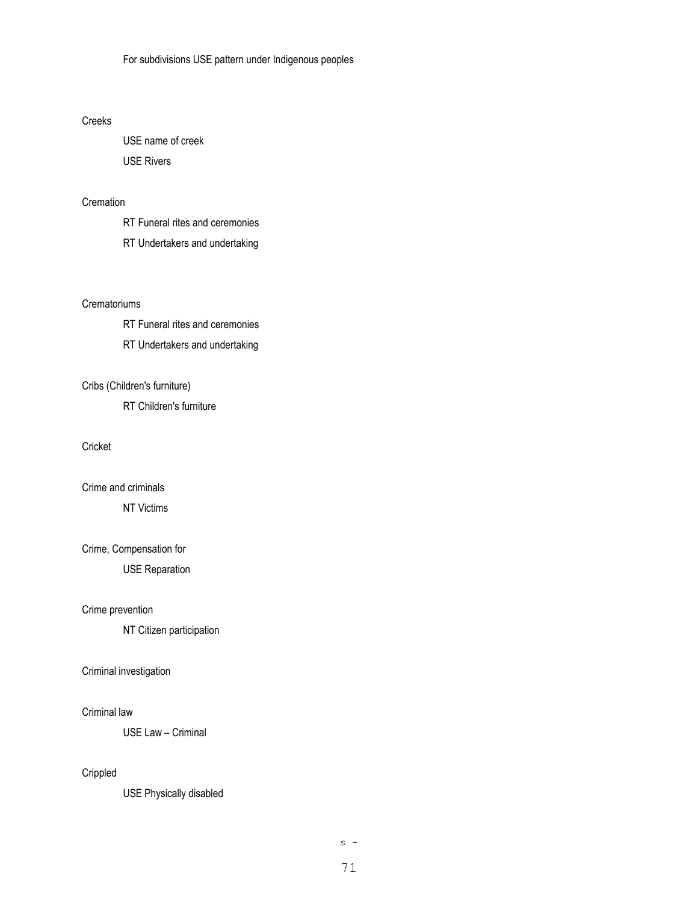## Creeks

USE name of creek USE Rivers

# **Cremation**

RT Funeral rites and ceremonies

RT Undertakers and undertaking

#### **Crematoriums**

RT Funeral rites and ceremonies RT Undertakers and undertaking

### Cribs (Children's furniture)

RT Children's furniture

## Cricket

Crime and criminals

NT Victims

### Crime, Compensation for

USE Reparation

# Crime prevention

NT Citizen participation

### Criminal investigation

#### Criminal law

USE Law – Criminal

# Crippled

USE Physically disabled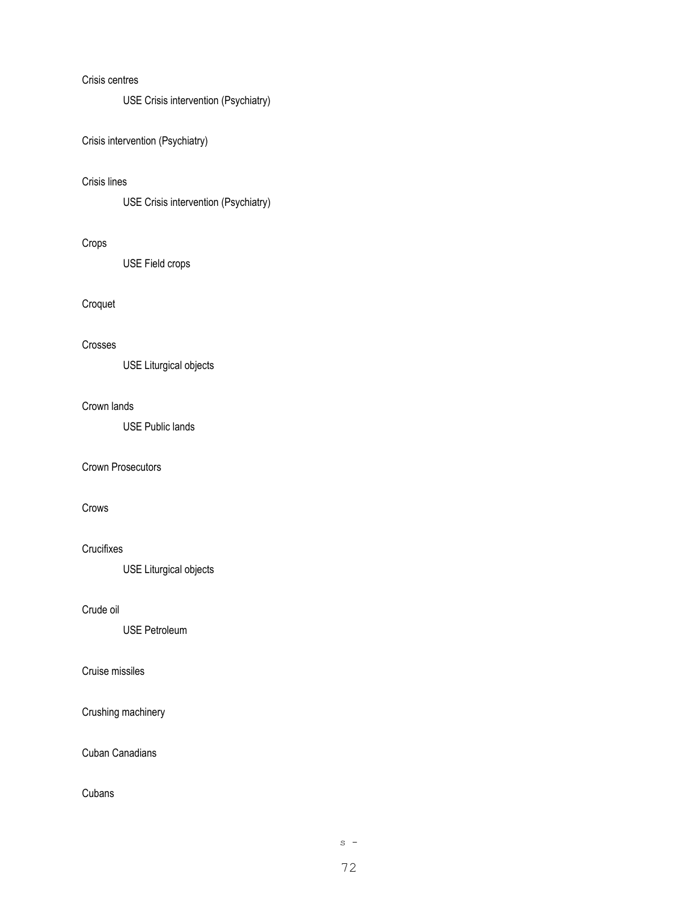## Crisis centres

USE Crisis intervention (Psychiatry)

Crisis intervention (Psychiatry)

## Crisis lines

USE Crisis intervention (Psychiatry)

# Crops

USE Field crops

# Croquet

## Crosses

USE Liturgical objects

## Crown lands

USE Public lands

# Crown Prosecutors

# Crows

## **Crucifixes**

USE Liturgical objects

# Crude oil

USE Petroleum

## Cruise missiles

Crushing machinery

# Cuban Canadians

# Cubans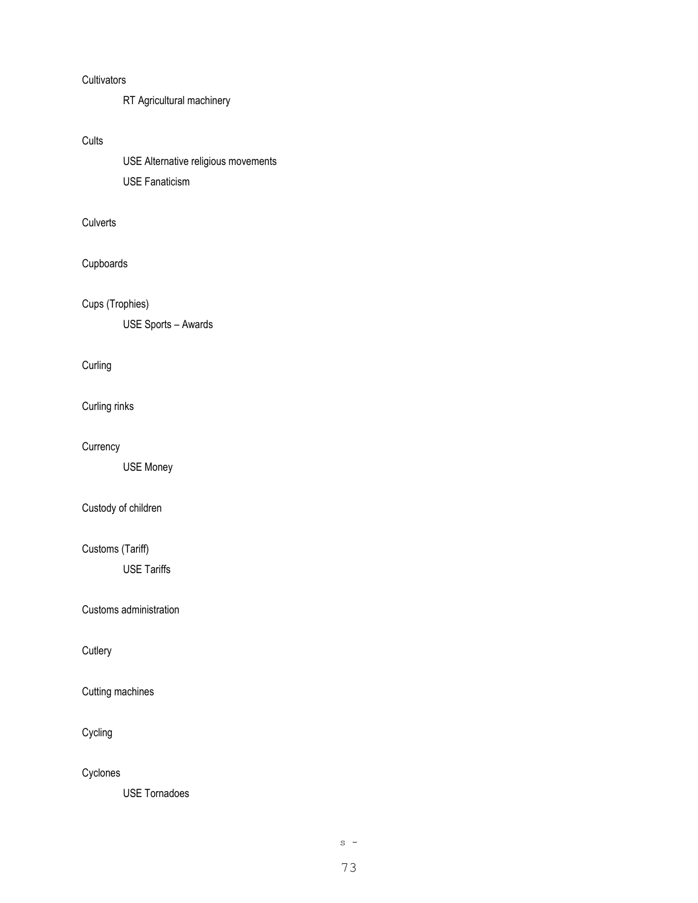# **Cultivators**

RT Agricultural machinery

# **Cults**

USE Alternative religious movements USE Fanaticism

# **Culverts**

# Cupboards

Cups (Trophies)

USE Sports – Awards

# **Curling**

Curling rinks

## **Currency**

USE Money

# Custody of children

# Customs (Tariff)

USE Tariffs

## Customs administration

**Cutlery** 

# Cutting machines

Cycling

Cyclones

USE Tornadoes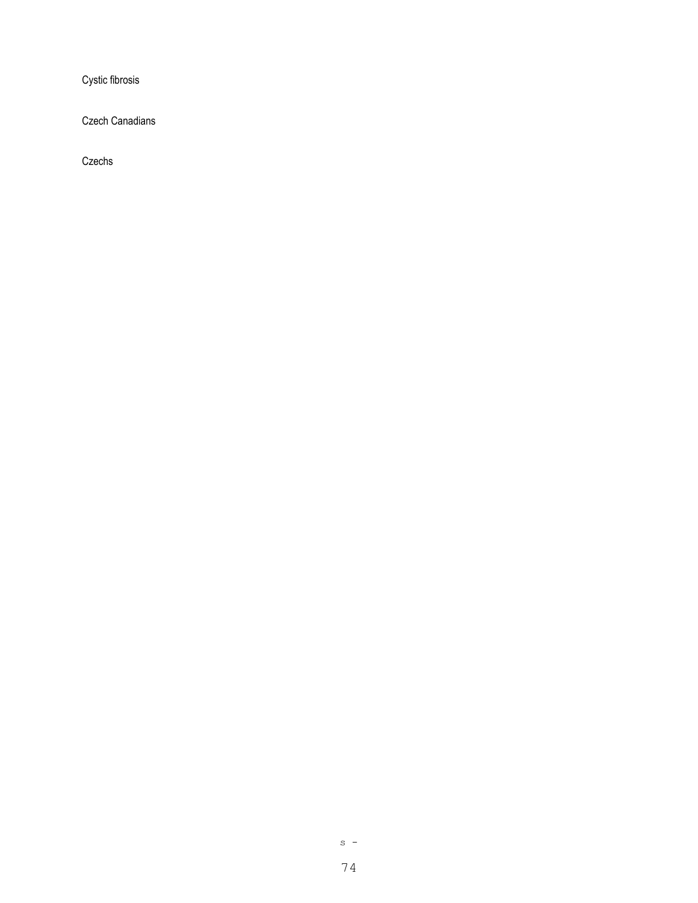Cystic fibrosis

Czech Canadians

Czechs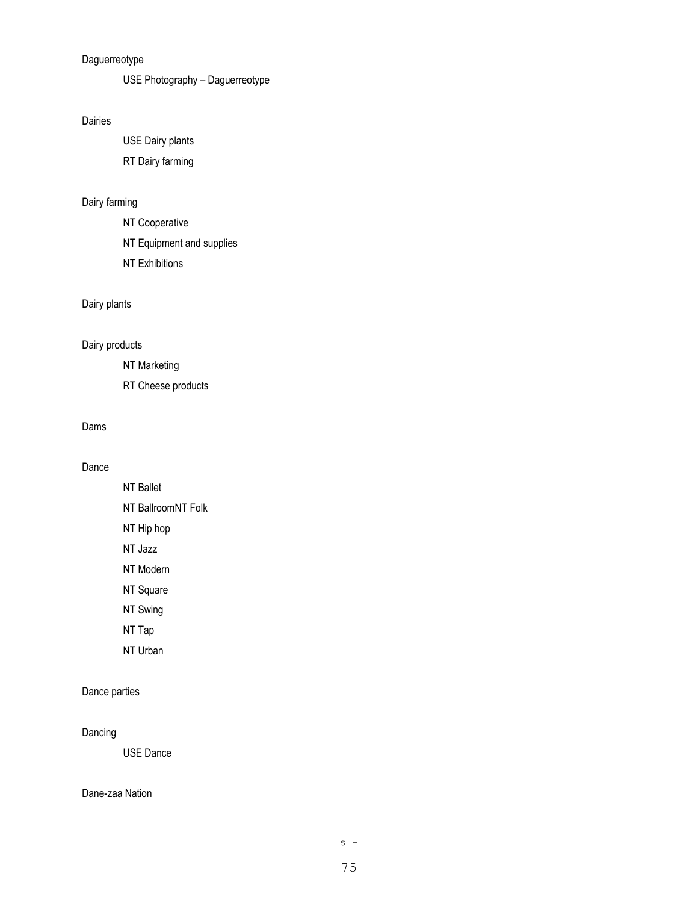# Daguerreotype

USE Photography – Daguerreotype

# Dairies

USE Dairy plants RT Dairy farming

# Dairy farming

NT Cooperative

NT Equipment and supplies

NT Exhibitions

# Dairy plants

# Dairy products

NT Marketing

RT Cheese products

# Dams

# Dance

NT Ballet

NT BallroomNT Folk NT Hip hop

NT Jazz

NT Modern

NT Square

NT Swing

NT Tap

NT Urban

# Dance parties

## Dancing

USE Dance

## Dane-zaa Nation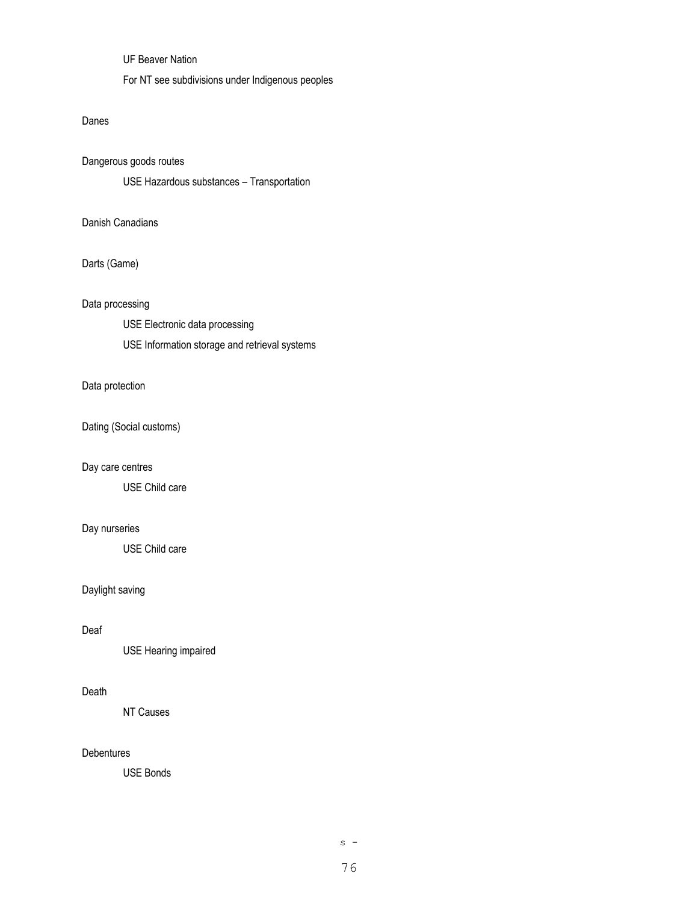UF Beaver Nation

For NT see subdivisions under Indigenous peoples

### Danes

Dangerous goods routes

USE Hazardous substances – Transportation

# Danish Canadians

Darts (Game)

## Data processing

USE Electronic data processing

USE Information storage and retrieval systems

## Data protection

Dating (Social customs)

### Day care centres

USE Child care

# Day nurseries

USE Child care

# Daylight saving

#### Deaf

USE Hearing impaired

### Death

NT Causes

# **Debentures**

USE Bonds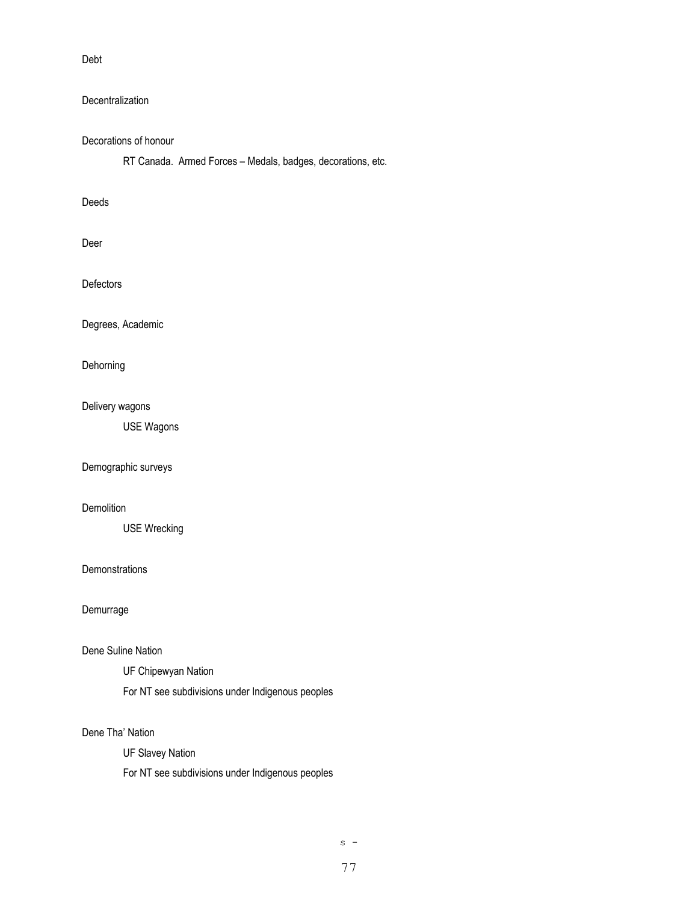Debt

# **Decentralization**

# Decorations of honour

RT Canada. Armed Forces – Medals, badges, decorations, etc.

## Deeds

Deer

**Defectors** 

Degrees, Academic

Dehorning

# Delivery wagons

USE Wagons

Demographic surveys

# **Demolition**

USE Wrecking

# **Demonstrations**

Demurrage

### Dene Suline Nation

UF Chipewyan Nation

For NT see subdivisions under Indigenous peoples

# Dene Tha' Nation

UF Slavey Nation

For NT see subdivisions under Indigenous peoples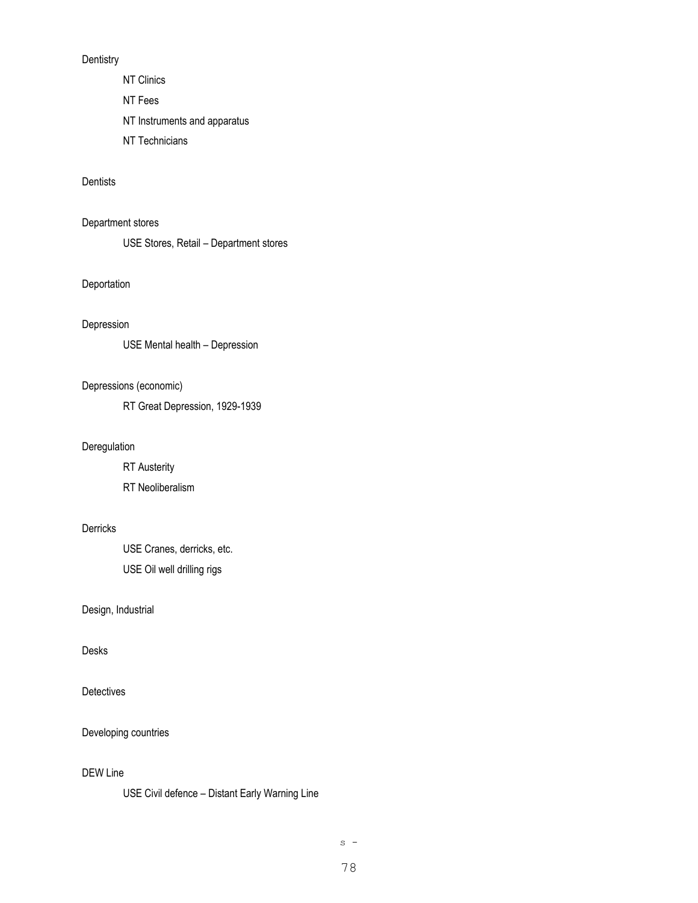# **Dentistry**

NT Clinics

NT Fees

NT Instruments and apparatus

NT Technicians

## **Dentists**

Department stores

USE Stores, Retail – Department stores

# Deportation

## Depression

USE Mental health – Depression

## Depressions (economic)

RT Great Depression, 1929-1939

# Deregulation

RT Austerity RT Neoliberalism

# Derricks

USE Cranes, derricks, etc. USE Oil well drilling rigs

Design, Industrial

## Desks

Detectives

Developing countries

# DEW Line

USE Civil defence – Distant Early Warning Line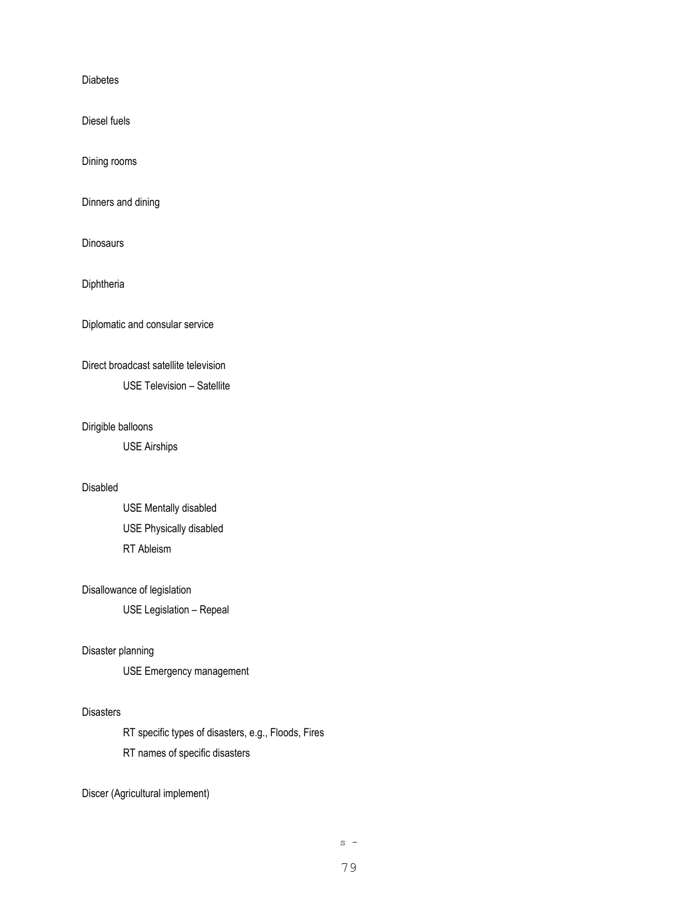Diabetes

Diesel fuels

Dining rooms

Dinners and dining

**Dinosaurs** 

**Diphtheria** 

Diplomatic and consular service

# Direct broadcast satellite television

USE Television – Satellite

## Dirigible balloons

USE Airships

# Disabled

USE Mentally disabled USE Physically disabled RT Ableism

#### Disallowance of legislation

USE Legislation – Repeal

## Disaster planning

USE Emergency management

#### **Disasters**

RT specific types of disasters, e.g., Floods, Fires RT names of specific disasters

Discer (Agricultural implement)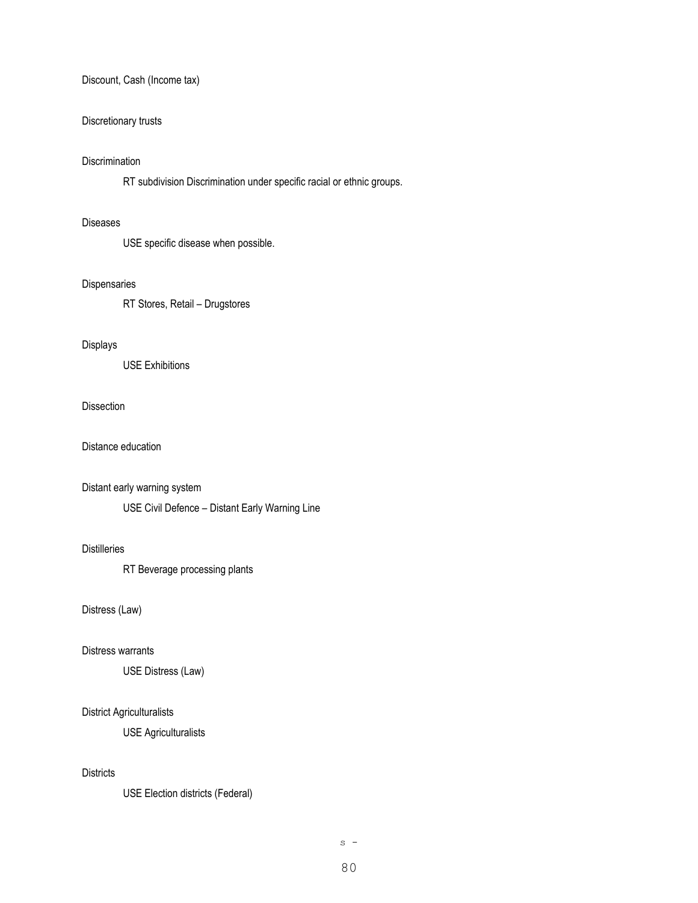## Discount, Cash (Income tax)

## Discretionary trusts

### **Discrimination**

RT subdivision Discrimination under specific racial or ethnic groups.

#### Diseases

USE specific disease when possible.

#### Dispensaries

RT Stores, Retail – Drugstores

## Displays

USE Exhibitions

### Dissection

Distance education

#### Distant early warning system

USE Civil Defence – Distant Early Warning Line

# Distilleries

RT Beverage processing plants

# Distress (Law)

#### Distress warrants

USE Distress (Law)

#### District Agriculturalists

USE Agriculturalists

## **Districts**

USE Election districts (Federal)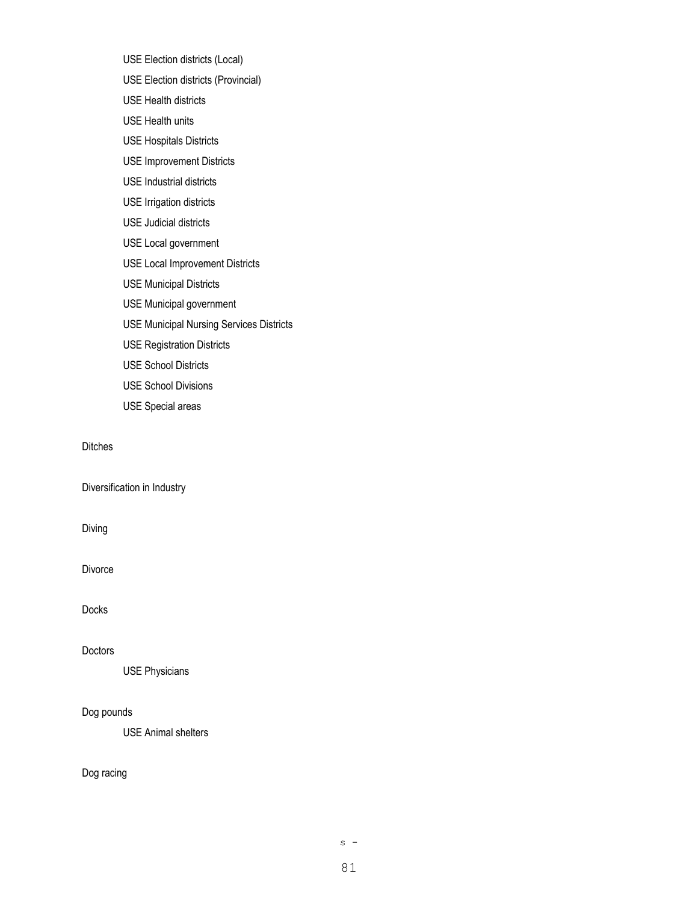USE Election districts (Local)

- USE Election districts (Provincial)
- USE Health districts
- USE Health units
- USE Hospitals Districts
- USE Improvement Districts
- USE Industrial districts
- USE Irrigation districts
- USE Judicial districts
- USE Local government
- USE Local Improvement Districts
- USE Municipal Districts
- USE Municipal government
- USE Municipal Nursing Services Districts
- USE Registration Districts
- USE School Districts
- USE School Divisions
- USE Special areas

#### Ditches

Diversification in Industry

### Diving

Divorce

Docks

#### Doctors

USE Physicians

## Dog pounds

USE Animal shelters

# Dog racing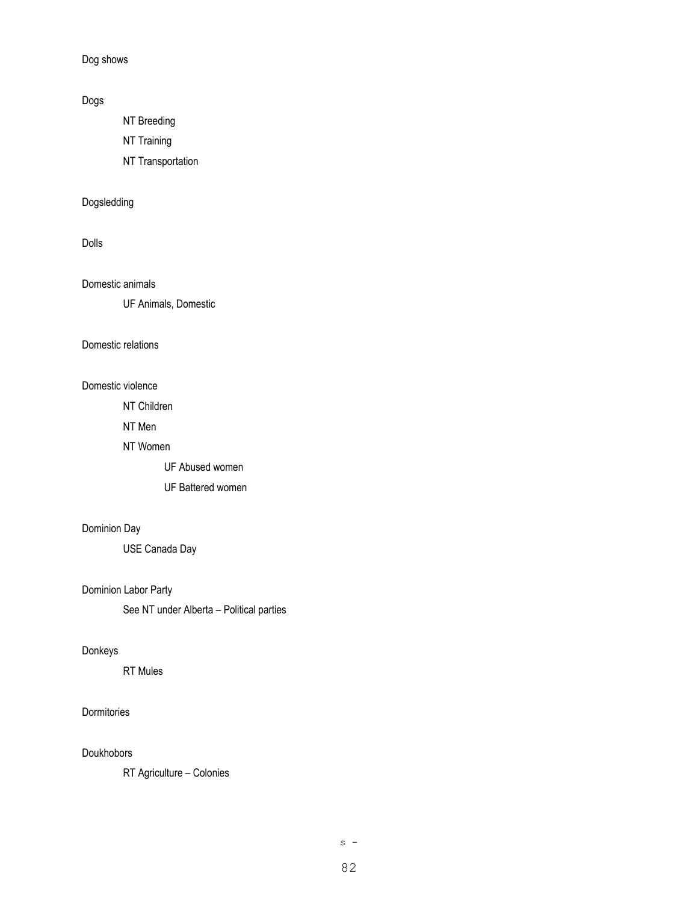Dog shows

# Dogs

NT Breeding

NT Training

NT Transportation

# Dogsledding

# Dolls

# Domestic animals

UF Animals, Domestic

### Domestic relations

## Domestic violence

NT Children

NT Men

# NT Women

UF Abused women

UF Battered women

# Dominion Day

USE Canada Day

# Dominion Labor Party

See NT under Alberta – Political parties

## Donkeys

RT Mules

# Dormitories

# Doukhobors

RT Agriculture – Colonies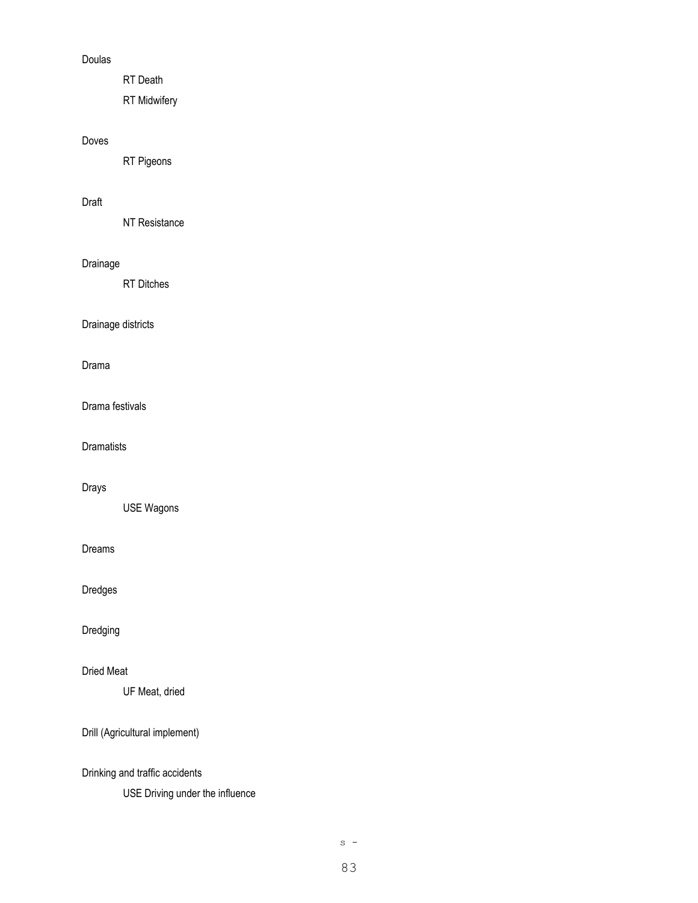# Doulas

RT Death

RT Midwifery

# Doves

RT Pigeons

# Draft

NT Resistance

# Drainage

RT Ditches

Drainage districts

Drama

Drama festivals

**Dramatists** 

# Drays

USE Wagons

Dreams

Dredges

Dredging

Dried Meat

UF Meat, dried

Drill (Agricultural implement)

Drinking and traffic accidents

USE Driving under the influence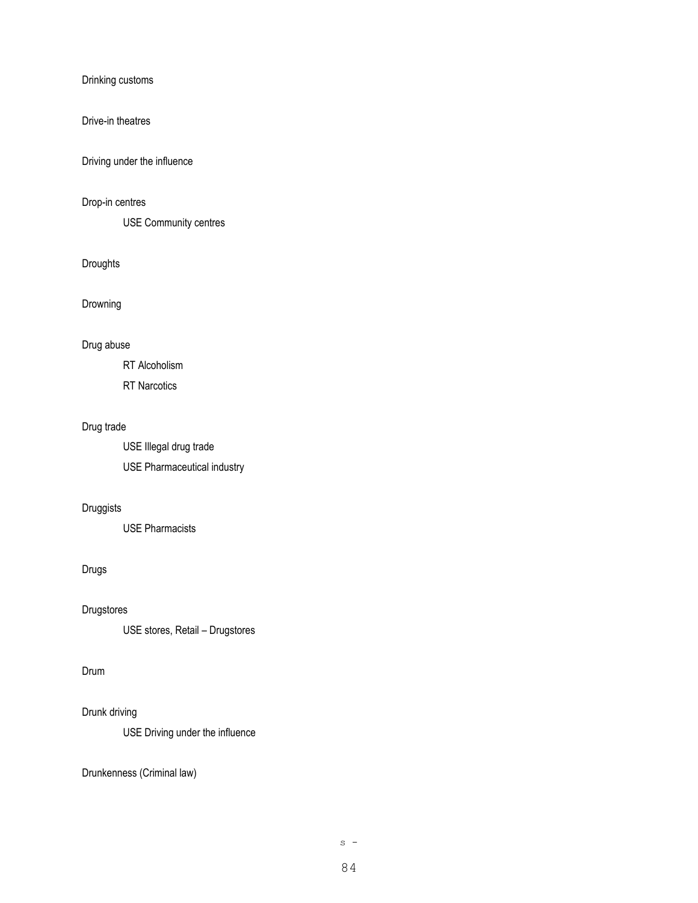Drinking customs

## Drive-in theatres

Driving under the influence

# Drop-in centres

USE Community centres

# Droughts

Drowning

### Drug abuse

RT Alcoholism

RT Narcotics

# Drug trade

USE Illegal drug trade USE Pharmaceutical industry

# Druggists

USE Pharmacists

# Drugs

Drugstores

USE stores, Retail – Drugstores

# Drum

# Drunk driving

USE Driving under the influence

Drunkenness (Criminal law)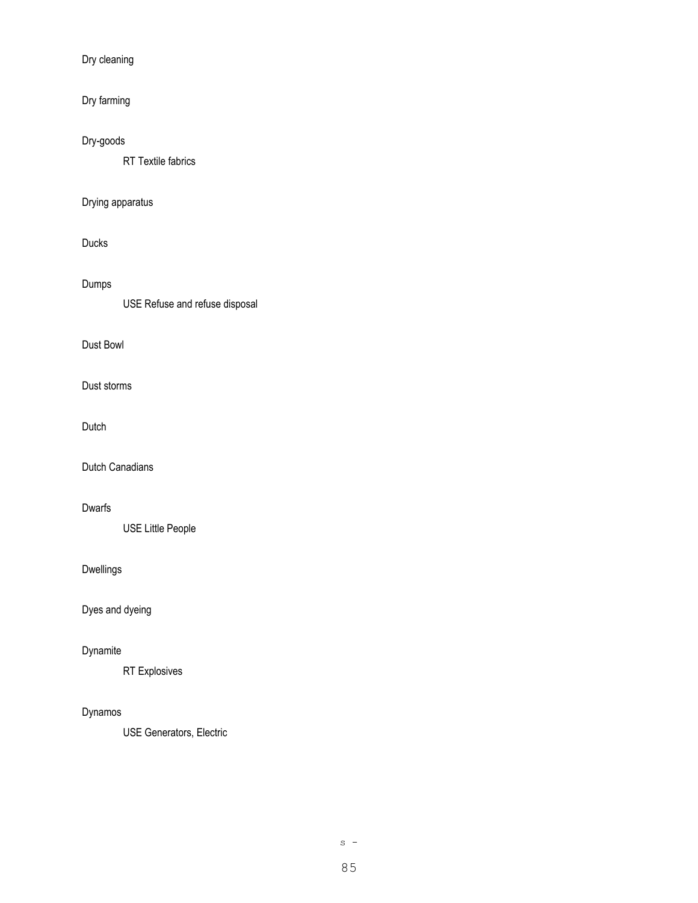Dry cleaning

Dry farming

Dry-goods

RT Textile fabrics

# Drying apparatus

Ducks

Dumps

USE Refuse and refuse disposal

# Dust Bowl

Dust storms

Dutch

Dutch Canadians

# Dwarfs

USE Little People

# Dwellings

Dyes and dyeing

# Dynamite

RT Explosives

# Dynamos

USE Generators, Electric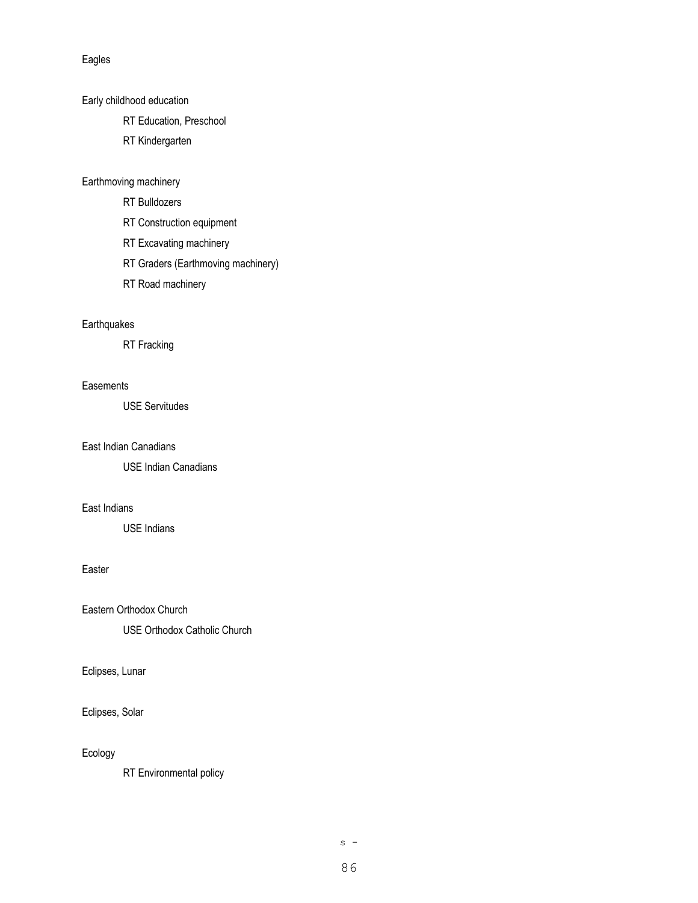### Eagles

Early childhood education

- RT Education, Preschool
- RT Kindergarten

## Earthmoving machinery

- RT Bulldozers
- RT Construction equipment
- RT Excavating machinery
- RT Graders (Earthmoving machinery)
- RT Road machinery

# **Earthquakes**

RT Fracking

### **Easements**

USE Servitudes

# East Indian Canadians

USE Indian Canadians

# East Indians

USE Indians

# Easter

Eastern Orthodox Church

USE Orthodox Catholic Church

## Eclipses, Lunar

Eclipses, Solar

# Ecology

RT Environmental policy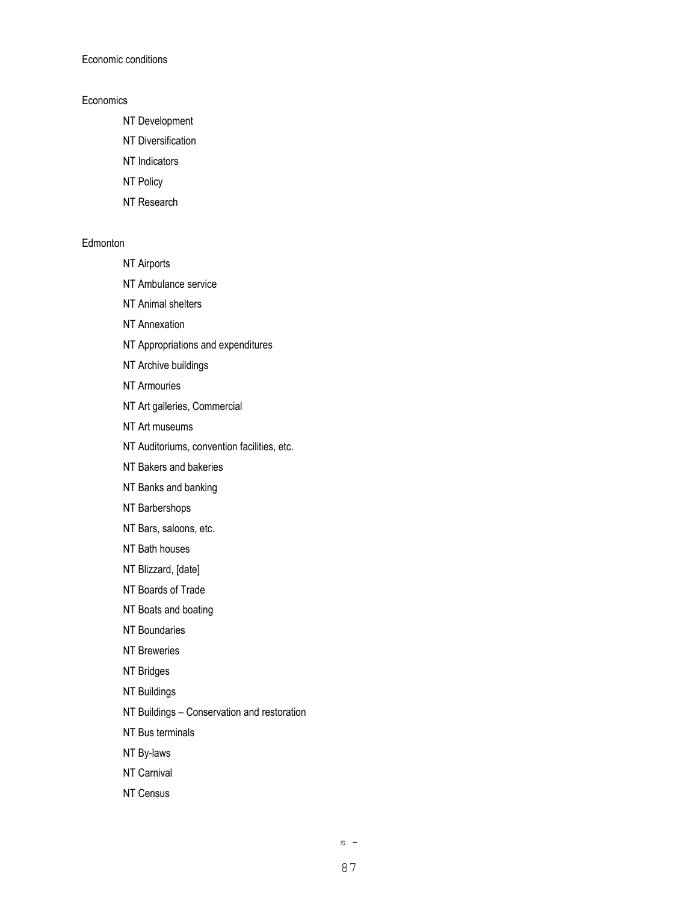Economic conditions

## **Economics**

- NT Development
- NT Diversification
- NT Indicators
- NT Policy
- NT Research

### **Edmonton**

- NT Airports
- NT Ambulance service
- NT Animal shelters
- NT Annexation
- NT Appropriations and expenditures
- NT Archive buildings
- NT Armouries
- NT Art galleries, Commercial
- NT Art museums
- NT Auditoriums, convention facilities, etc.
- NT Bakers and bakeries
- NT Banks and banking
- NT Barbershops
- NT Bars, saloons, etc.
- NT Bath houses
- NT Blizzard, [date]
- NT Boards of Trade
- NT Boats and boating
- NT Boundaries
- NT Breweries
- NT Bridges
- NT Buildings
- NT Buildings Conservation and restoration
- NT Bus terminals
- NT By-laws
- NT Carnival
- NT Census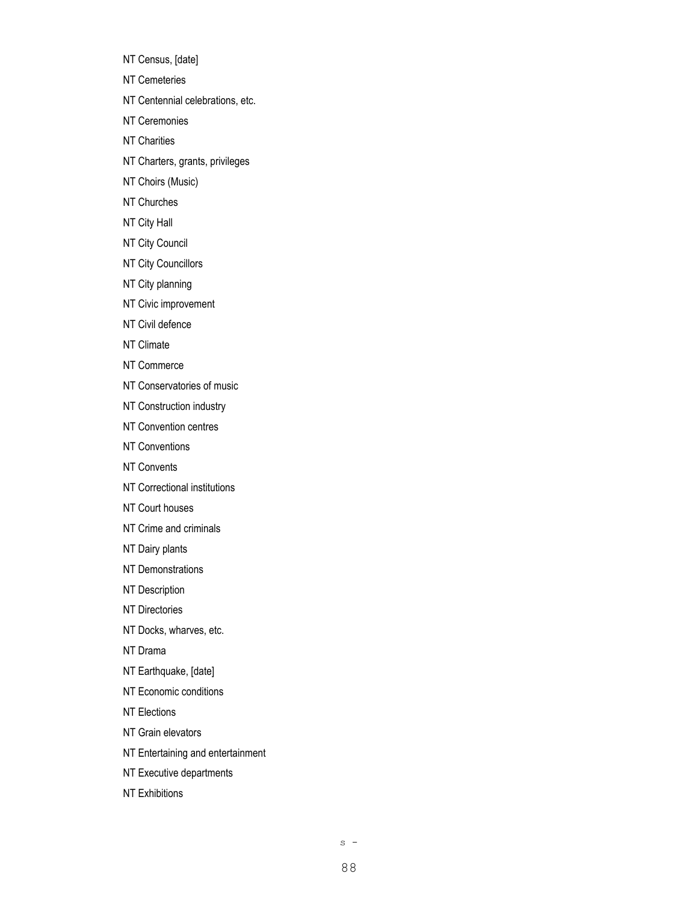NT Census, [date]

NT Cemeteries

NT Centennial celebrations, etc.

NT Ceremonies

- NT Charities
- NT Charters, grants, privileges
- NT Choirs (Music)
- NT Churches
- NT City Hall
- NT City Council
- NT City Councillors
- NT City planning
- NT Civic improvement
- NT Civil defence
- NT Climate
- NT Commerce
- NT Conservatories of music
- NT Construction industry
- NT Convention centres
- NT Conventions
- NT Convents
- NT Correctional institutions
- NT Court houses
- NT Crime and criminals
- NT Dairy plants
- NT Demonstrations
- NT Description
- NT Directories
- NT Docks, wharves, etc.
- NT Drama
- NT Earthquake, [date]
- NT Economic conditions
- NT Elections
- NT Grain elevators
- NT Entertaining and entertainment
- NT Executive departments
- NT Exhibitions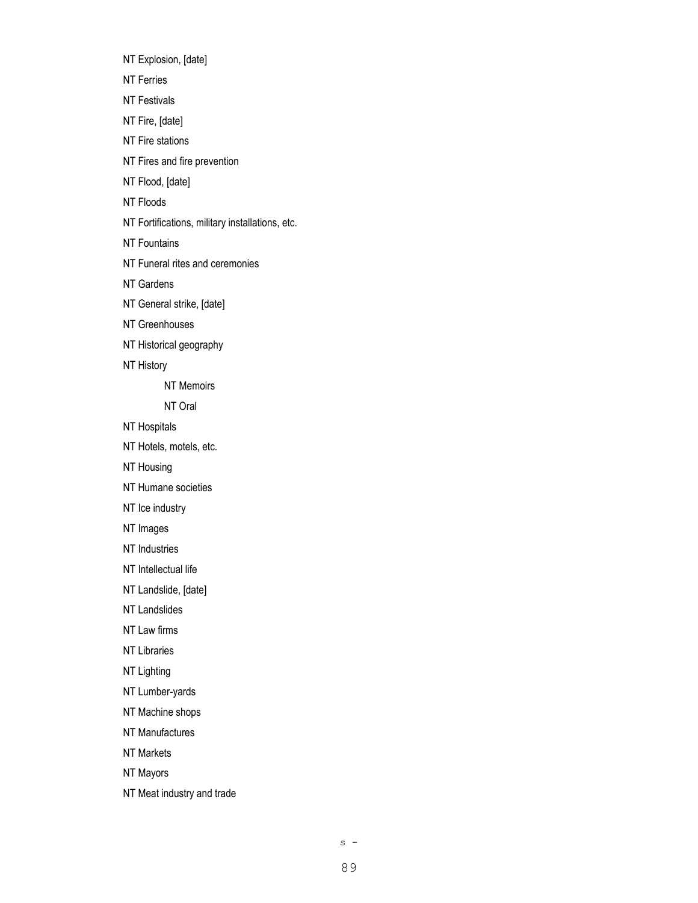NT Explosion, [date] NT Ferries NT Festivals NT Fire, [date] NT Fire stations NT Fires and fire prevention

NT Flood, [date]

NT Floods

NT Fortifications, military installations, etc.

NT Fountains

NT Funeral rites and ceremonies

NT Gardens

NT General strike, [date]

NT Greenhouses

NT Historical geography

NT History

NT Memoirs

NT Oral

NT Hospitals

NT Hotels, motels, etc.

NT Housing

NT Humane societies

NT Ice industry

NT Images

NT Industries

NT Intellectual life

NT Landslide, [date]

NT Landslides

NT Law firms

NT Libraries

NT Lighting

NT Lumber-yards

NT Machine shops

NT Manufactures

NT Markets

NT Mayors

NT Meat industry and trade

 $s -$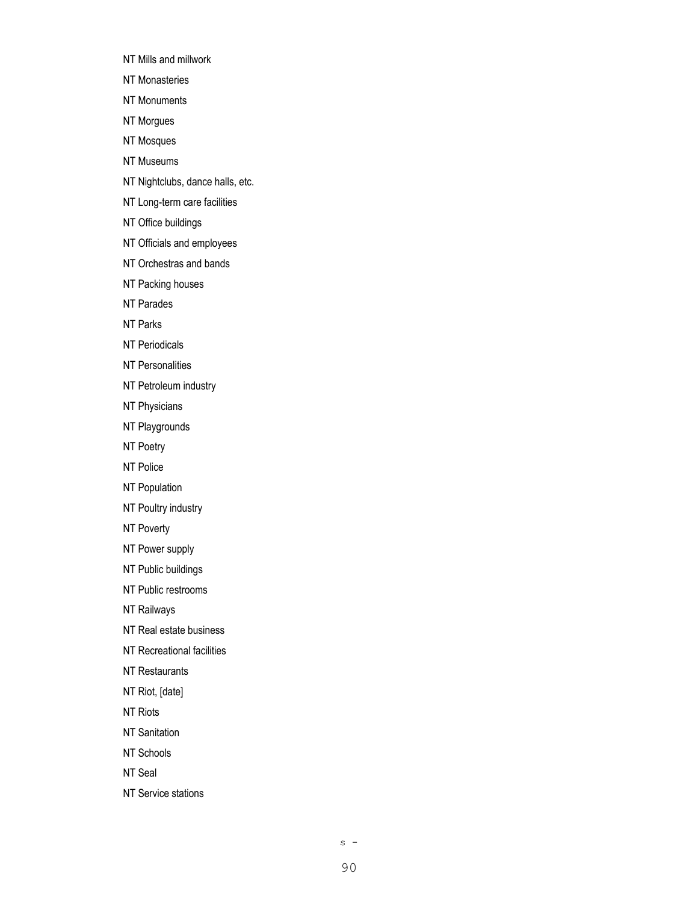NT Mills and millwork

NT Monasteries

NT Monuments

NT Morgues

NT Mosques

NT Museums

NT Nightclubs, dance halls, etc.

NT Long-term care facilities

NT Office buildings

NT Officials and employees

NT Orchestras and bands

NT Packing houses

NT Parades

NT Parks

NT Periodicals

NT Personalities

NT Petroleum industry

NT Physicians

NT Playgrounds

NT Poetry

NT Police

NT Population

NT Poultry industry

NT Poverty

NT Power supply

NT Public buildings

NT Public restrooms

NT Railways

NT Real estate business

NT Recreational facilities

NT Restaurants

NT Riot, [date]

NT Riots

NT Sanitation

NT Schools

NT Seal

NT Service stations

 $s -$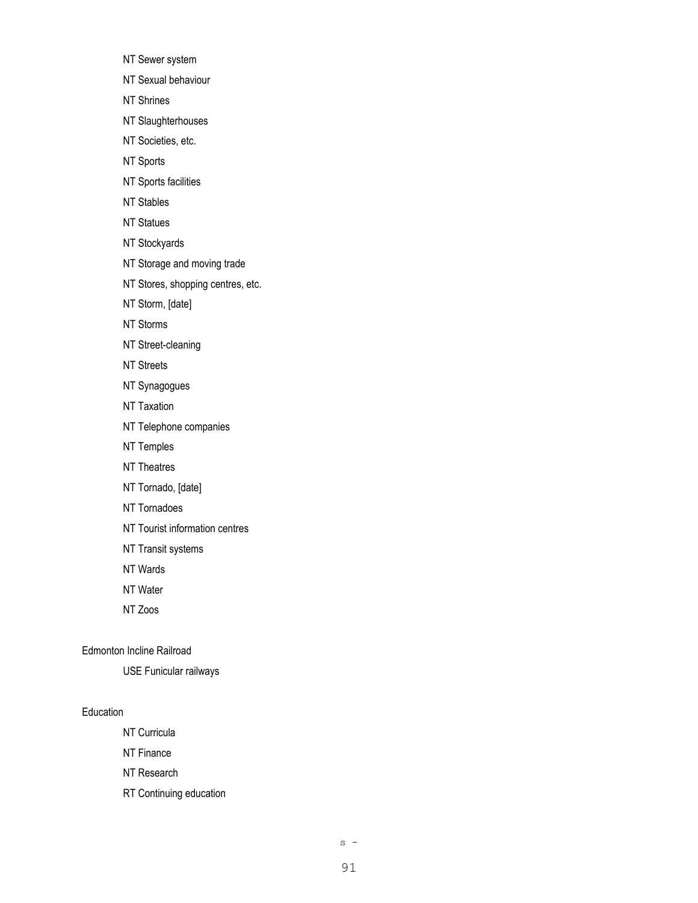- NT Sewer system
- NT Sexual behaviour
- NT Shrines
- NT Slaughterhouses
- NT Societies, etc.
- NT Sports
- NT Sports facilities
- NT Stables
- NT Statues
- NT Stockyards
- NT Storage and moving trade
- NT Stores, shopping centres, etc.
- NT Storm, [date]
- NT Storms
- NT Street-cleaning
- NT Streets
- NT Synagogues
- NT Taxation
- NT Telephone companies
- NT Temples
- NT Theatres
- NT Tornado, [date]
- NT Tornadoes
- NT Tourist information centres
- NT Transit systems
- NT Wards
- NT Water
- NT Zoos

#### Edmonton Incline Railroad

USE Funicular railways

#### Education

- NT Curricula
- NT Finance
- NT Research
- RT Continuing education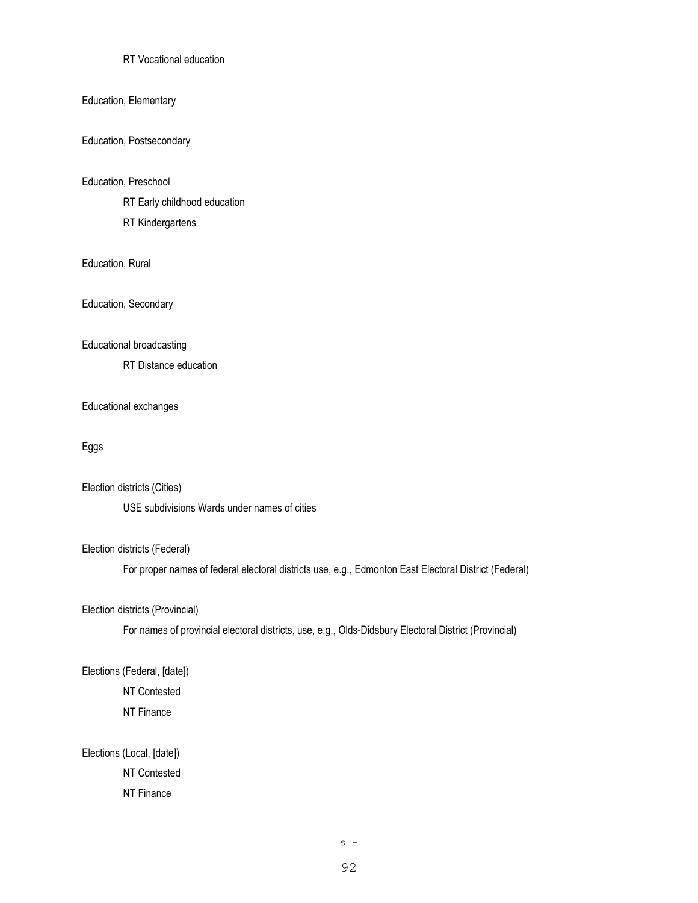## RT Vocational education

## Education, Elementary

#### Education, Postsecondary

#### Education, Preschool

RT Early childhood education

RT Kindergartens

# Education, Rural

Education, Secondary

#### Educational broadcasting

RT Distance education

#### Educational exchanges

# Eggs

#### Election districts (Cities)

USE subdivisions Wards under names of cities

## Election districts (Federal)

For proper names of federal electoral districts use, e.g., Edmonton East Electoral District (Federal)

# Election districts (Provincial)

For names of provincial electoral districts, use, e.g., Olds-Didsbury Electoral District (Provincial)

## Elections (Federal, [date])

NT Contested NT Finance

# Elections (Local, [date])

NT Contested NT Finance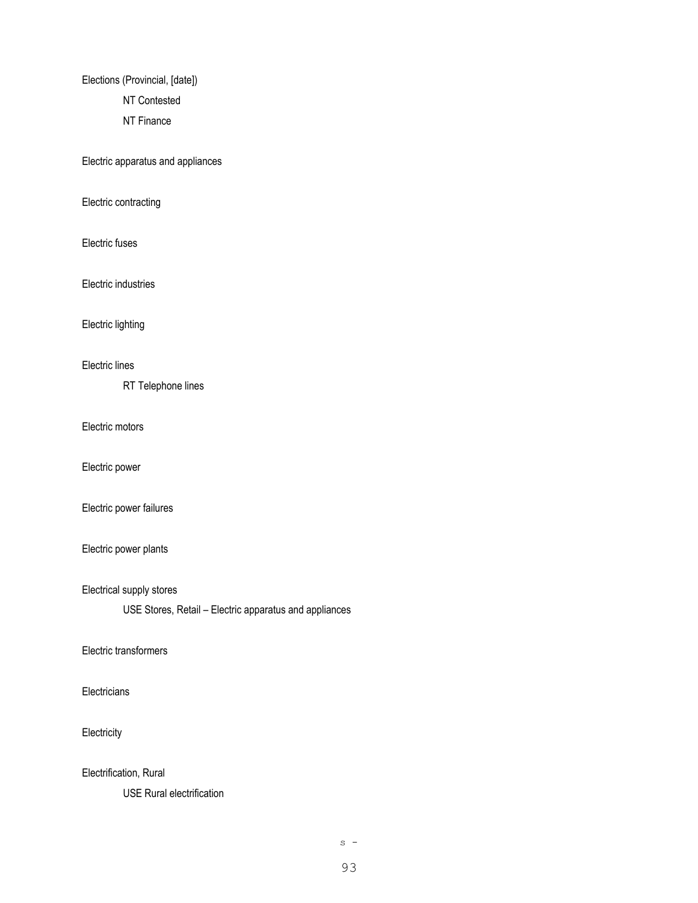Elections (Provincial, [date]) NT Contested NT Finance

Electric apparatus and appliances

Electric contracting

Electric fuses

Electric industries

Electric lighting

# Electric lines

RT Telephone lines

Electric motors

Electric power

Electric power failures

## Electric power plants

Electrical supply stores

USE Stores, Retail – Electric apparatus and appliances

### Electric transformers

# **Electricians**

# **Electricity**

Electrification, Rural

USE Rural electrification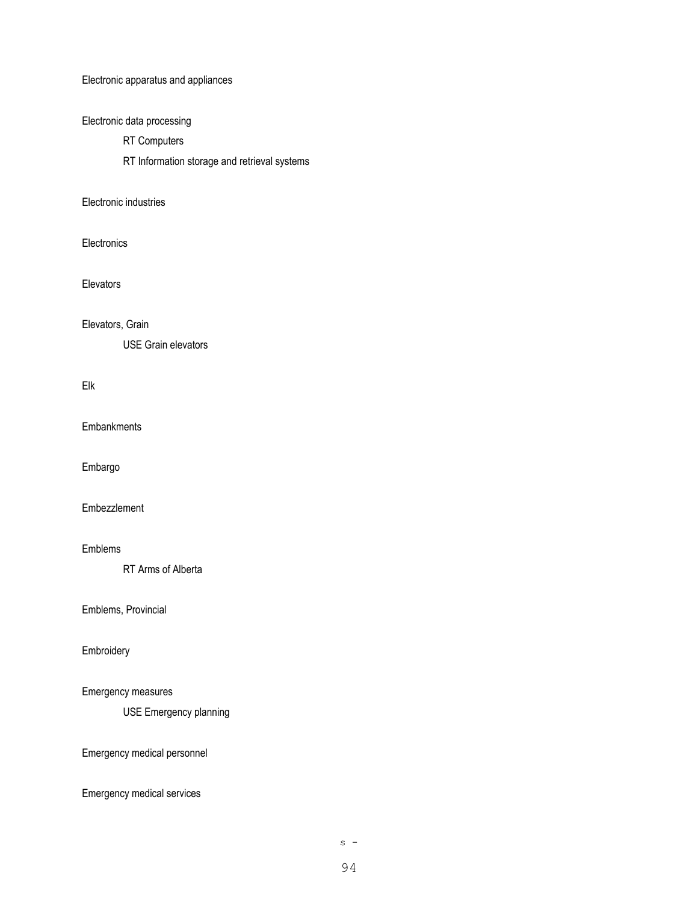Electronic apparatus and appliances

Electronic data processing

RT Computers

RT Information storage and retrieval systems

## Electronic industries

**Electronics** 

**Elevators** 

Elevators, Grain

USE Grain elevators

## Elk

**Embankments** 

Embargo

Embezzlement

## Emblems

RT Arms of Alberta

Emblems, Provincial

Embroidery

# Emergency measures

USE Emergency planning

Emergency medical personnel

Emergency medical services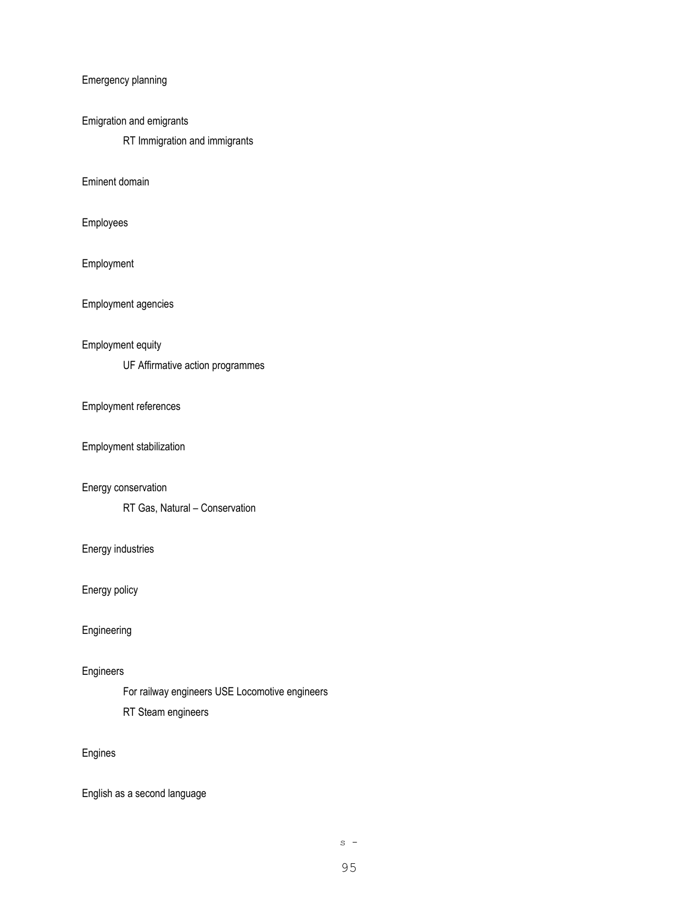Emergency planning

## Emigration and emigrants

RT Immigration and immigrants

Eminent domain

Employees

Employment

Employment agencies

### Employment equity

UF Affirmative action programmes

#### Employment references

Employment stabilization

## Energy conservation

RT Gas, Natural – Conservation

## Energy industries

Energy policy

# Engineering

## Engineers

For railway engineers USE Locomotive engineers RT Steam engineers

# Engines

English as a second language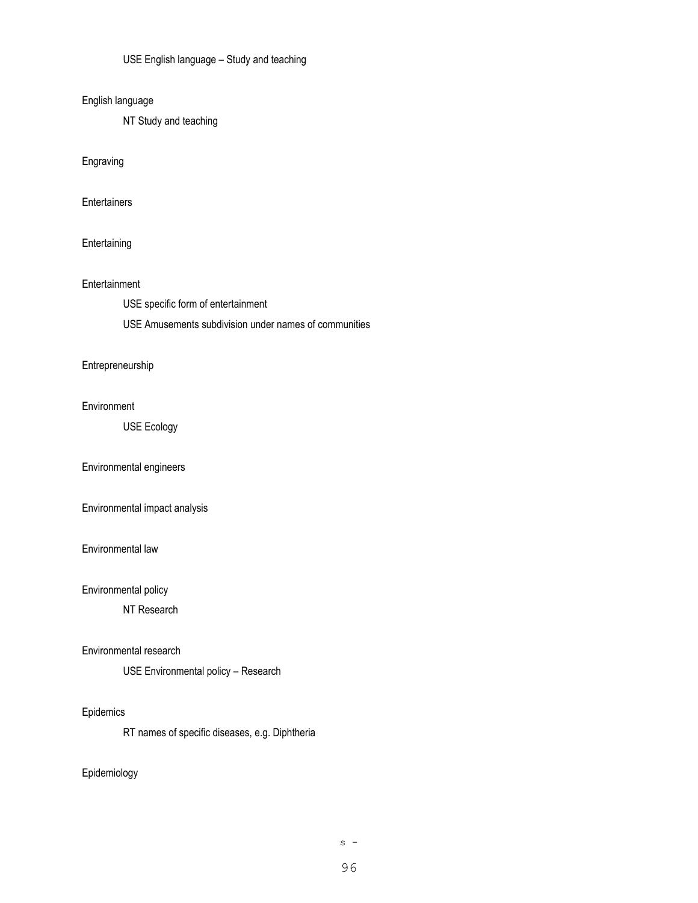USE English language – Study and teaching

## English language

NT Study and teaching

Engraving

**Entertainers** 

## **Entertaining**

### Entertainment

USE specific form of entertainment

USE Amusements subdivision under names of communities

### Entrepreneurship

### Environment

USE Ecology

## Environmental engineers

Environmental impact analysis

#### Environmental law

## Environmental policy

NT Research

#### Environmental research

USE Environmental policy – Research

# Epidemics

RT names of specific diseases, e.g. Diphtheria

## Epidemiology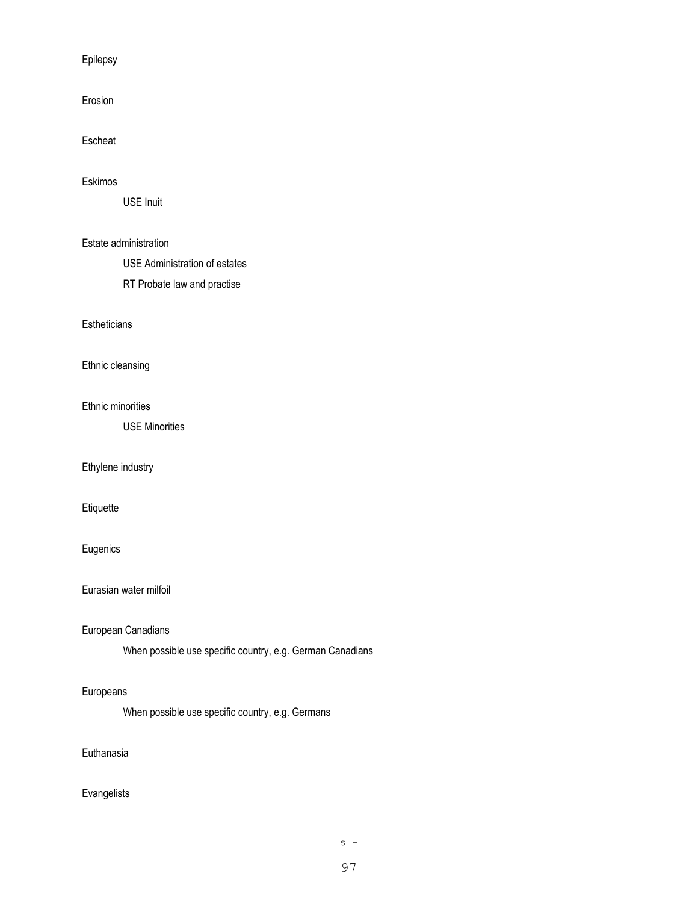## Epilepsy

Erosion

# Escheat

#### Eskimos

USE Inuit

### Estate administration

USE Administration of estates

RT Probate law and practise

### **Estheticians**

Ethnic cleansing

### Ethnic minorities

USE Minorities

## Ethylene industry

Etiquette

## Eugenics

# Eurasian water milfoil

## European Canadians

When possible use specific country, e.g. German Canadians

# Europeans

When possible use specific country, e.g. Germans

# Euthanasia

# Evangelists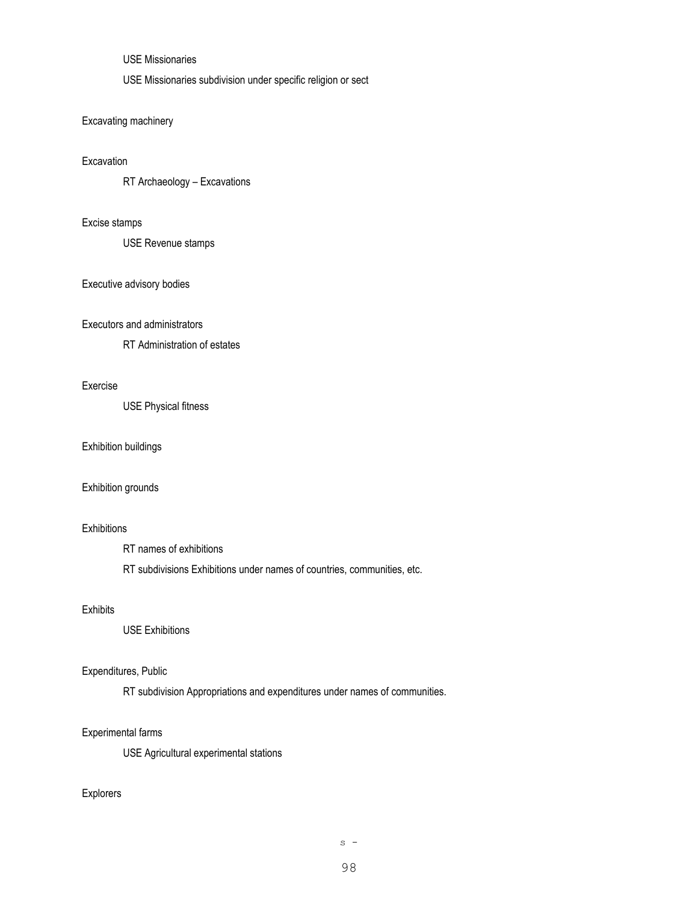# USE Missionaries

USE Missionaries subdivision under specific religion or sect

# Excavating machinery

# Excavation

RT Archaeology – Excavations

### Excise stamps

USE Revenue stamps

## Executive advisory bodies

#### Executors and administrators

RT Administration of estates

#### Exercise

USE Physical fitness

## Exhibition buildings

#### Exhibition grounds

### **Exhibitions**

RT names of exhibitions

RT subdivisions Exhibitions under names of countries, communities, etc.

### Exhibits

USE Exhibitions

# Expenditures, Public

RT subdivision Appropriations and expenditures under names of communities.

### Experimental farms

USE Agricultural experimental stations

# Explorers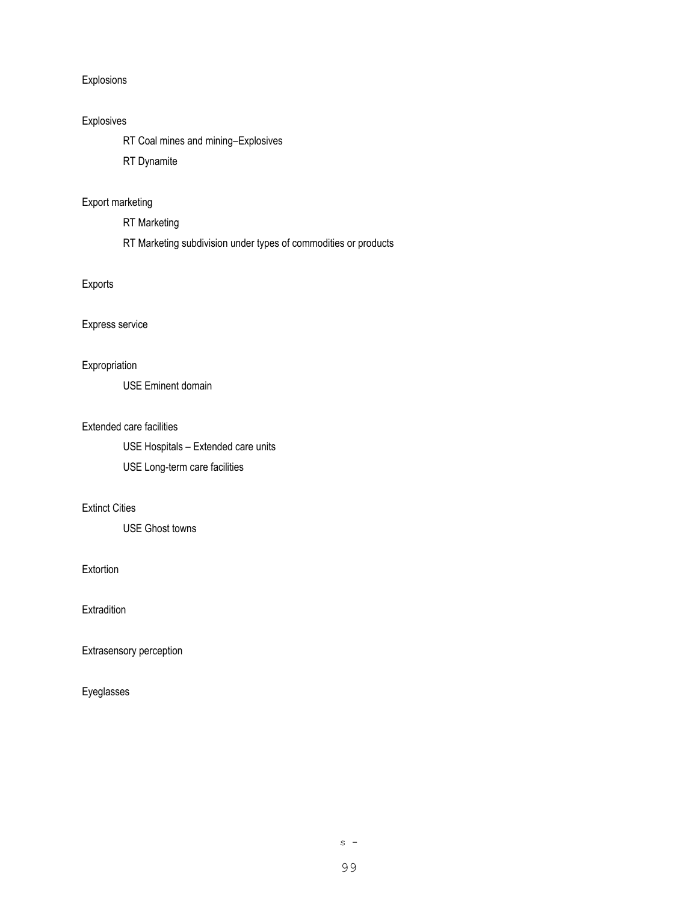## Explosions

## Explosives

RT Coal mines and mining–Explosives

RT Dynamite

# Export marketing

RT Marketing

RT Marketing subdivision under types of commodities or products

# Exports

## Express service

## Expropriation

USE Eminent domain

#### Extended care facilities

USE Hospitals – Extended care units USE Long-term care facilities

# Extinct Cities

USE Ghost towns

**Extortion** 

**Extradition** 

Extrasensory perception

Eyeglasses

 $s -$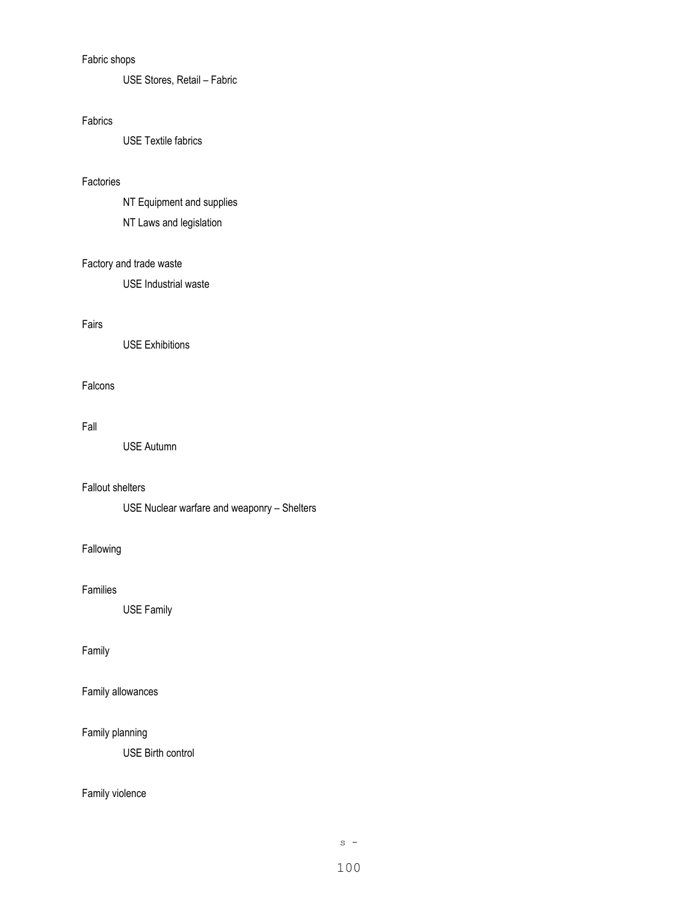# Fabric shops

USE Stores, Retail – Fabric

# Fabrics

USE Textile fabrics

### Factories

NT Equipment and supplies NT Laws and legislation

# Factory and trade waste

USE Industrial waste

# Fairs

USE Exhibitions

# Falcons

#### Fall

USE Autumn

## Fallout shelters

USE Nuclear warfare and weaponry – Shelters

# Fallowing

## Families

USE Family

## Family

Family allowances

## Family planning

USE Birth control

# Family violence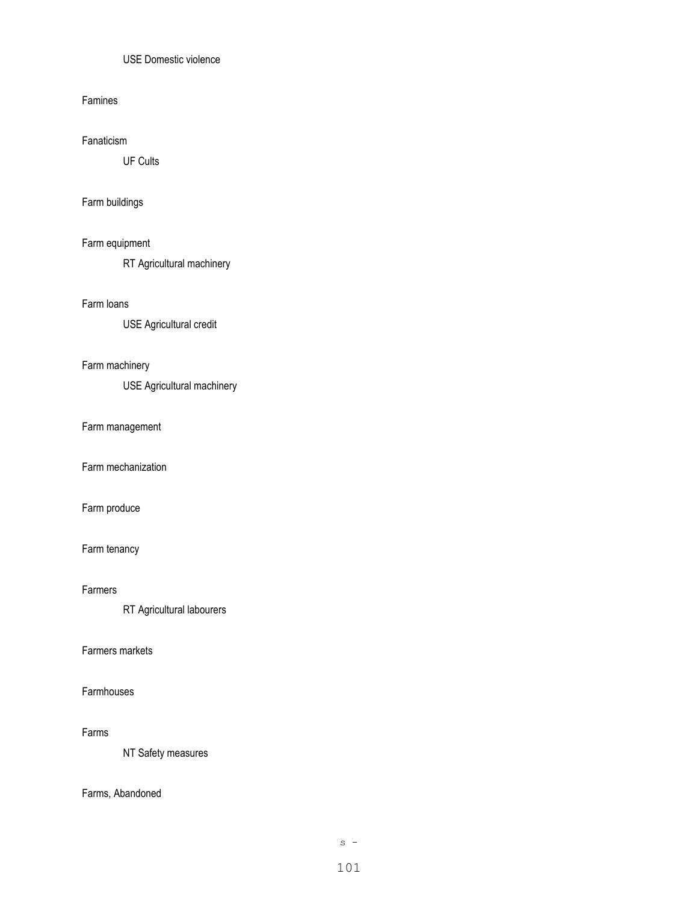# USE Domestic violence

#### Famines

### Fanaticism

UF Cults

# Farm buildings

# Farm equipment

RT Agricultural machinery

### Farm loans

USE Agricultural credit

# Farm machinery

USE Agricultural machinery

#### Farm management

Farm mechanization

# Farm produce

## Farm tenancy

### Farmers

RT Agricultural labourers

# Farmers markets

## Farmhouses

#### Farms

NT Safety measures

## Farms, Abandoned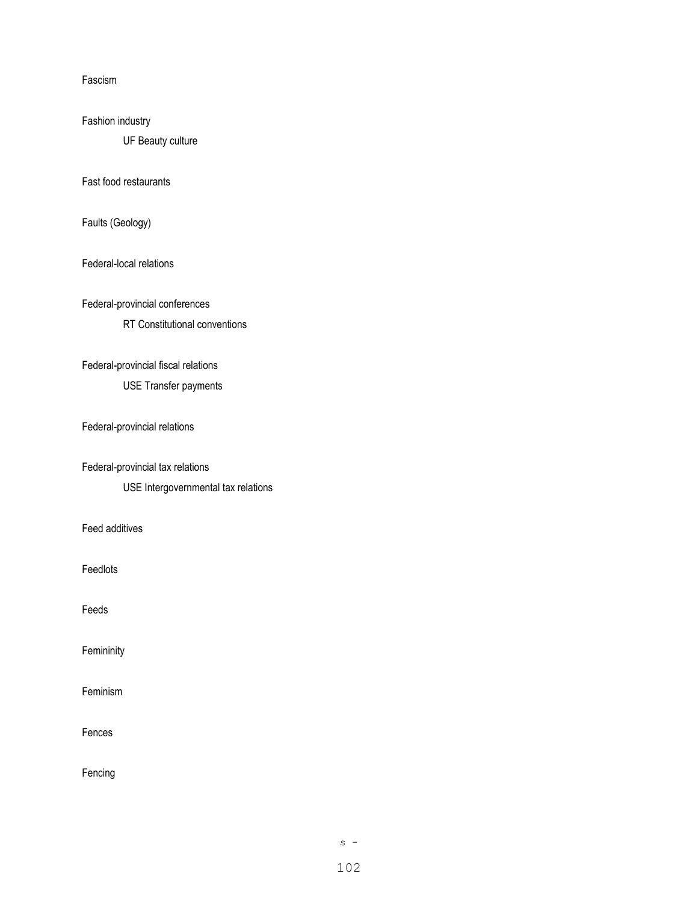Fascism

Fashion industry

UF Beauty culture

Fast food restaurants

Faults (Geology)

Federal-local relations

Federal-provincial conferences

RT Constitutional conventions

## Federal-provincial fiscal relations

USE Transfer payments

Federal-provincial relations

Federal-provincial tax relations

USE Intergovernmental tax relations

Feed additives

Feedlots

Feeds

**Femininity** 

Feminism

Fences

Fencing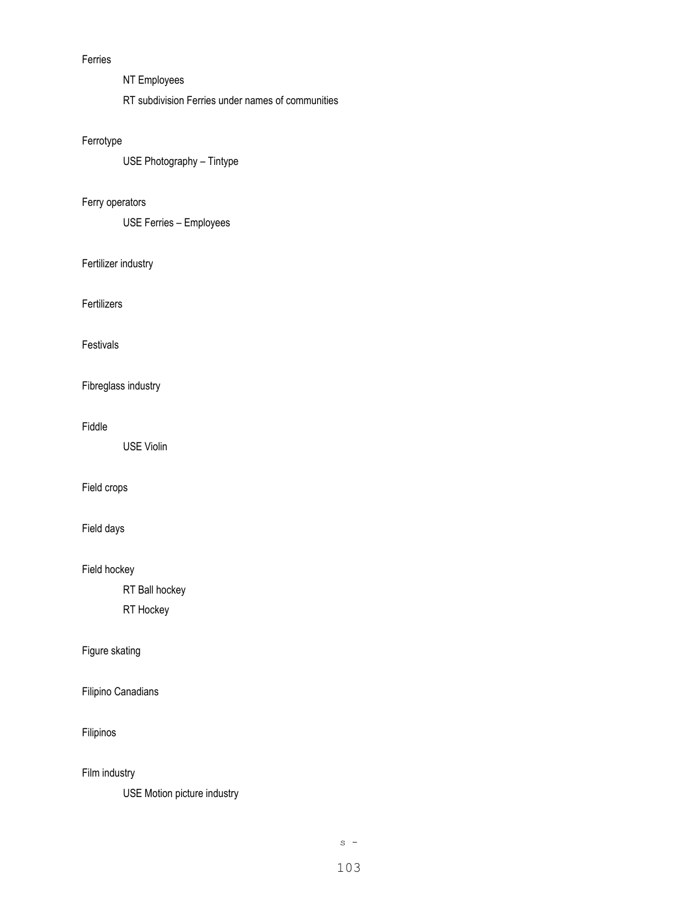# Ferries

- NT Employees
- RT subdivision Ferries under names of communities

# Ferrotype

USE Photography – Tintype

# Ferry operators

USE Ferries – Employees

# Fertilizer industry

Fertilizers

# Festivals

Fibreglass industry

# Fiddle

USE Violin

## Field crops

# Field days

Field hockey

RT Ball hockey

RT Hockey

# Figure skating

Filipino Canadians

# Filipinos

Film industry

USE Motion picture industry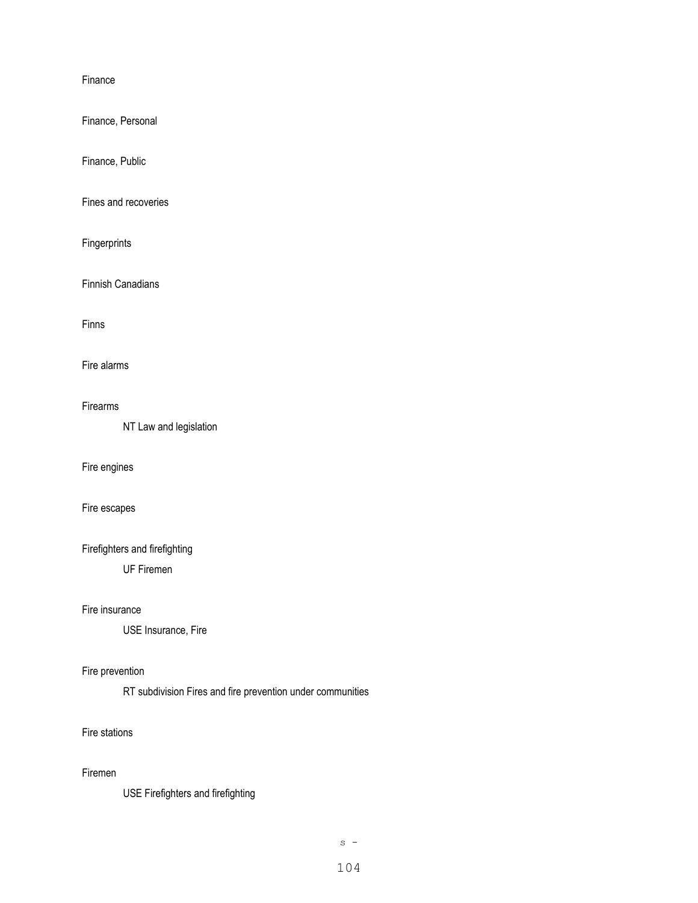#### Finance

Finance, Personal

Finance, Public

Fines and recoveries

Fingerprints

Finnish Canadians

Finns

Fire alarms

#### Firearms

NT Law and legislation

# Fire engines

Fire escapes

Firefighters and firefighting

UF Firemen

## Fire insurance

USE Insurance, Fire

# Fire prevention

RT subdivision Fires and fire prevention under communities

### Fire stations

# Firemen

USE Firefighters and firefighting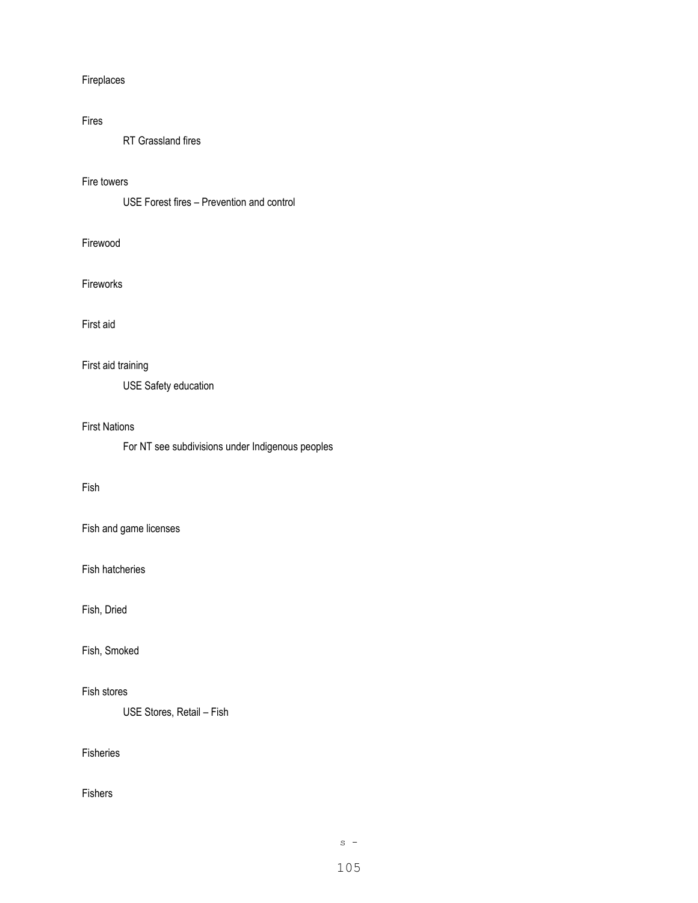## Fireplaces

# Fires

RT Grassland fires

## Fire towers

USE Forest fires – Prevention and control

## Firewood

## Fireworks

### First aid

# First aid training

USE Safety education

### First Nations

For NT see subdivisions under Indigenous peoples

# Fish

Fish and game licenses

Fish hatcheries

# Fish, Dried

Fish, Smoked

# Fish stores

USE Stores, Retail – Fish

# Fisheries

# Fishers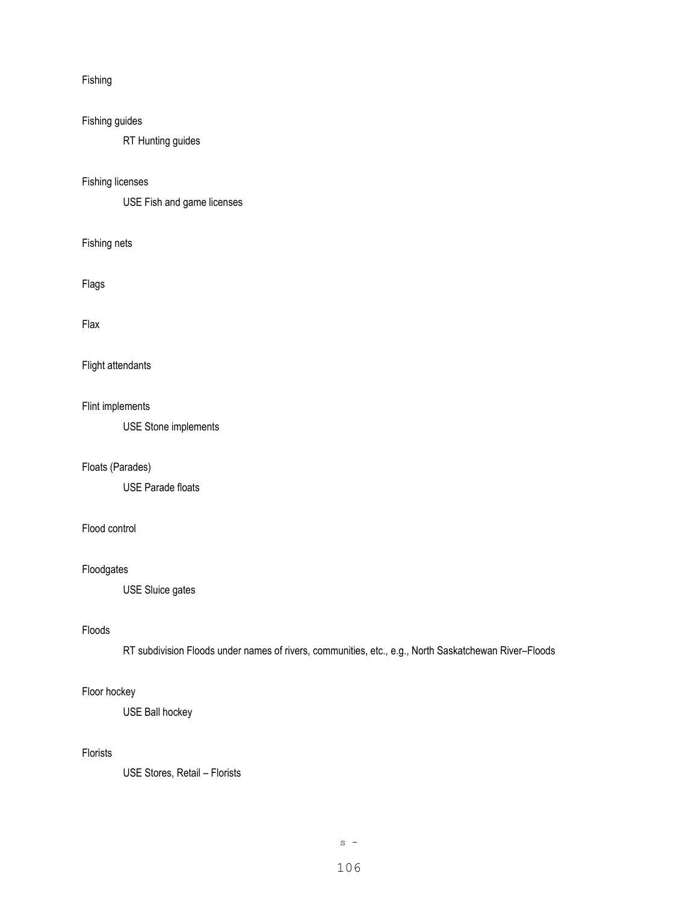## Fishing

# Fishing guides

RT Hunting guides

## Fishing licenses

USE Fish and game licenses

Fishing nets

Flags

#### Flax

Flight attendants

## Flint implements

USE Stone implements

## Floats (Parades)

USE Parade floats

# Flood control

## Floodgates

USE Sluice gates

#### Floods

RT subdivision Floods under names of rivers, communities, etc., e.g., North Saskatchewan River–Floods

## Floor hockey

USE Ball hockey

# Florists

USE Stores, Retail – Florists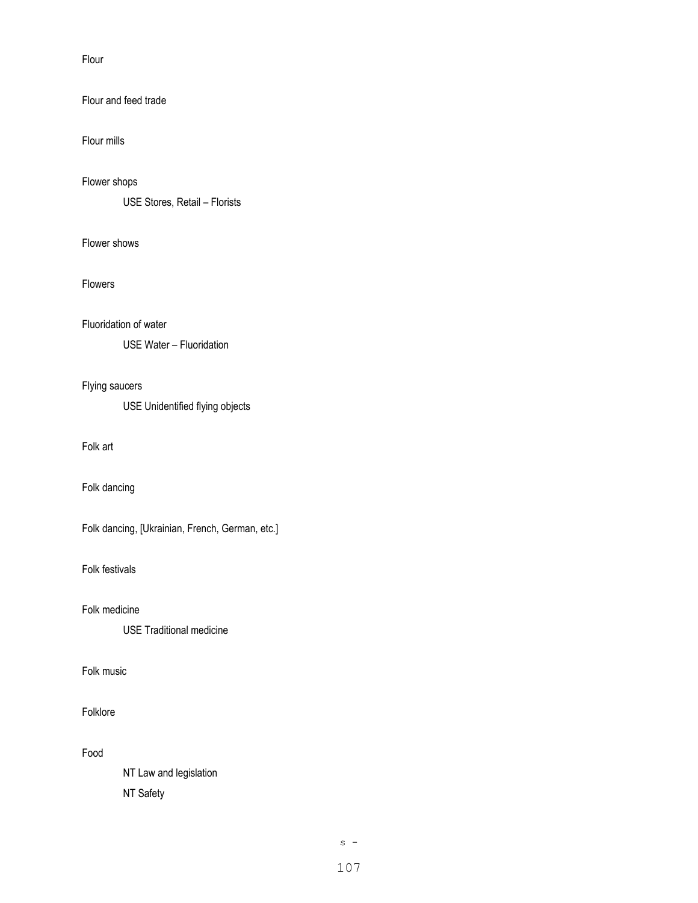Flour

# Flour and feed trade

Flour mills

## Flower shops

USE Stores, Retail – Florists

# Flower shows

Flowers

# Fluoridation of water

USE Water – Fluoridation

## Flying saucers

USE Unidentified flying objects

# Folk art

Folk dancing

Folk dancing, [Ukrainian, French, German, etc.]

Folk festivals

Folk medicine

USE Traditional medicine

# Folk music

# Folklore

Food

NT Law and legislation NT Safety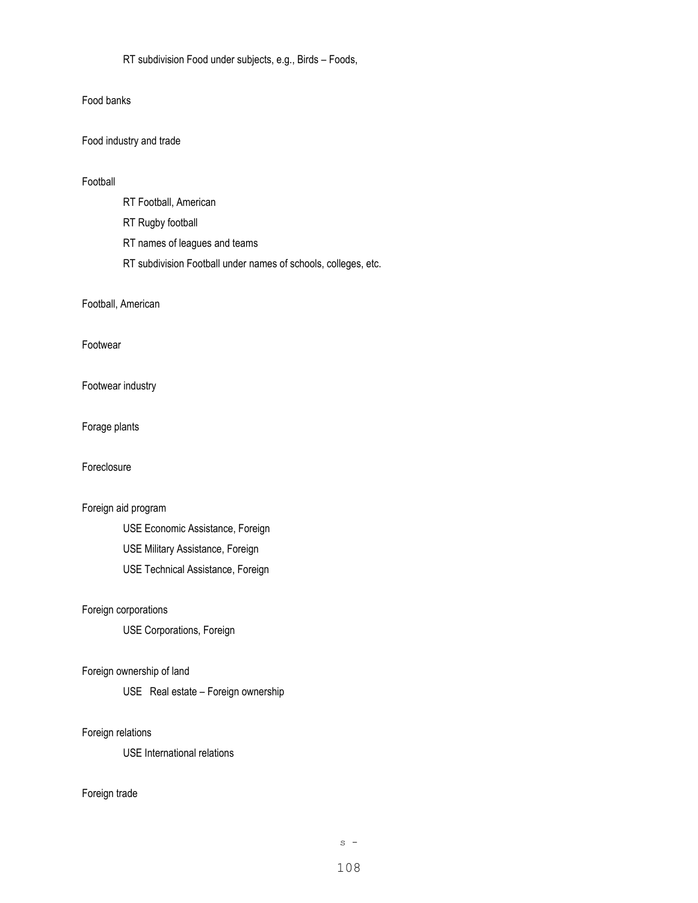RT subdivision Food under subjects, e.g., Birds – Foods,

### Food banks

Food industry and trade

### Football

- RT Football, American
- RT Rugby football
- RT names of leagues and teams
- RT subdivision Football under names of schools, colleges, etc.

### Football, American

### Footwear

## Footwear industry

Forage plants

## Foreclosure

# Foreign aid program

USE Economic Assistance, Foreign USE Military Assistance, Foreign USE Technical Assistance, Foreign

## Foreign corporations

USE Corporations, Foreign

## Foreign ownership of land

USE Real estate – Foreign ownership

### Foreign relations

USE International relations

#### Foreign trade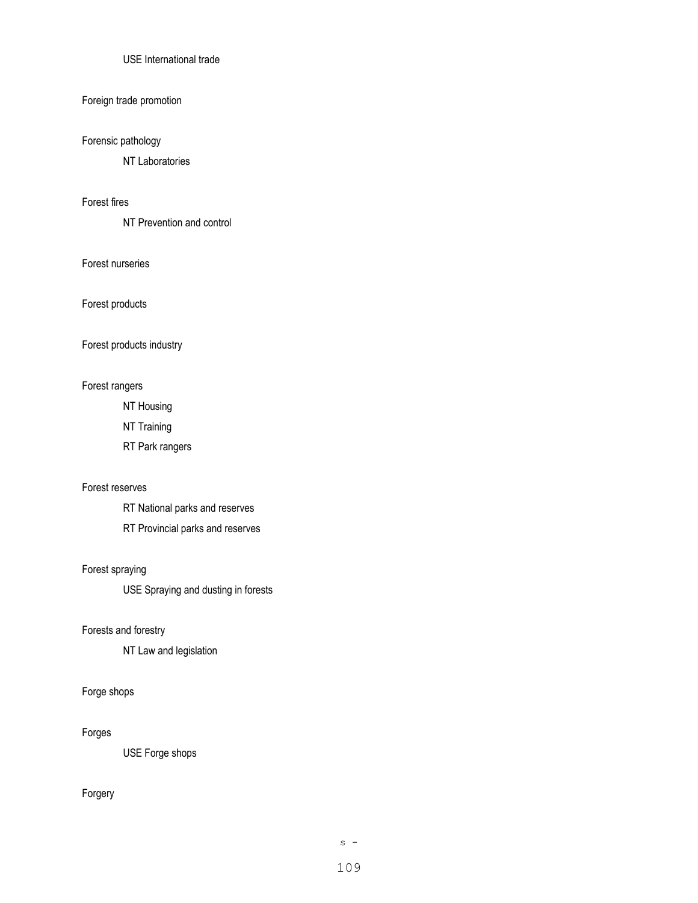## USE International trade

#### Foreign trade promotion

# Forensic pathology

NT Laboratories

# Forest fires

NT Prevention and control

## Forest nurseries

Forest products

#### Forest products industry

#### Forest rangers

NT Housing

NT Training

RT Park rangers

#### Forest reserves

RT National parks and reserves

RT Provincial parks and reserves

#### Forest spraying

USE Spraying and dusting in forests

#### Forests and forestry

NT Law and legislation

# Forge shops

#### Forges

USE Forge shops

# Forgery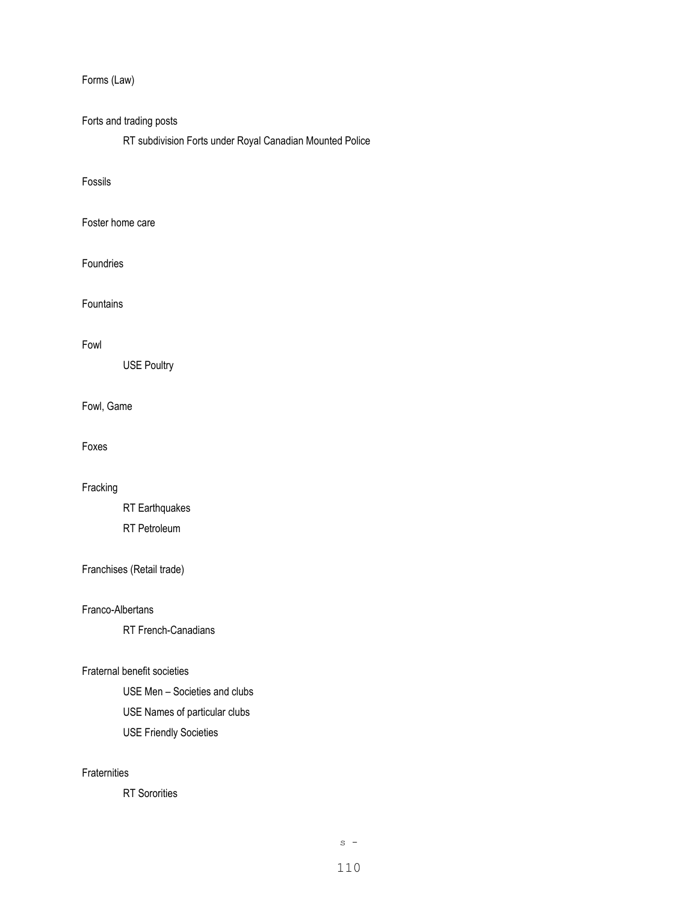Forms (Law)

# Forts and trading posts

RT subdivision Forts under Royal Canadian Mounted Police

## Fossils

## Foster home care

### Foundries

Fountains

#### Fowl

USE Poultry

## Fowl, Game

Foxes

## Fracking

RT Earthquakes RT Petroleum

# Franchises (Retail trade)

## Franco-Albertans

RT French-Canadians

## Fraternal benefit societies

USE Men – Societies and clubs

- USE Names of particular clubs
- USE Friendly Societies

## **Fraternities**

RT Sororities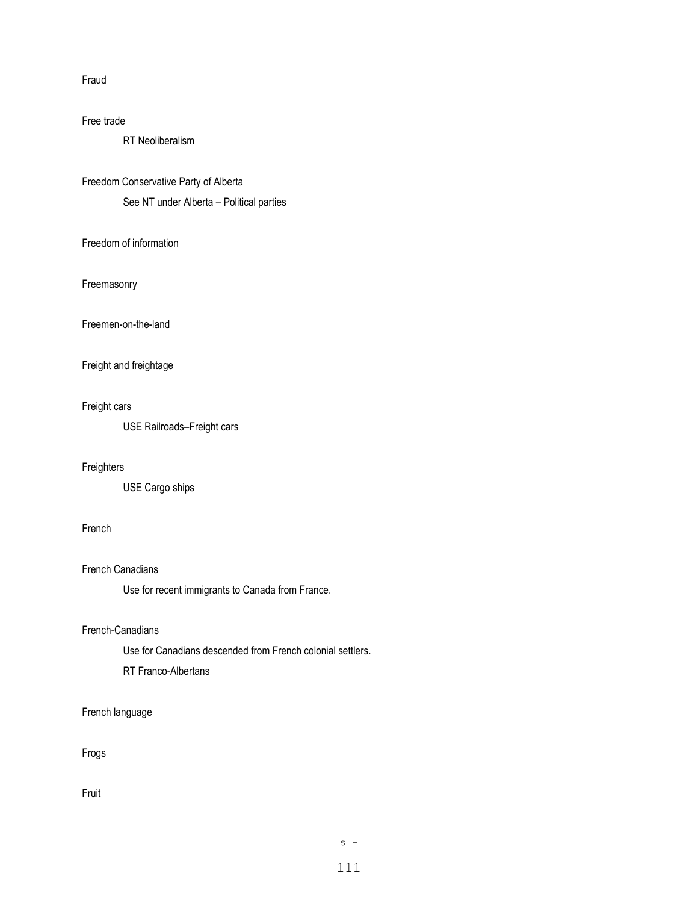#### Fraud

#### Free trade

RT Neoliberalism

Freedom Conservative Party of Alberta

See NT under Alberta – Political parties

Freedom of information

Freemasonry

Freemen-on-the-land

# Freight and freightage

#### Freight cars

USE Railroads–Freight cars

#### Freighters

USE Cargo ships

#### French

French Canadians

Use for recent immigrants to Canada from France.

## French-Canadians

Use for Canadians descended from French colonial settlers.

RT Franco-Albertans

## French language

Frogs

Fruit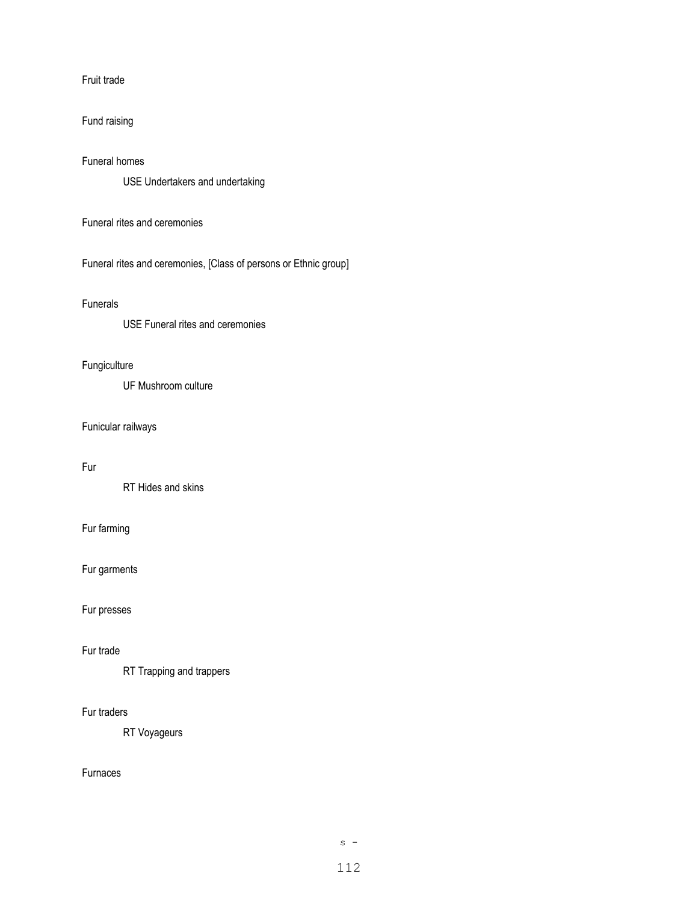Fruit trade

# Fund raising

## Funeral homes

USE Undertakers and undertaking

Funeral rites and ceremonies

Funeral rites and ceremonies, [Class of persons or Ethnic group]

#### Funerals

USE Funeral rites and ceremonies

# Fungiculture

UF Mushroom culture

#### Funicular railways

## Fur

RT Hides and skins

# Fur farming

Fur garments

Fur presses

## Fur trade

RT Trapping and trappers

## Fur traders

RT Voyageurs

## Furnaces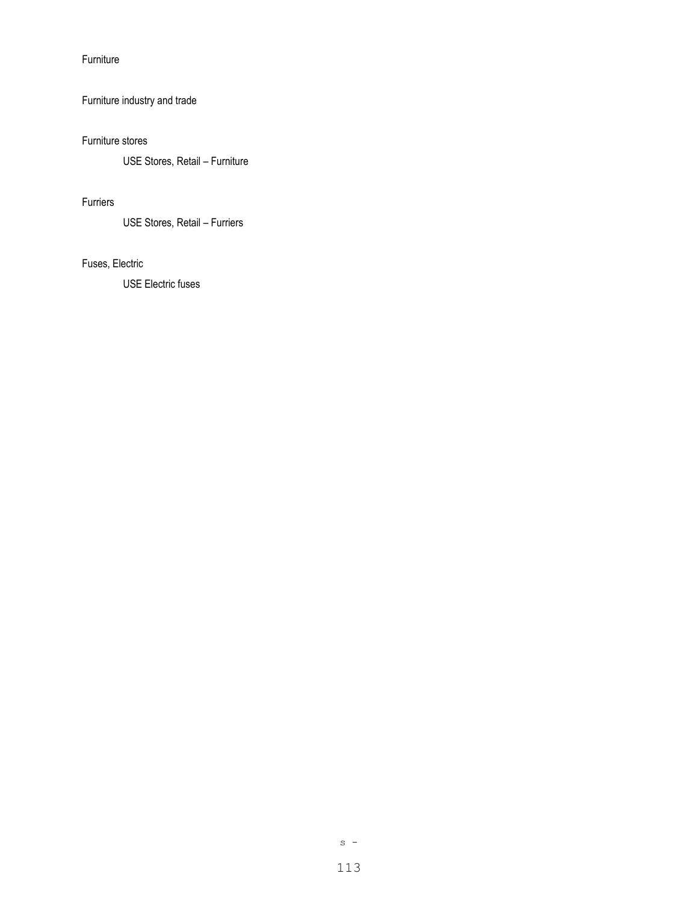Furniture

# Furniture industry and trade

## Furniture stores

USE Stores, Retail – Furniture

# Furriers

USE Stores, Retail – Furriers

# Fuses, Electric

USE Electric fuses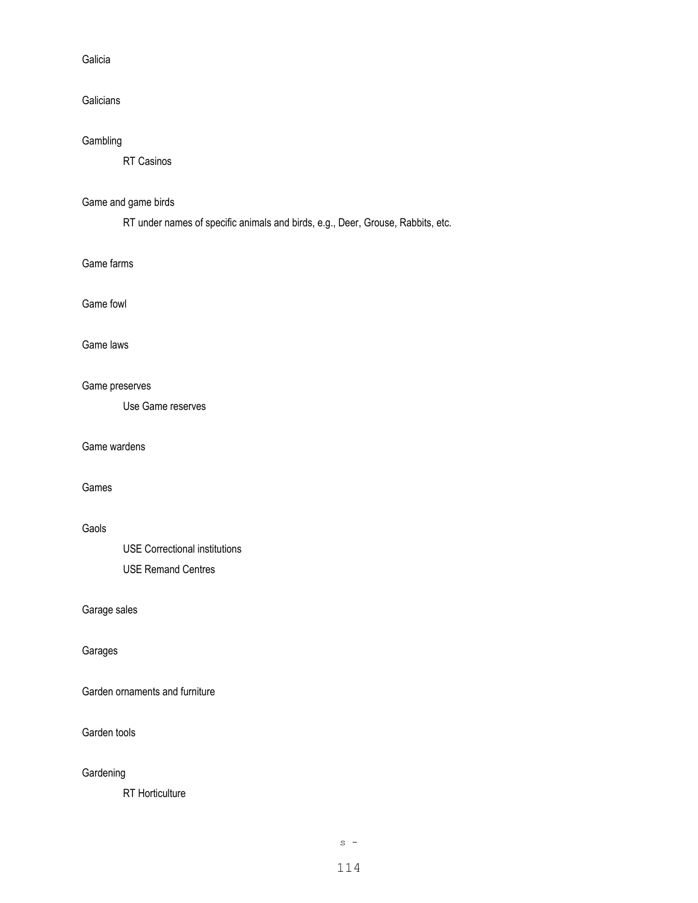#### Galicia

**Galicians** 

# Gambling

RT Casinos

# Game and game birds

RT under names of specific animals and birds, e.g., Deer, Grouse, Rabbits, etc.

Game farms

## Game fowl

#### Game laws

#### Game preserves

Use Game reserves

## Game wardens

## Games

## Gaols

USE Correctional institutions USE Remand Centres

# Garage sales

### Garages

Garden ornaments and furniture

#### Garden tools

#### **Gardening**

RT Horticulture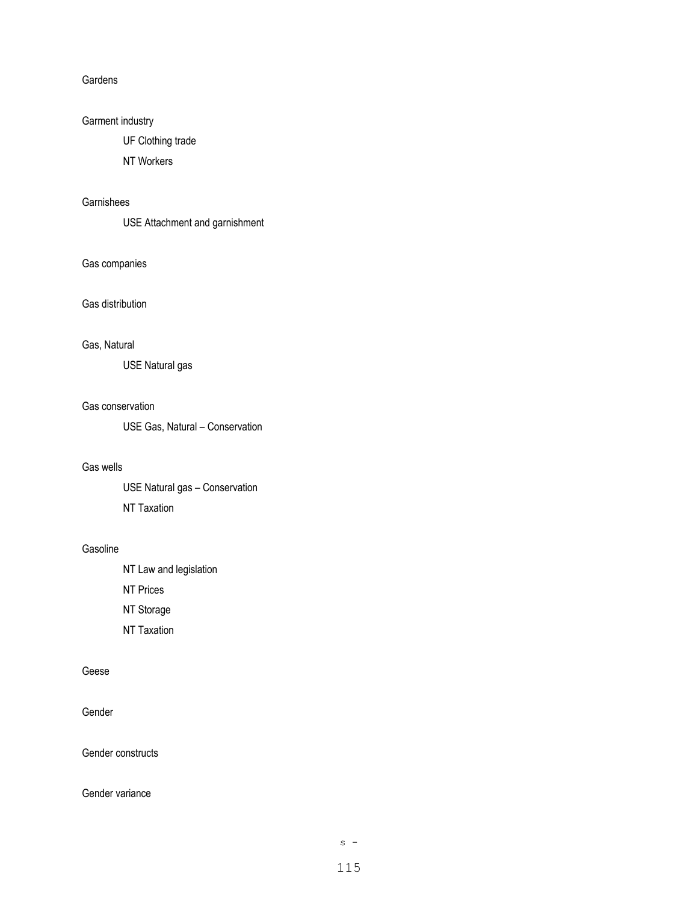#### **Gardens**

# Garment industry

UF Clothing trade

NT Workers

## Garnishees

USE Attachment and garnishment

## Gas companies

## Gas distribution

#### Gas, Natural

USE Natural gas

#### Gas conservation

USE Gas, Natural – Conservation

#### Gas wells

USE Natural gas – Conservation NT Taxation

#### Gasoline

NT Law and legislation

NT Prices

NT Storage

NT Taxation

## Geese

Gender

Gender constructs

### Gender variance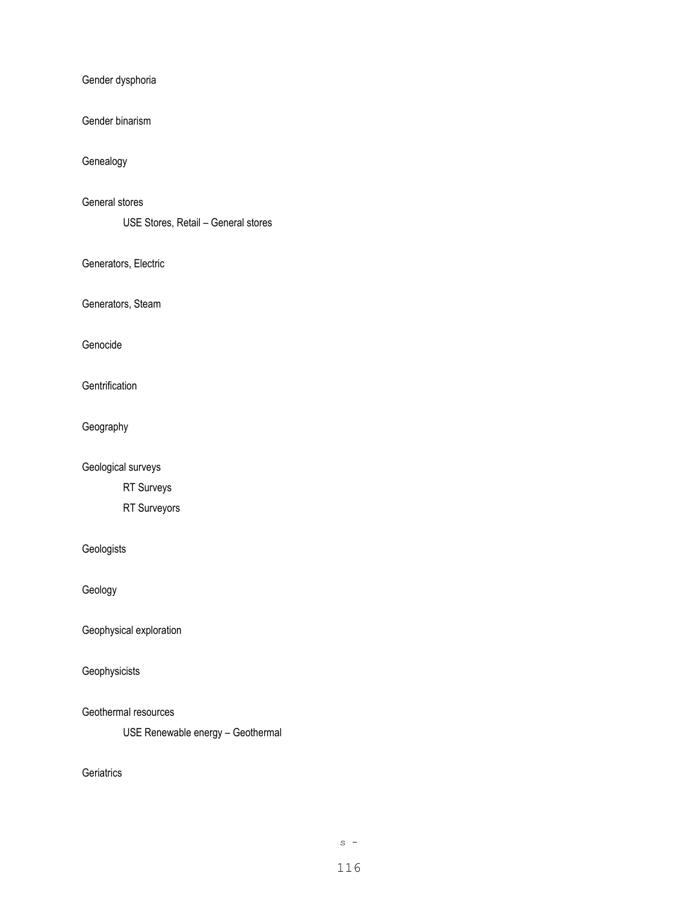Gender dysphoria

Gender binarism

Genealogy

General stores

USE Stores, Retail – General stores

Generators, Electric

Generators, Steam

Genocide

**Gentrification** 

Geography

Geological surveys

RT Surveys

RT Surveyors

Geologists

Geology

Geophysical exploration

Geophysicists

Geothermal resources

USE Renewable energy – Geothermal

**Geriatrics**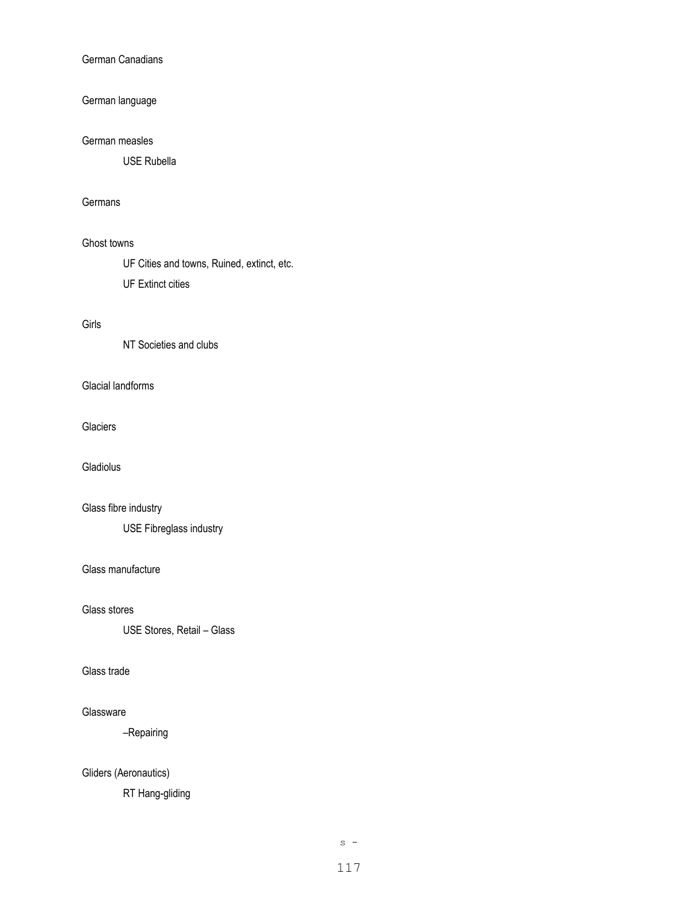#### German Canadians

# German language

#### German measles

USE Rubella

### Germans

#### Ghost towns

UF Cities and towns, Ruined, extinct, etc.

UF Extinct cities

## Girls

NT Societies and clubs

## Glacial landforms

#### **Glaciers**

Gladiolus

# Glass fibre industry

USE Fibreglass industry

### Glass manufacture

Glass stores

USE Stores, Retail – Glass

## Glass trade

#### Glassware

–Repairing

# Gliders (Aeronautics)

RT Hang-gliding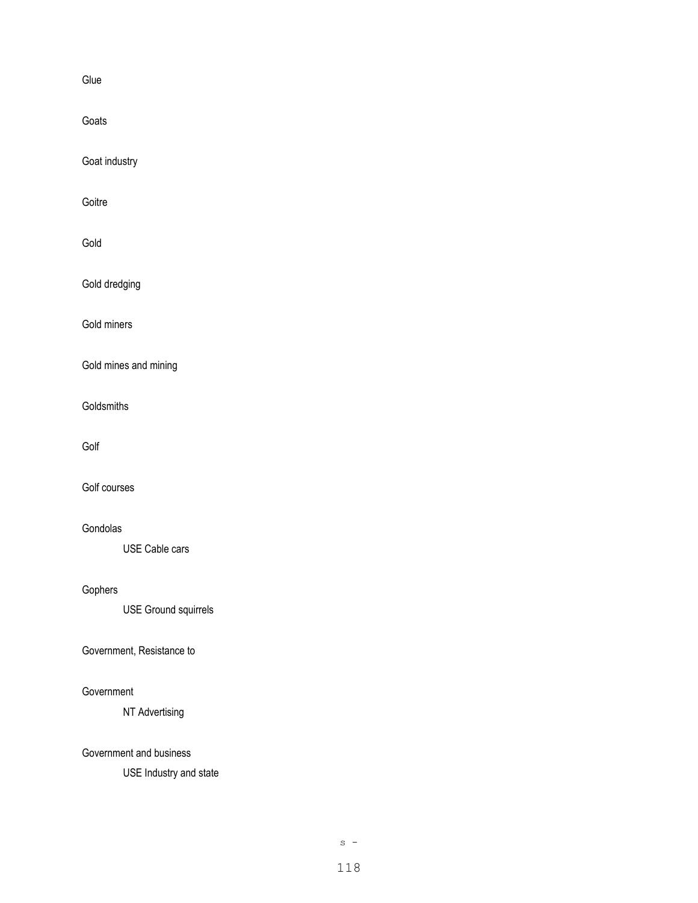Glue

Goats

Goat industry

Goitre

Gold

Gold dredging

Gold miners

Gold mines and mining

**Goldsmiths** 

Golf

Golf courses

#### Gondolas

USE Cable cars

# Gophers

USE Ground squirrels

#### Government, Resistance to

#### **Government**

NT Advertising

#### Government and business

USE Industry and state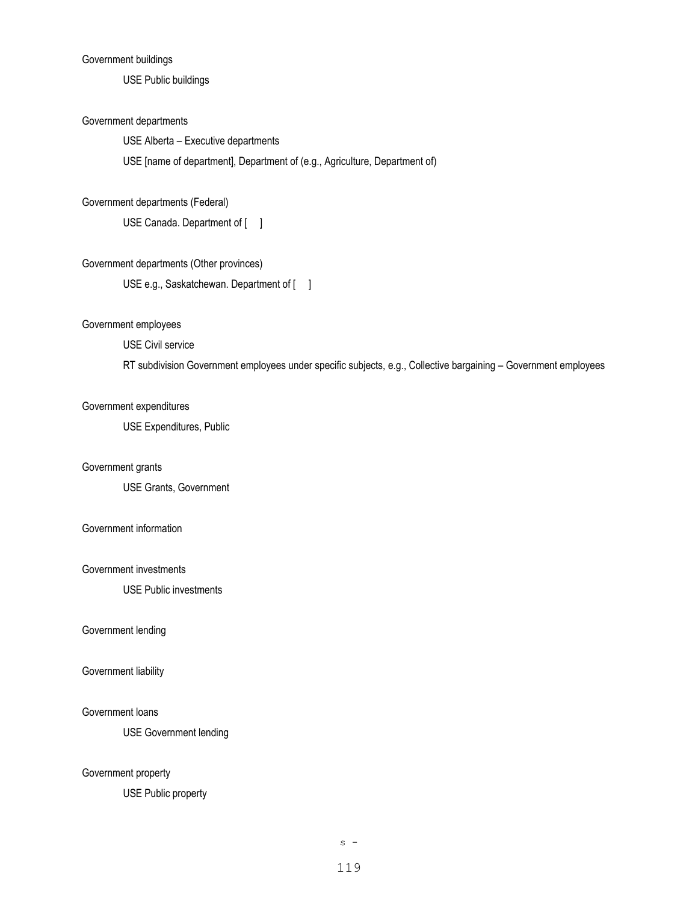#### Government buildings

USE Public buildings

#### Government departments

USE Alberta – Executive departments

USE [name of department], Department of (e.g., Agriculture, Department of)

#### Government departments (Federal)

USE Canada. Department of [ ]

# Government departments (Other provinces)

USE e.g., Saskatchewan. Department of [ ]

#### Government employees

USE Civil service

RT subdivision Government employees under specific subjects, e.g., Collective bargaining – Government employees

#### Government expenditures

USE Expenditures, Public

#### Government grants

USE Grants, Government

#### Government information

#### Government investments

USE Public investments

#### Government lending

#### Government liability

#### Government loans

USE Government lending

#### Government property

USE Public property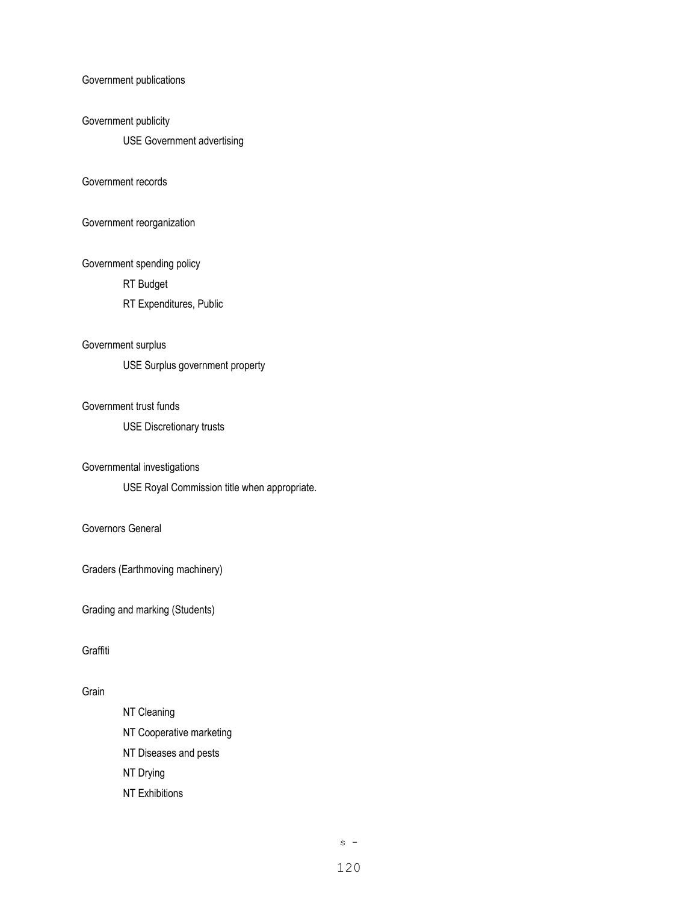Government publications

#### Government publicity

USE Government advertising

#### Government records

Government reorganization

Government spending policy

RT Budget

RT Expenditures, Public

## Government surplus

USE Surplus government property

#### Government trust funds

USE Discretionary trusts

#### Governmental investigations

USE Royal Commission title when appropriate.

## Governors General

Graders (Earthmoving machinery)

Grading and marking (Students)

#### Graffiti

# Grain

NT Cleaning NT Cooperative marketing NT Diseases and pests NT Drying NT Exhibitions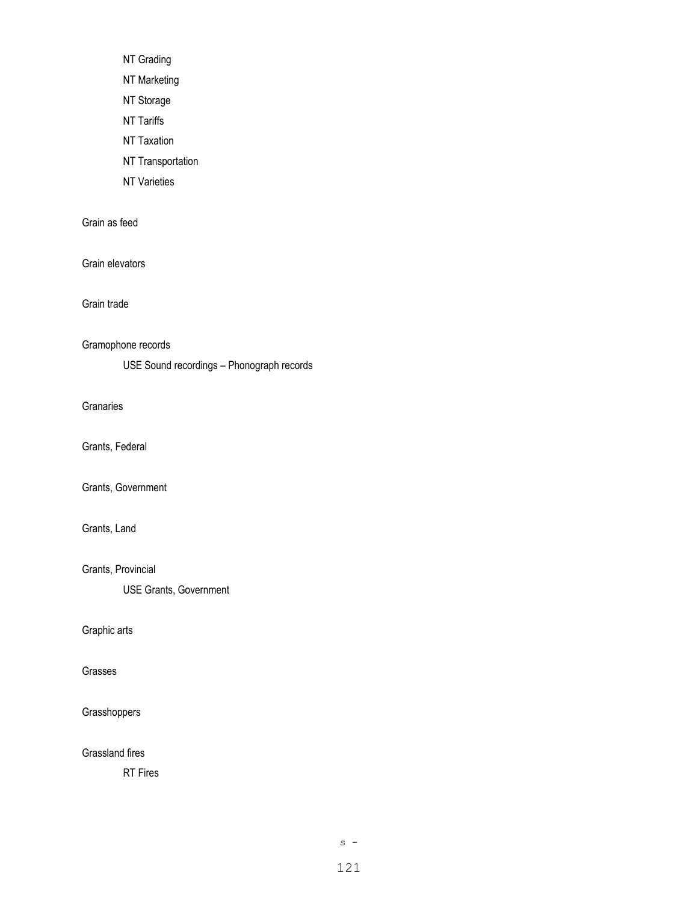NT Grading

NT Marketing

NT Storage

NT Tariffs

NT Taxation

NT Transportation

NT Varieties

Grain as feed

Grain elevators

Grain trade

Gramophone records

USE Sound recordings – Phonograph records

**Granaries** 

Grants, Federal

Grants, Government

Grants, Land

Grants, Provincial

USE Grants, Government

Graphic arts

Grasses

**Grasshoppers** 

Grassland fires

RT Fires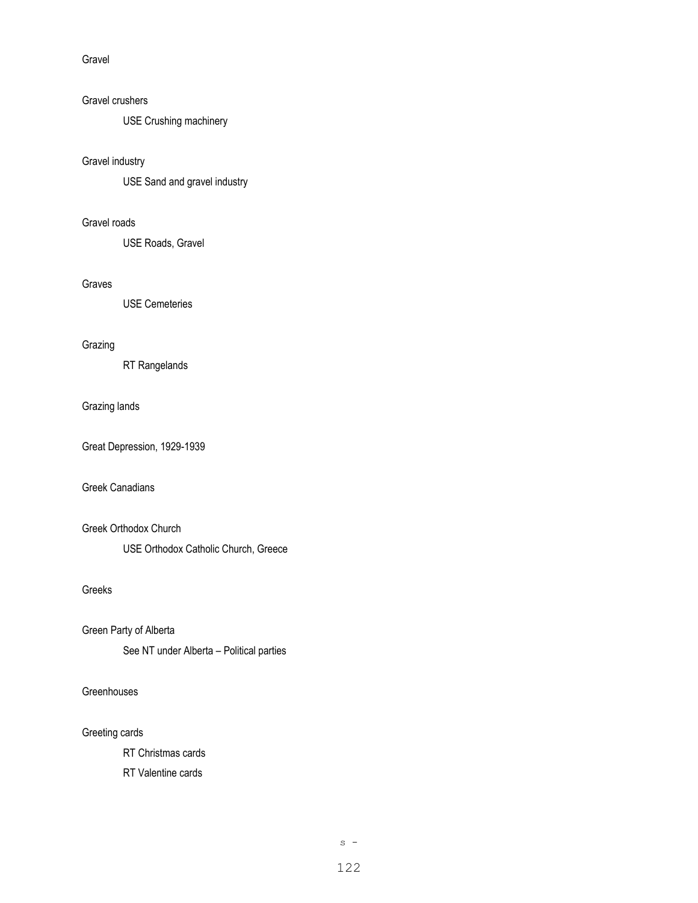Gravel

#### Gravel crushers

USE Crushing machinery

#### Gravel industry

USE Sand and gravel industry

## Gravel roads

USE Roads, Gravel

## Graves

USE Cemeteries

## Grazing

RT Rangelands

#### Grazing lands

Great Depression, 1929-1939

## Greek Canadians

Greek Orthodox Church

USE Orthodox Catholic Church, Greece

# Greeks

Green Party of Alberta

See NT under Alberta – Political parties

## **Greenhouses**

#### Greeting cards

RT Christmas cards

RT Valentine cards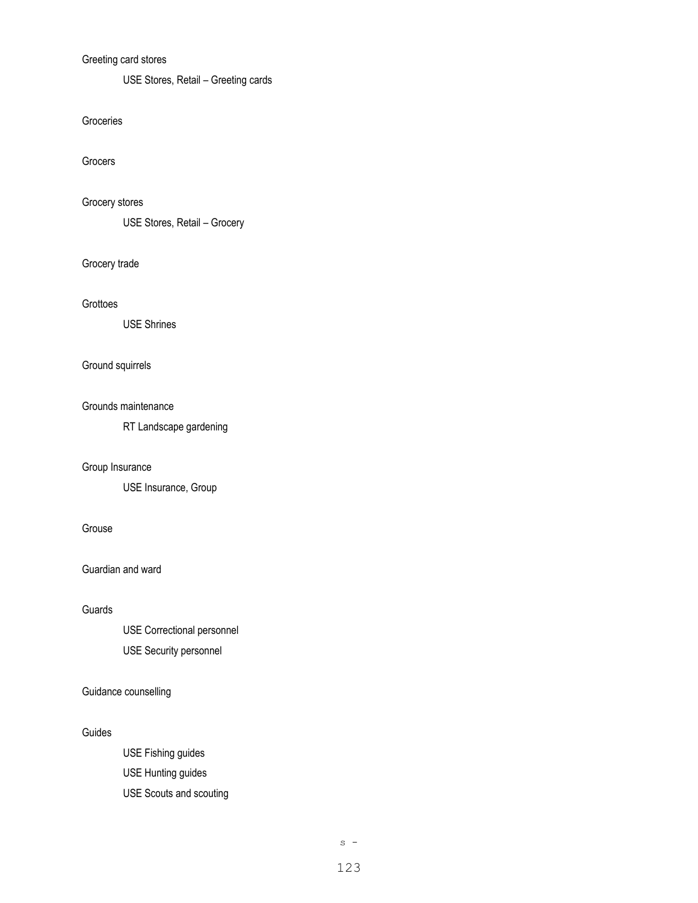# Greeting card stores

USE Stores, Retail – Greeting cards

#### Groceries

Grocers

# Grocery stores

USE Stores, Retail – Grocery

## Grocery trade

#### Grottoes

USE Shrines

# Ground squirrels

#### Grounds maintenance

RT Landscape gardening

#### Group Insurance

USE Insurance, Group

## Grouse

Guardian and ward

### Guards

USE Correctional personnel USE Security personnel

# Guidance counselling

#### Guides

USE Fishing guides USE Hunting guides USE Scouts and scouting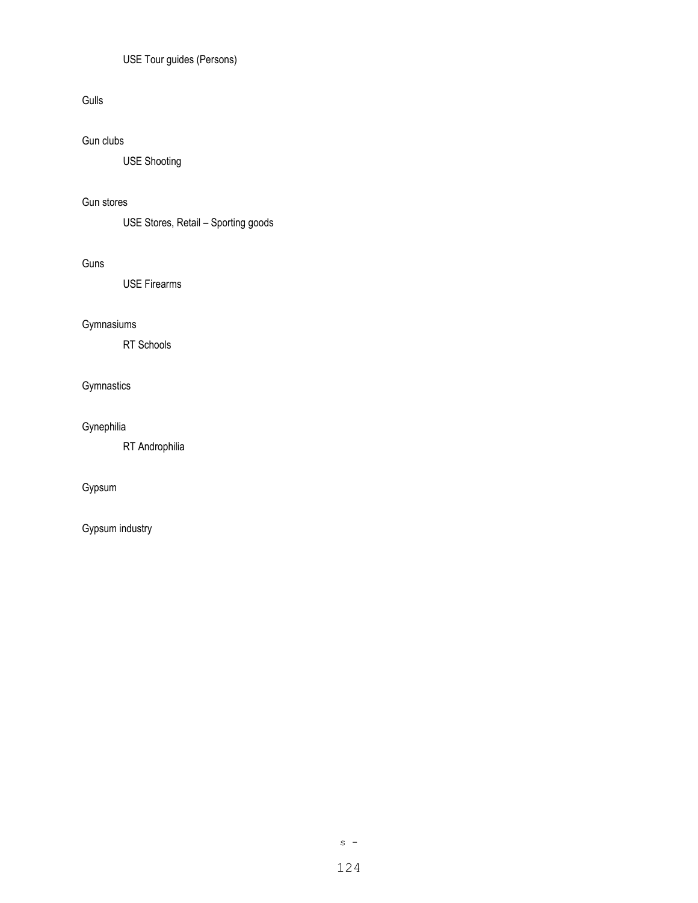# USE Tour guides (Persons)

# Gulls

# Gun clubs

USE Shooting

# Gun stores

USE Stores, Retail – Sporting goods

## Guns

USE Firearms

# Gymnasiums

RT Schools

# Gymnastics

# Gynephilia

RT Androphilia

# Gypsum

Gypsum industry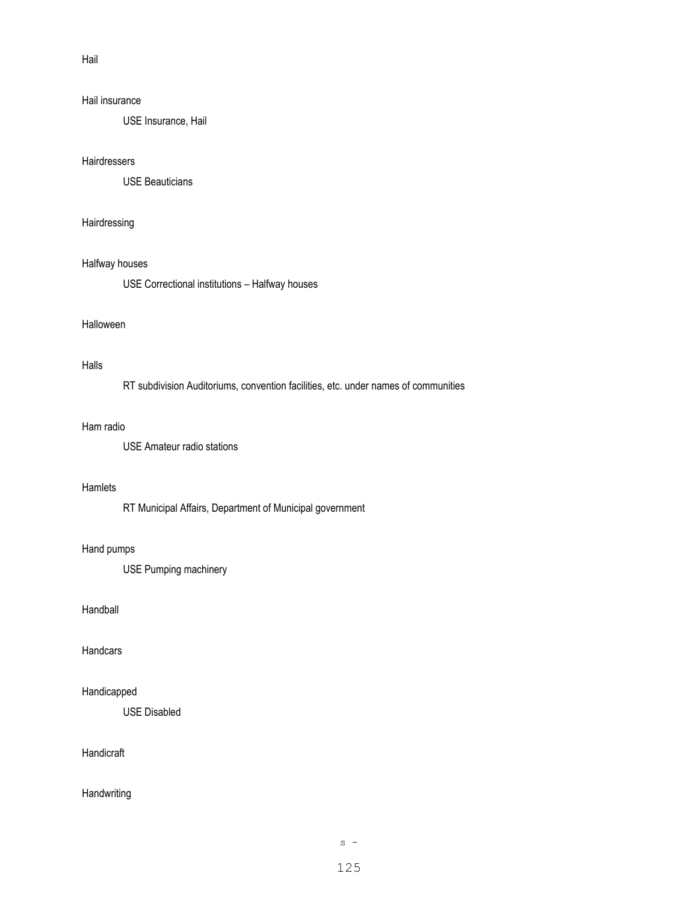Hail

#### Hail insurance

USE Insurance, Hail

#### **Hairdressers**

USE Beauticians

#### Hairdressing

#### Halfway houses

USE Correctional institutions – Halfway houses

#### Halloween

## Halls

RT subdivision Auditoriums, convention facilities, etc. under names of communities

#### Ham radio

USE Amateur radio stations

#### **Hamlets**

RT Municipal Affairs, Department of Municipal government

#### Hand pumps

USE Pumping machinery

### Handball

**Handcars** 

## Handicapped

USE Disabled

# Handicraft

#### **Handwriting**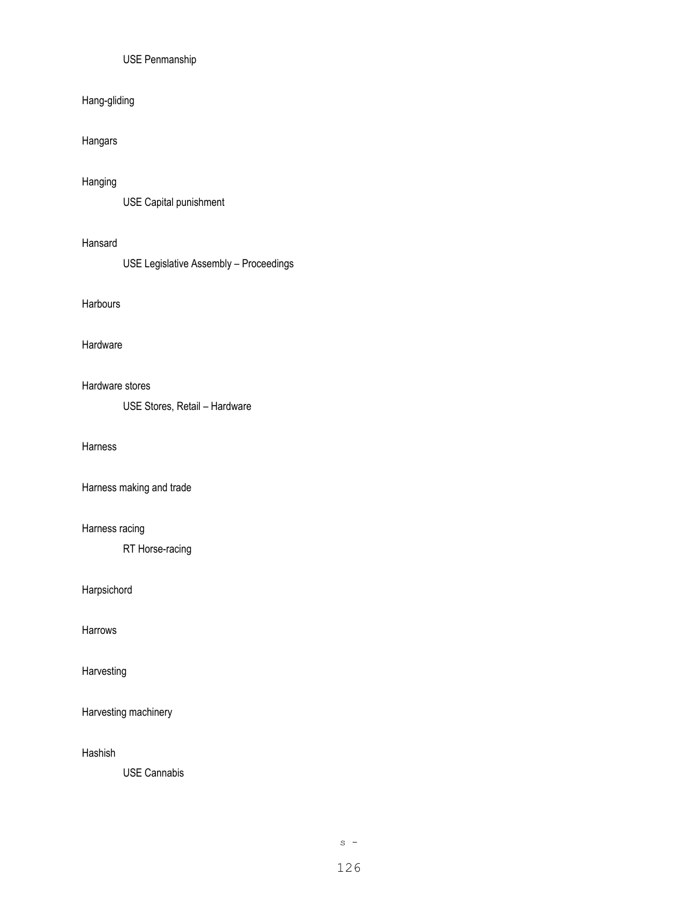# USE Penmanship

# Hang-gliding

## Hangars

#### Hanging

USE Capital punishment

#### Hansard

USE Legislative Assembly – Proceedings

#### **Harbours**

#### Hardware

#### Hardware stores

USE Stores, Retail – Hardware

## Harness

# Harness making and trade

#### Harness racing

RT Horse-racing

#### Harpsichord

Harrows

# Harvesting

Harvesting machinery

Hashish

USE Cannabis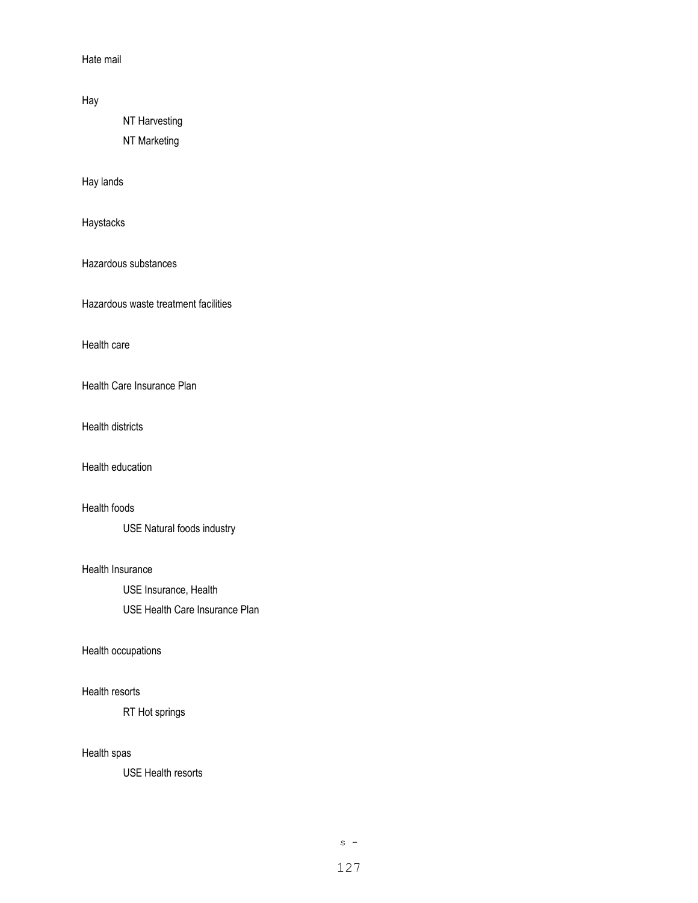Hate mail

Hay

NT Harvesting

NT Marketing

Hay lands

Haystacks

Hazardous substances

Hazardous waste treatment facilities

Health care

Health Care Insurance Plan

Health districts

Health education

Health foods

USE Natural foods industry

Health Insurance

USE Insurance, Health

USE Health Care Insurance Plan

#### Health occupations

#### Health resorts

RT Hot springs

## Health spas

USE Health resorts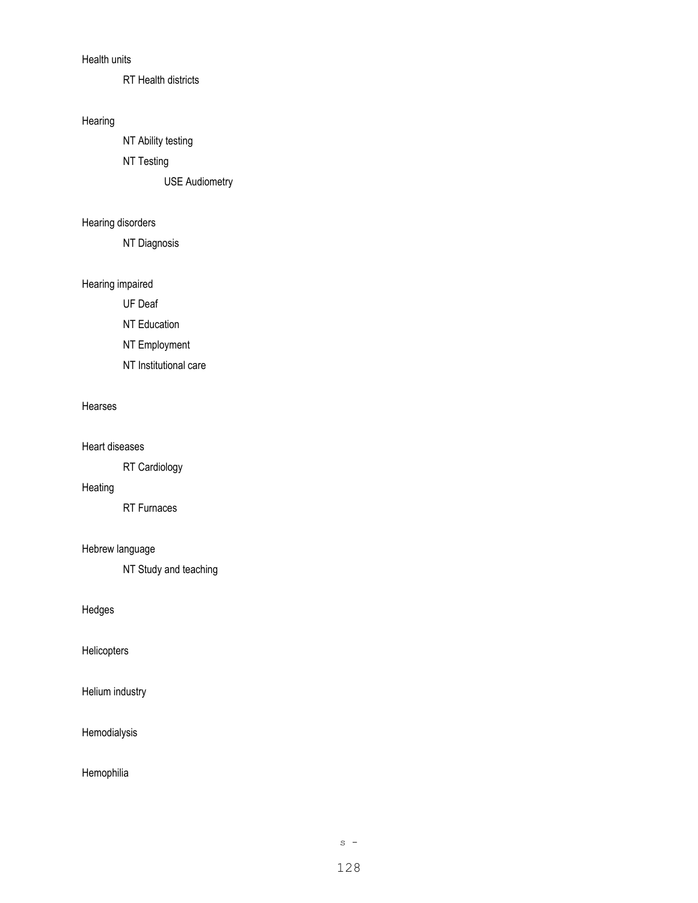## Health units

RT Health districts

#### Hearing

NT Ability testing

NT Testing

USE Audiometry

# Hearing disorders

NT Diagnosis

# Hearing impaired

UF Deaf

NT Education

NT Employment

NT Institutional care

#### Hearses

Heart diseases

RT Cardiology

## Heating

RT Furnaces

# Hebrew language

NT Study and teaching

Hedges

Helicopters

Helium industry

#### Hemodialysis

Hemophilia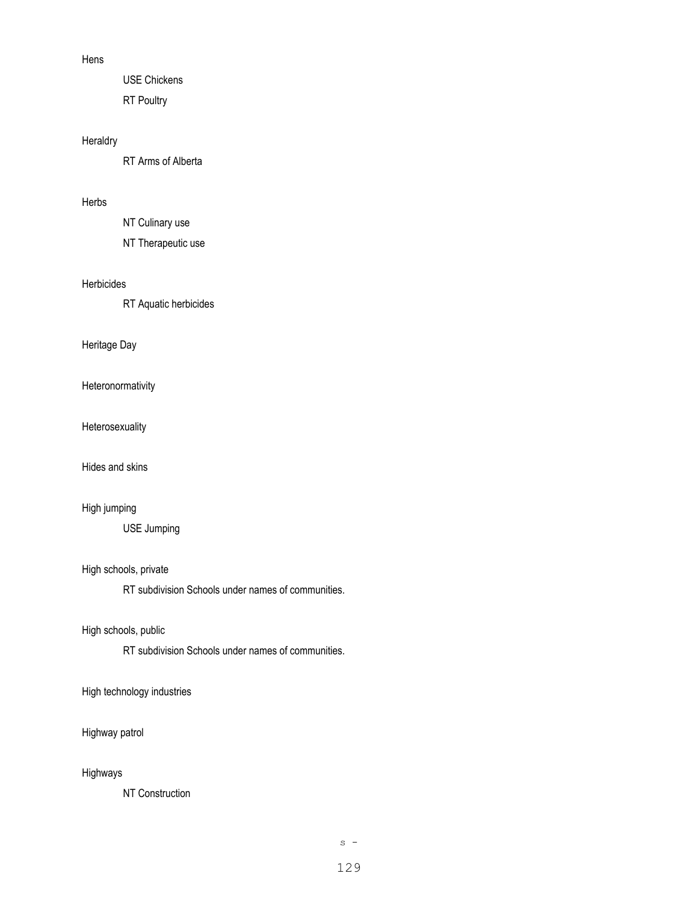#### Hens

USE Chickens RT Poultry

# Heraldry

RT Arms of Alberta

# Herbs

NT Culinary use

NT Therapeutic use

## Herbicides

RT Aquatic herbicides

## Heritage Day

Heteronormativity

Heterosexuality

Hides and skins

# High jumping

USE Jumping

High schools, private

RT subdivision Schools under names of communities.

High schools, public

RT subdivision Schools under names of communities.

High technology industries

## Highway patrol

#### Highways

NT Construction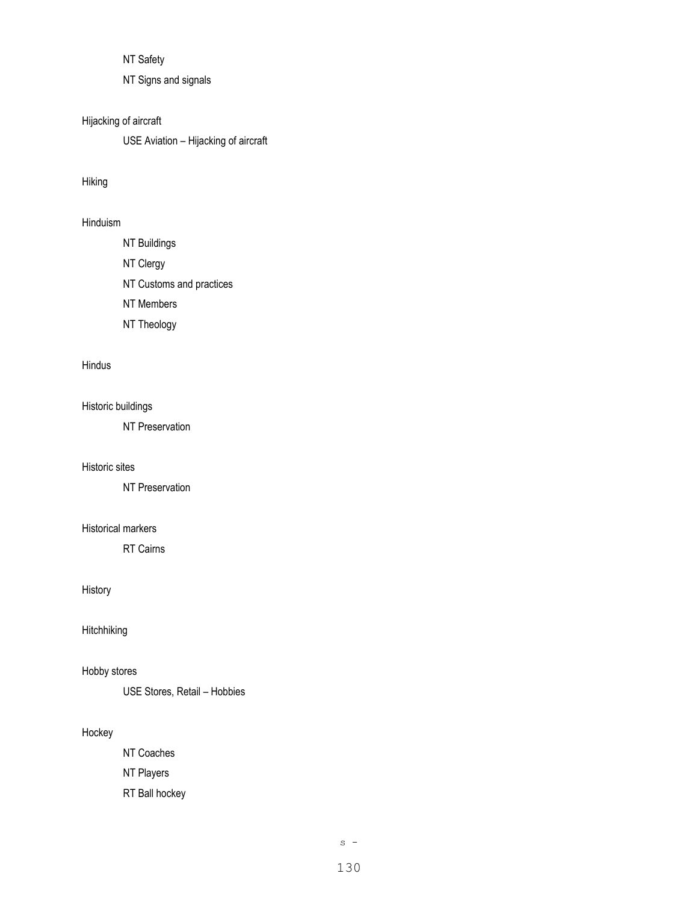NT Safety

NT Signs and signals

# Hijacking of aircraft

USE Aviation – Hijacking of aircraft

## Hiking

# Hinduism

NT Buildings NT Clergy NT Customs and practices NT Members NT Theology

# Hindus

Historic buildings

NT Preservation

#### Historic sites

NT Preservation

#### Historical markers

RT Cairns

# History

Hitchhiking

## Hobby stores

USE Stores, Retail – Hobbies

#### Hockey

NT Coaches NT Players RT Ball hockey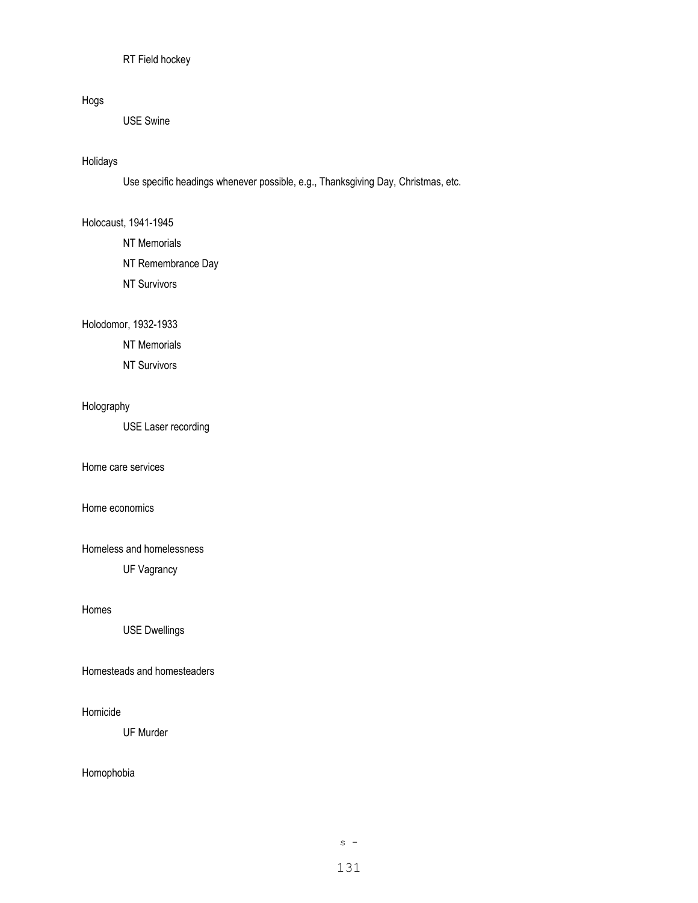## RT Field hockey

# Hogs

USE Swine

#### Holidays

Use specific headings whenever possible, e.g., Thanksgiving Day, Christmas, etc.

#### Holocaust, 1941-1945

NT Memorials NT Remembrance Day

NT Survivors

#### Holodomor, 1932-1933

NT Memorials

NT Survivors

# Holography

USE Laser recording

Home care services

## Home economics

Homeless and homelessness

UF Vagrancy

### Homes

USE Dwellings

#### Homesteads and homesteaders

## Homicide

UF Murder

# Homophobia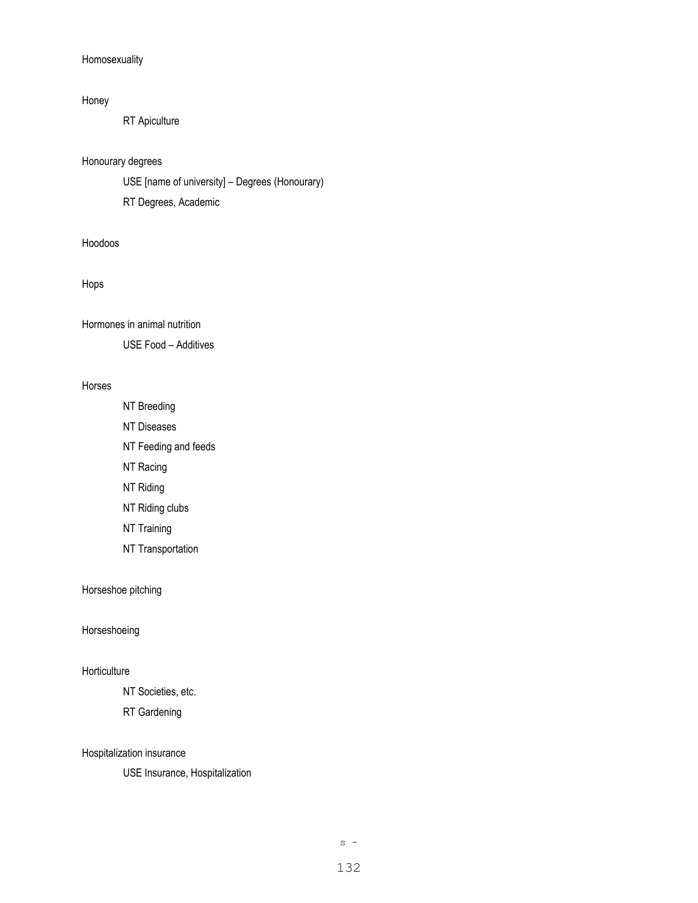#### Homosexuality

#### Honey

RT Apiculture

### Honourary degrees

USE [name of university] – Degrees (Honourary)

RT Degrees, Academic

### Hoodoos

#### Hops

Hormones in animal nutrition

USE Food – Additives

#### Horses

NT Breeding NT Diseases NT Feeding and feeds NT Racing NT Riding NT Riding clubs NT Training

NT Transportation

# Horseshoe pitching

## Horseshoeing

## **Horticulture**

NT Societies, etc.

RT Gardening

## Hospitalization insurance

USE Insurance, Hospitalization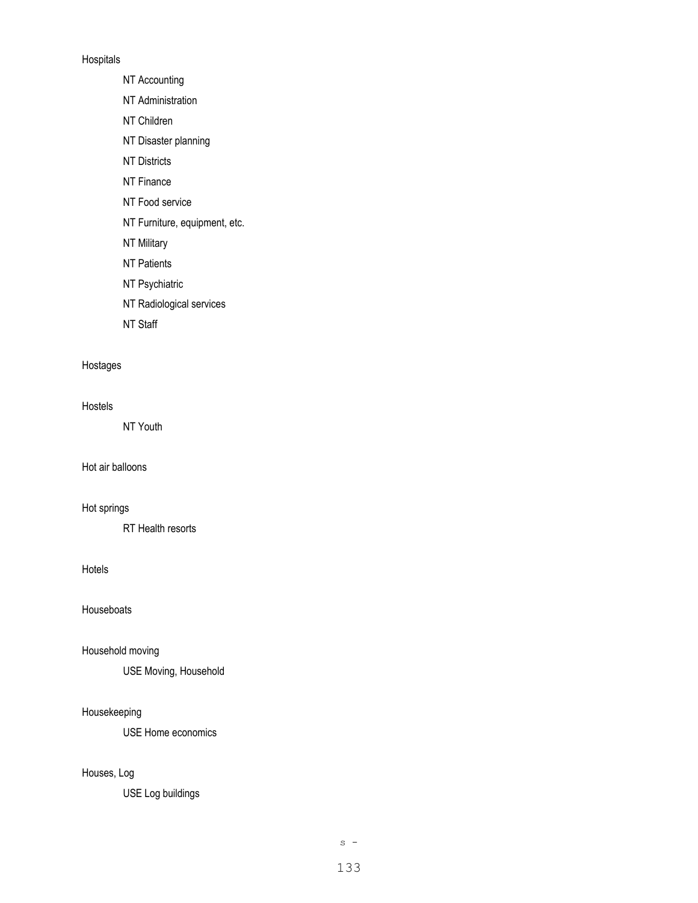#### Hospitals

NT Accounting

- NT Administration
- NT Children
- NT Disaster planning
- NT Districts
- NT Finance
- NT Food service
- NT Furniture, equipment, etc.
- NT Military
- NT Patients
- NT Psychiatric
- NT Radiological services
- NT Staff

## Hostages

#### Hostels

NT Youth

Hot air balloons

# Hot springs

RT Health resorts

#### Hotels

Houseboats

#### Household moving

USE Moving, Household

## Housekeeping

USE Home economics

#### Houses, Log

USE Log buildings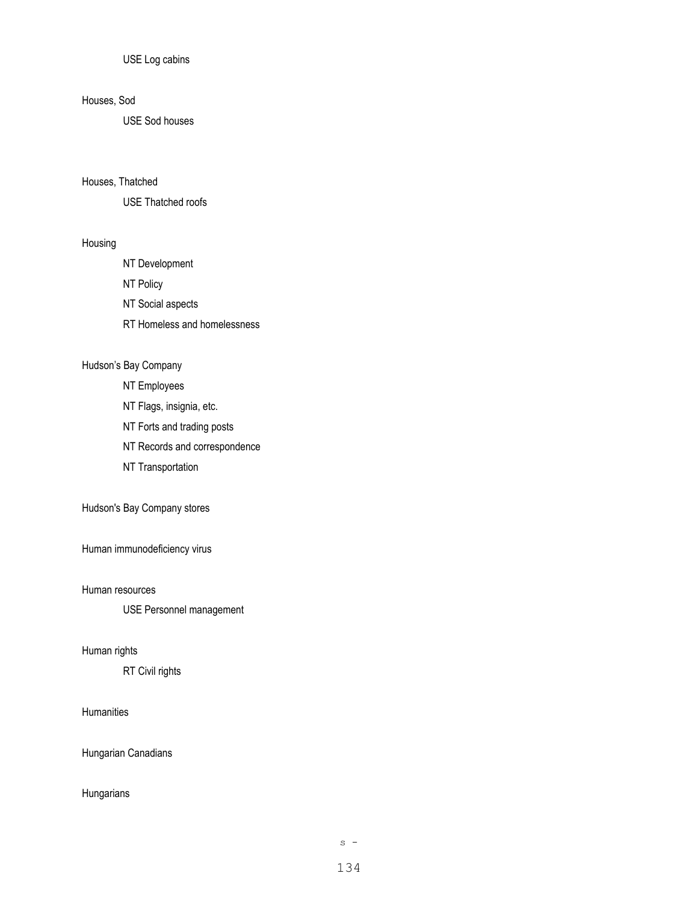USE Log cabins

## Houses, Sod

USE Sod houses

#### Houses, Thatched

USE Thatched roofs

#### Housing

- NT Development NT Policy NT Social aspects
- RT Homeless and homelessness
- 

# Hudson's Bay Company

- NT Employees
- NT Flags, insignia, etc.
- NT Forts and trading posts
- NT Records and correspondence
- NT Transportation

## Hudson's Bay Company stores

Human immunodeficiency virus

Human resources

USE Personnel management

#### Human rights

RT Civil rights

#### **Humanities**

Hungarian Canadians

#### Hungarians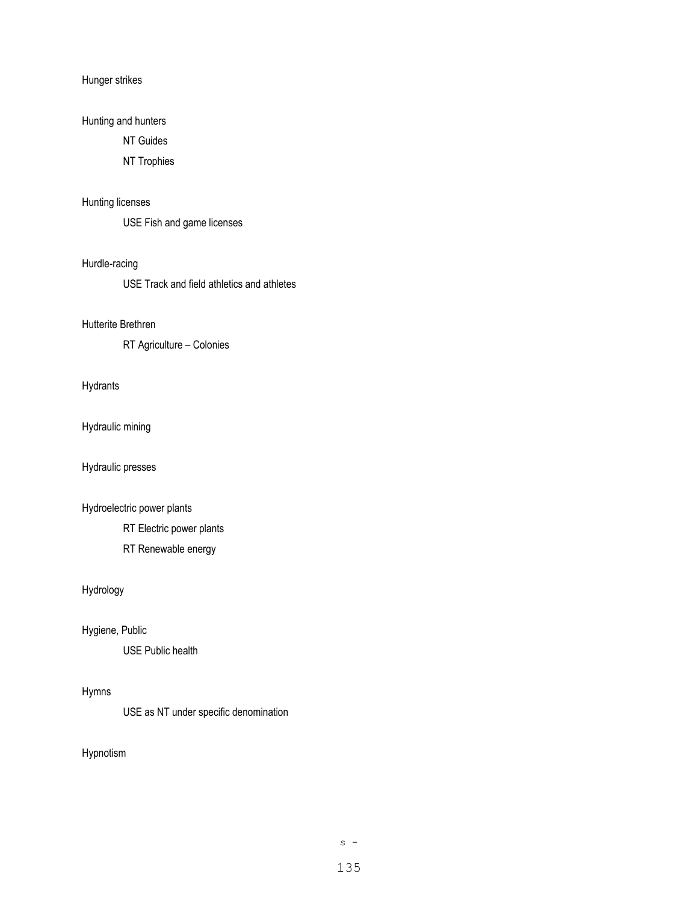#### Hunger strikes

# Hunting and hunters

NT Guides

#### NT Trophies

# Hunting licenses

USE Fish and game licenses

### Hurdle-racing

USE Track and field athletics and athletes

#### Hutterite Brethren

RT Agriculture – Colonies

#### Hydrants

Hydraulic mining

Hydraulic presses

## Hydroelectric power plants

RT Electric power plants

RT Renewable energy

# Hydrology

Hygiene, Public

USE Public health

# Hymns

USE as NT under specific denomination

# Hypnotism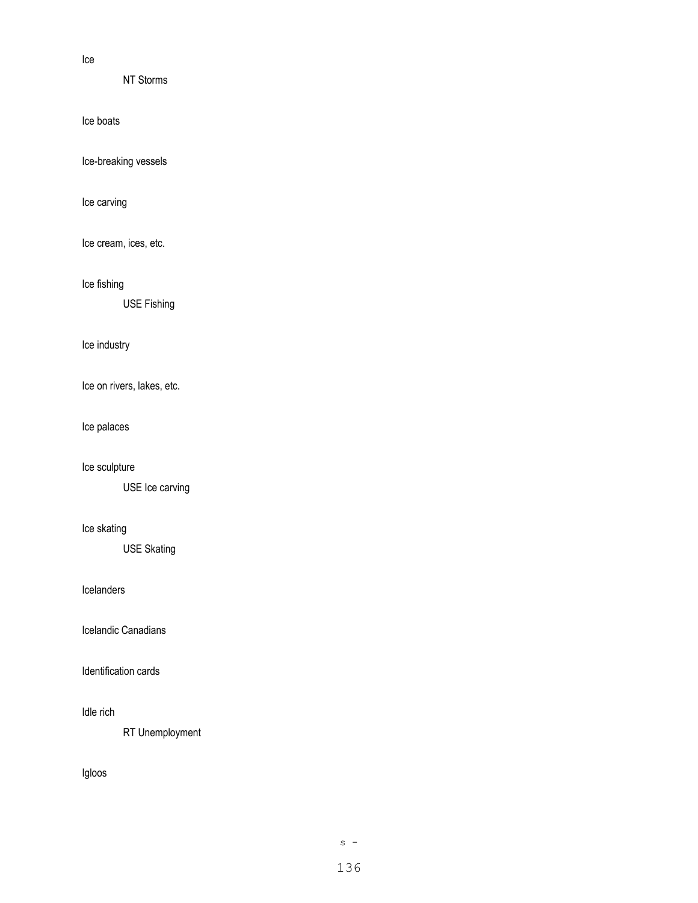Ice

NT Storms

Ice boats

Ice-breaking vessels

Ice carving

Ice cream, ices, etc.

Ice fishing

USE Fishing

Ice industry

Ice on rivers, lakes, etc.

Ice palaces

Ice sculpture

USE Ice carving

## Ice skating

USE Skating

# Icelanders

Icelandic Canadians

Identification cards

## Idle rich

RT Unemployment

# Igloos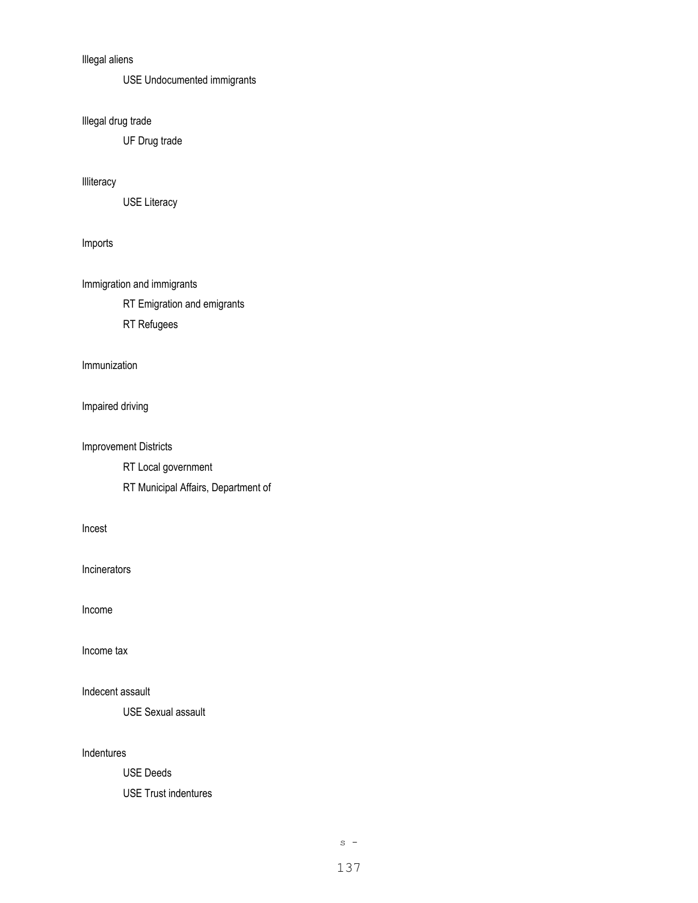# Illegal aliens

USE Undocumented immigrants

Illegal drug trade

UF Drug trade

Illiteracy

USE Literacy

### Imports

Immigration and immigrants

RT Emigration and emigrants

RT Refugees

## Immunization

Impaired driving

#### Improvement Districts

RT Local government

RT Municipal Affairs, Department of

Incest

Incinerators

Income

Income tax

# Indecent assault

USE Sexual assault

## Indentures

USE Deeds

USE Trust indentures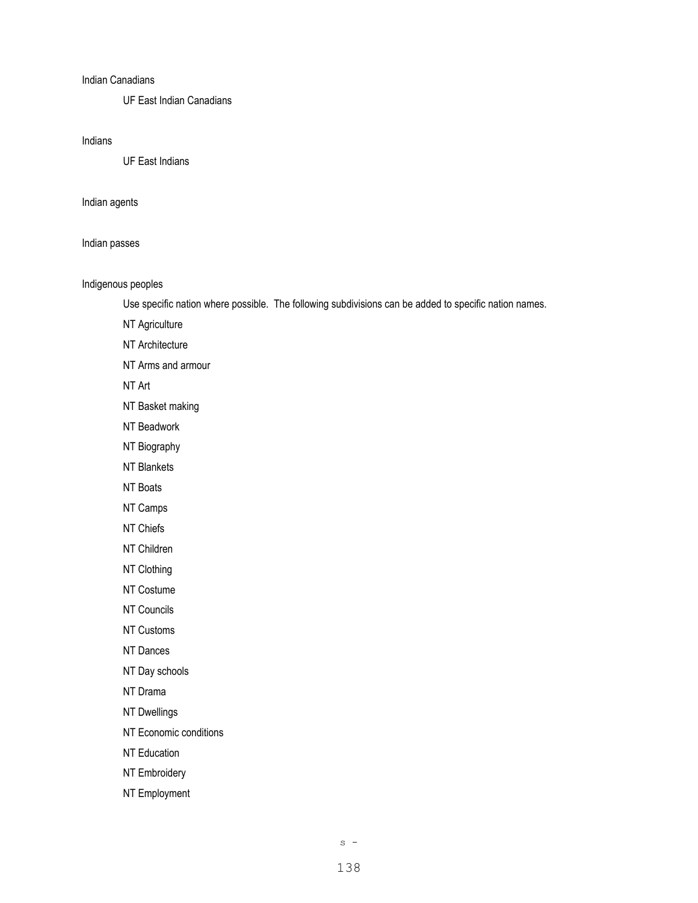#### Indian Canadians

UF East Indian Canadians

#### Indians

UF East Indians

#### Indian agents

#### Indian passes

#### Indigenous peoples

Use specific nation where possible. The following subdivisions can be added to specific nation names.

NT Agriculture

NT Architecture

NT Arms and armour

NT Art

NT Basket making

NT Beadwork

NT Biography

NT Blankets

NT Boats

NT Camps

NT Chiefs

NT Children

NT Clothing

NT Costume

NT Councils

NT Customs

NT Dances

NT Day schools

NT Drama

NT Dwellings

NT Economic conditions

NT Education

NT Embroidery

NT Employment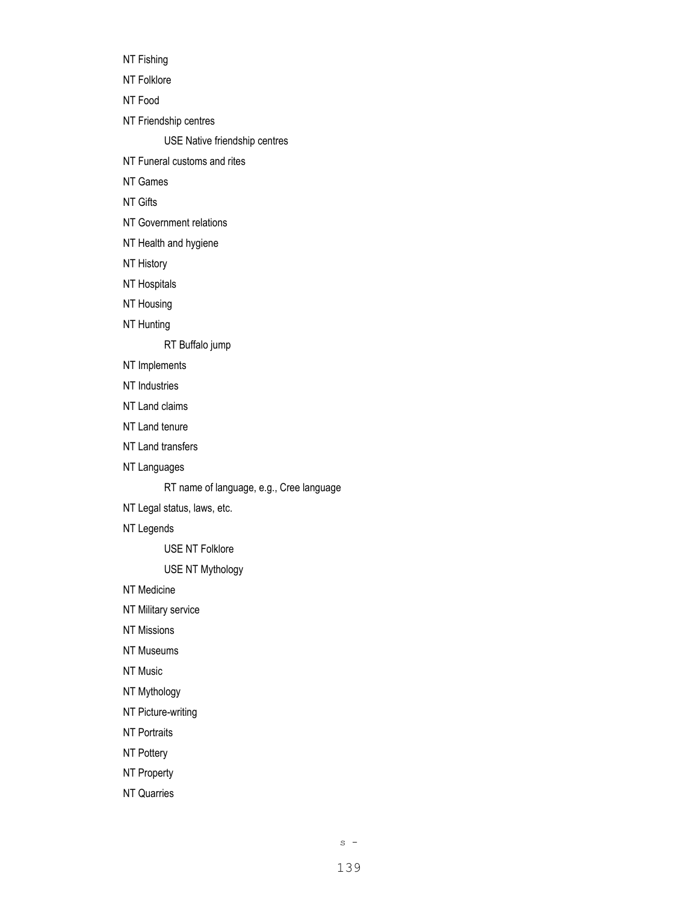NT Fishing NT Folklore NT Food NT Friendship centres USE Native friendship centres NT Funeral customs and rites NT Games NT Gifts NT Government relations NT Health and hygiene NT History NT Hospitals NT Housing NT Hunting RT Buffalo jump

- NT Implements
- NT Industries
- NT Land claims
- NT Land tenure
- NT Land transfers
- NT Languages

RT name of language, e.g., Cree language

- NT Legal status, laws, etc.
- NT Legends

USE NT Folklore

USE NT Mythology

NT Medicine

NT Military service

- NT Missions
- NT Museums
- NT Music
- NT Mythology
- NT Picture-writing
- NT Portraits
- NT Pottery
- NT Property
- NT Quarries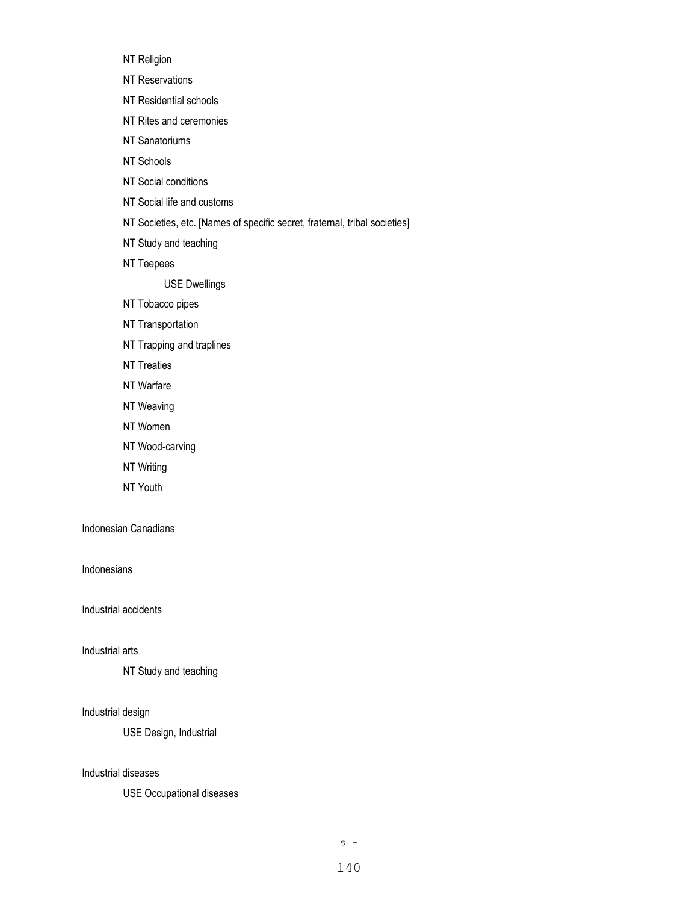NT Religion

- NT Reservations
- NT Residential schools
- NT Rites and ceremonies
- NT Sanatoriums
- NT Schools
- NT Social conditions
- NT Social life and customs
- NT Societies, etc. [Names of specific secret, fraternal, tribal societies]
- NT Study and teaching
- NT Teepees

USE Dwellings

- NT Tobacco pipes
- NT Transportation
- NT Trapping and traplines
- NT Treaties
- NT Warfare
- NT Weaving
- NT Women
- NT Wood-carving
- NT Writing
- NT Youth

## Indonesian Canadians

#### Indonesians

Industrial accidents

#### Industrial arts

NT Study and teaching

#### Industrial design

USE Design, Industrial

#### Industrial diseases

USE Occupational diseases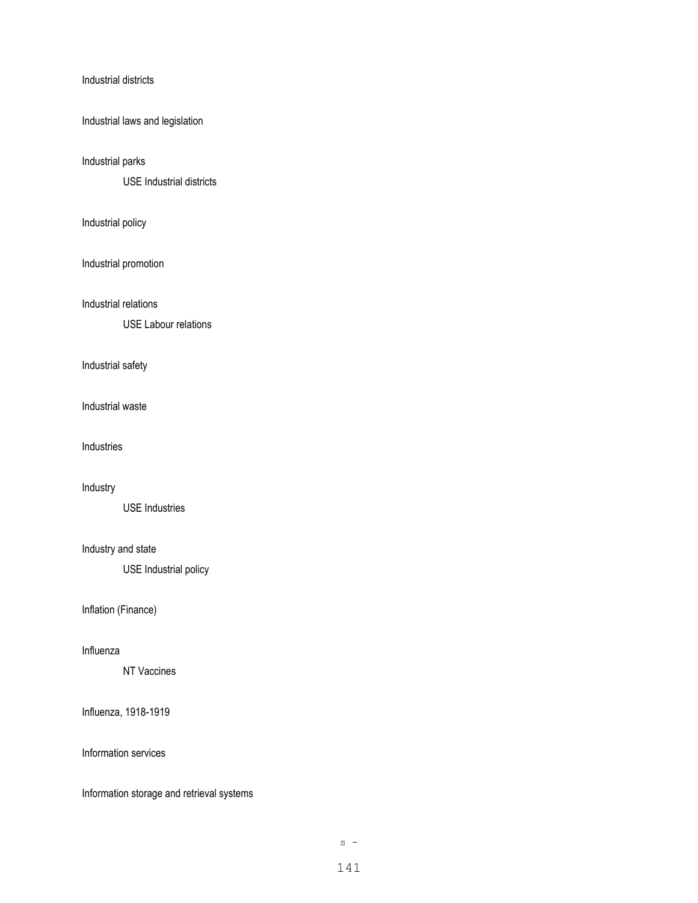#### Industrial districts

Industrial laws and legislation

#### Industrial parks

USE Industrial districts

#### Industrial policy

Industrial promotion

Industrial relations

USE Labour relations

#### Industrial safety

Industrial waste

Industries

#### Industry

USE Industries

# Industry and state

USE Industrial policy

Inflation (Finance)

#### Influenza

NT Vaccines

## Influenza, 1918-1919

Information services

Information storage and retrieval systems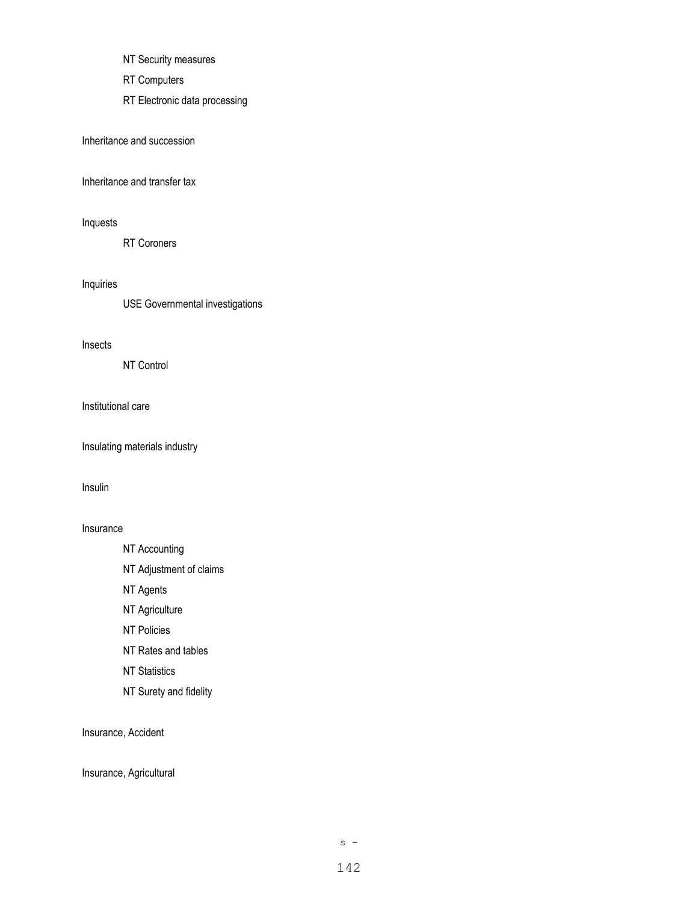- NT Security measures
- RT Computers
- RT Electronic data processing

Inheritance and succession

Inheritance and transfer tax

# Inquests

RT Coroners

Inquiries

USE Governmental investigations

Insects

NT Control

Institutional care

Insulating materials industry

Insulin

#### Insurance

- NT Accounting
- NT Adjustment of claims
- NT Agents
- NT Agriculture
- NT Policies
- NT Rates and tables
- NT Statistics
- NT Surety and fidelity

Insurance, Accident

Insurance, Agricultural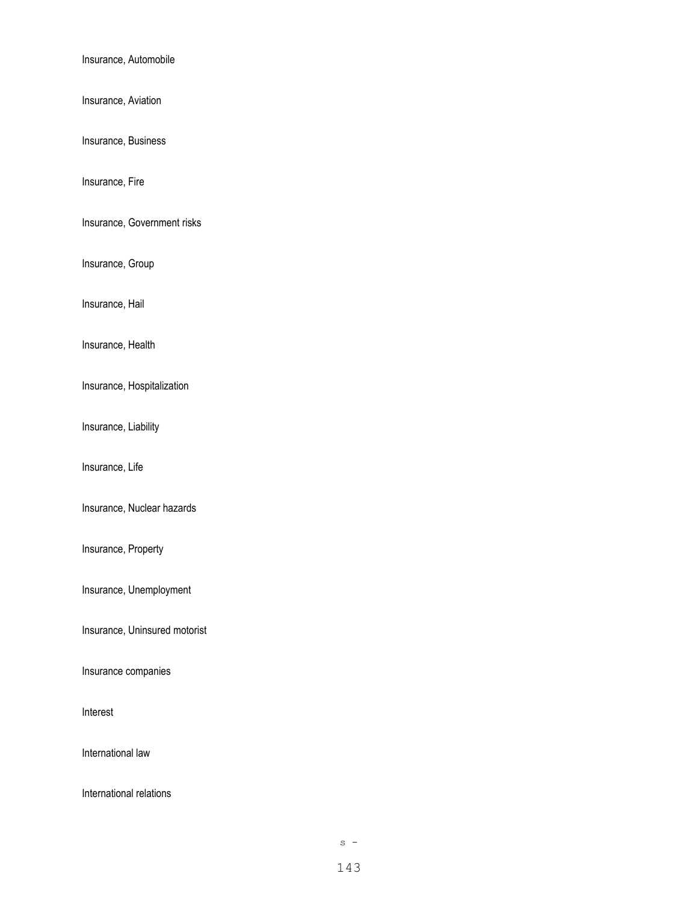Insurance, Automobile

Insurance, Aviation

Insurance, Business

Insurance, Fire

Insurance, Government risks

Insurance, Group

Insurance, Hail

Insurance, Health

Insurance, Hospitalization

Insurance, Liability

Insurance, Life

Insurance, Nuclear hazards

Insurance, Property

Insurance, Unemployment

Insurance, Uninsured motorist

Insurance companies

Interest

International law

International relations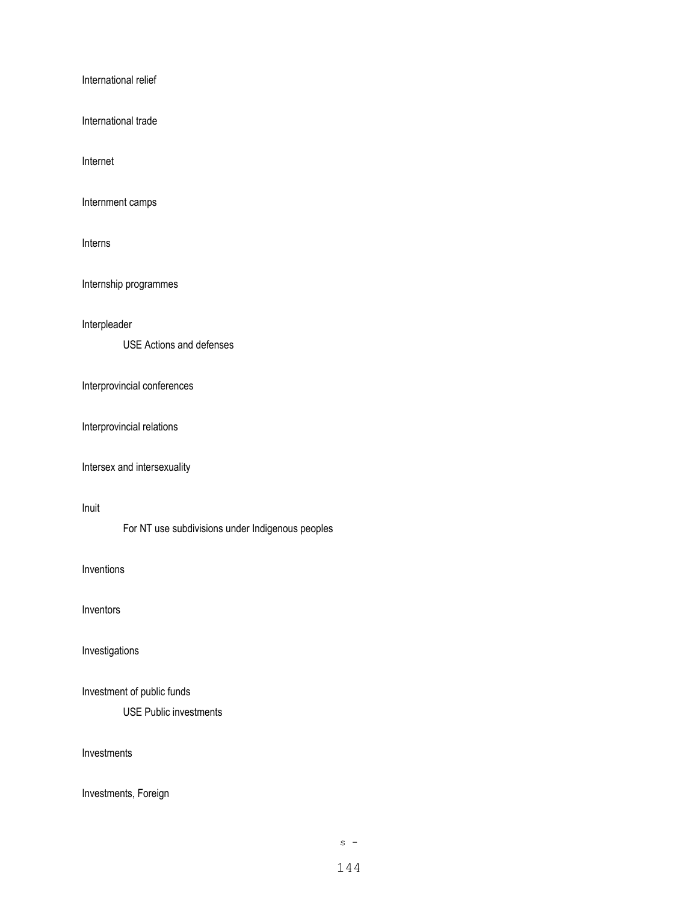International relief

International trade

Internet

Internment camps

Interns

Internship programmes

Interpleader

USE Actions and defenses

Interprovincial conferences

Interprovincial relations

Intersex and intersexuality

Inuit

For NT use subdivisions under Indigenous peoples

Inventions

Inventors

Investigations

Investment of public funds

USE Public investments

Investments

Investments, Foreign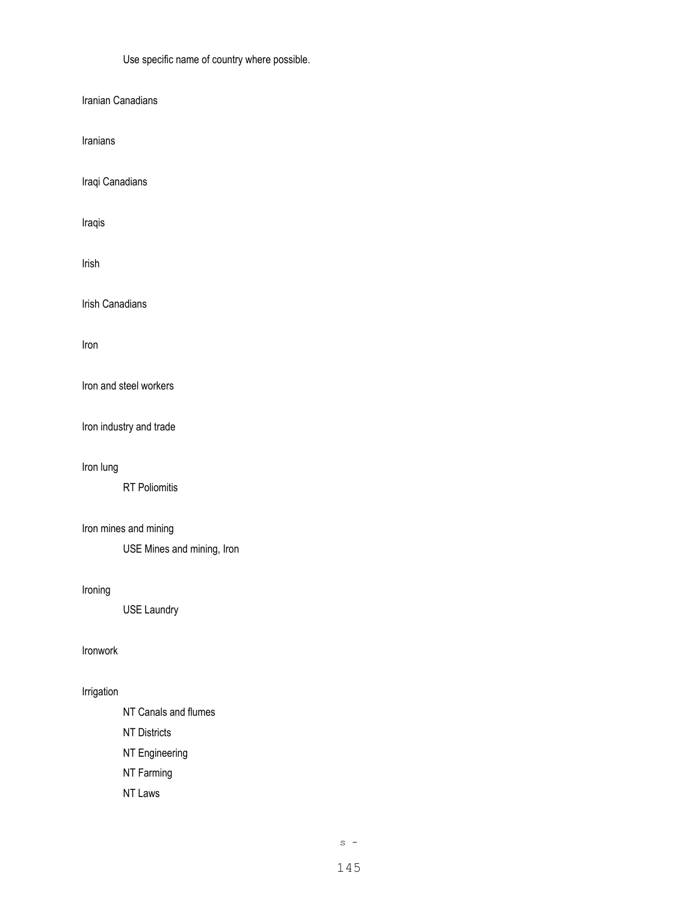Use specific name of country where possible.

Iranian Canadians

Iranians

Iraqi Canadians

Iraqis

Irish

Irish Canadians

Iron

Iron and steel workers

Iron industry and trade

Iron lung

RT Poliomitis

# Iron mines and mining

USE Mines and mining, Iron

### Ironing

USE Laundry

### Ironwork

# Irrigation

NT Canals and flumes NT Districts NT Engineering NT Farming NT Laws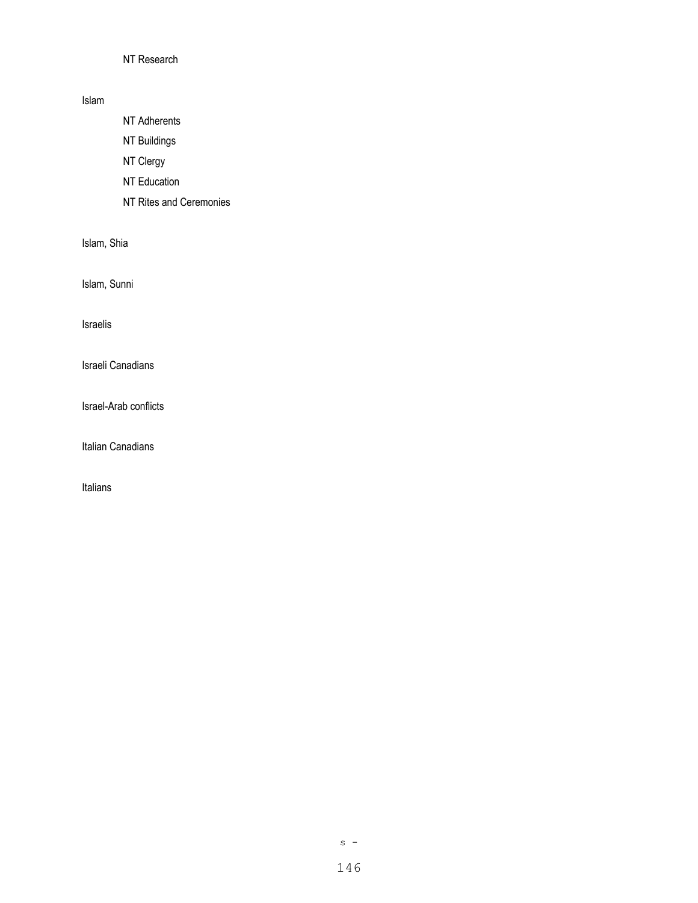# NT Research

## Islam

NT Adherents

NT Buildings

NT Clergy

NT Education

NT Rites and Ceremonies

Islam, Shia

Islam, Sunni

Israelis

Israeli Canadians

Israel-Arab conflicts

Italian Canadians

Italians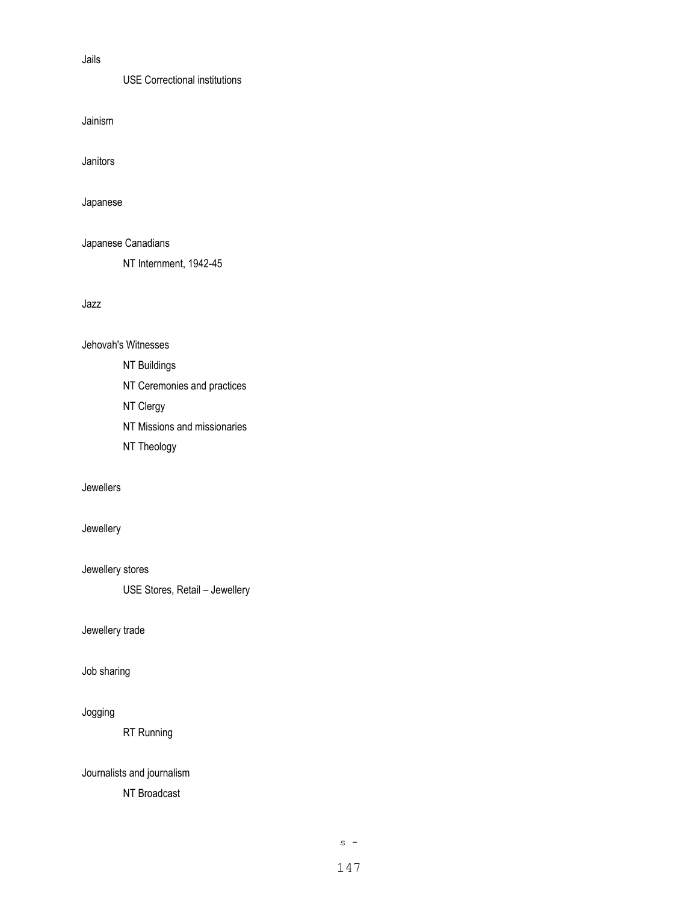## Jails

USE Correctional institutions

Jainism

Janitors

Japanese

Japanese Canadians

NT Internment, 1942-45

Jazz

Jehovah's Witnesses

NT Buildings

NT Ceremonies and practices

NT Clergy

NT Missions and missionaries

NT Theology

Jewellers

# Jewellery

Jewellery stores

USE Stores, Retail – Jewellery

Jewellery trade

Job sharing

Jogging

RT Running

Journalists and journalism

NT Broadcast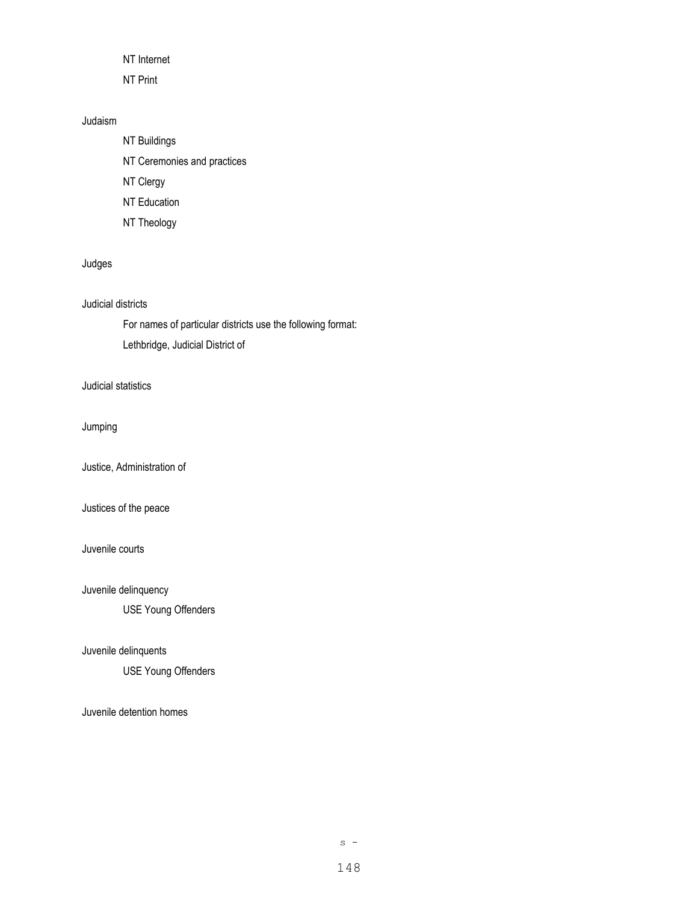NT Internet

NT Print

## Judaism

NT Buildings NT Ceremonies and practices NT Clergy NT Education

NT Theology

# Judges

## Judicial districts

For names of particular districts use the following format: Lethbridge, Judicial District of

## Judicial statistics

Jumping

Justice, Administration of

## Justices of the peace

## Juvenile courts

Juvenile delinquency

USE Young Offenders

## Juvenile delinquents

USE Young Offenders

Juvenile detention homes

 $s -$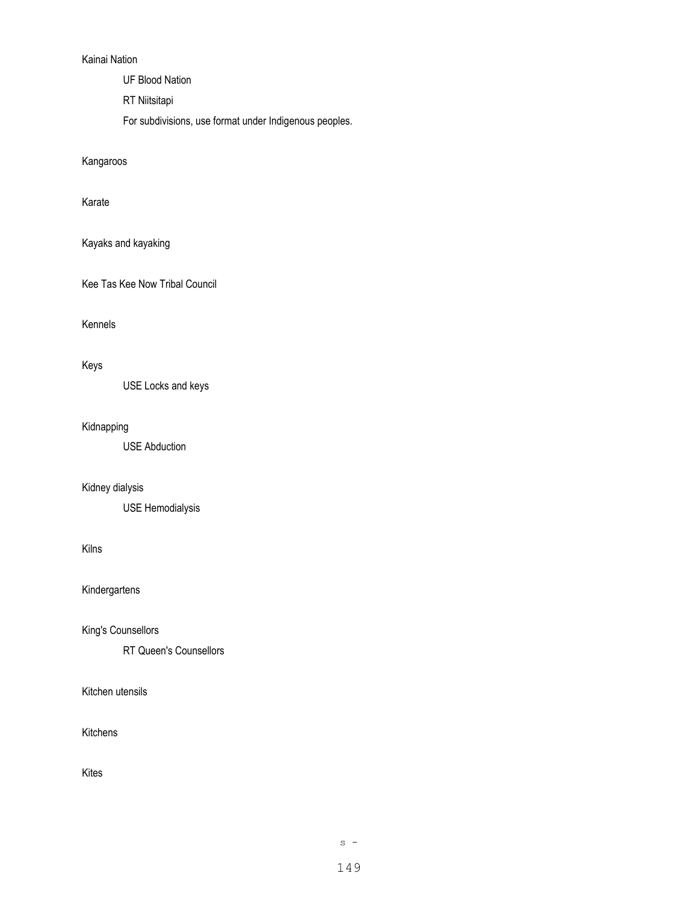## Kainai Nation

UF Blood Nation

RT Niitsitapi

For subdivisions, use format under Indigenous peoples.

Kangaroos

Karate

Kayaks and kayaking

Kee Tas Kee Now Tribal Council

Kennels

## Keys

USE Locks and keys

## Kidnapping

USE Abduction

# Kidney dialysis

USE Hemodialysis

## Kilns

Kindergartens

King's Counsellors

RT Queen's Counsellors

Kitchen utensils

### Kitchens

Kites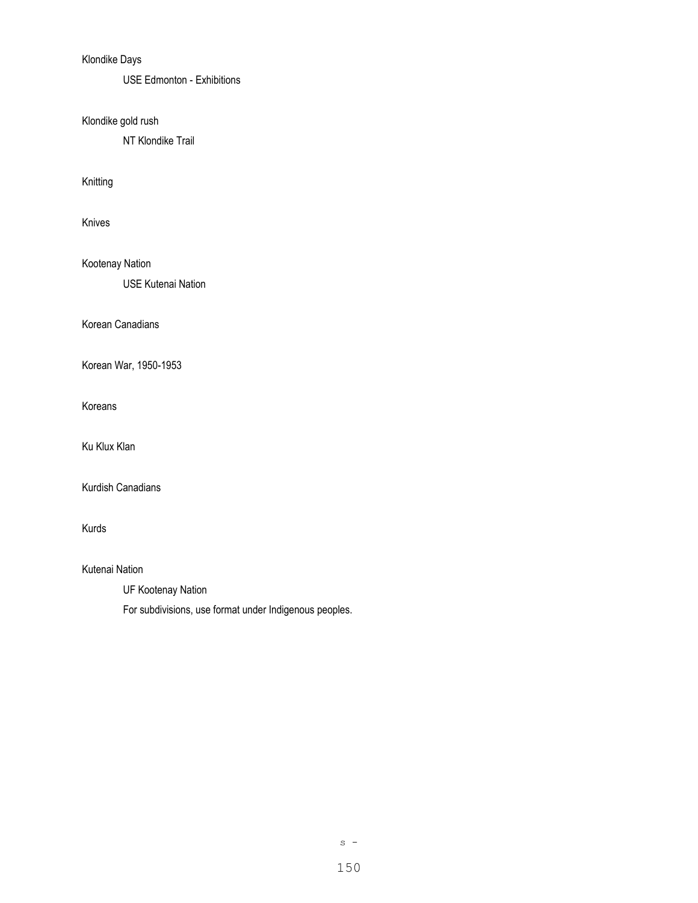# Klondike Days

USE Edmonton - Exhibitions

Klondike gold rush

NT Klondike Trail

Knitting

Knives

Kootenay Nation

USE Kutenai Nation

Korean Canadians

Korean War, 1950-1953

Koreans

Ku Klux Klan

Kurdish Canadians

Kurds

Kutenai Nation

UF Kootenay Nation

For subdivisions, use format under Indigenous peoples.

 $s -$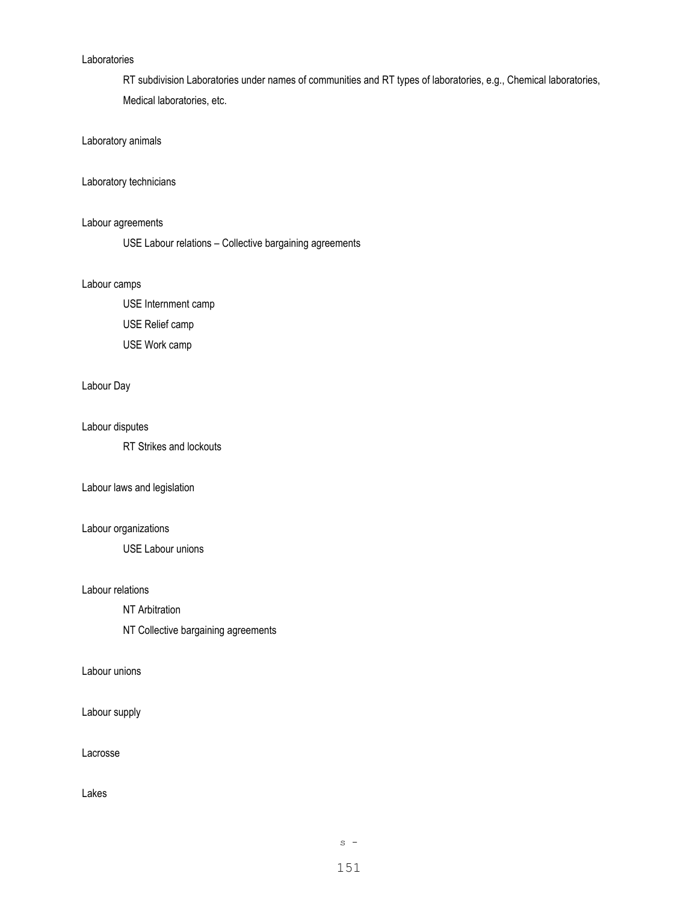### Laboratories

RT subdivision Laboratories under names of communities and RT types of laboratories, e.g., Chemical laboratories, Medical laboratories, etc.

## Laboratory animals

## Laboratory technicians

## Labour agreements

USE Labour relations – Collective bargaining agreements

### Labour camps

USE Internment camp

USE Relief camp

USE Work camp

## Labour Day

### Labour disputes

RT Strikes and lockouts

#### Labour laws and legislation

## Labour organizations

USE Labour unions

#### Labour relations

NT Arbitration

NT Collective bargaining agreements

## Labour unions

Labour supply

Lacrosse

## Lakes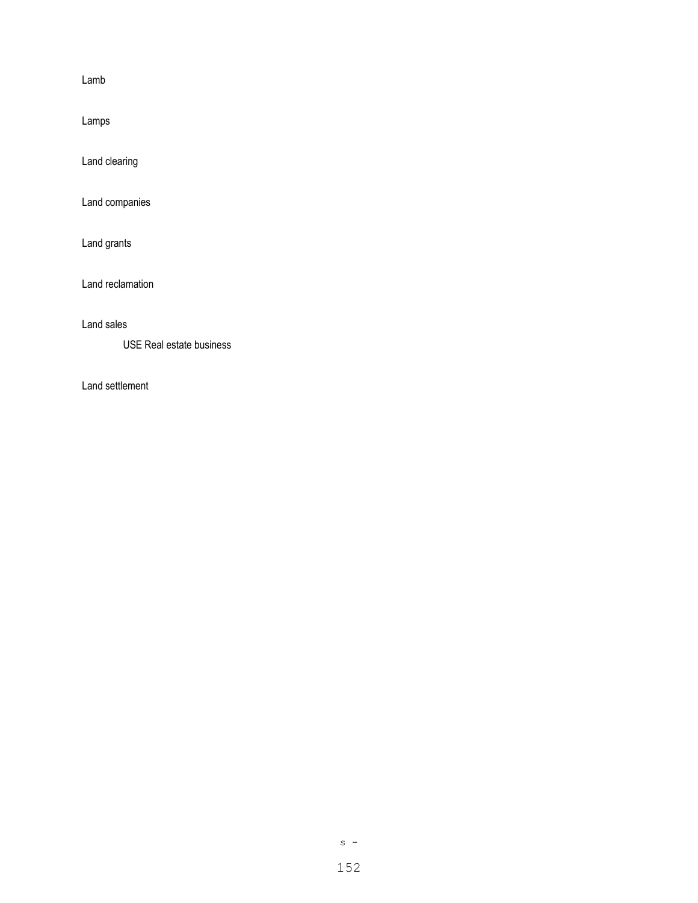Lamb

Lamps

Land clearing

Land companies

Land grants

Land reclamation

Land sales

USE Real estate business

Land settlement

 $s -$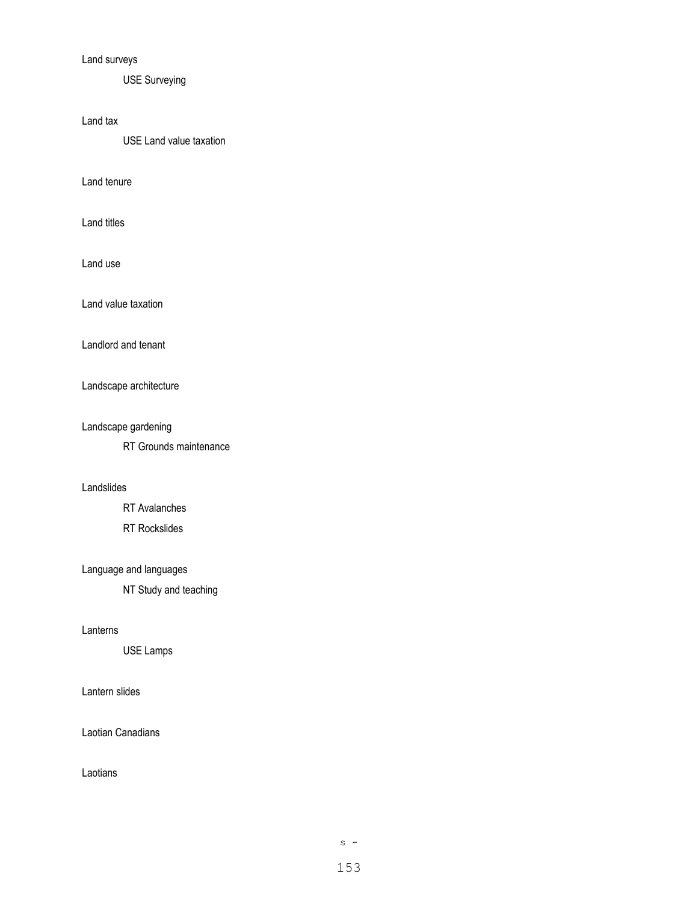# Land surveys

USE Surveying

## Land tax

USE Land value taxation

Land tenure

Land titles

Land use

Land value taxation

Landlord and tenant

Landscape architecture

Landscape gardening

RT Grounds maintenance

## Landslides

RT Avalanches

RT Rockslides

# Language and languages

NT Study and teaching

### Lanterns

USE Lamps

## Lantern slides

Laotian Canadians

Laotians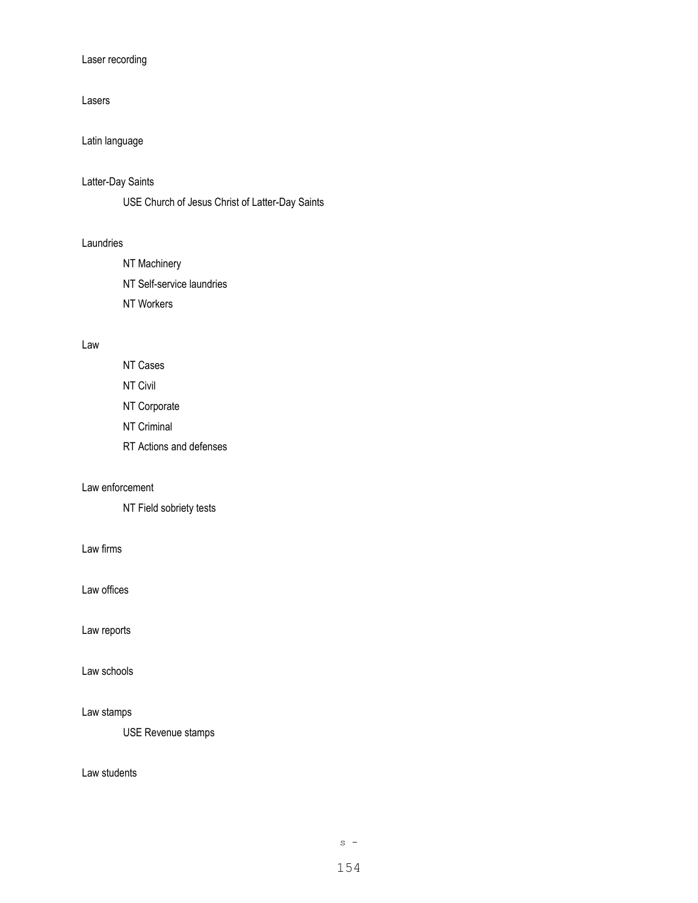## Laser recording

## Lasers

# Latin language

## Latter-Day Saints

USE Church of Jesus Christ of Latter-Day Saints

### Laundries

- NT Machinery
- NT Self-service laundries
- NT Workers

## Law

- NT Cases NT Civil
- NT Corporate
- NT Criminal
- RT Actions and defenses

## Law enforcement

NT Field sobriety tests

Law firms

Law offices

Law reports

Law schools

## Law stamps

USE Revenue stamps

## Law students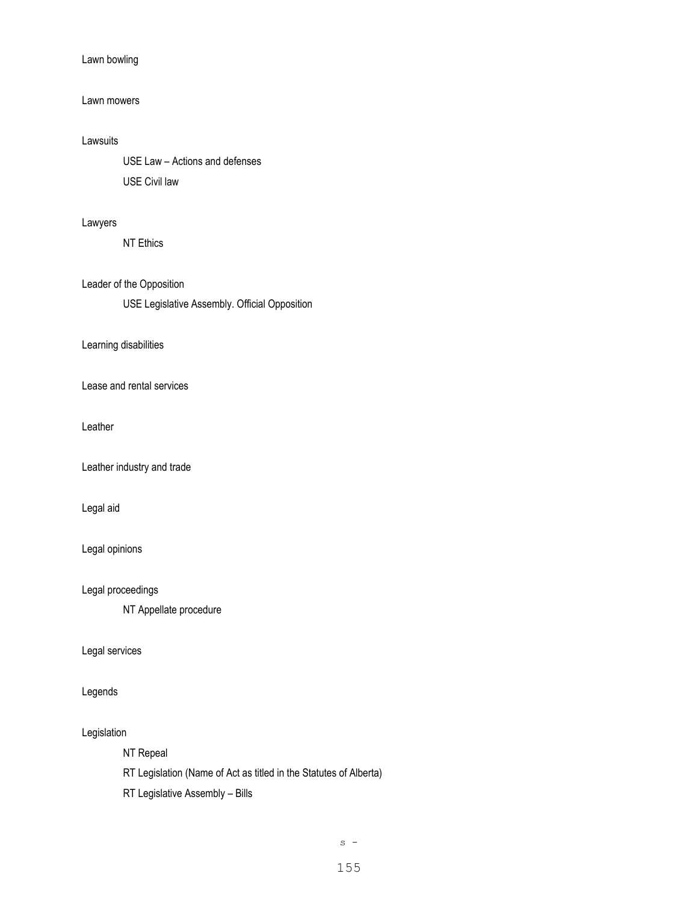## Lawn bowling

## Lawn mowers

## Lawsuits

USE Law – Actions and defenses USE Civil law

## Lawyers

NT Ethics

## Leader of the Opposition

USE Legislative Assembly. Official Opposition

## Learning disabilities

Lease and rental services

Leather

Leather industry and trade

Legal aid

## Legal opinions

Legal proceedings

NT Appellate procedure

#### Legal services

## Legends

## Legislation

NT Repeal

RT Legislation (Name of Act as titled in the Statutes of Alberta)

RT Legislative Assembly – Bills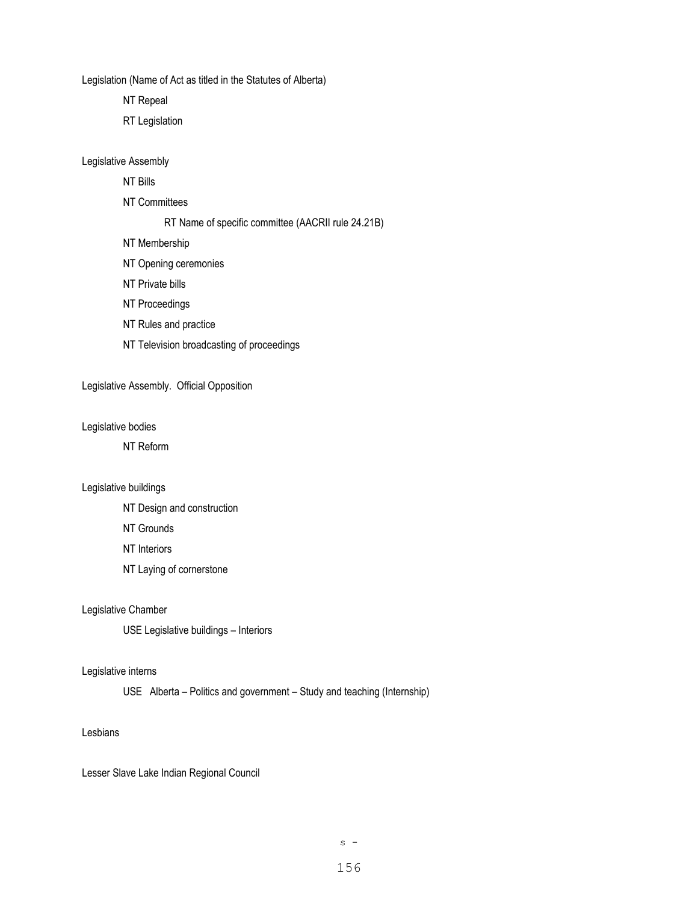Legislation (Name of Act as titled in the Statutes of Alberta)

NT Repeal

RT Legislation

Legislative Assembly

NT Bills

NT Committees

#### RT Name of specific committee (AACRII rule 24.21B)

NT Membership

- NT Opening ceremonies
- NT Private bills
- NT Proceedings
- NT Rules and practice
- NT Television broadcasting of proceedings

Legislative Assembly. Official Opposition

Legislative bodies

NT Reform

### Legislative buildings

NT Design and construction

NT Grounds

NT Interiors

NT Laying of cornerstone

Legislative Chamber

USE Legislative buildings – Interiors

### Legislative interns

USE Alberta – Politics and government – Study and teaching (Internship)

#### Lesbians

Lesser Slave Lake Indian Regional Council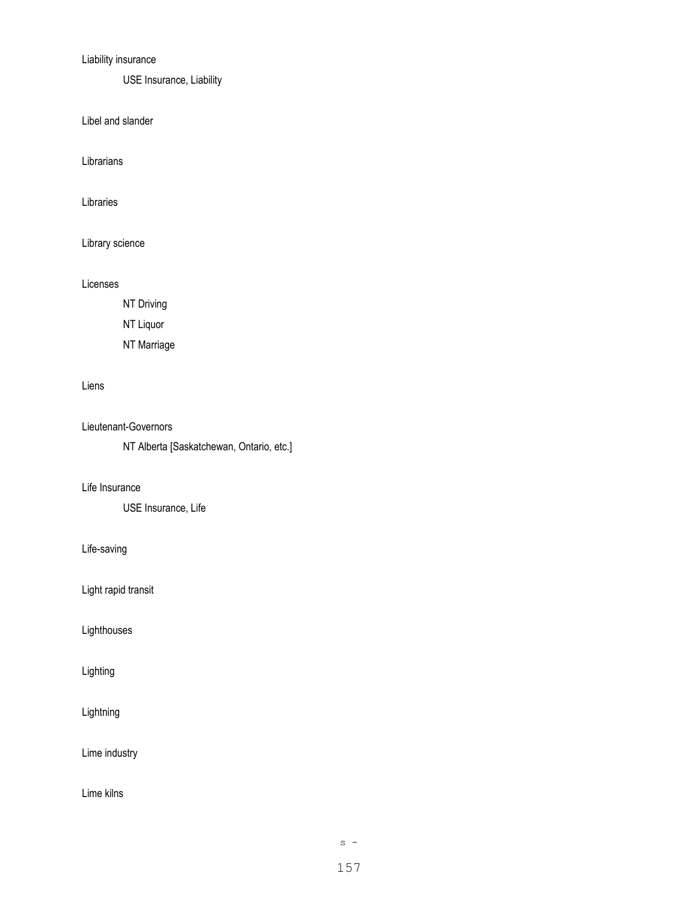# Liability insurance

USE Insurance, Liability

Libel and slander

Librarians

Libraries

Library science

## Licenses

NT Driving

NT Liquor

NT Marriage

## Liens

Lieutenant-Governors

NT Alberta [Saskatchewan, Ontario, etc.]

## Life Insurance

USE Insurance, Life

## Life-saving

Light rapid transit

Lighthouses

# Lighting

Lightning

Lime industry

Lime kilns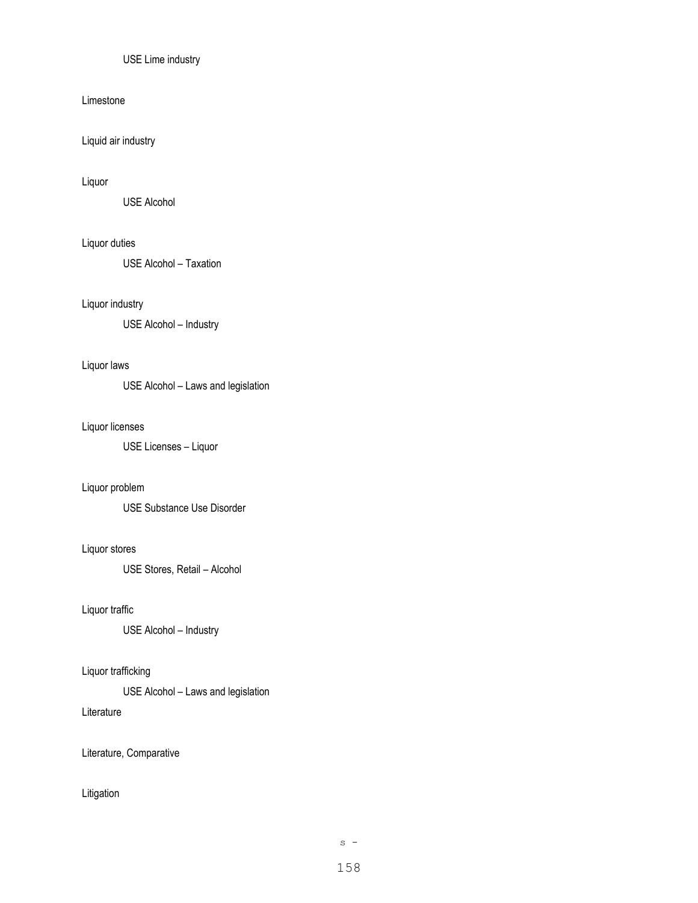## USE Lime industry

### Limestone

Liquid air industry

## Liquor

USE Alcohol

## Liquor duties

USE Alcohol – Taxation

## Liquor industry

USE Alcohol – Industry

## Liquor laws

USE Alcohol – Laws and legislation

### Liquor licenses

USE Licenses – Liquor

## Liquor problem

USE Substance Use Disorder

## Liquor stores

USE Stores, Retail – Alcohol

## Liquor traffic

USE Alcohol – Industry

## Liquor trafficking

USE Alcohol – Laws and legislation

## Literature

Literature, Comparative

## Litigation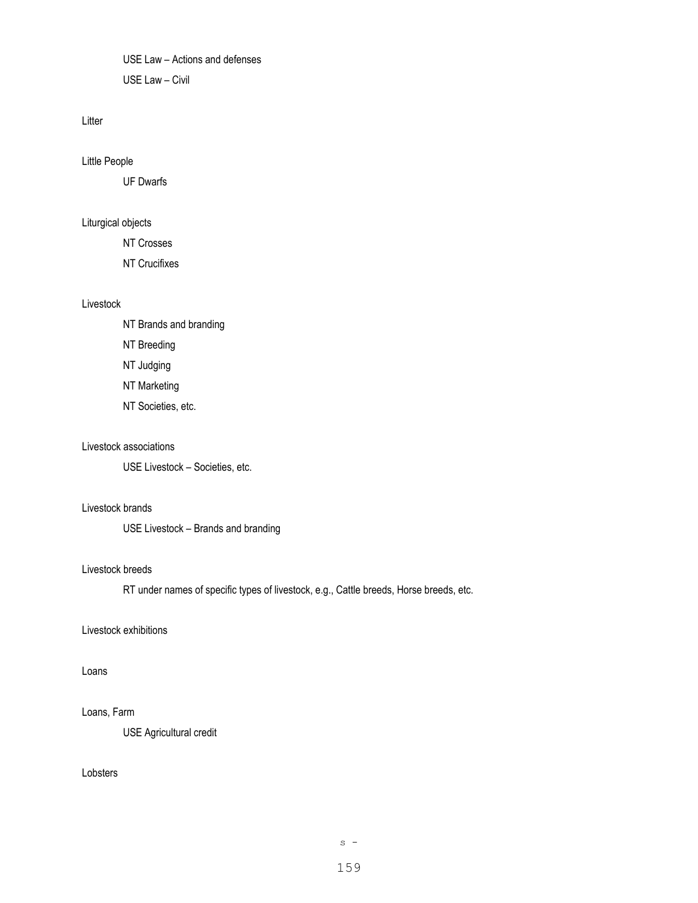USE Law – Actions and defenses USE Law – Civil

### Litter

Little People

UF Dwarfs

## Liturgical objects

NT Crosses

NT Crucifixes

### Livestock

NT Brands and branding

NT Breeding

NT Judging

NT Marketing

NT Societies, etc.

#### Livestock associations

USE Livestock – Societies, etc.

## Livestock brands

USE Livestock – Brands and branding

#### Livestock breeds

RT under names of specific types of livestock, e.g., Cattle breeds, Horse breeds, etc.

## Livestock exhibitions

## Loans

## Loans, Farm

USE Agricultural credit

## Lobsters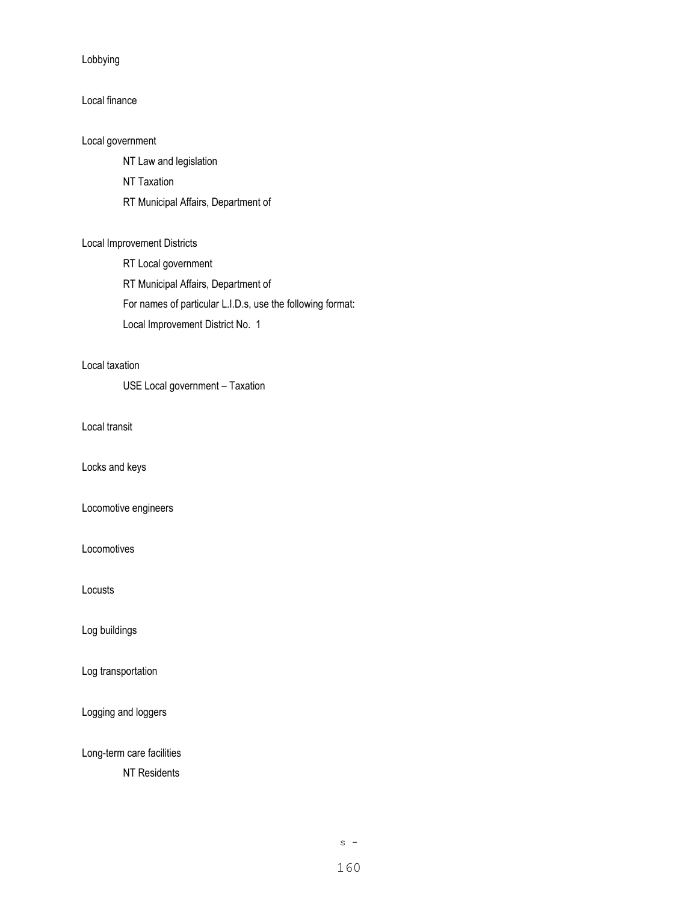Lobbying

## Local finance

Local government

NT Law and legislation

NT Taxation

RT Municipal Affairs, Department of

## Local Improvement Districts

RT Local government

RT Municipal Affairs, Department of

For names of particular L.I.D.s, use the following format:

Local Improvement District No. 1

## Local taxation

USE Local government – Taxation

Local transit

Locks and keys

Locomotive engineers

**Locomotives** 

Locusts

Log buildings

Log transportation

Logging and loggers

Long-term care facilities

NT Residents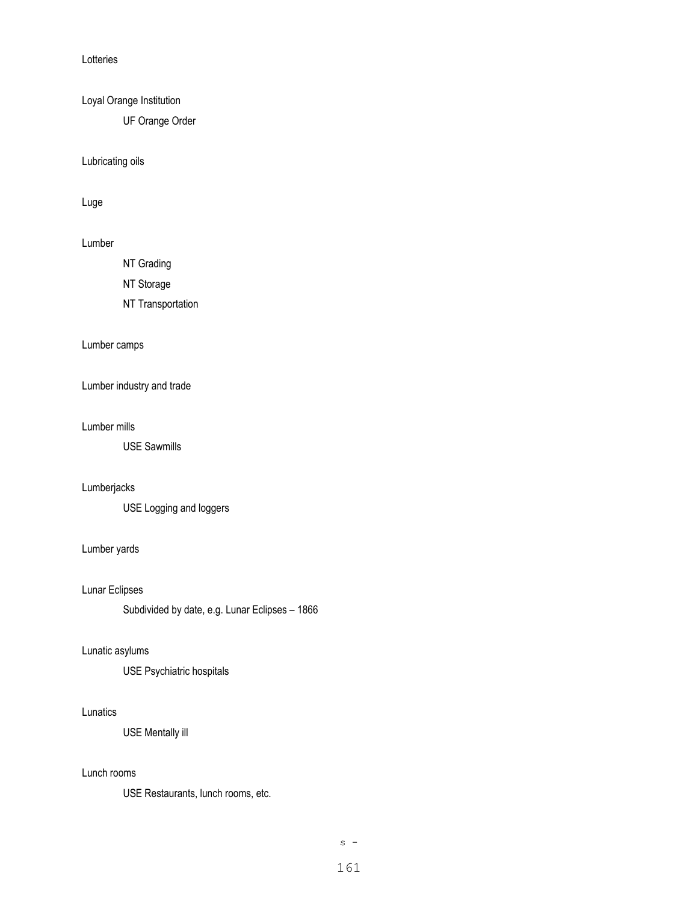Lotteries

Loyal Orange Institution

UF Orange Order

Lubricating oils

Luge

## Lumber

NT Grading

NT Storage

NT Transportation

## Lumber camps

Lumber industry and trade

#### Lumber mills

USE Sawmills

## Lumberjacks

USE Logging and loggers

## Lumber yards

Lunar Eclipses

Subdivided by date, e.g. Lunar Eclipses – 1866

## Lunatic asylums

USE Psychiatric hospitals

## Lunatics

USE Mentally ill

## Lunch rooms

USE Restaurants, lunch rooms, etc.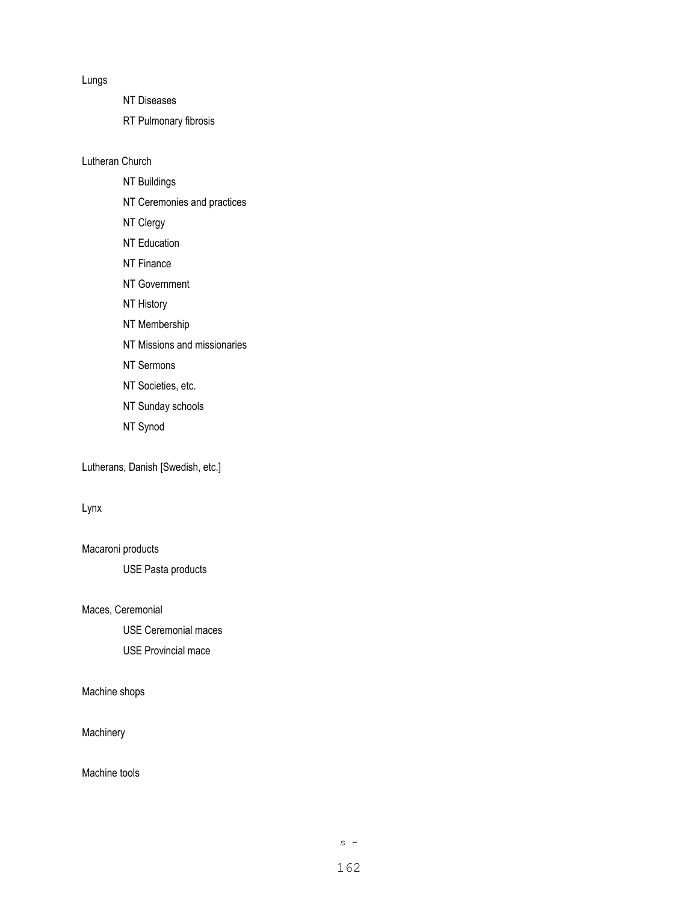Lungs

NT Diseases

RT Pulmonary fibrosis

Lutheran Church

NT Buildings

NT Ceremonies and practices

NT Clergy

NT Education

NT Finance

NT Government

NT History

NT Membership

NT Missions and missionaries

NT Sermons

NT Societies, etc.

NT Sunday schools

NT Synod

Lutherans, Danish [Swedish, etc.]

Lynx

Macaroni products USE Pasta products

Maces, Ceremonial

USE Ceremonial maces USE Provincial mace

Machine shops

**Machinery** 

Machine tools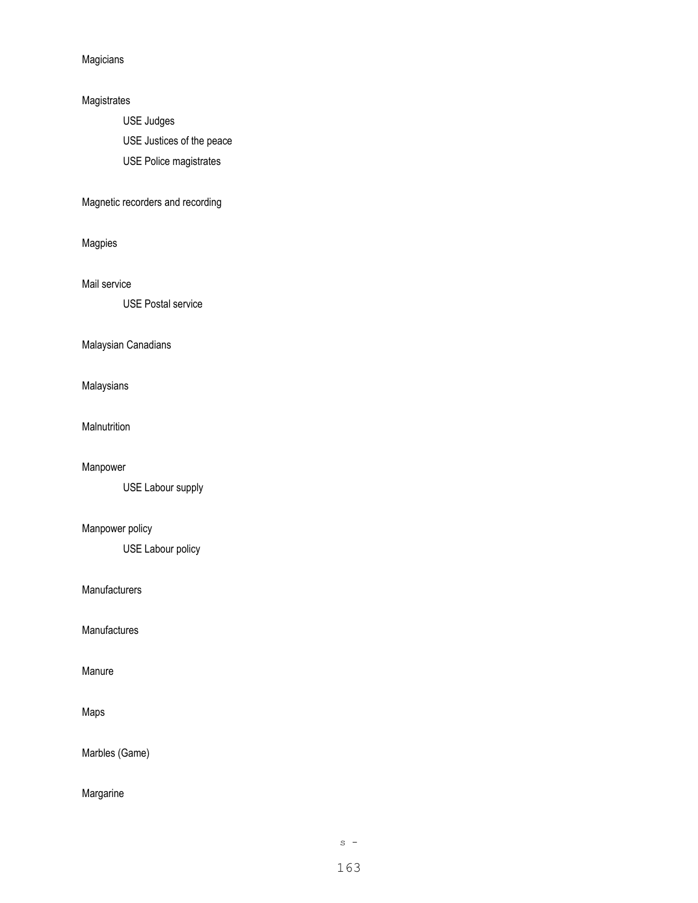Magicians

## Magistrates

USE Judges

USE Justices of the peace

USE Police magistrates

# Magnetic recorders and recording

Magpies

Mail service

USE Postal service

## Malaysian Canadians

Malaysians

**Malnutrition** 

Manpower

USE Labour supply

# Manpower policy

USE Labour policy

### **Manufacturers**

Manufactures

Manure

## Maps

Marbles (Game)

# Margarine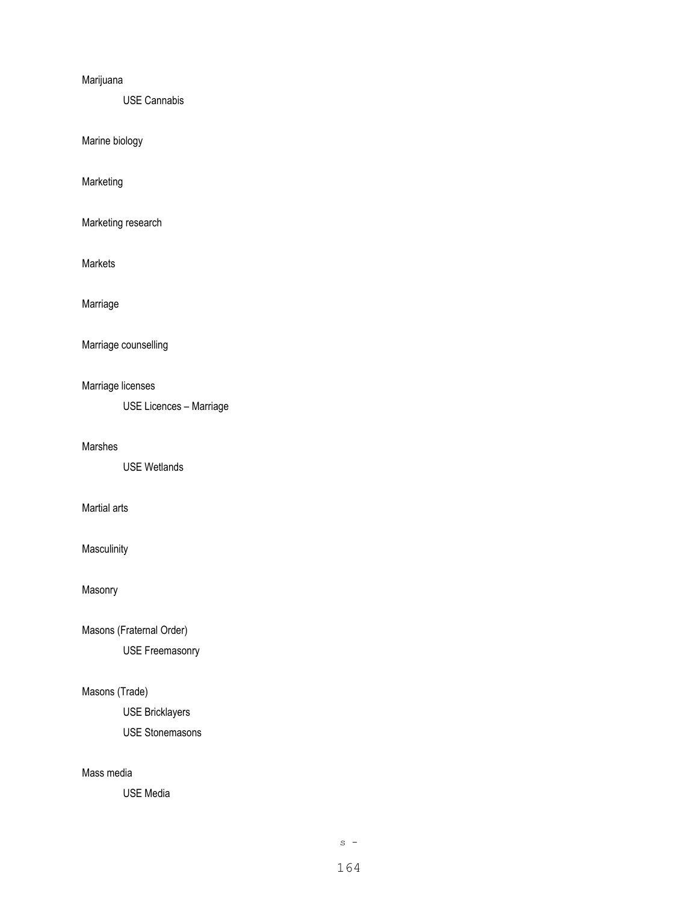## Marijuana

USE Cannabis

Marine biology

Marketing

Marketing research

Markets

Marriage

Marriage counselling

# Marriage licenses

USE Licences – Marriage

## Marshes

USE Wetlands

## Martial arts

**Masculinity** 

Masonry

Masons (Fraternal Order)

USE Freemasonry

# Masons (Trade)

USE Bricklayers USE Stonemasons

#### Mass media

USE Media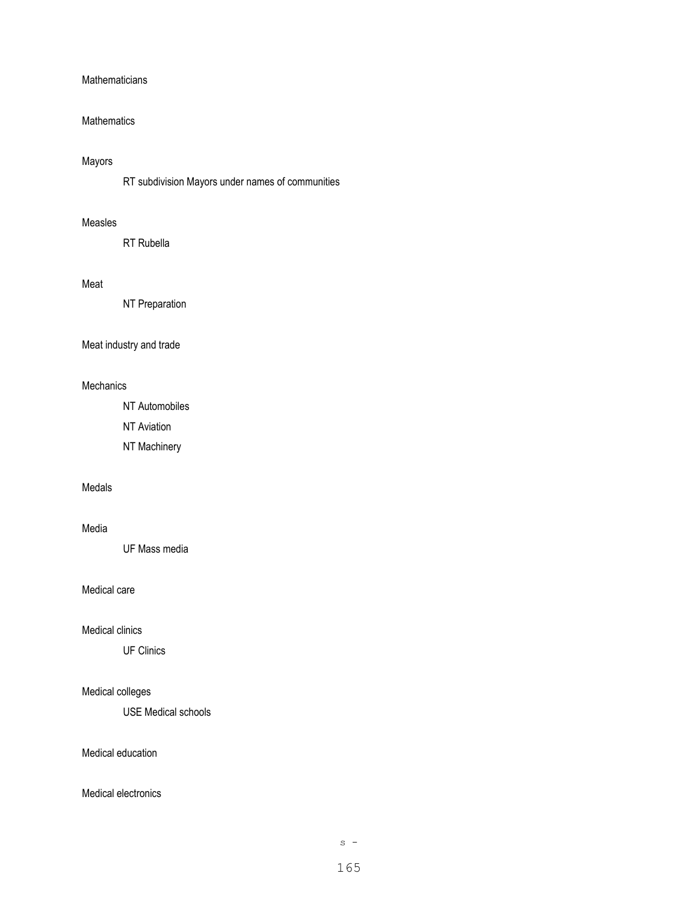### **Mathematicians**

### **Mathematics**

# Mayors

RT subdivision Mayors under names of communities

#### Measles

RT Rubella

## Meat

NT Preparation

## Meat industry and trade

#### **Mechanics**

NT Automobiles

NT Aviation

NT Machinery

## Medals

#### Media

UF Mass media

## Medical care

### Medical clinics

UF Clinics

# Medical colleges

USE Medical schools

## Medical education

### Medical electronics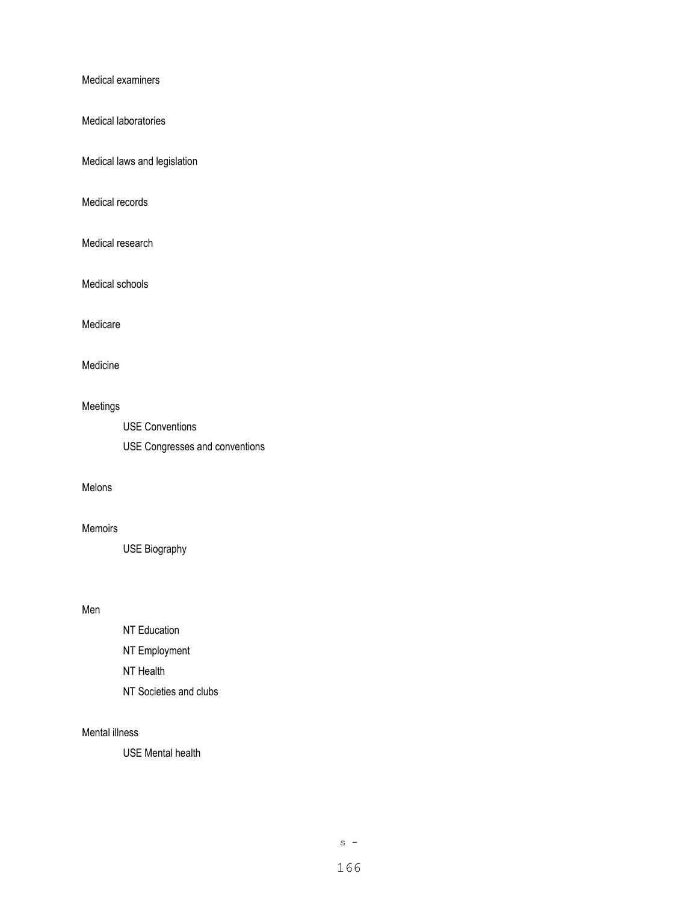Medical examiners

Medical laboratories

Medical laws and legislation

Medical records

Medical research

Medical schools

Medicare

## Medicine

# Meetings

USE Conventions USE Congresses and conventions

### Melons

#### Memoirs

USE Biography

## Men

- NT Education NT Employment NT Health
- NT Societies and clubs

#### Mental illness

USE Mental health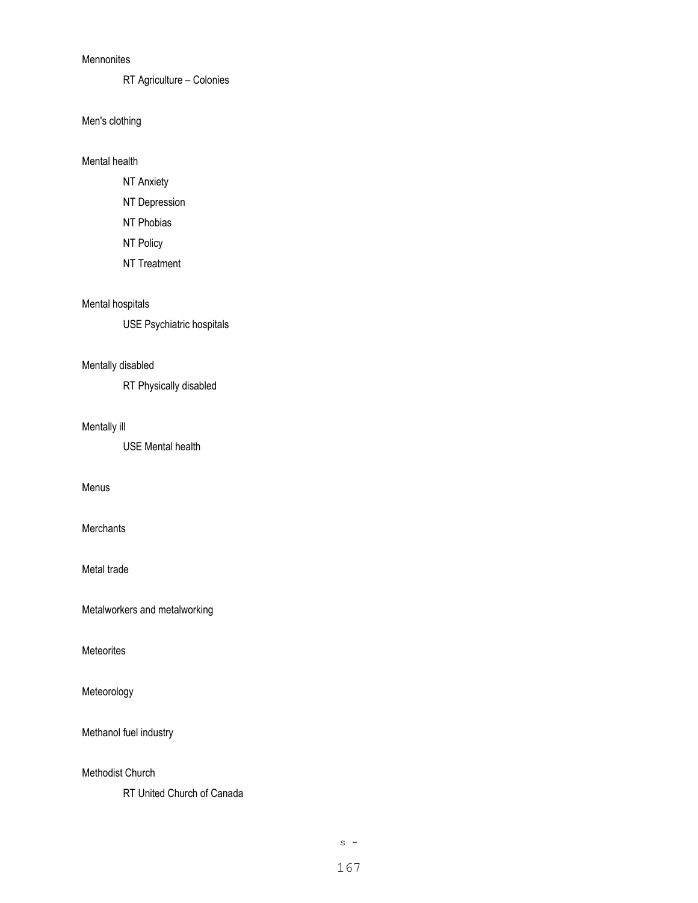### **Mennonites**

RT Agriculture – Colonies

Men's clothing

Mental health

- NT Anxiety
- NT Depression
- NT Phobias
- NT Policy
- NT Treatment

# Mental hospitals

USE Psychiatric hospitals

## Mentally disabled

RT Physically disabled

## Mentally ill

USE Mental health

## Menus

## **Merchants**

Metal trade

Metalworkers and metalworking

**Meteorites** 

Meteorology

Methanol fuel industry

Methodist Church

RT United Church of Canada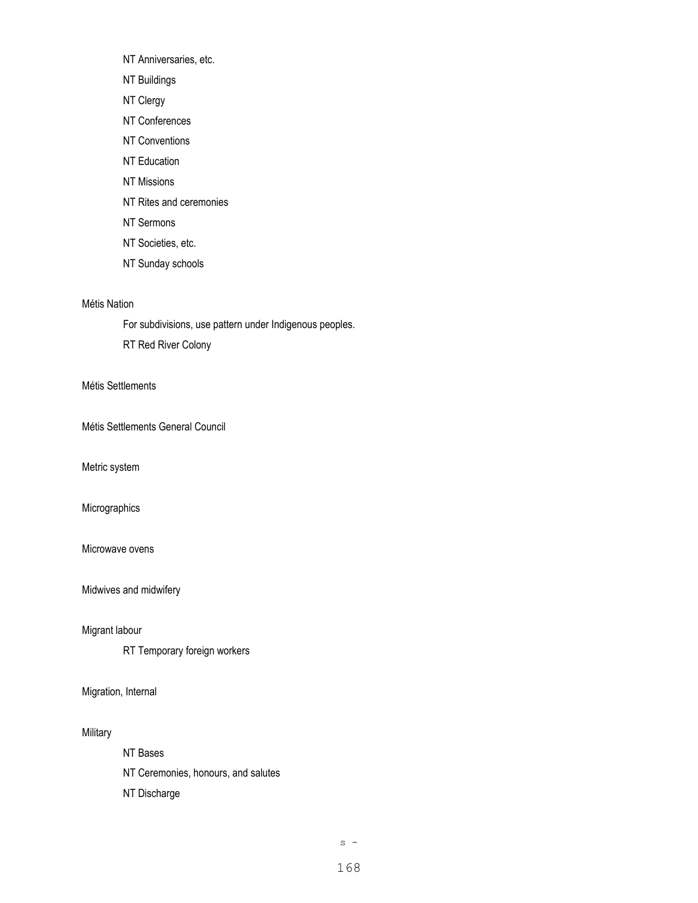NT Anniversaries, etc.

- NT Buildings
- NT Clergy
- NT Conferences
- NT Conventions
- NT Education
- NT Missions
- NT Rites and ceremonies
- NT Sermons
- NT Societies, etc.
- NT Sunday schools

## Métis Nation

For subdivisions, use pattern under Indigenous peoples.

RT Red River Colony

## Métis Settlements

Métis Settlements General Council

Metric system

## Micrographics

Microwave ovens

Midwives and midwifery

## Migrant labour

RT Temporary foreign workers

## Migration, Internal

## Military

NT Bases NT Ceremonies, honours, and salutes NT Discharge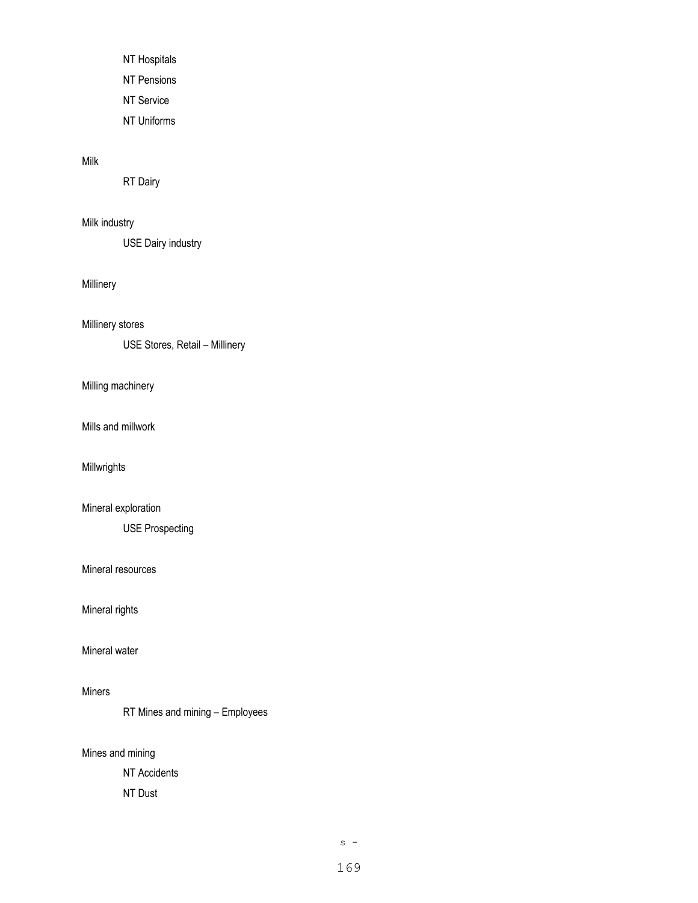NT Hospitals NT Pensions NT Service NT Uniforms

## Milk

RT Dairy

## Milk industry

USE Dairy industry

#### Millinery

Millinery stores

USE Stores, Retail – Millinery

Milling machinery

Mills and millwork

Millwrights

## Mineral exploration

USE Prospecting

#### Mineral resources

Mineral rights

## Mineral water

## Miners

RT Mines and mining – Employees

Mines and mining

NT Accidents NT Dust

 $s -$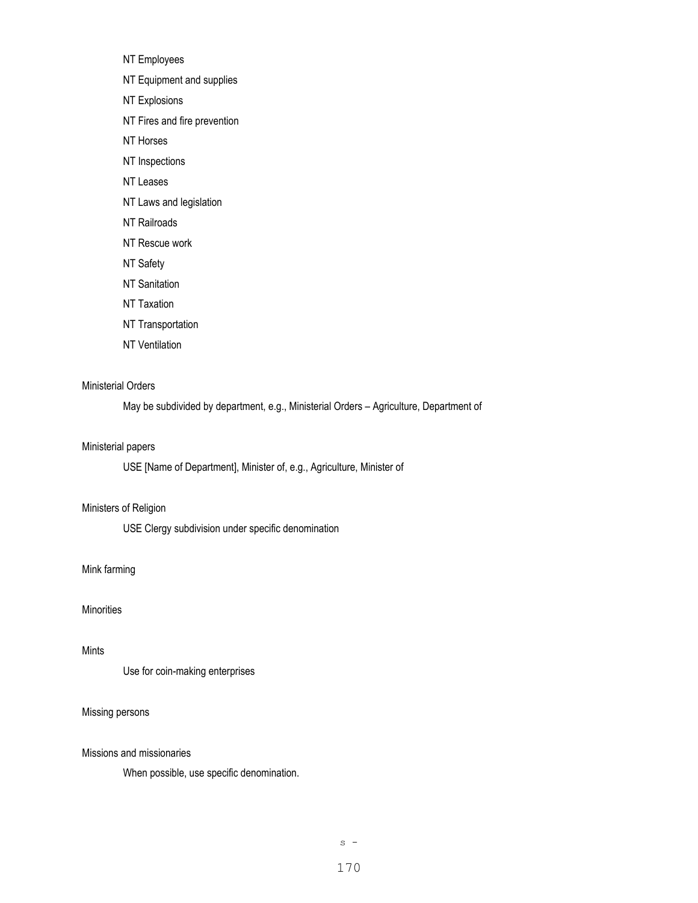NT Employees NT Equipment and supplies NT Explosions NT Fires and fire prevention NT Horses NT Inspections NT Leases NT Laws and legislation NT Railroads NT Rescue work NT Safety NT Sanitation NT Taxation NT Transportation

NT Ventilation

## Ministerial Orders

May be subdivided by department, e.g., Ministerial Orders – Agriculture, Department of

### Ministerial papers

USE [Name of Department], Minister of, e.g., Agriculture, Minister of

### Ministers of Religion

USE Clergy subdivision under specific denomination

#### Mink farming

### **Minorities**

#### Mints

Use for coin-making enterprises

## Missing persons

#### Missions and missionaries

When possible, use specific denomination.

 $s -$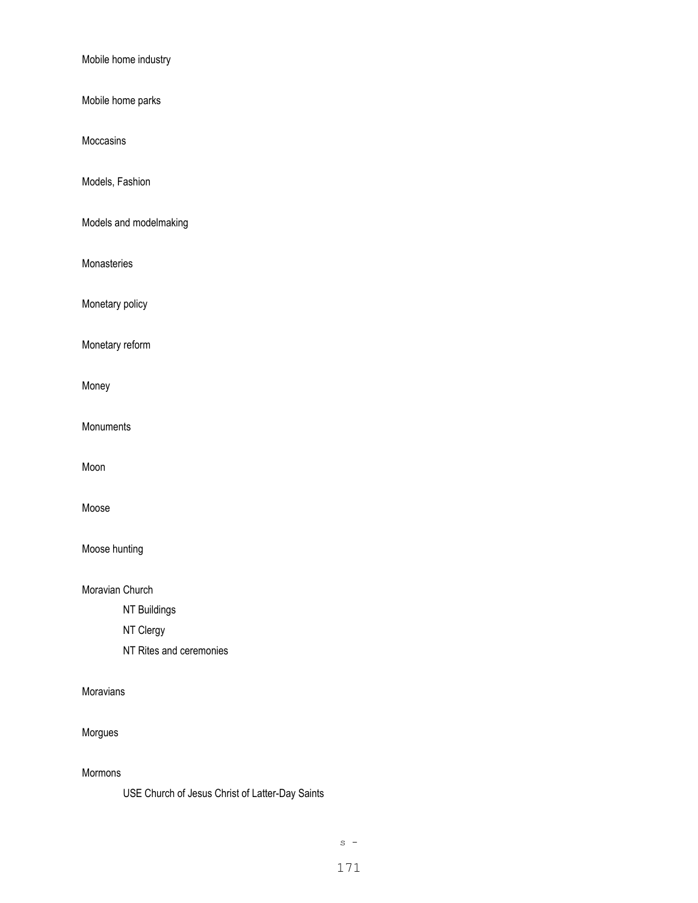Mobile home industry

Mobile home parks

Moccasins

Models, Fashion

Models and modelmaking

Monasteries

Monetary policy

Monetary reform

Money

Monuments

Moon

Moose

Moose hunting

Moravian Church

NT Buildings

NT Clergy

NT Rites and ceremonies

Moravians

Morgues

Mormons

USE Church of Jesus Christ of Latter-Day Saints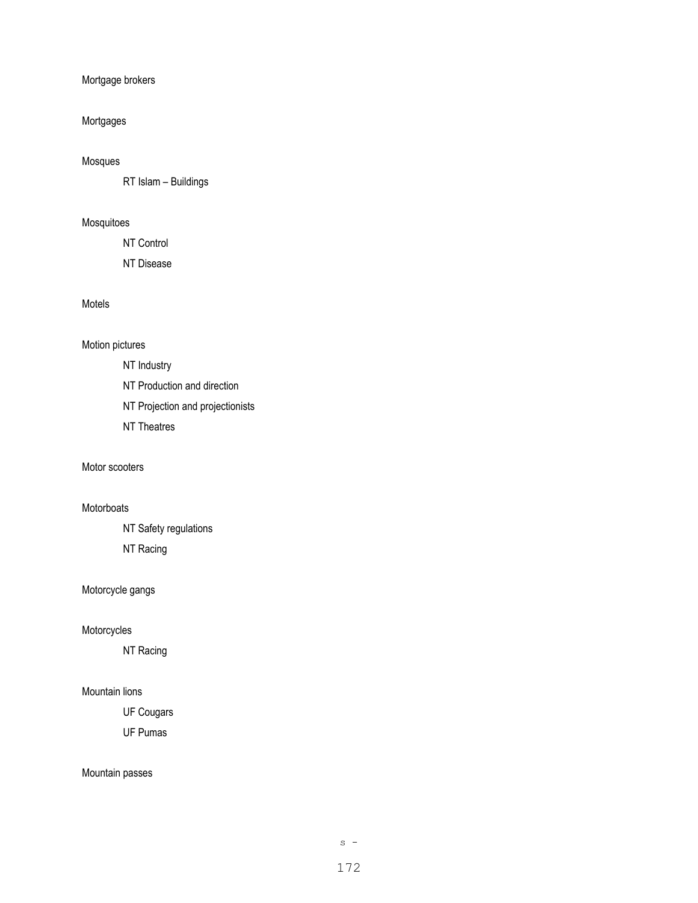Mortgage brokers

## Mortgages

## Mosques

RT Islam – Buildings

# Mosquitoes

NT Control

NT Disease

## Motels

## Motion pictures

NT Industry

NT Production and direction

NT Projection and projectionists

NT Theatres

### Motor scooters

## Motorboats

NT Safety regulations

NT Racing

# Motorcycle gangs

## Motorcycles

NT Racing

## Mountain lions

UF Cougars

UF Pumas

## Mountain passes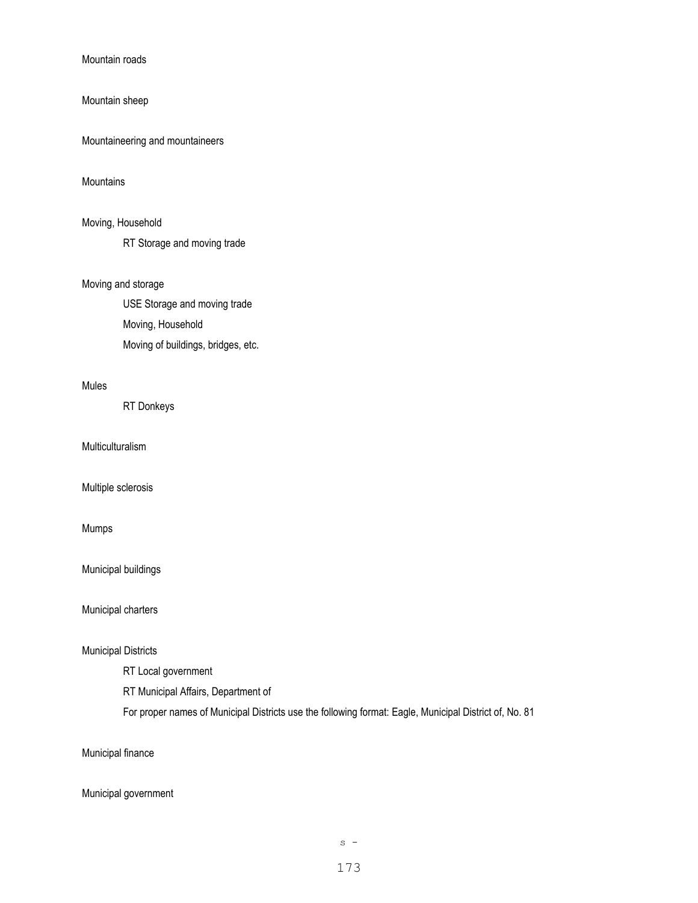Mountain roads

### Mountain sheep

Mountaineering and mountaineers

### **Mountains**

## Moving, Household

RT Storage and moving trade

## Moving and storage

USE Storage and moving trade Moving, Household Moving of buildings, bridges, etc.

### Mules

RT Donkeys

Multiculturalism

Multiple sclerosis

## Mumps

Municipal buildings

Municipal charters

## Municipal Districts

RT Local government

RT Municipal Affairs, Department of

For proper names of Municipal Districts use the following format: Eagle, Municipal District of, No. 81

Municipal finance

## Municipal government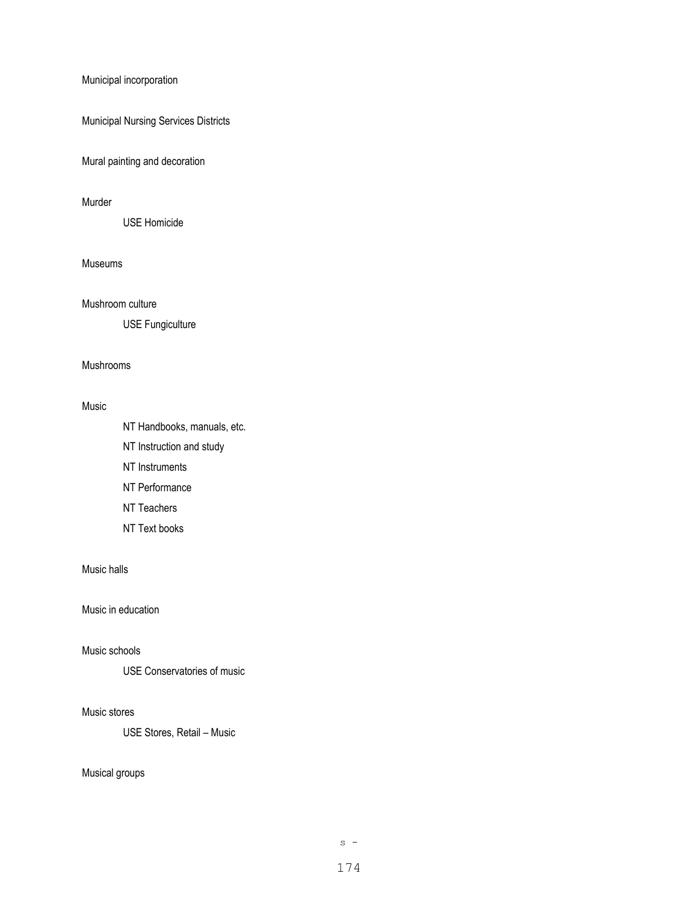## Municipal incorporation

Municipal Nursing Services Districts

Mural painting and decoration

#### Murder

USE Homicide

### Museums

Mushroom culture

USE Fungiculture

#### Mushrooms

#### Music

- NT Handbooks, manuals, etc. NT Instruction and study NT Instruments NT Performance NT Teachers
- 
- NT Text books

## Music halls

## Music in education

## Music schools

USE Conservatories of music

#### Music stores

USE Stores, Retail – Music

## Musical groups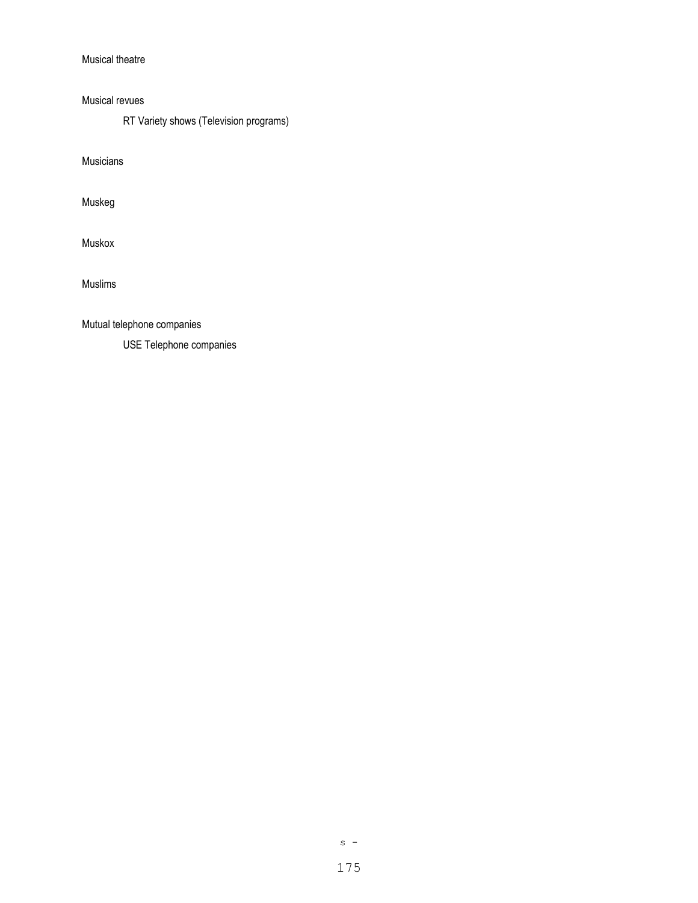## Musical theatre

Musical revues

RT Variety shows (Television programs)

Musicians

Muskeg

Muskox

Muslims

Mutual telephone companies

USE Telephone companies

 $s -$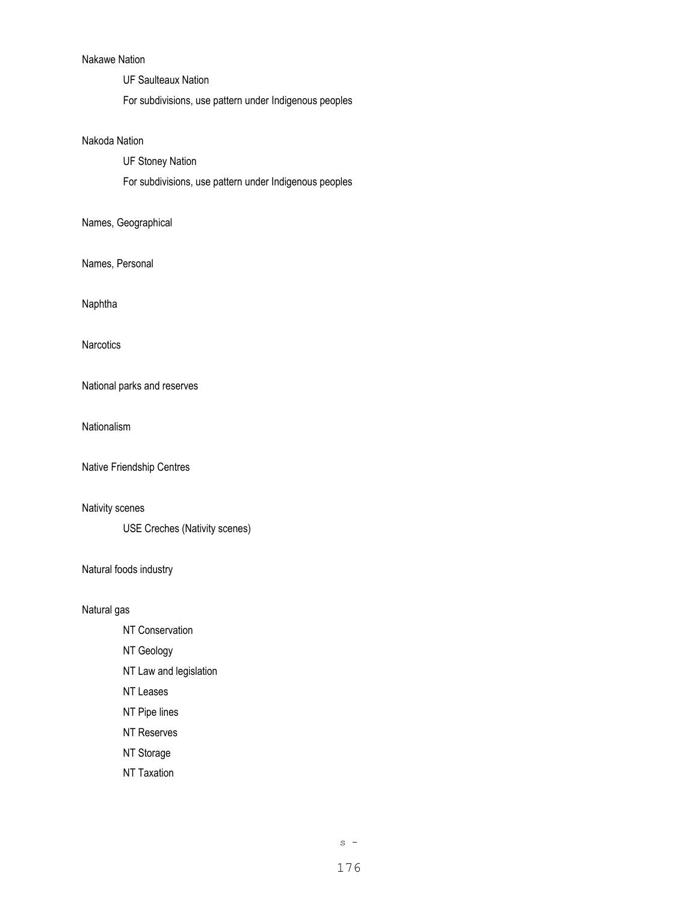# Nakawe Nation

UF Saulteaux Nation

For subdivisions, use pattern under Indigenous peoples

### Nakoda Nation

UF Stoney Nation

For subdivisions, use pattern under Indigenous peoples

# Names, Geographical

Names, Personal

Naphtha

**Narcotics** 

National parks and reserves

Nationalism

Native Friendship Centres

## Nativity scenes

USE Creches (Nativity scenes)

Natural foods industry

Natural gas

- NT Conservation
- NT Geology
- NT Law and legislation
- NT Leases
- NT Pipe lines
- NT Reserves
- NT Storage
- NT Taxation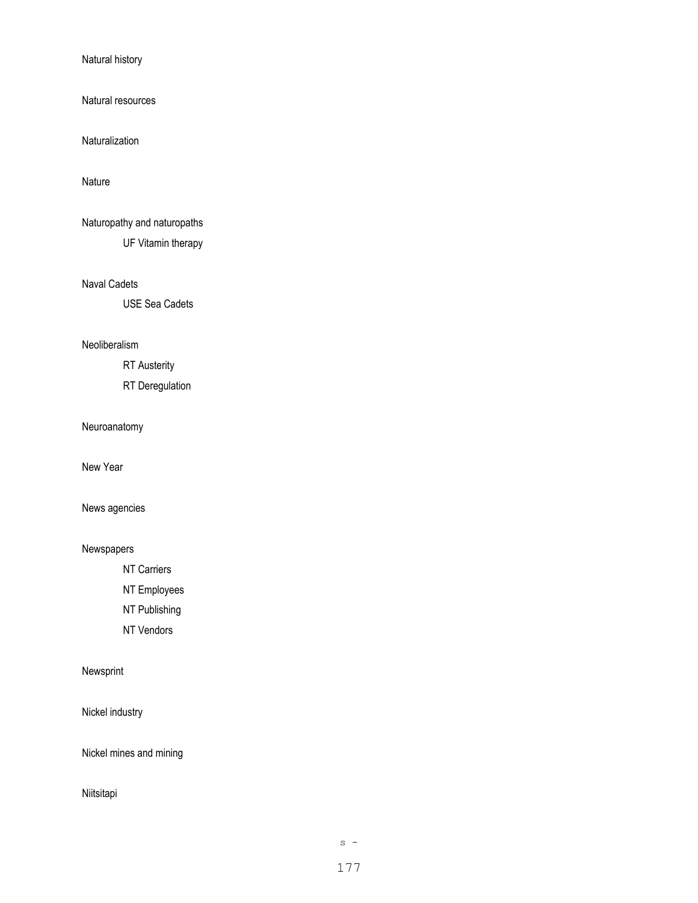Natural history

Natural resources

Naturalization

Nature

Naturopathy and naturopaths

UF Vitamin therapy

Naval Cadets

USE Sea Cadets

## Neoliberalism

RT Austerity

RT Deregulation

Neuroanatomy

New Year

News agencies

## Newspapers

NT Carriers

NT Employees

NT Publishing

NT Vendors

## Newsprint

Nickel industry

Nickel mines and mining

Niitsitapi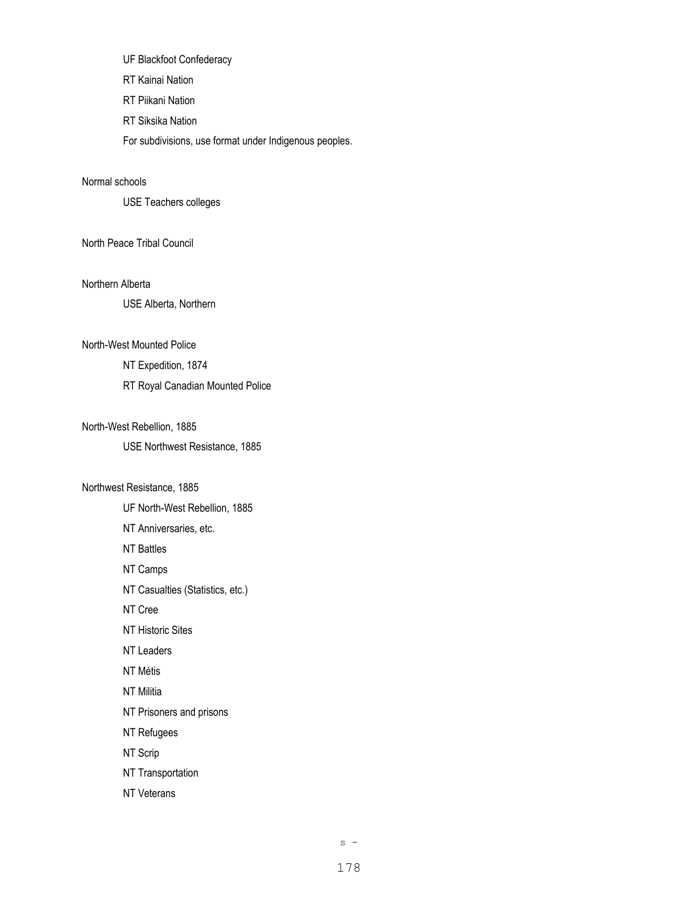UF Blackfoot Confederacy RT Kainai Nation RT Piikani Nation RT Siksika Nation

For subdivisions, use format under Indigenous peoples.

## Normal schools

USE Teachers colleges

### North Peace Tribal Council

### Northern Alberta

USE Alberta, Northern

#### North-West Mounted Police

NT Expedition, 1874

## RT Royal Canadian Mounted Police

#### North-West Rebellion, 1885

USE Northwest Resistance, 1885

#### Northwest Resistance, 1885

UF North-West Rebellion, 1885 NT Anniversaries, etc. NT Battles NT Camps NT Casualties (Statistics, etc.) NT Cree NT Historic Sites NT Leaders NT Métis NT Militia NT Prisoners and prisons NT Refugees NT Scrip NT Transportation NT Veterans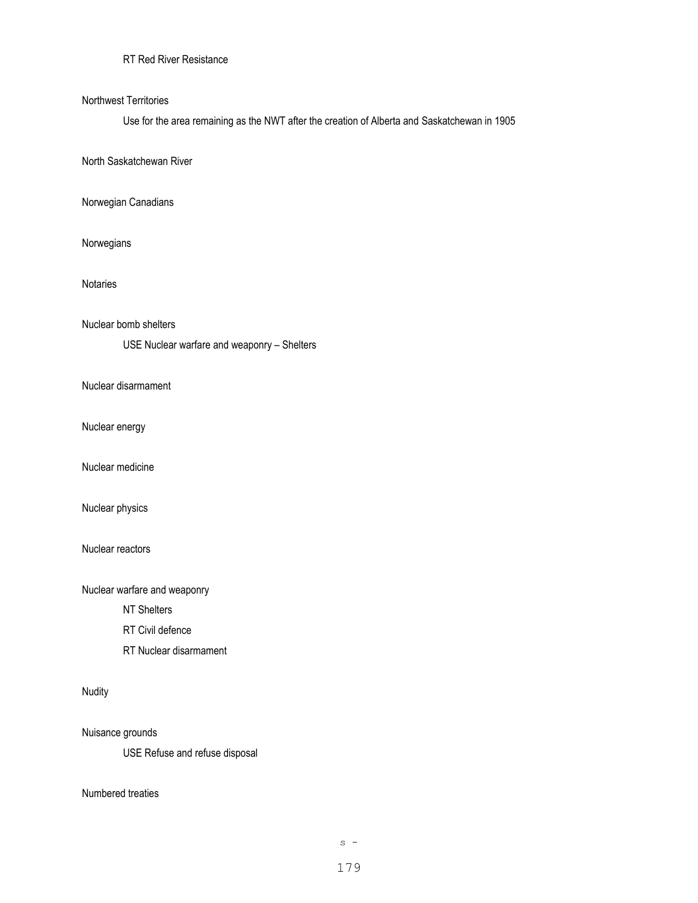# RT Red River Resistance

#### Northwest Territories

Use for the area remaining as the NWT after the creation of Alberta and Saskatchewan in 1905

North Saskatchewan River

Norwegian Canadians

Norwegians

Notaries

Nuclear bomb shelters

USE Nuclear warfare and weaponry – Shelters

Nuclear disarmament

Nuclear energy

Nuclear medicine

Nuclear physics

Nuclear reactors

Nuclear warfare and weaponry

NT Shelters

RT Civil defence

RT Nuclear disarmament

Nudity

Nuisance grounds

USE Refuse and refuse disposal

Numbered treaties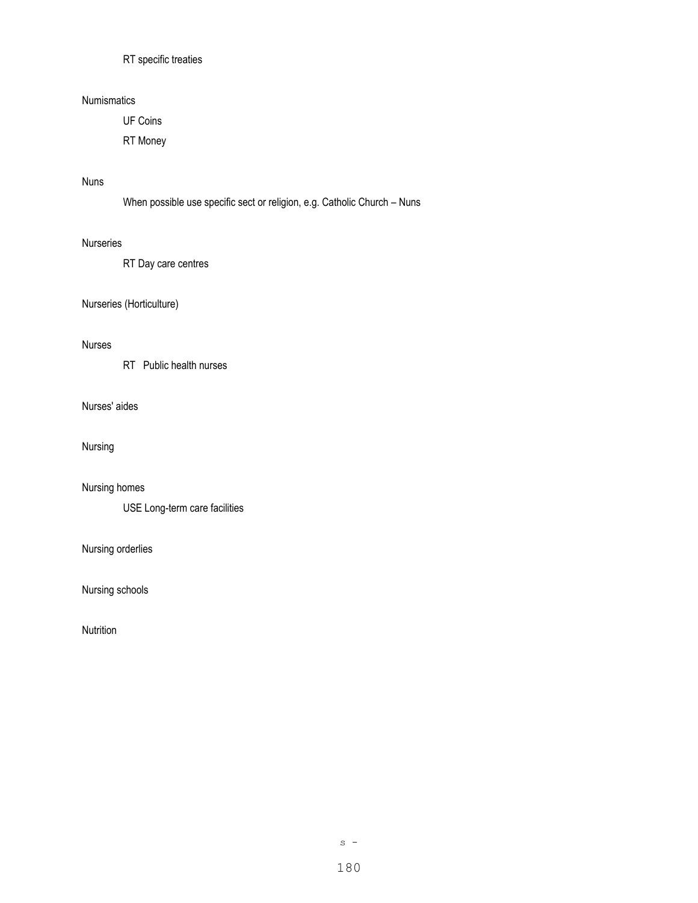# RT specific treaties

### Numismatics

UF Coins

RT Money

## Nuns

When possible use specific sect or religion, e.g. Catholic Church – Nuns

#### Nurseries

RT Day care centres

# Nurseries (Horticulture)

## Nurses

RT Public health nurses

## Nurses' aides

Nursing

Nursing homes

USE Long-term care facilities

# Nursing orderlies

Nursing schools

Nutrition

 $s -$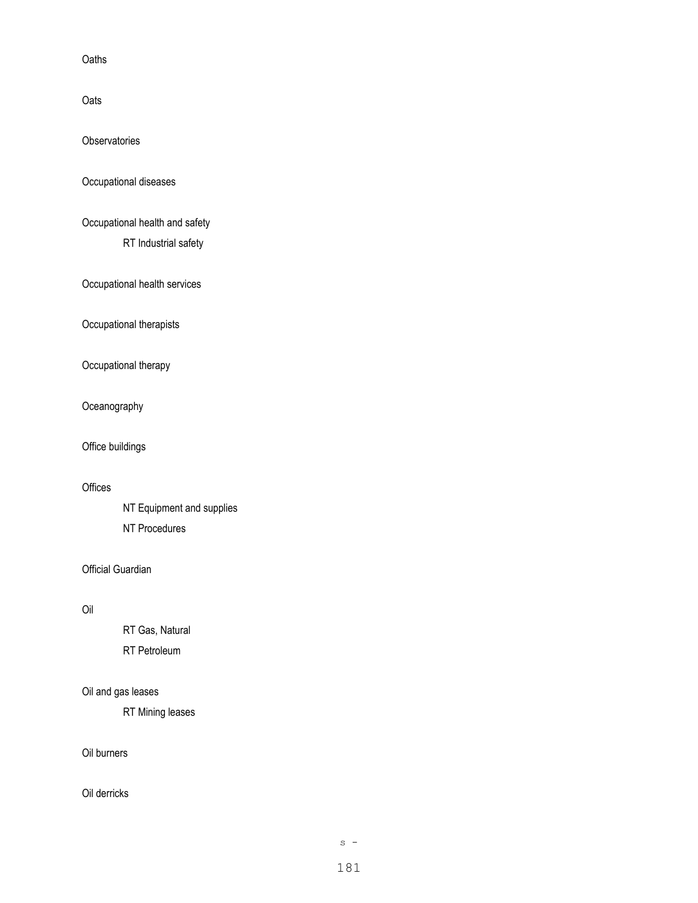**Oaths** 

**Oats** 

**Observatories** 

Occupational diseases

Occupational health and safety

RT Industrial safety

Occupational health services

Occupational therapists

Occupational therapy

Oceanography

Office buildings

## **Offices**

NT Equipment and supplies NT Procedures

Official Guardian

## Oil

RT Gas, Natural RT Petroleum

# Oil and gas leases

RT Mining leases

Oil burners

Oil derricks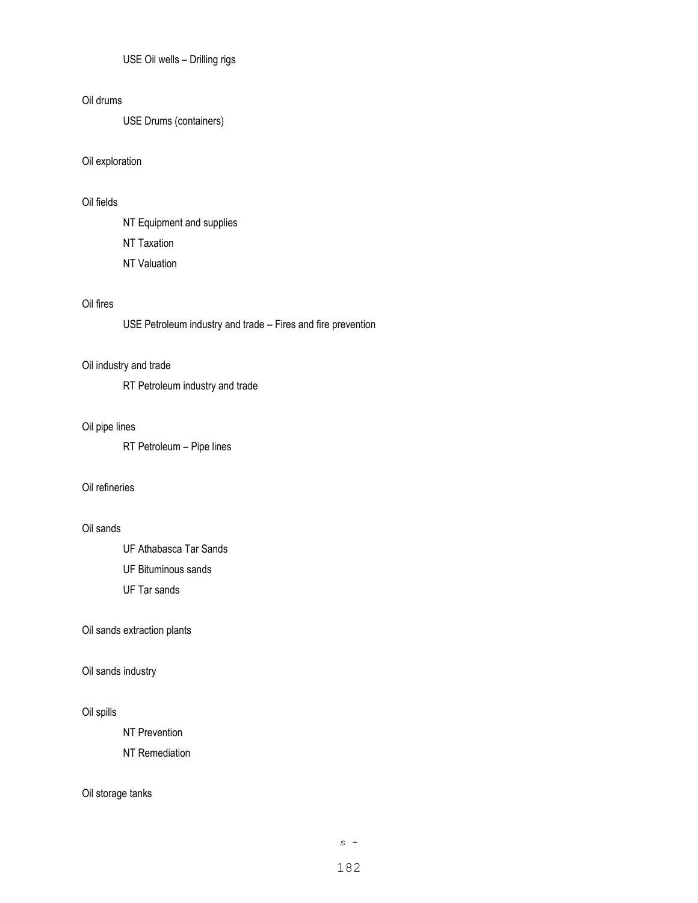USE Oil wells – Drilling rigs

### Oil drums

USE Drums (containers)

### Oil exploration

## Oil fields

NT Equipment and supplies NT Taxation NT Valuation

### Oil fires

USE Petroleum industry and trade – Fires and fire prevention

### Oil industry and trade

RT Petroleum industry and trade

### Oil pipe lines

RT Petroleum – Pipe lines

### Oil refineries

### Oil sands

UF Athabasca Tar Sands

UF Bituminous sands

UF Tar sands

### Oil sands extraction plants

### Oil sands industry

### Oil spills

NT Prevention

NT Remediation

### Oil storage tanks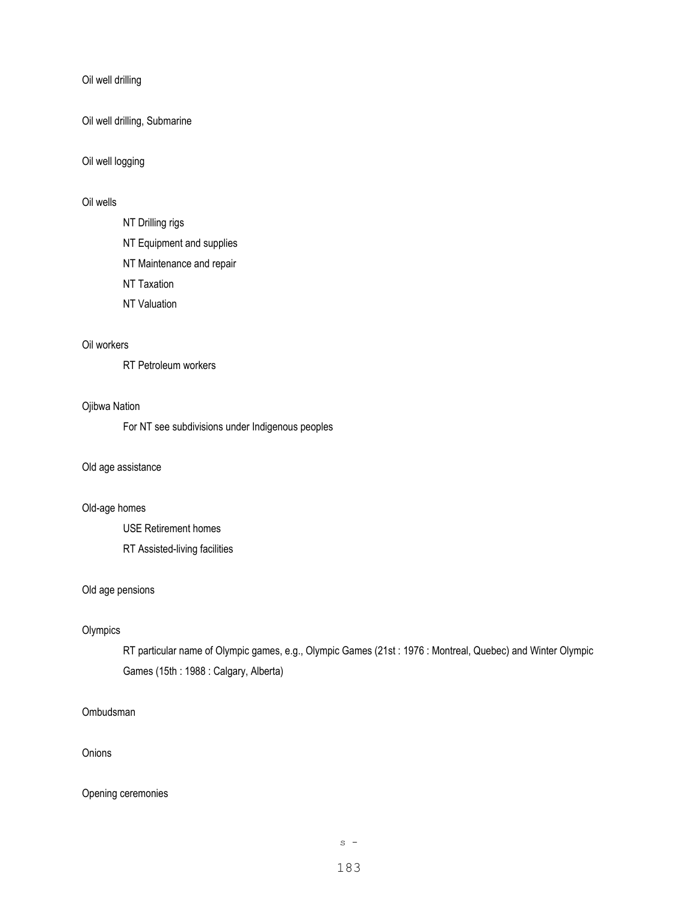Oil well drilling

Oil well drilling, Submarine

Oil well logging

## Oil wells

NT Drilling rigs

NT Equipment and supplies

NT Maintenance and repair

NT Taxation

NT Valuation

### Oil workers

RT Petroleum workers

#### Ojibwa Nation

For NT see subdivisions under Indigenous peoples

### Old age assistance

### Old-age homes

USE Retirement homes RT Assisted-living facilities

### Old age pensions

### **Olympics**

RT particular name of Olympic games, e.g., Olympic Games (21st : 1976 : Montreal, Quebec) and Winter Olympic Games (15th : 1988 : Calgary, Alberta)

### Ombudsman

# **Onions**

### Opening ceremonies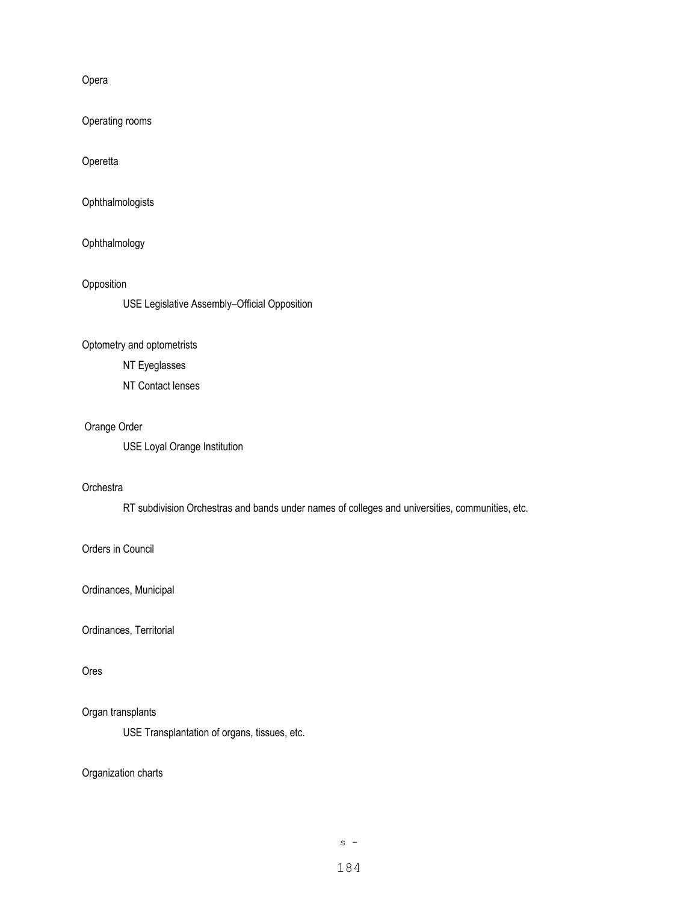Opera

Operating rooms

**Operetta** 

Ophthalmologists

Ophthalmology

Opposition

USE Legislative Assembly–Official Opposition

## Optometry and optometrists

NT Eyeglasses

NT Contact lenses

### Orange Order

USE Loyal Orange Institution

#### **Orchestra**

RT subdivision Orchestras and bands under names of colleges and universities, communities, etc.

### Orders in Council

Ordinances, Municipal

Ordinances, Territorial

### Ores

### Organ transplants

USE Transplantation of organs, tissues, etc.

Organization charts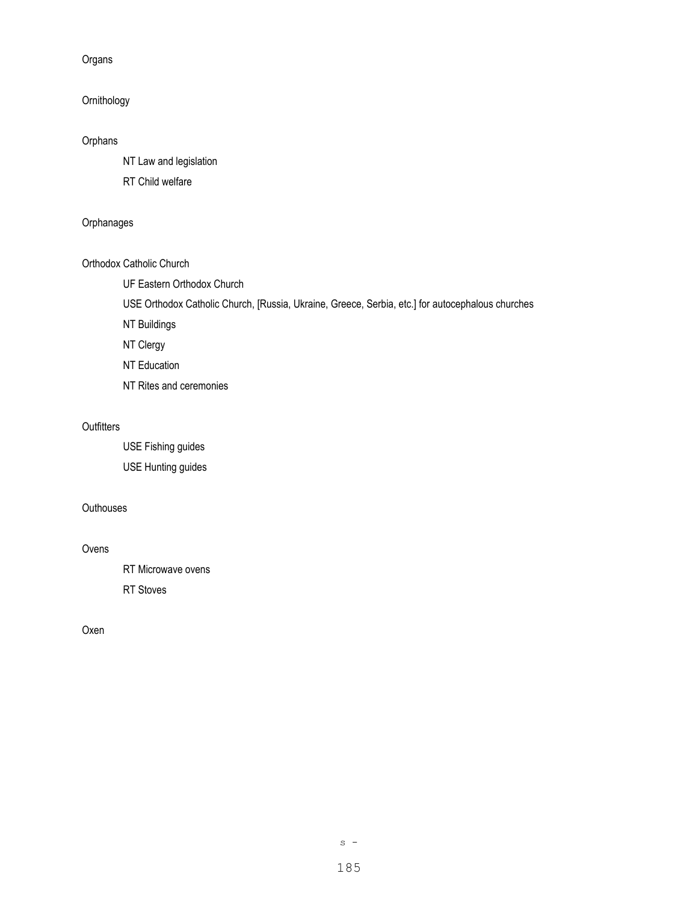Organs

# Ornithology

# Orphans

NT Law and legislation

RT Child welfare

### **Orphanages**

### Orthodox Catholic Church

UF Eastern Orthodox Church

USE Orthodox Catholic Church, [Russia, Ukraine, Greece, Serbia, etc.] for autocephalous churches

NT Buildings

NT Clergy

NT Education

NT Rites and ceremonies

### **Outfitters**

USE Fishing guides USE Hunting guides

## **Outhouses**

#### Ovens

RT Microwave ovens

RT Stoves

Oxen

 $s -$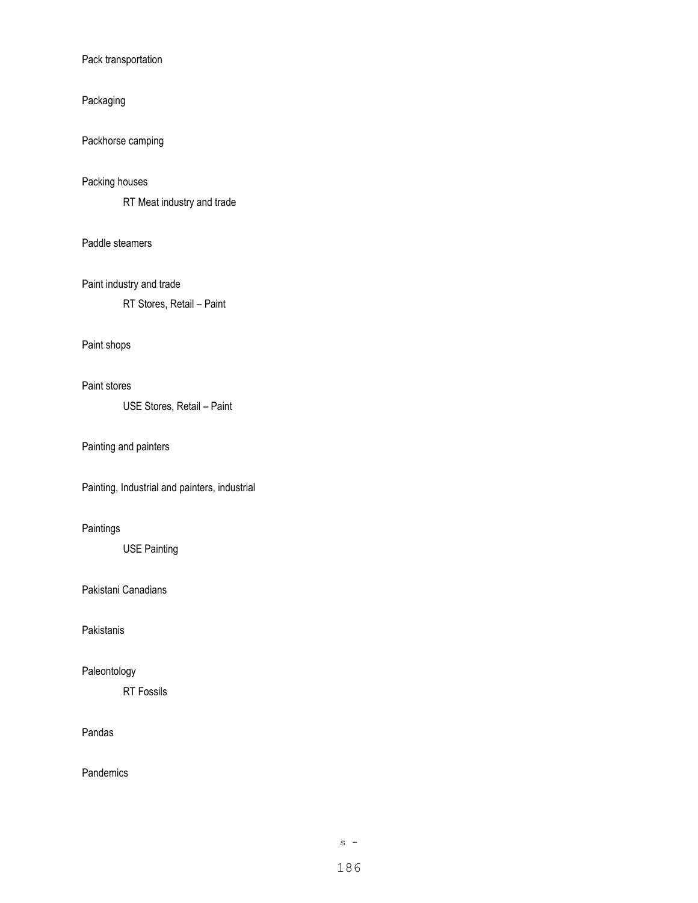#### Pack transportation

### Packaging

Packhorse camping

### Packing houses

RT Meat industry and trade

### Paddle steamers

Paint industry and trade

RT Stores, Retail – Paint

### Paint shops

#### Paint stores

USE Stores, Retail – Paint

## Painting and painters

Painting, Industrial and painters, industrial

# Paintings

USE Painting

### Pakistani Canadians

Pakistanis

## Paleontology

RT Fossils

### Pandas

**Pandemics** 

 $s -$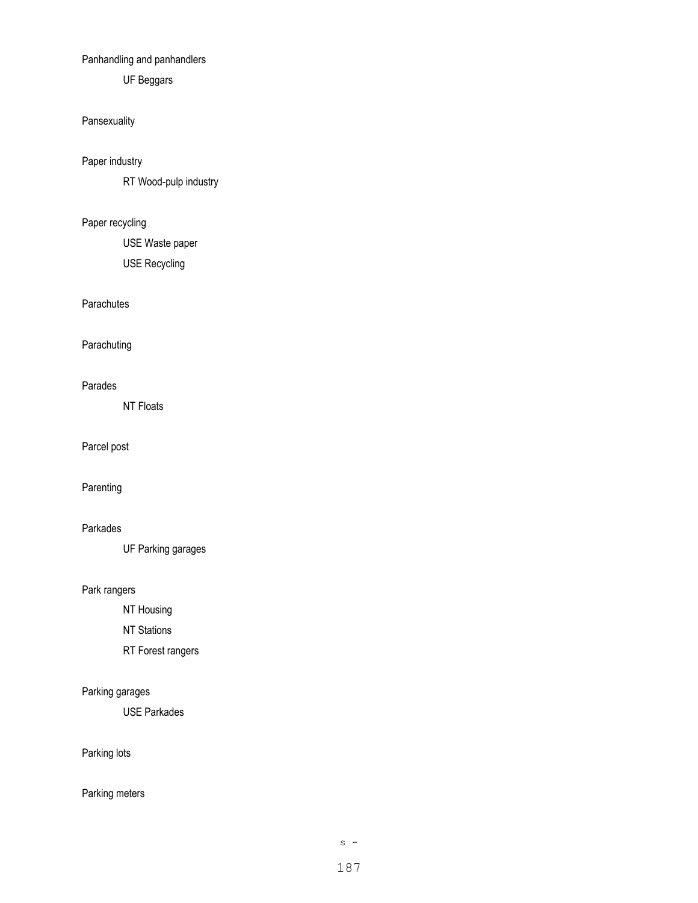# Panhandling and panhandlers

UF Beggars

# Pansexuality

Paper industry

RT Wood-pulp industry

# Paper recycling

USE Waste paper

USE Recycling

## **Parachutes**

**Parachuting** 

## Parades

NT Floats

Parcel post

Parenting

### Parkades

UF Parking garages

### Park rangers

NT Housing

NT Stations

RT Forest rangers

# Parking garages

USE Parkades

Parking lots

# Parking meters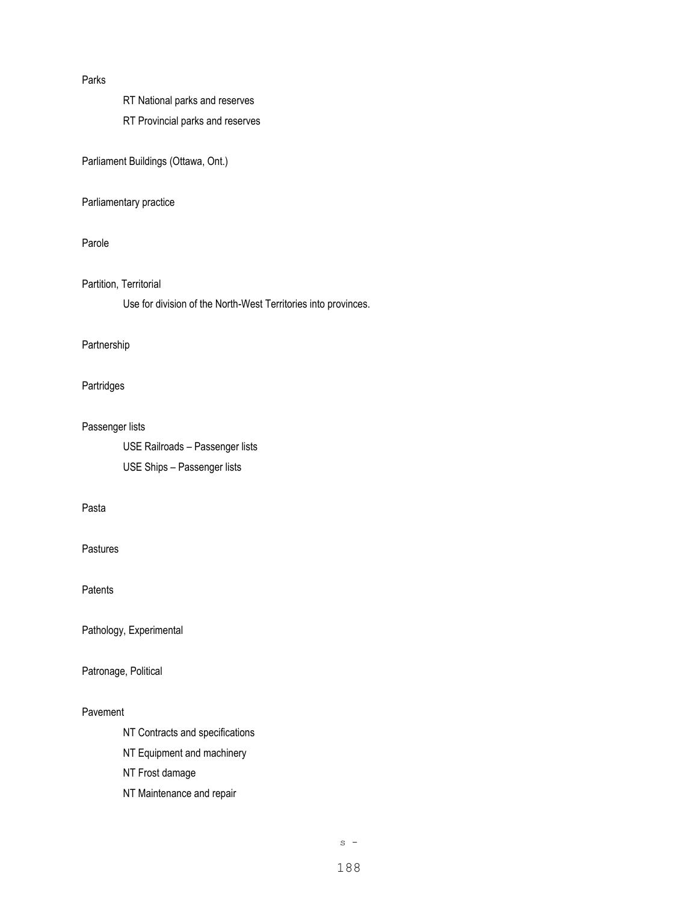#### Parks

RT National parks and reserves

RT Provincial parks and reserves

Parliament Buildings (Ottawa, Ont.)

### Parliamentary practice

### Parole

### Partition, Territorial

Use for division of the North-West Territories into provinces.

### Partnership

### Partridges

### Passenger lists

USE Railroads – Passenger lists USE Ships – Passenger lists

### Pasta

#### Pastures

Patents

Pathology, Experimental

## Patronage, Political

### Pavement

- NT Contracts and specifications
- NT Equipment and machinery
- NT Frost damage
- NT Maintenance and repair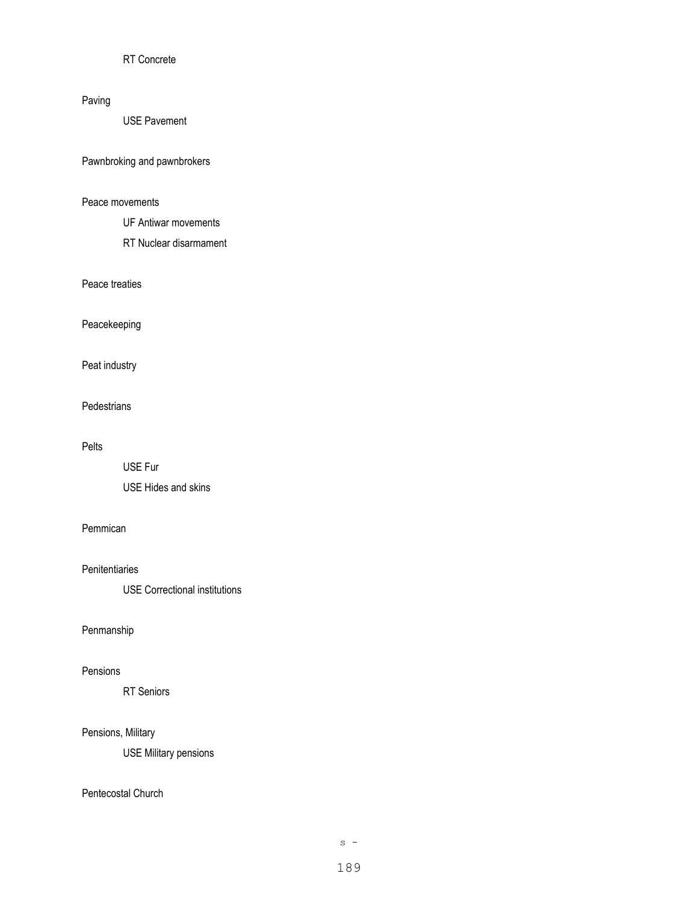## RT Concrete

## Paving

USE Pavement

### Pawnbroking and pawnbrokers

### Peace movements

UF Antiwar movements

RT Nuclear disarmament

### Peace treaties

Peacekeeping

# Peat industry

#### **Pedestrians**

### Pelts

USE Fur USE Hides and skins

### Pemmican

### **Penitentiaries**

USE Correctional institutions

### Penmanship

### Pensions

RT Seniors

### Pensions, Military

USE Military pensions

### Pentecostal Church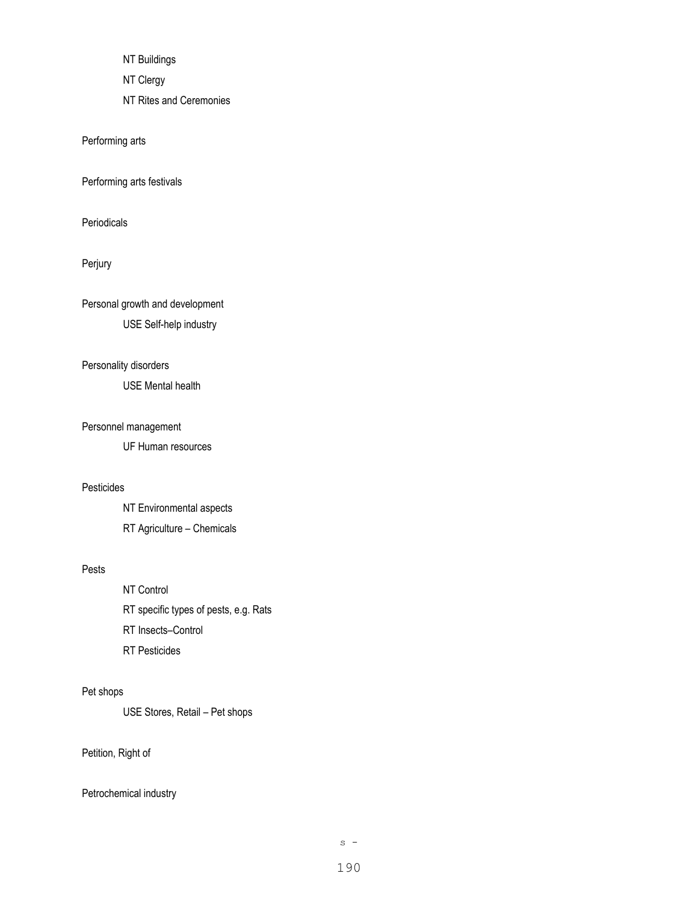NT Buildings

NT Clergy

NT Rites and Ceremonies

Performing arts

Performing arts festivals

Periodicals

Perjury

Personal growth and development

USE Self-help industry

## Personality disorders

USE Mental health

#### Personnel management

UF Human resources

## Pesticides

NT Environmental aspects RT Agriculture – Chemicals

### Pests

NT Control RT specific types of pests, e.g. Rats RT Insects–Control RT Pesticides

## Pet shops

USE Stores, Retail – Pet shops

Petition, Right of

Petrochemical industry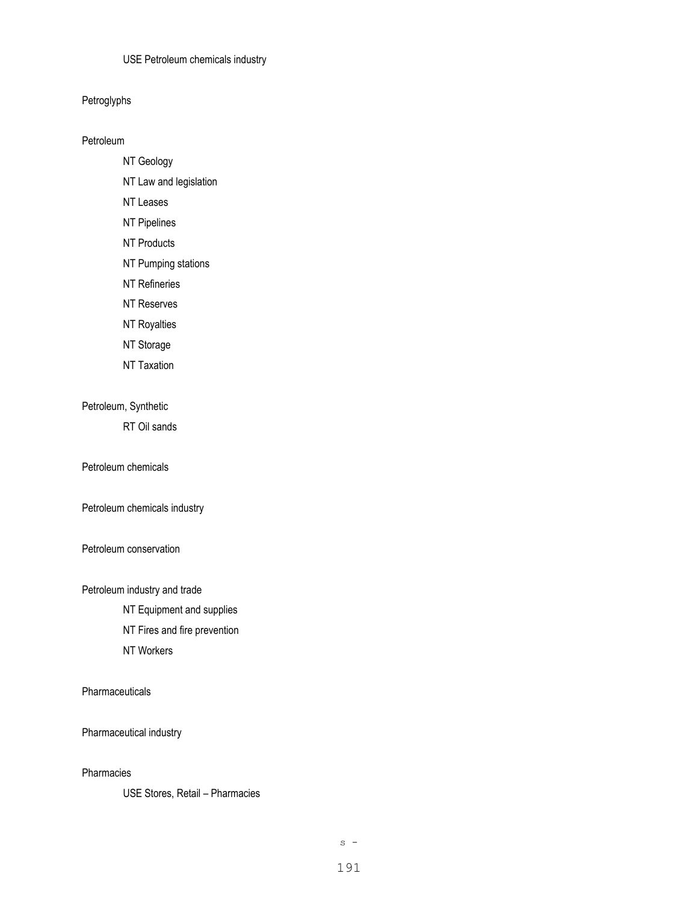### USE Petroleum chemicals industry

Petroglyphs

Petroleum

- NT Geology
- NT Law and legislation
- NT Leases
- NT Pipelines
- NT Products
- NT Pumping stations
- NT Refineries
- NT Reserves
- NT Royalties
- NT Storage
- NT Taxation

### Petroleum, Synthetic

RT Oil sands

#### Petroleum chemicals

Petroleum chemicals industry

#### Petroleum conservation

Petroleum industry and trade

NT Equipment and supplies

NT Fires and fire prevention

NT Workers

**Pharmaceuticals** 

Pharmaceutical industry

### Pharmacies

USE Stores, Retail – Pharmacies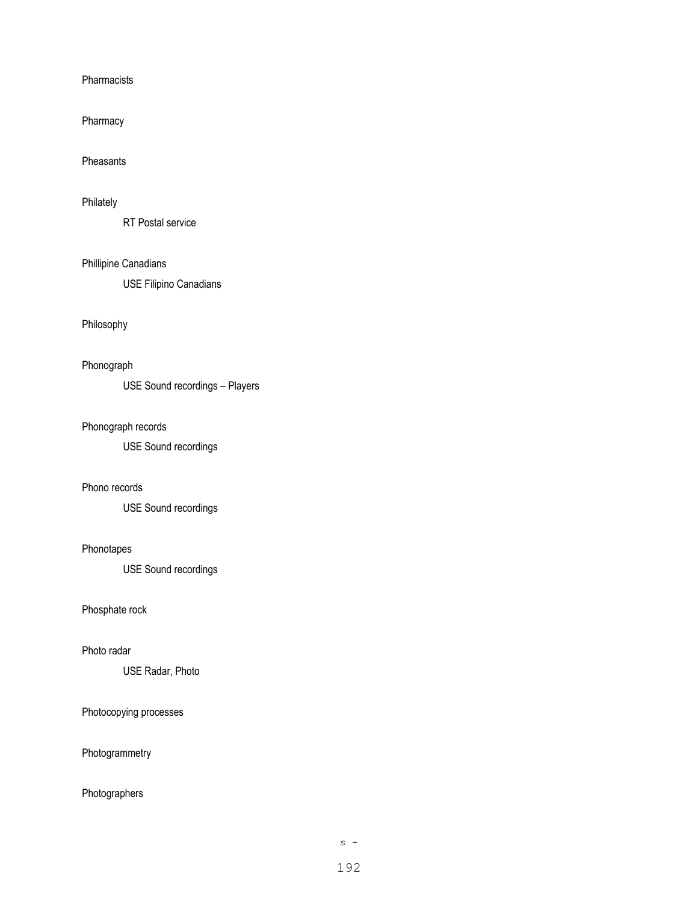Pharmacists

Pharmacy

#### Pheasants

### Philately

RT Postal service

### Phillipine Canadians

USE Filipino Canadians

### Philosophy

# Phonograph

USE Sound recordings – Players

### Phonograph records

USE Sound recordings

### Phono records

USE Sound recordings

#### Phonotapes

USE Sound recordings

### Phosphate rock

#### Photo radar

USE Radar, Photo

### Photocopying processes

Photogrammetry

# Photographers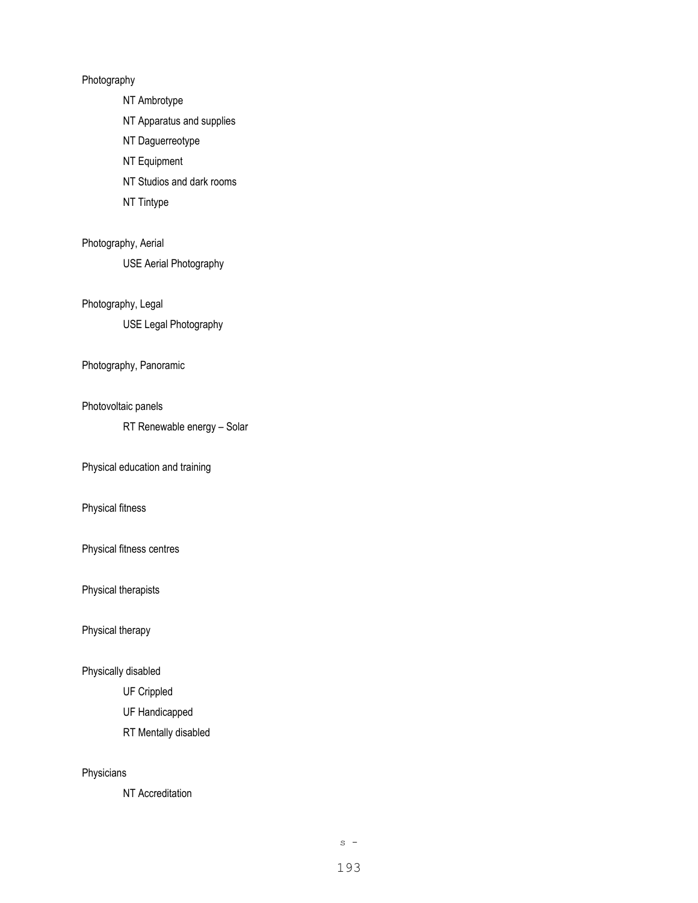## Photography

NT Ambrotype

NT Apparatus and supplies

NT Daguerreotype

NT Equipment

NT Studios and dark rooms

NT Tintype

### Photography, Aerial

USE Aerial Photography

### Photography, Legal

USE Legal Photography

#### Photography, Panoramic

### Photovoltaic panels

RT Renewable energy – Solar

Physical education and training

## Physical fitness

Physical fitness centres

Physical therapists

Physical therapy

### Physically disabled

UF Crippled

UF Handicapped

RT Mentally disabled

### Physicians

NT Accreditation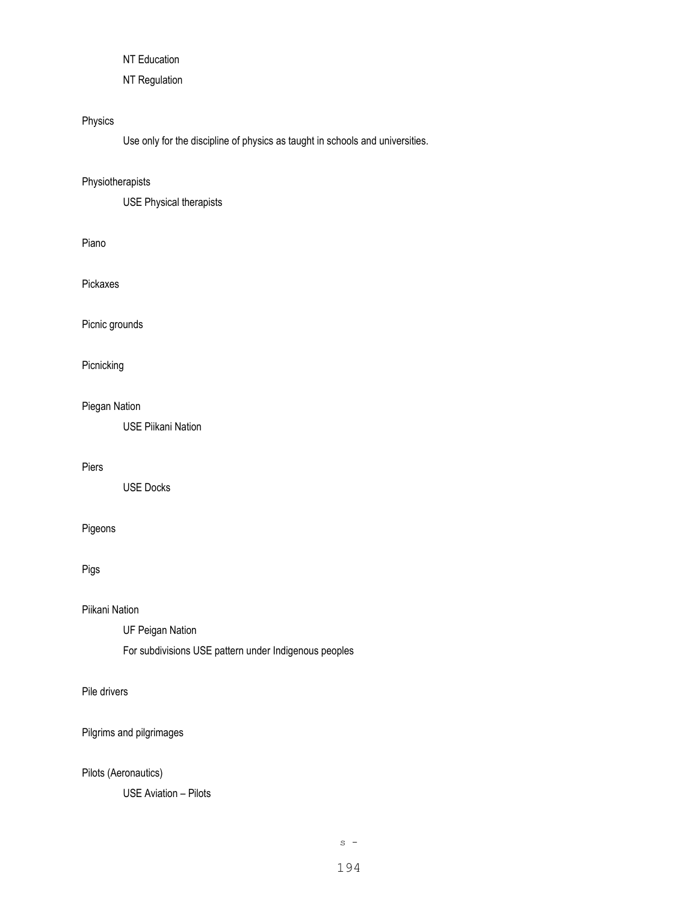NT Education

NT Regulation

# Physics

Use only for the discipline of physics as taught in schools and universities.

### Physiotherapists

USE Physical therapists

### Piano

Pickaxes

Picnic grounds

# Picnicking

### Piegan Nation

USE Piikani Nation

#### Piers

USE Docks

# Pigeons

Pigs

### Piikani Nation

UF Peigan Nation

For subdivisions USE pattern under Indigenous peoples

### Pile drivers

Pilgrims and pilgrimages

# Pilots (Aeronautics)

USE Aviation – Pilots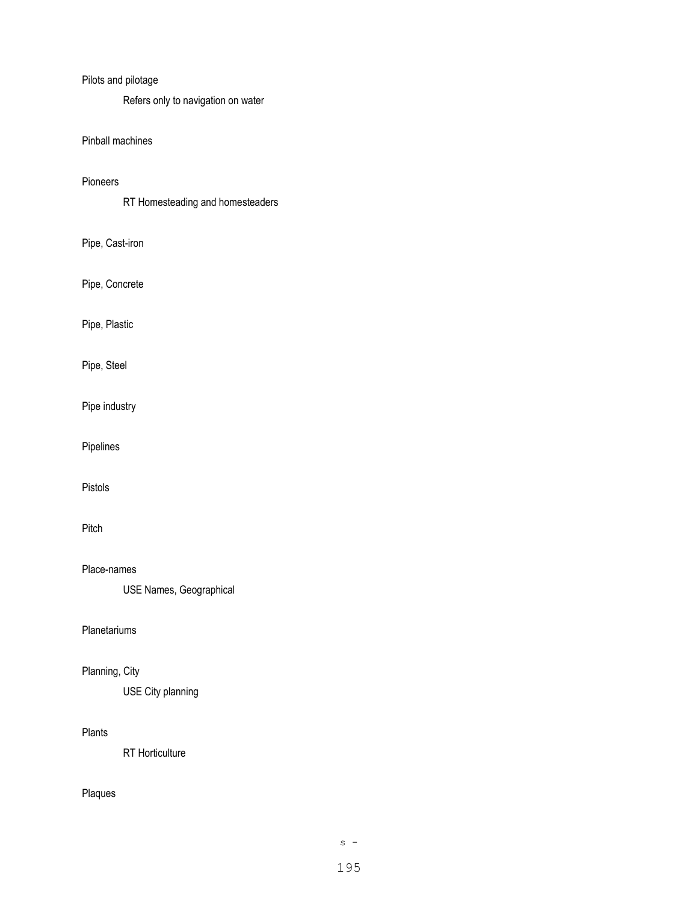### Pilots and pilotage

Refers only to navigation on water

## Pinball machines

#### Pioneers

RT Homesteading and homesteaders

# Pipe, Cast-iron

Pipe, Concrete

# Pipe, Plastic

Pipe, Steel

Pipe industry

Pipelines

### Pistols

### Pitch

### Place-names

USE Names, Geographical

## Planetariums

## Planning, City

USE City planning

#### Plants

RT Horticulture

# Plaques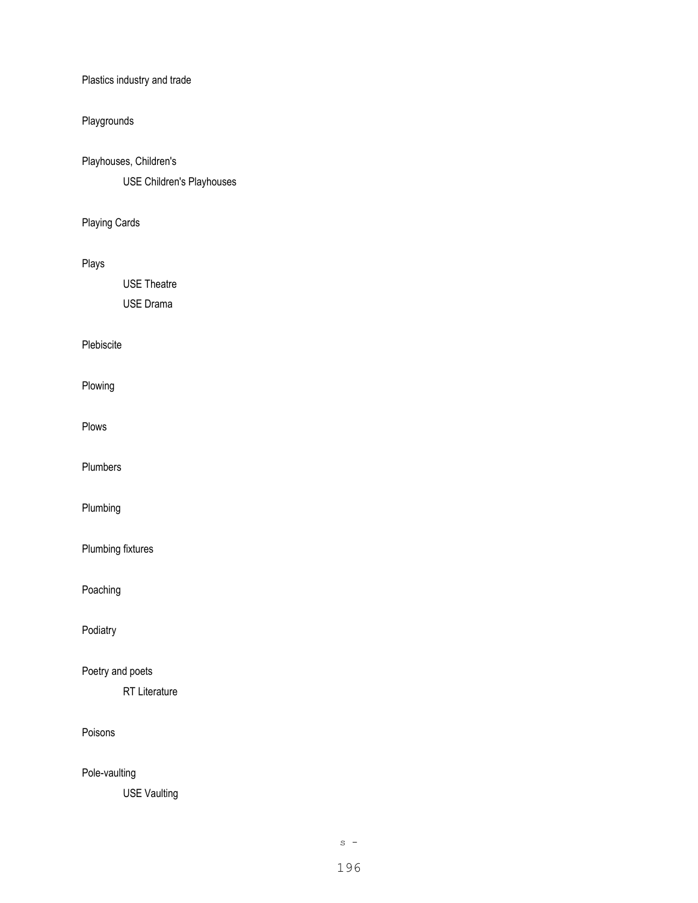Plastics industry and trade

# Playgrounds

Playhouses, Children's

USE Children's Playhouses

Playing Cards

## Plays

USE Theatre USE Drama

## Plebiscite

Plowing

Plows

Plumbers

Plumbing

Plumbing fixtures

Poaching

Podiatry

Poetry and poets

RT Literature

### Poisons

Pole-vaulting

USE Vaulting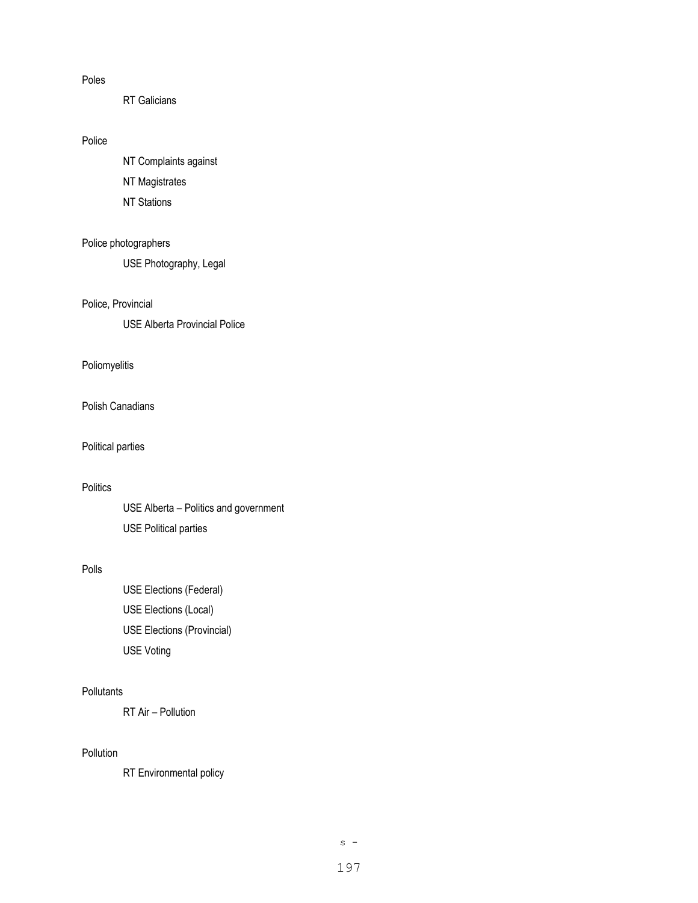#### Poles

RT Galicians

## Police

NT Complaints against

NT Magistrates

NT Stations

### Police photographers

USE Photography, Legal

#### Police, Provincial

USE Alberta Provincial Police

### Poliomyelitis

Polish Canadians

### Political parties

## **Politics**

USE Alberta – Politics and government USE Political parties

#### Polls

USE Elections (Federal) USE Elections (Local) USE Elections (Provincial) USE Voting

### **Pollutants**

RT Air – Pollution

## Pollution

RT Environmental policy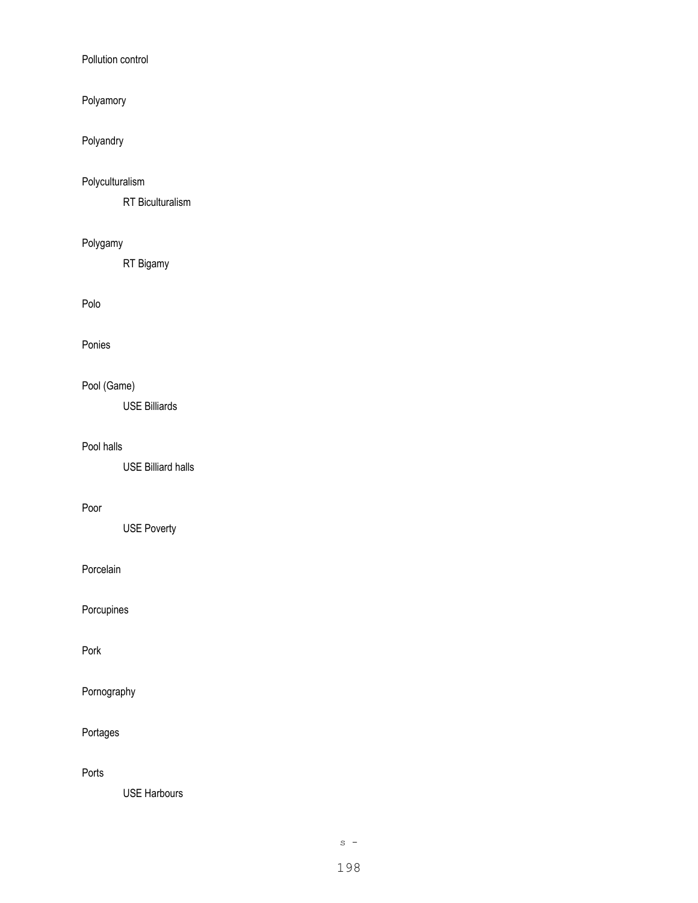### Pollution control

## Polyamory

# Polyandry

# Polyculturalism

RT Biculturalism

# Polygamy

RT Bigamy

## Polo

## Ponies

# Pool (Game)

USE Billiards

## Pool halls

USE Billiard halls

### Poor

USE Poverty

## Porcelain

Porcupines

### Pork

Pornography

# Portages

Ports

USE Harbours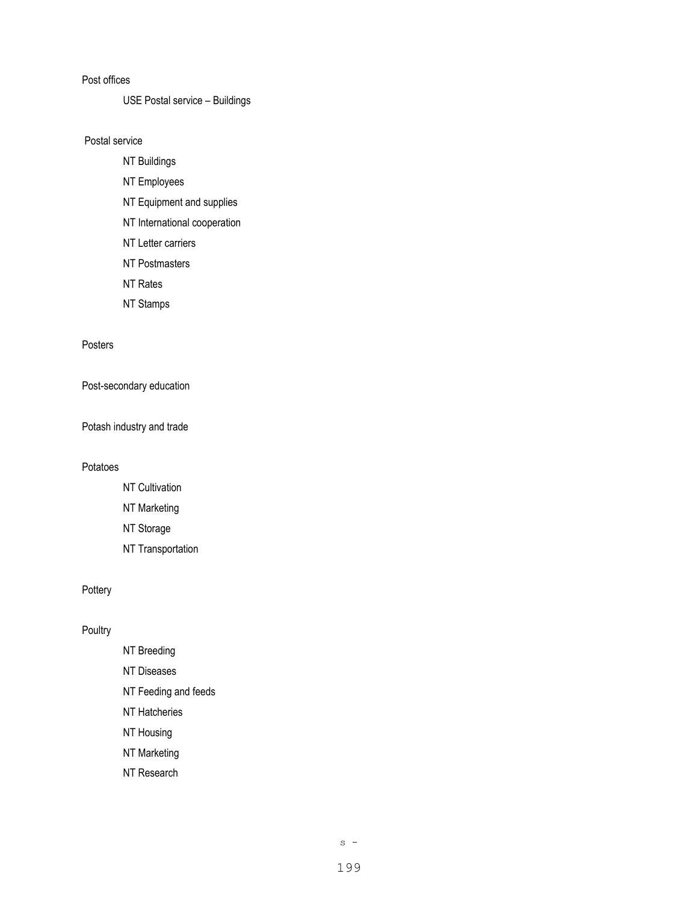#### Post offices

USE Postal service – Buildings

Postal service

- NT Buildings
- NT Employees
- NT Equipment and supplies
- NT International cooperation
- NT Letter carriers
- NT Postmasters
- NT Rates
- NT Stamps

### Posters

Post-secondary education

Potash industry and trade

#### Potatoes

- NT Cultivation
- NT Marketing
- NT Storage
- NT Transportation

### **Pottery**

### **Poultry**

- NT Breeding NT Diseases NT Feeding and feeds NT Hatcheries
- NT Housing
- NT Marketing
- NT Research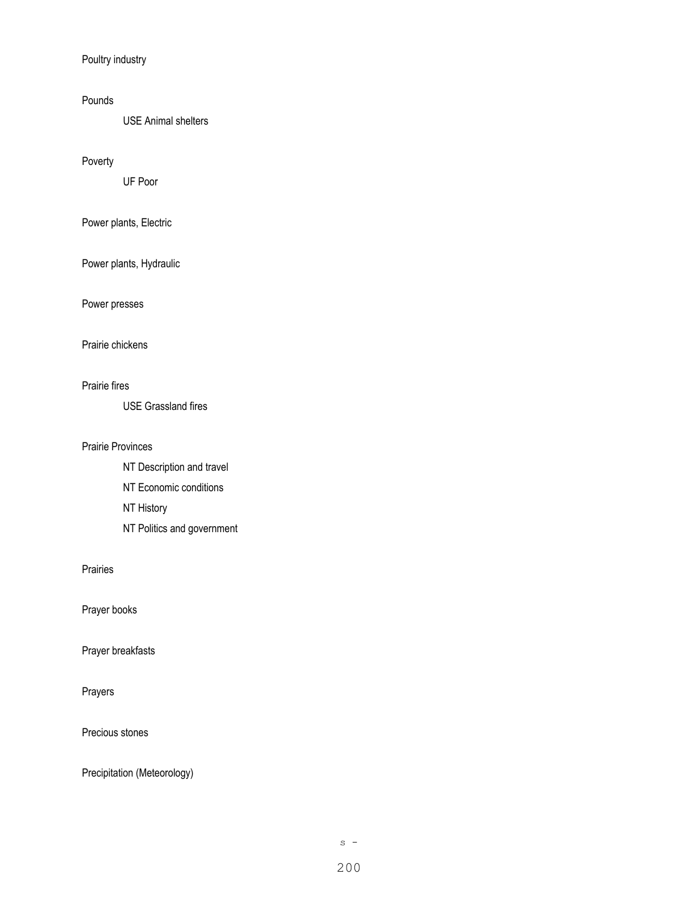Poultry industry

### Pounds

USE Animal shelters

### Poverty

UF Poor

# Power plants, Electric

Power plants, Hydraulic

# Power presses

#### Prairie chickens

### Prairie fires

USE Grassland fires

## Prairie Provinces

NT Description and travel NT Economic conditions NT History NT Politics and government

### Prairies

Prayer books

### Prayer breakfasts

# Prayers

Precious stones

Precipitation (Meteorology)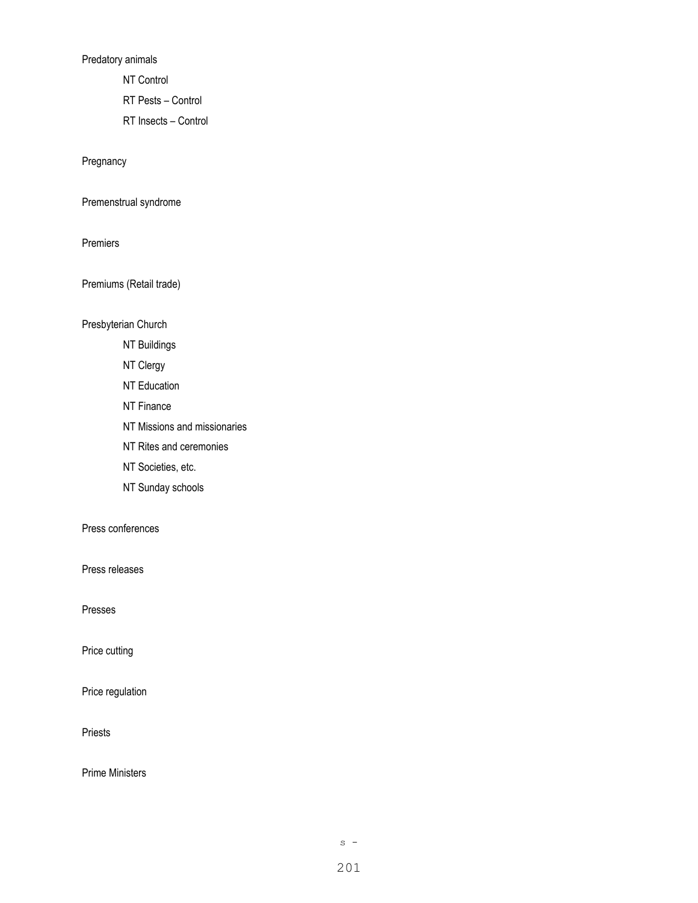Predatory animals

NT Control

RT Pests – Control

RT Insects – Control

Pregnancy

Premenstrual syndrome

Premiers

Premiums (Retail trade)

Presbyterian Church

- NT Buildings
- NT Clergy
- NT Education
- NT Finance
- NT Missions and missionaries
- NT Rites and ceremonies
- NT Societies, etc.
- NT Sunday schools

Press conferences

Press releases

Presses

Price cutting

Price regulation

Priests

Prime Ministers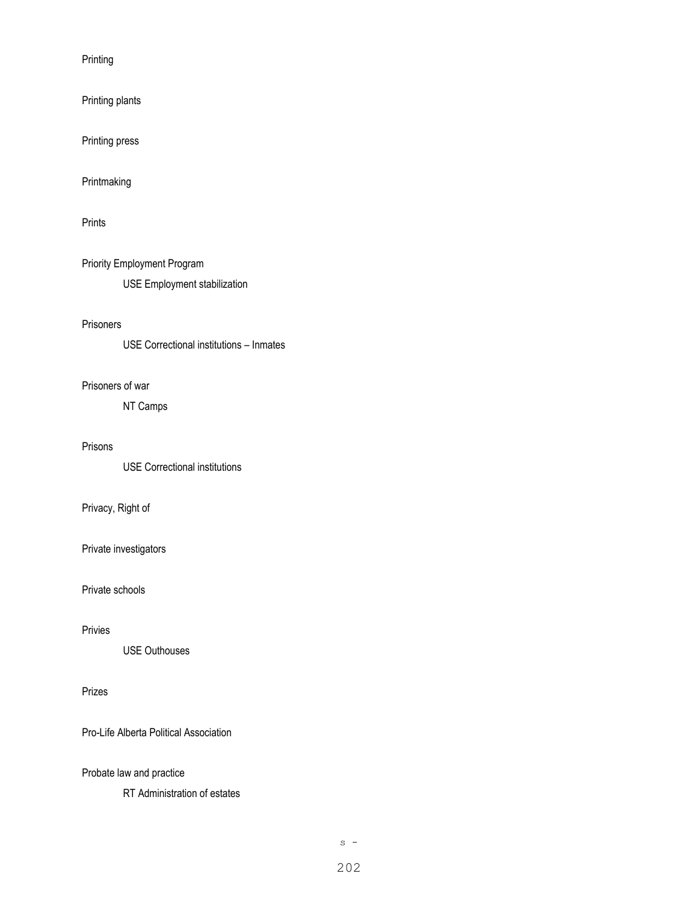Printing

Printing plants

Printing press

Printmaking

Prints

Priority Employment Program USE Employment stabilization

### Prisoners

USE Correctional institutions – Inmates

### Prisoners of war

NT Camps

### Prisons

USE Correctional institutions

## Privacy, Right of

Private investigators

### Private schools

#### Privies

USE Outhouses

### Prizes

Pro-Life Alberta Political Association

Probate law and practice

RT Administration of estates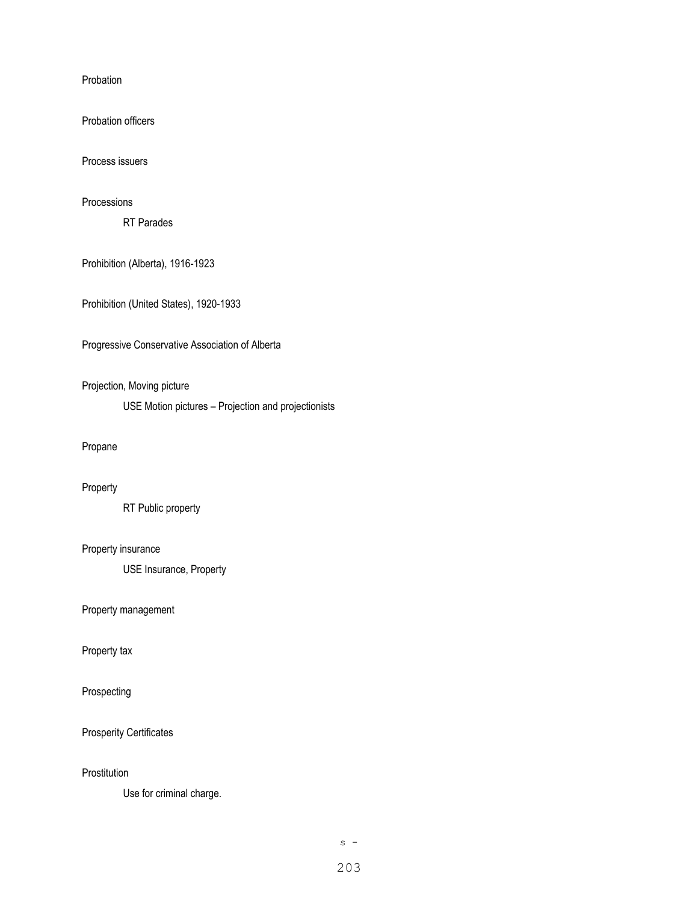Probation

Probation officers

Process issuers

### Processions

RT Parades

Prohibition (Alberta), 1916-1923

Prohibition (United States), 1920-1933

Progressive Conservative Association of Alberta

### Projection, Moving picture

USE Motion pictures – Projection and projectionists

### Propane

### Property

RT Public property

### Property insurance

USE Insurance, Property

Property management

Property tax

Prospecting

Prosperity Certificates

**Prostitution** 

Use for criminal charge.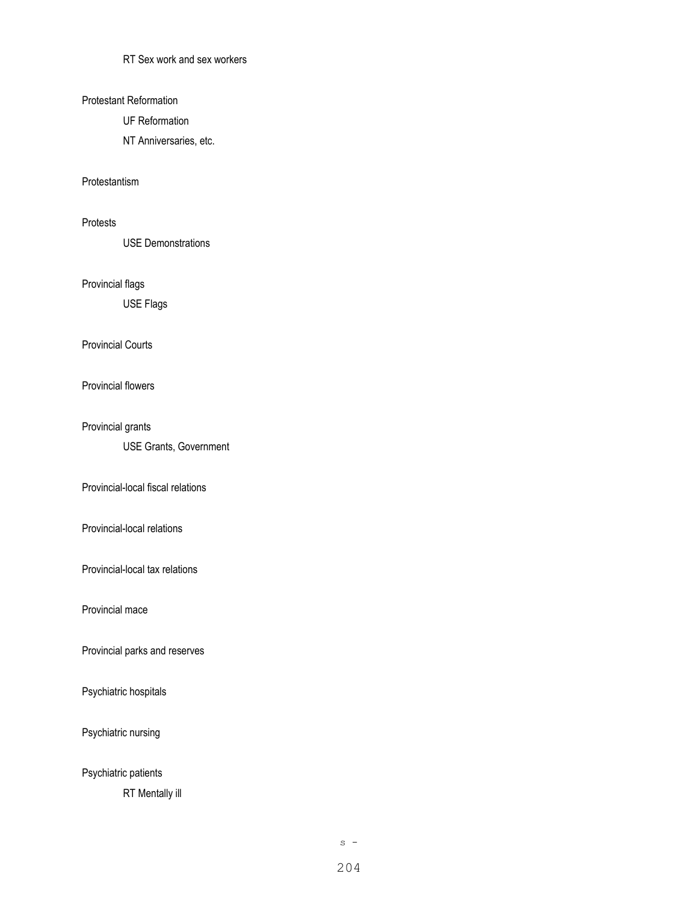RT Sex work and sex workers

#### Protestant Reformation

UF Reformation

NT Anniversaries, etc.

### Protestantism

### Protests

USE Demonstrations

### Provincial flags

USE Flags

#### Provincial Courts

#### Provincial flowers

### Provincial grants

USE Grants, Government

### Provincial-local fiscal relations

Provincial-local relations

Provincial-local tax relations

Provincial mace

Provincial parks and reserves

Psychiatric hospitals

Psychiatric nursing

# Psychiatric patients

RT Mentally ill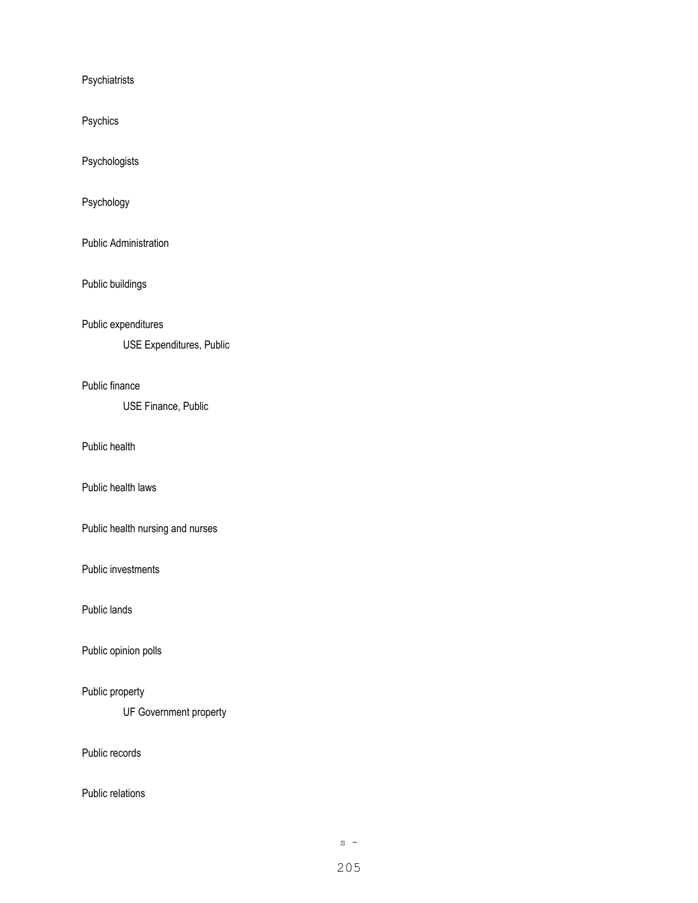Psychiatrists

Psychics

Psychologists

Psychology

Public Administration

Public buildings

Public expenditures

USE Expenditures, Public

Public finance

USE Finance, Public

Public health

Public health laws

Public health nursing and nurses

Public investments

Public lands

Public opinion polls

Public property

UF Government property

Public records

Public relations

 $s -$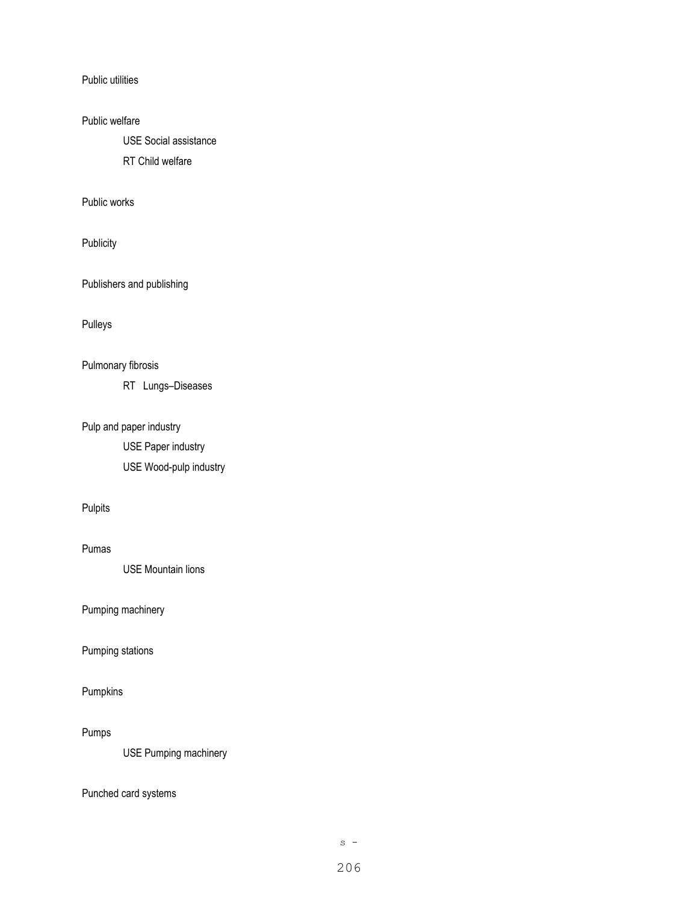Public utilities

## Public welfare

USE Social assistance

RT Child welfare

Public works

Publicity

Publishers and publishing

Pulleys

# Pulmonary fibrosis

RT Lungs–Diseases

# Pulp and paper industry

USE Paper industry USE Wood-pulp industry

## Pulpits

### Pumas

USE Mountain lions

Pumping machinery

Pumping stations

## Pumpkins

Pumps

USE Pumping machinery

# Punched card systems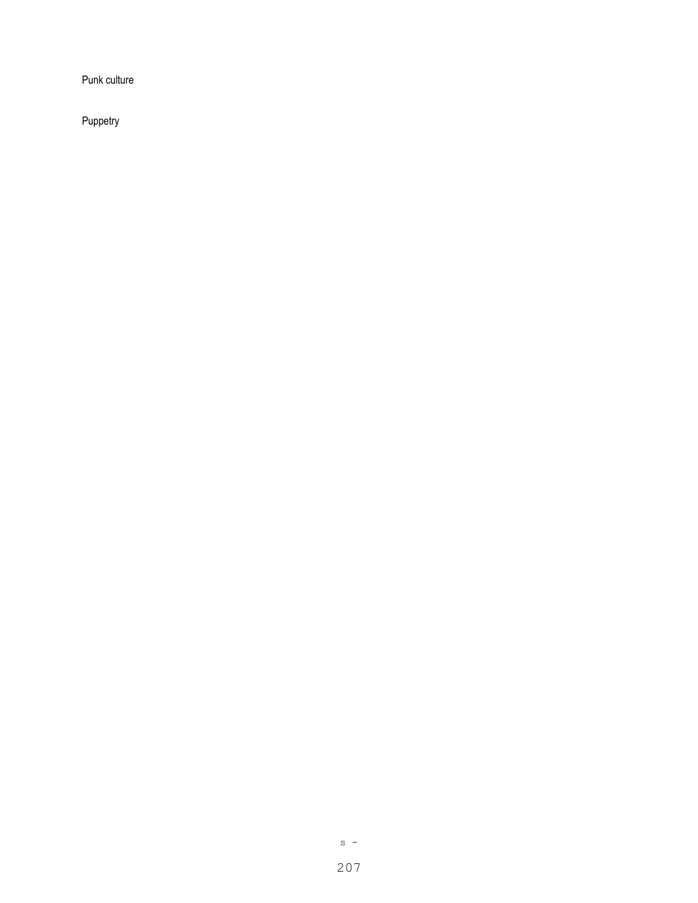Punk culture

Puppetry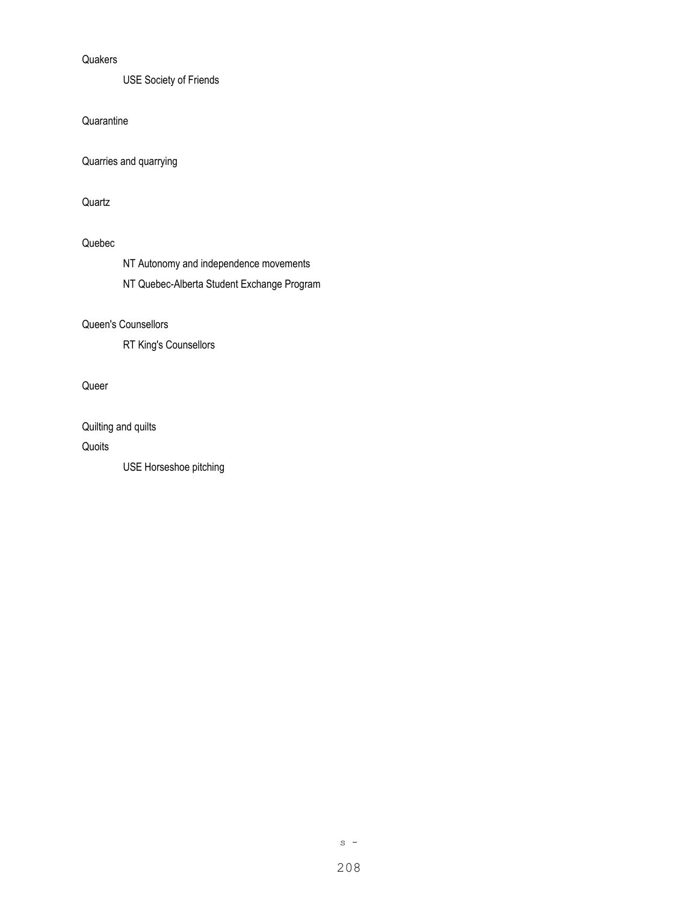### **Quakers**

USE Society of Friends

**Quarantine** 

Quarries and quarrying

Quartz

## Quebec

NT Autonomy and independence movements

NT Quebec-Alberta Student Exchange Program

### Queen's Counsellors

RT King's Counsellors

Queer

Quilting and quilts

Quoits

USE Horseshoe pitching

 $s -$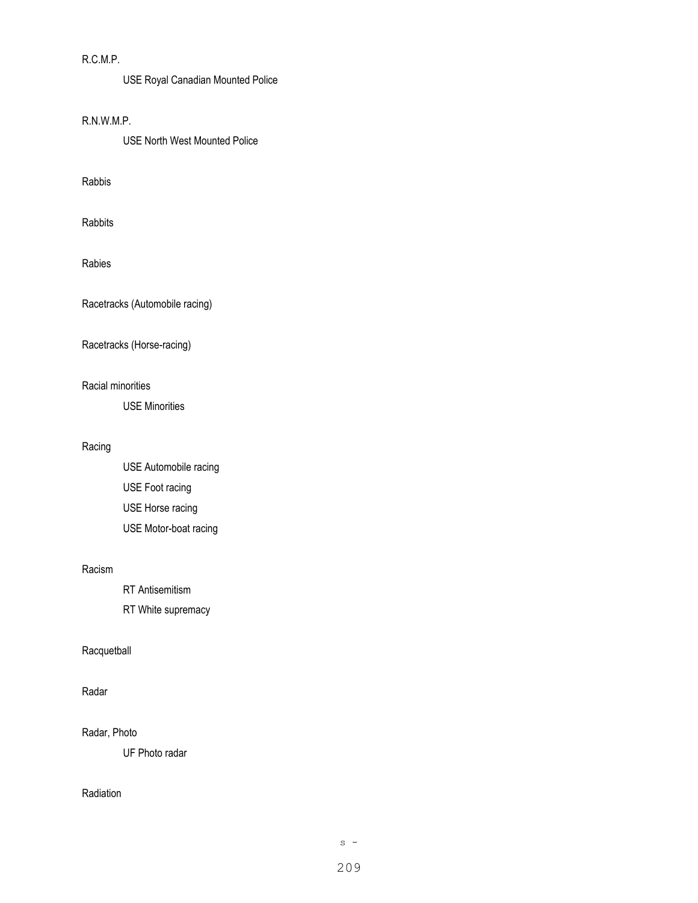## R.C.M.P.

USE Royal Canadian Mounted Police

### R.N.W.M.P.

USE North West Mounted Police

### Rabbis

Rabbits

### Rabies

Racetracks (Automobile racing)

## Racetracks (Horse-racing)

#### Racial minorities

USE Minorities

## Racing

USE Automobile racing USE Foot racing USE Horse racing USE Motor-boat racing

#### Racism

RT Antisemitism

RT White supremacy

### Racquetball

## Radar

#### Radar, Photo

UF Photo radar

## Radiation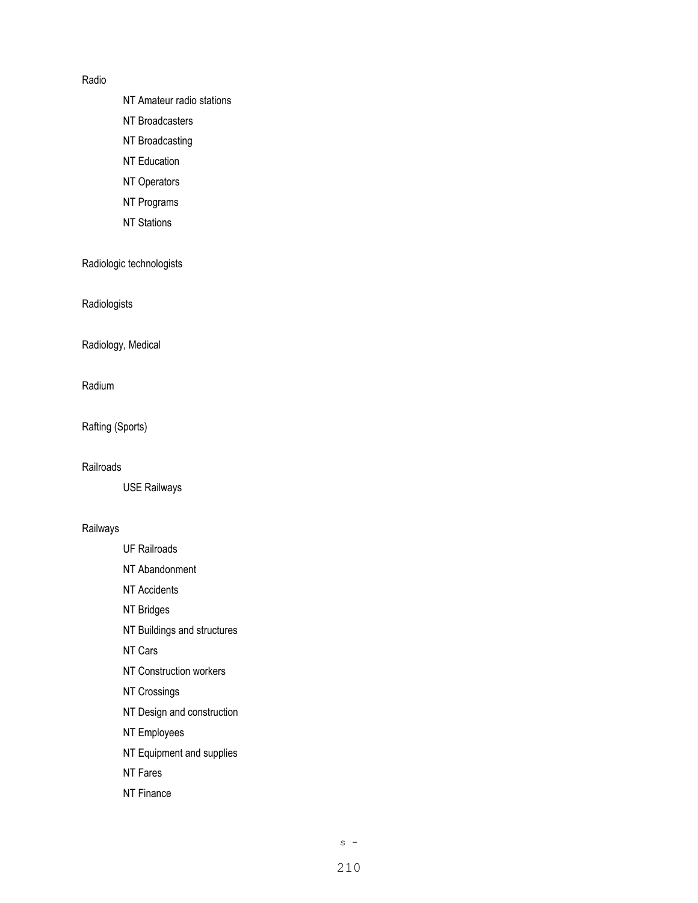### Radio

- NT Amateur radio stations
- NT Broadcasters
- NT Broadcasting
- NT Education
- NT Operators
- NT Programs
- NT Stations

Radiologic technologists

Radiologists

Radiology, Medical

Radium

Rafting (Sports)

**Railroads** 

USE Railways

#### Railways

- UF Railroads
- NT Abandonment
- NT Accidents
- NT Bridges
- NT Buildings and structures
- NT Cars
- NT Construction workers
- NT Crossings
- NT Design and construction
- NT Employees
- NT Equipment and supplies
- NT Fares
- NT Finance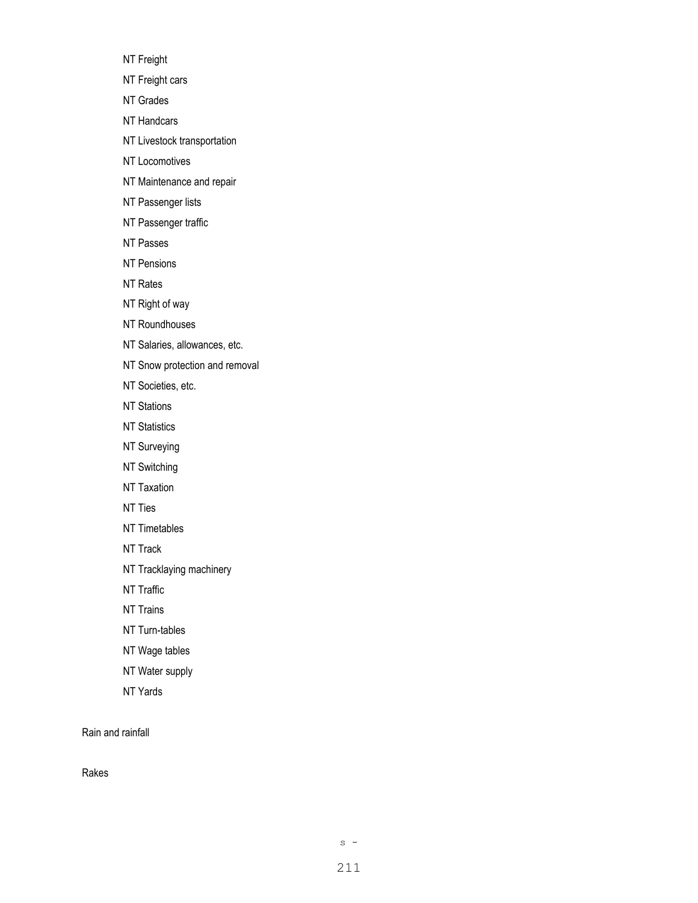NT Freight

NT Freight cars

NT Grades

NT Handcars

NT Livestock transportation

NT Locomotives

NT Maintenance and repair

NT Passenger lists

NT Passenger traffic

NT Passes

NT Pensions

NT Rates

NT Right of way

NT Roundhouses

NT Salaries, allowances, etc.

NT Snow protection and removal

NT Societies, etc.

NT Stations

**NT Statistics** 

NT Surveying

NT Switching

NT Taxation

NT Ties

NT Timetables

NT Track

NT Tracklaying machinery

NT Traffic

NT Trains

NT Turn-tables

NT Wage tables

NT Water supply

NT Yards

Rain and rainfall

Rakes

 $s -$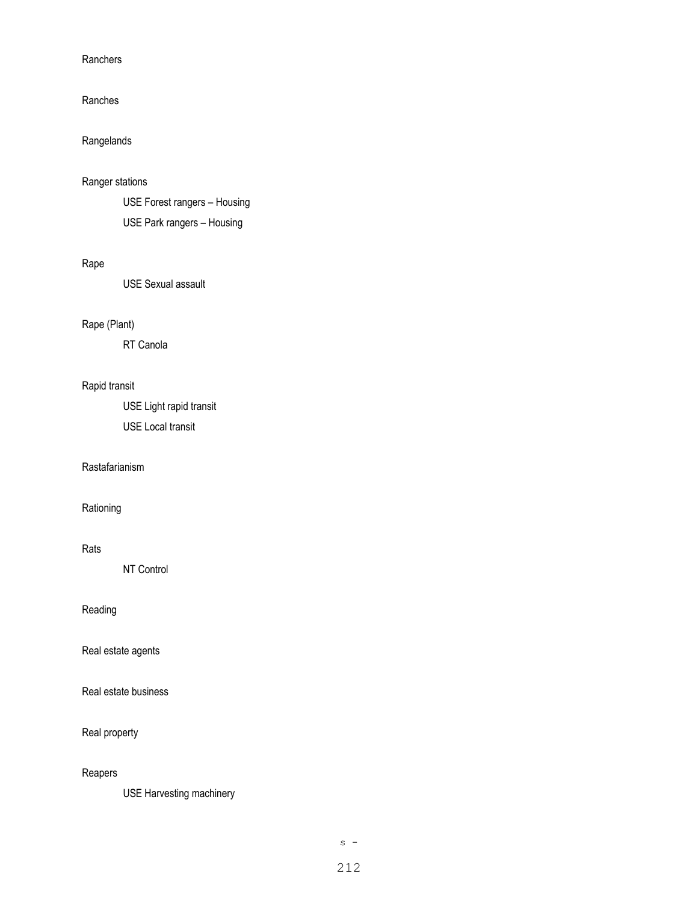### **Ranchers**

#### Ranches

# Rangelands

### Ranger stations

USE Forest rangers – Housing USE Park rangers – Housing

## Rape

USE Sexual assault

# Rape (Plant)

RT Canola

# Rapid transit

USE Light rapid transit USE Local transit

#### Rastafarianism

Rationing

#### Rats

NT Control

# Reading

Real estate agents

Real estate business

### Real property

### Reapers

USE Harvesting machinery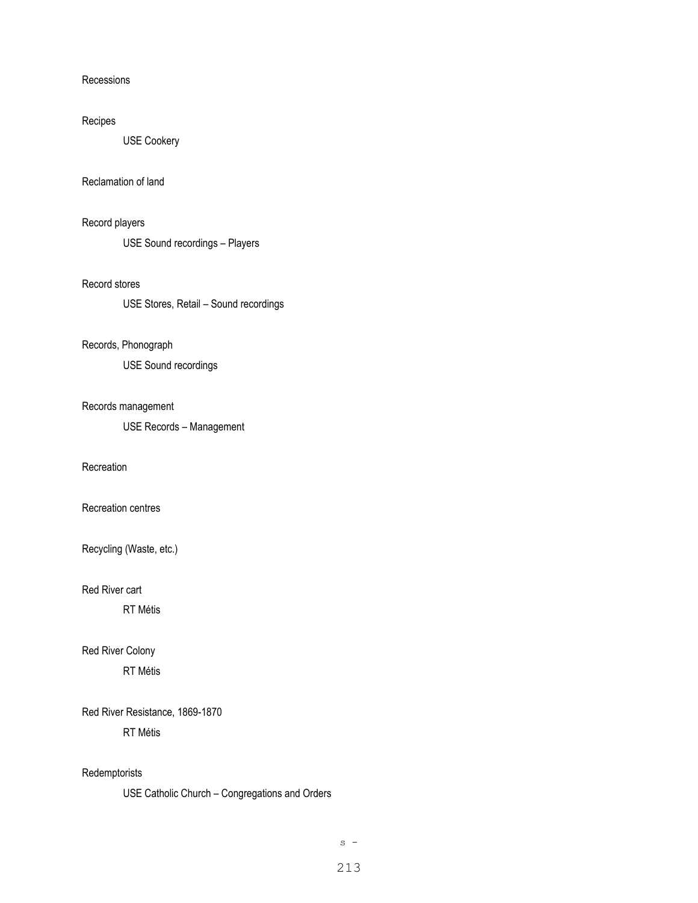#### Recessions

### Recipes

USE Cookery

### Reclamation of land

# Record players

USE Sound recordings – Players

## Record stores

USE Stores, Retail – Sound recordings

#### Records, Phonograph

USE Sound recordings

### Records management

USE Records – Management

#### **Recreation**

Recreation centres

Recycling (Waste, etc.)

Red River cart

RT Métis

## Red River Colony

RT Métis

## Red River Resistance, 1869-1870

RT Métis

#### Redemptorists

USE Catholic Church – Congregations and Orders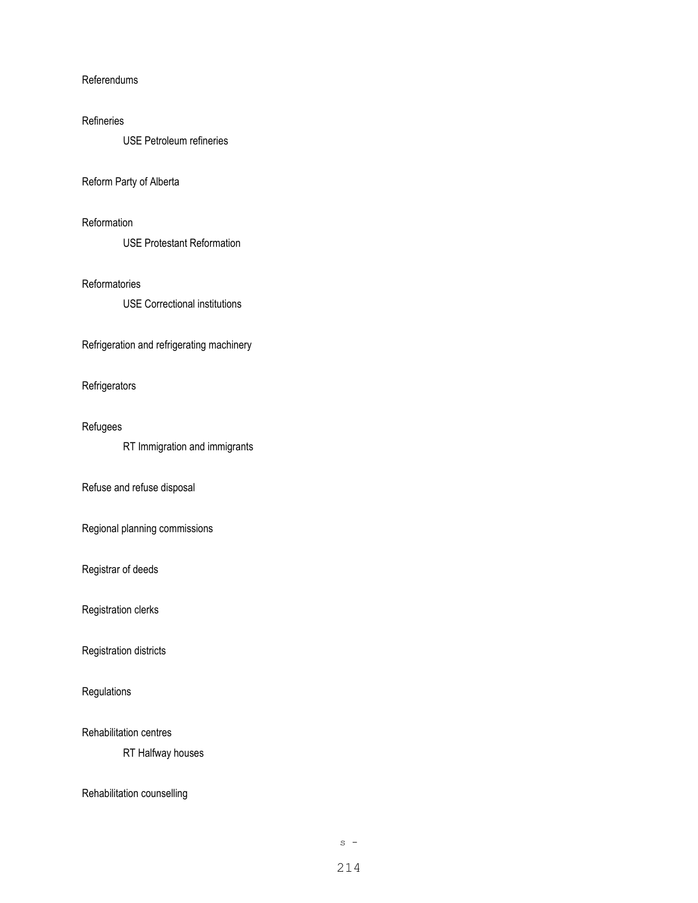#### Referendums

#### Refineries

USE Petroleum refineries

### Reform Party of Alberta

### **Reformation**

USE Protestant Reformation

#### Reformatories

USE Correctional institutions

Refrigeration and refrigerating machinery

### **Refrigerators**

### Refugees

RT Immigration and immigrants

### Refuse and refuse disposal

Regional planning commissions

### Registrar of deeds

Registration clerks

Registration districts

# **Regulations**

Rehabilitation centres

RT Halfway houses

### Rehabilitation counselling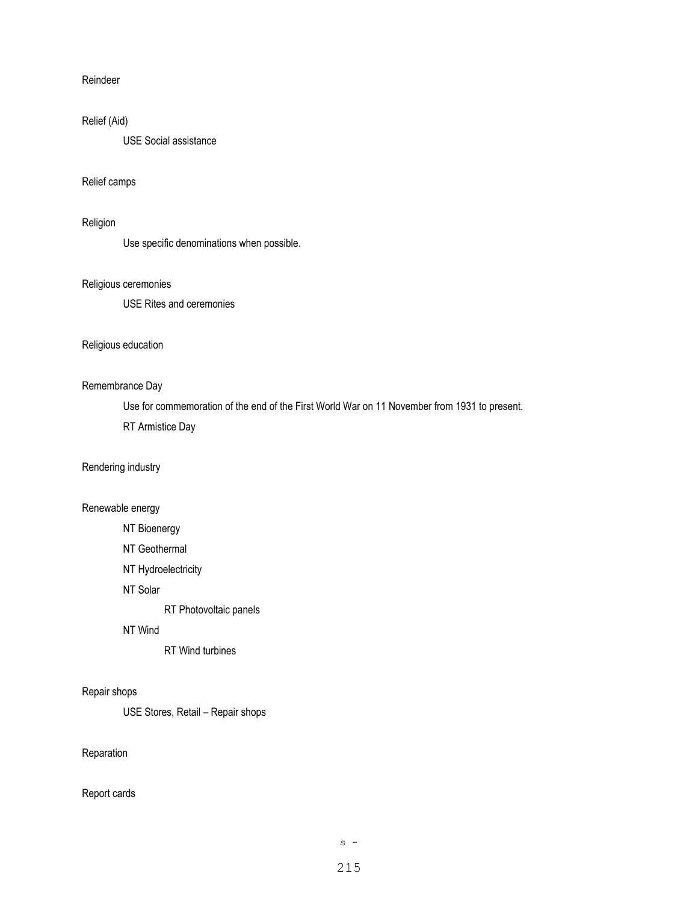### Reindeer

### Relief (Aid)

USE Social assistance

### Relief camps

### Religion

Use specific denominations when possible.

#### Religious ceremonies

USE Rites and ceremonies

### Religious education

### Remembrance Day

Use for commemoration of the end of the First World War on 11 November from 1931 to present. RT Armistice Day

### Rendering industry

## Renewable energy

- NT Bioenergy
- NT Geothermal
- NT Hydroelectricity
- NT Solar

RT Photovoltaic panels

#### NT Wind

RT Wind turbines

#### Repair shops

USE Stores, Retail – Repair shops

# Reparation

#### Report cards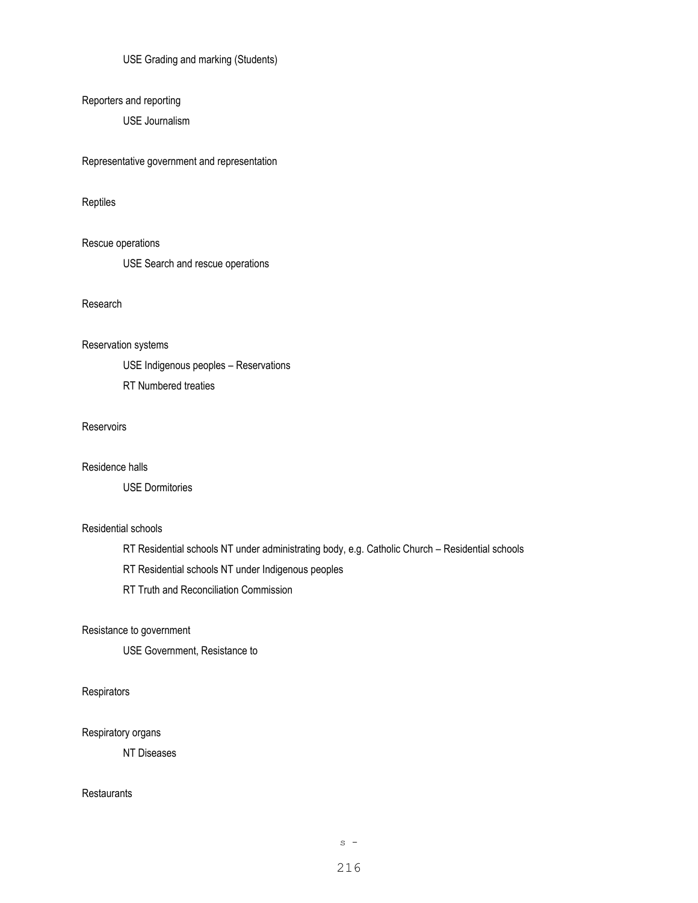USE Grading and marking (Students)

Reporters and reporting

USE Journalism

Representative government and representation

Reptiles

Rescue operations

USE Search and rescue operations

Research

Reservation systems

USE Indigenous peoples – Reservations

RT Numbered treaties

**Reservoirs** 

Residence halls

USE Dormitories

## Residential schools

RT Residential schools NT under administrating body, e.g. Catholic Church – Residential schools

RT Residential schools NT under Indigenous peoples

RT Truth and Reconciliation Commission

Resistance to government

USE Government, Resistance to

**Respirators** 

Respiratory organs

NT Diseases

**Restaurants**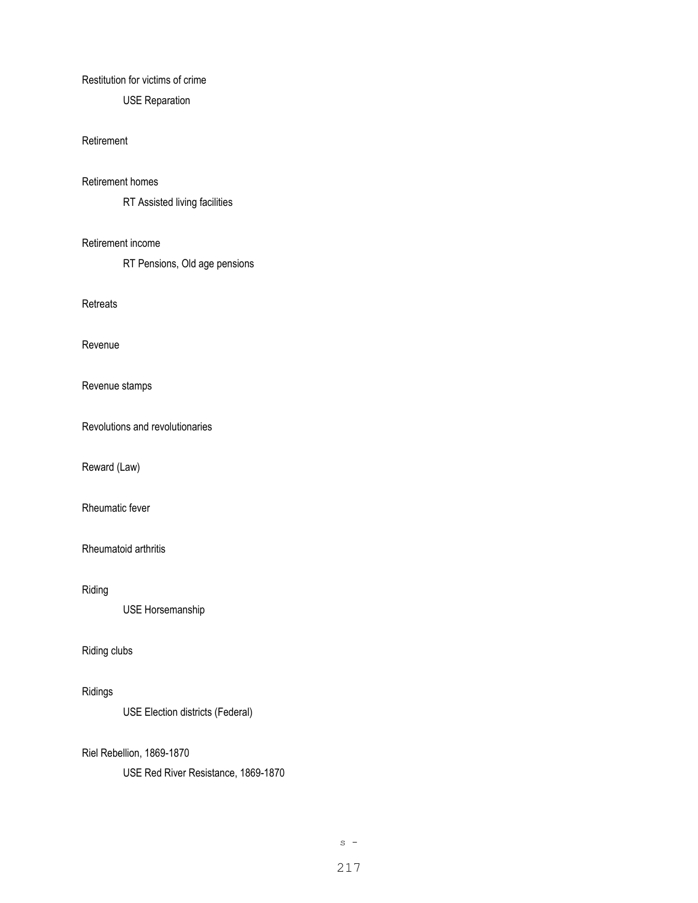#### Restitution for victims of crime

USE Reparation

#### Retirement

#### Retirement homes

RT Assisted living facilities

#### Retirement income

RT Pensions, Old age pensions

**Retreats** 

Revenue

Revenue stamps

Revolutions and revolutionaries

Reward (Law)

Rheumatic fever

## Rheumatoid arthritis

Riding

USE Horsemanship

#### Riding clubs

# Ridings

USE Election districts (Federal)

### Riel Rebellion, 1869-1870

USE Red River Resistance, 1869-1870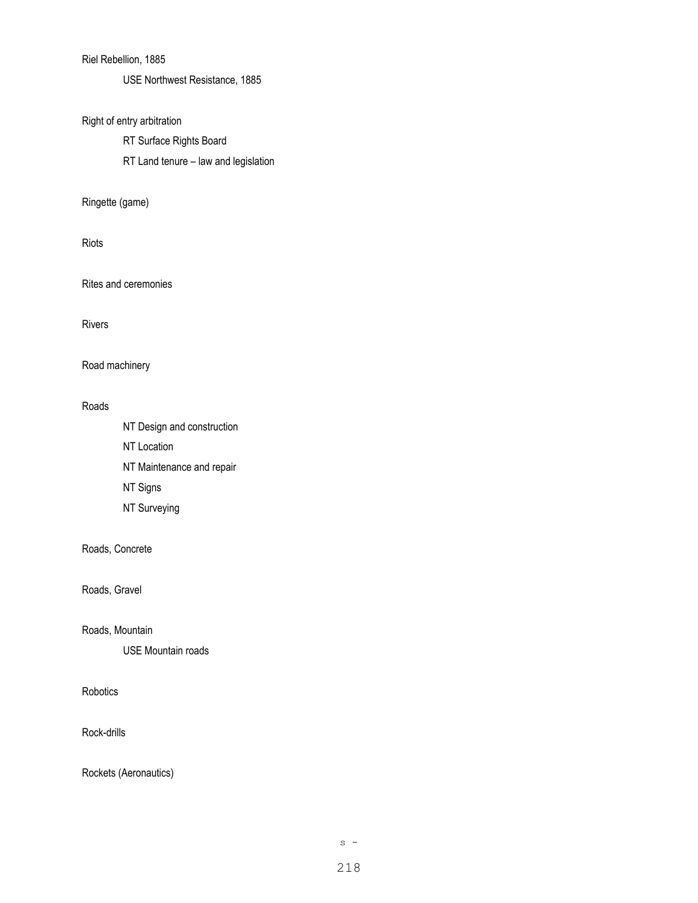## Riel Rebellion, 1885

USE Northwest Resistance, 1885

# Right of entry arbitration

RT Surface Rights Board

RT Land tenure – law and legislation

#### Ringette (game)

Riots

Rites and ceremonies

#### Rivers

### Road machinery

#### Roads

NT Design and construction NT Location NT Maintenance and repair NT Signs NT Surveying

## Roads, Concrete

Roads, Gravel

#### Roads, Mountain

USE Mountain roads

## Robotics

Rock-drills

Rockets (Aeronautics)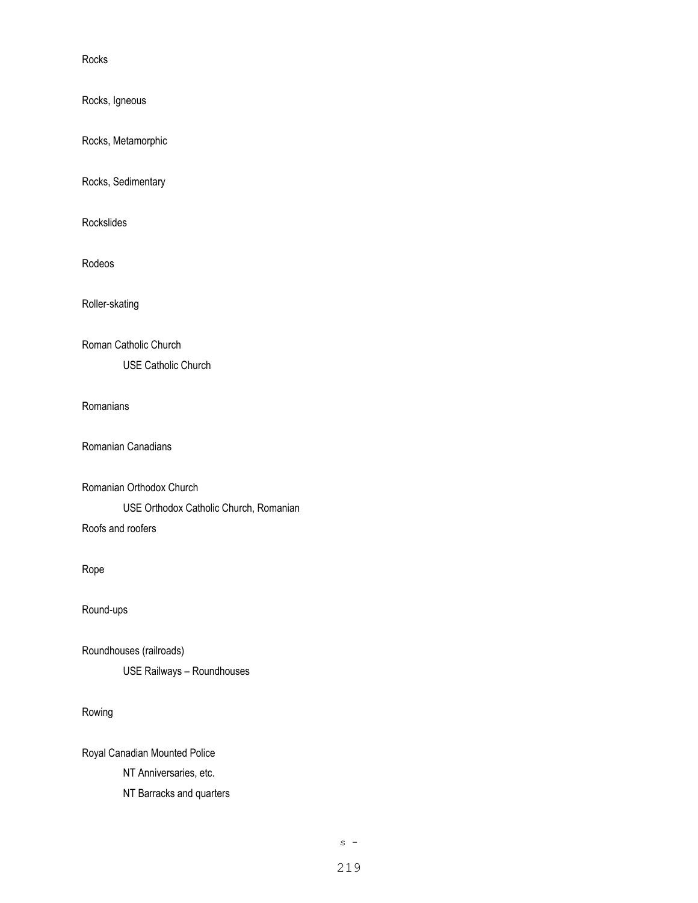Rocks

Rocks, Igneous

Rocks, Metamorphic

Rocks, Sedimentary

Rockslides

Rodeos

Roller-skating

Roman Catholic Church

USE Catholic Church

#### Romanians

Romanian Canadians

```
Romanian Orthodox Church
```
USE Orthodox Catholic Church, Romanian

Roofs and roofers

Rope

Round-ups

Roundhouses (railroads)

USE Railways – Roundhouses

## Rowing

Royal Canadian Mounted Police

NT Anniversaries, etc.

NT Barracks and quarters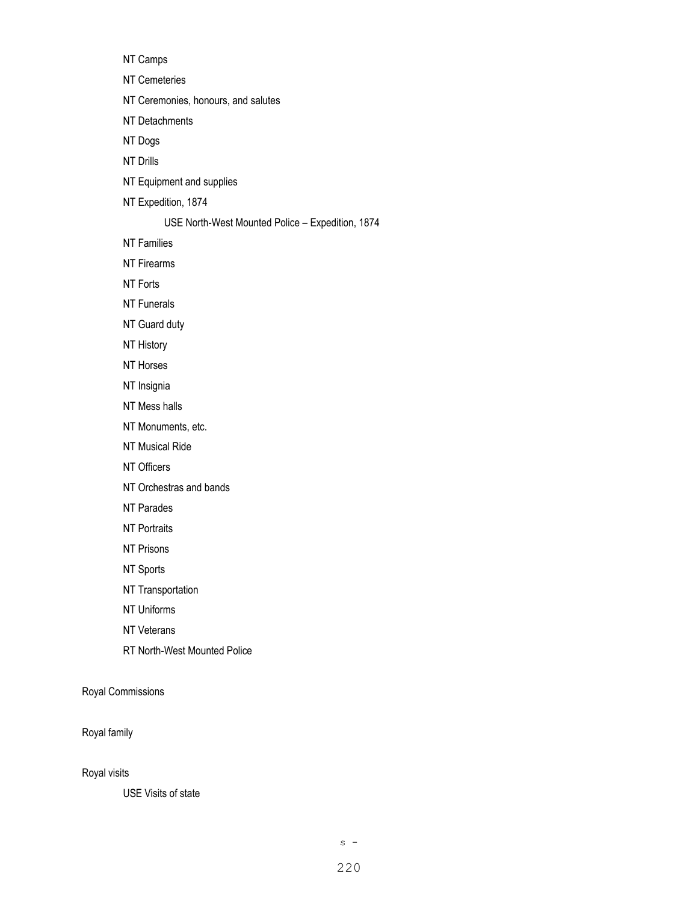NT Camps

NT Cemeteries

NT Ceremonies, honours, and salutes

NT Detachments

NT Dogs

NT Drills

- NT Equipment and supplies
- NT Expedition, 1874

#### USE North-West Mounted Police – Expedition, 1874

NT Families

NT Firearms

NT Forts

NT Funerals

NT Guard duty

NT History

- NT Horses
- NT Insignia
- NT Mess halls
- NT Monuments, etc.
- NT Musical Ride
- NT Officers
- NT Orchestras and bands
- NT Parades
- NT Portraits
- NT Prisons
- NT Sports
- NT Transportation
- NT Uniforms
- NT Veterans
- RT North-West Mounted Police

Royal Commissions

Royal family

Royal visits

USE Visits of state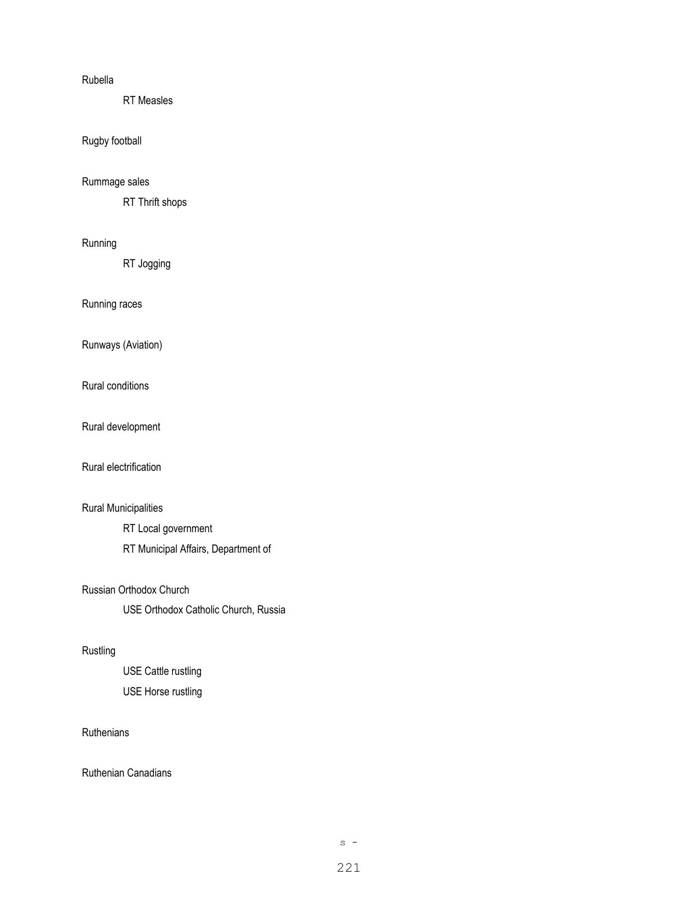#### Rubella

RT Measles

### Rugby football

#### Rummage sales

RT Thrift shops

#### Running

RT Jogging

Running races

Runways (Aviation)

Rural conditions

Rural development

Rural electrification

## Rural Municipalities

RT Local government RT Municipal Affairs, Department of

#### Russian Orthodox Church

USE Orthodox Catholic Church, Russia

#### Rustling

USE Cattle rustling USE Horse rustling

### **Ruthenians**

Ruthenian Canadians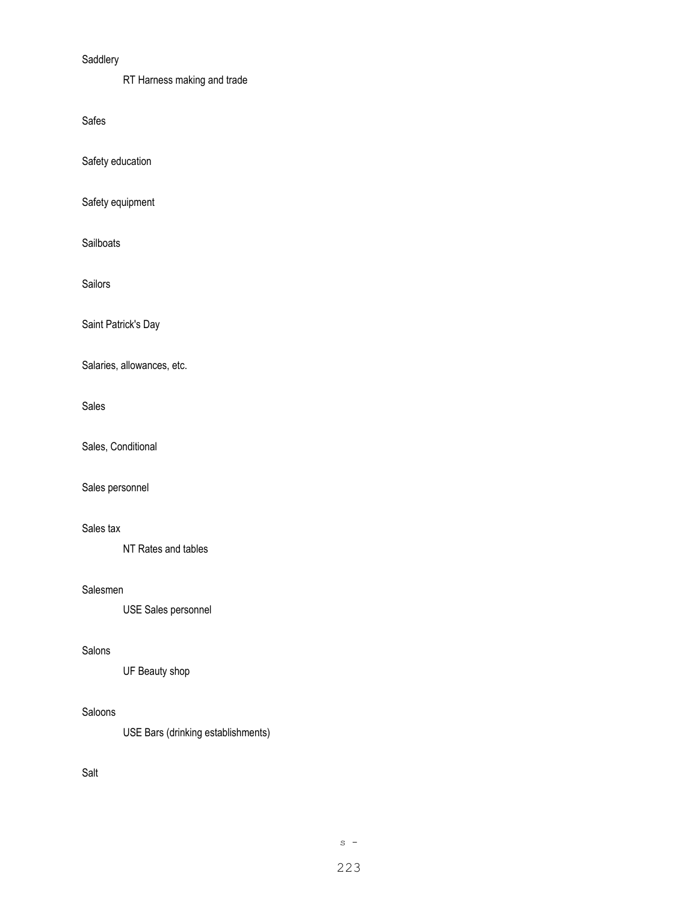### Saddlery

RT Harness making and trade

Safes

Safety education

Safety equipment

Sailboats

Sailors

Saint Patrick's Day

Salaries, allowances, etc.

#### Sales

Sales, Conditional

Sales personnel

### Sales tax

NT Rates and tables

#### Salesmen

USE Sales personnel

#### Salons

UF Beauty shop

#### Saloons

USE Bars (drinking establishments)

## Salt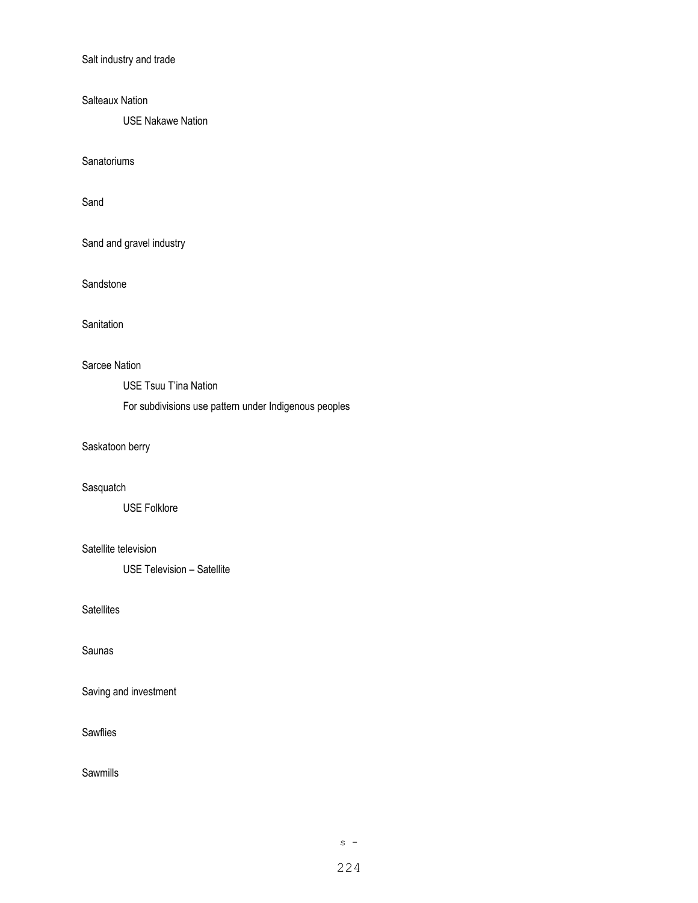Salt industry and trade

Salteaux Nation

USE Nakawe Nation

**Sanatoriums** 

Sand

Sand and gravel industry

**Sandstone** 

**Sanitation** 

## Sarcee Nation

USE Tsuu T'ina Nation

For subdivisions use pattern under Indigenous peoples

# Saskatoon berry

#### **Sasquatch**

USE Folklore

### Satellite television

USE Television – Satellite

### **Satellites**

Saunas

Saving and investment

#### **Sawflies**

Sawmills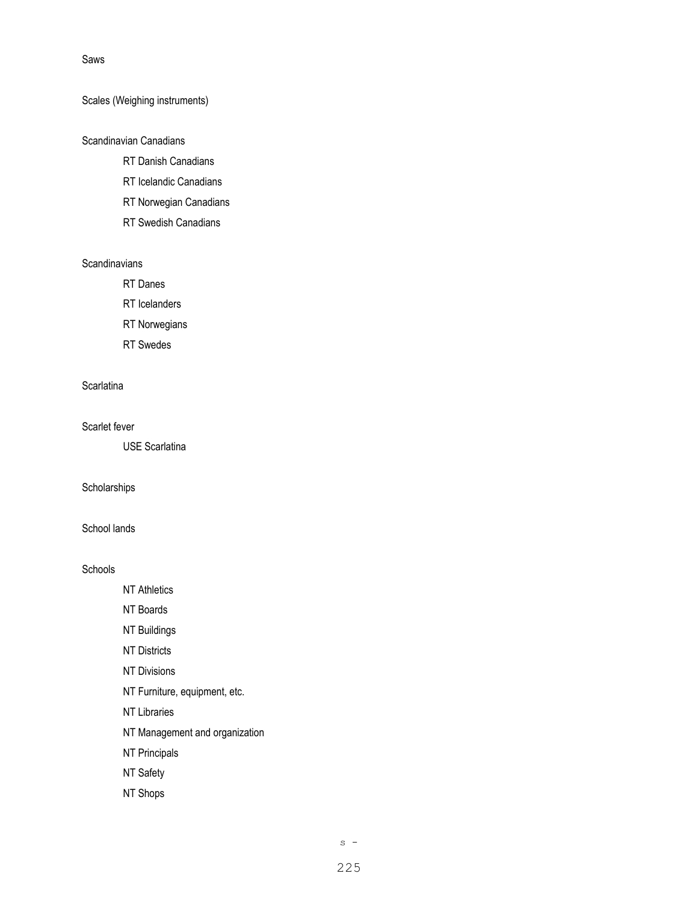#### Saws

### Scales (Weighing instruments)

## Scandinavian Canadians

- RT Danish Canadians
- RT Icelandic Canadians
- RT Norwegian Canadians
- RT Swedish Canadians

### **Scandinavians**

RT Danes

RT Icelanders

RT Norwegians

RT Swedes

### **Scarlatina**

Scarlet fever

USE Scarlatina

#### **Scholarships**

### School lands

#### **Schools**

NT Athletics

NT Boards

NT Buildings

NT Districts

NT Divisions

- NT Furniture, equipment, etc.
- NT Libraries
- NT Management and organization
- NT Principals
- NT Safety
- NT Shops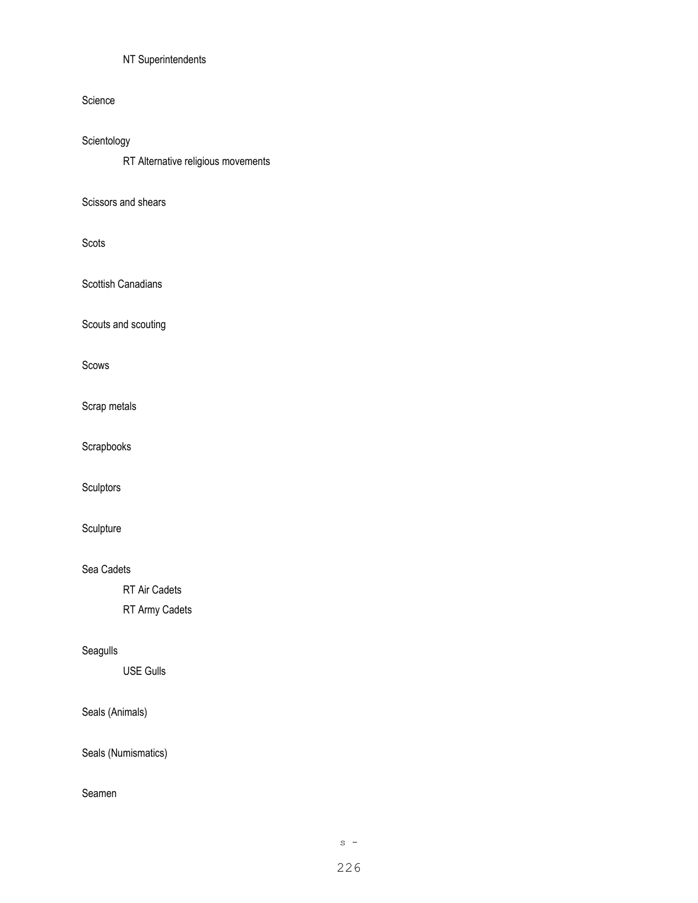# NT Superintendents

### Science

# Scientology

RT Alternative religious movements

### Scissors and shears

## Scots

Scottish Canadians

Scouts and scouting

## Scows

Scrap metals

Scrapbooks

Sculptors

# Sculpture

### Sea Cadets

RT Air Cadets

RT Army Cadets

# Seagulls

USE Gulls

# Seals (Animals)

Seals (Numismatics)

#### Seamen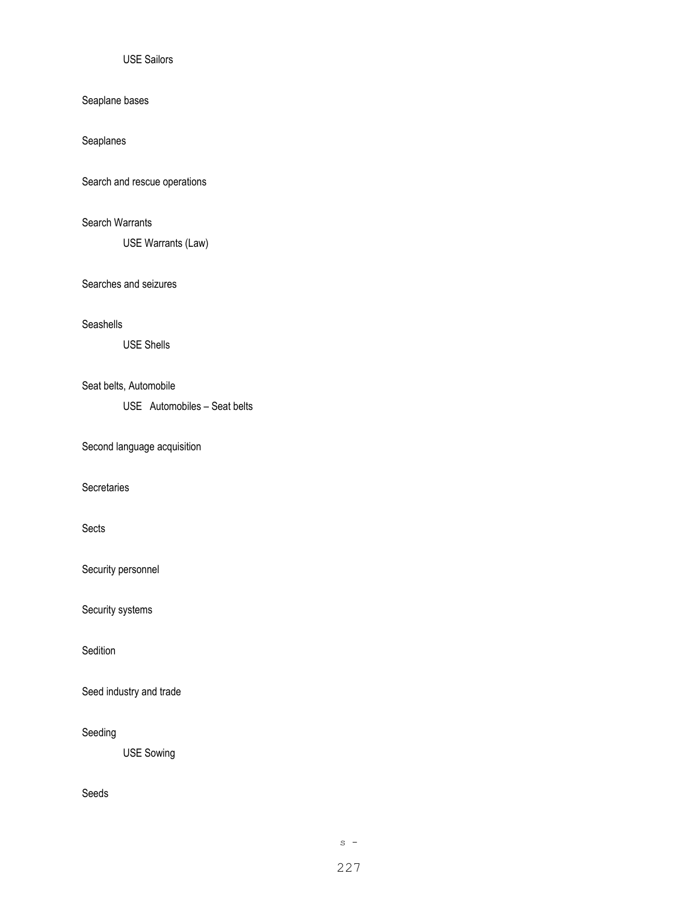### USE Sailors

## Seaplane bases

Seaplanes

Search and rescue operations

## Search Warrants

USE Warrants (Law)

### Searches and seizures

### Seashells

USE Shells

#### Seat belts, Automobile

USE Automobiles – Seat belts

Second language acquisition

#### **Secretaries**

#### Sects

Security personnel

Security systems

Sedition

Seed industry and trade

#### Seeding

USE Sowing

## Seeds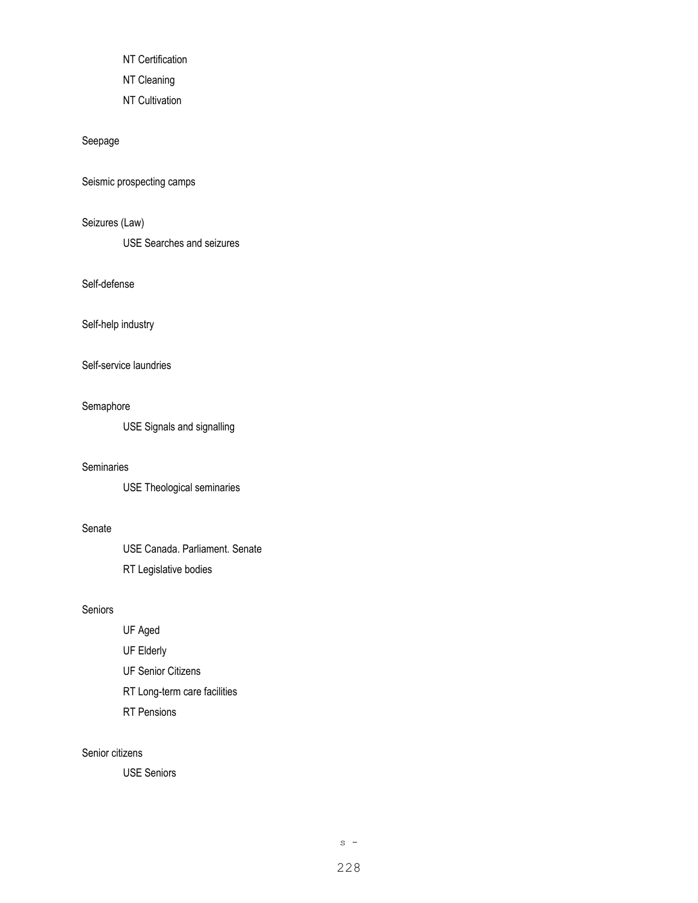NT Certification

NT Cleaning

NT Cultivation

Seepage

Seismic prospecting camps

Seizures (Law)

USE Searches and seizures

Self-defense

Self-help industry

Self-service laundries

#### Semaphore

USE Signals and signalling

### **Seminaries**

USE Theological seminaries

#### Senate

USE Canada. Parliament. Senate RT Legislative bodies

### Seniors

UF Aged

UF Elderly

UF Senior Citizens

RT Long-term care facilities

RT Pensions

### Senior citizens

USE Seniors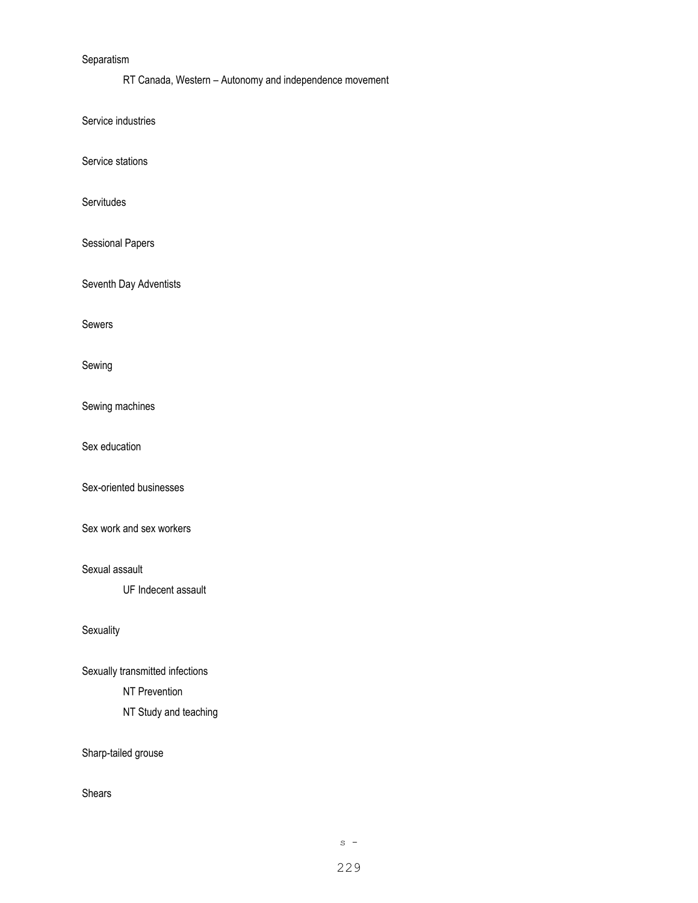### Separatism

RT Canada, Western – Autonomy and independence movement

Service industries

Service stations

Servitudes

Sessional Papers

Seventh Day Adventists

Sewers

Sewing

Sewing machines

Sex education

Sex-oriented businesses

Sex work and sex workers

Sexual assault

UF Indecent assault

**Sexuality** 

Sexually transmitted infections NT Prevention NT Study and teaching

Sharp-tailed grouse

Shears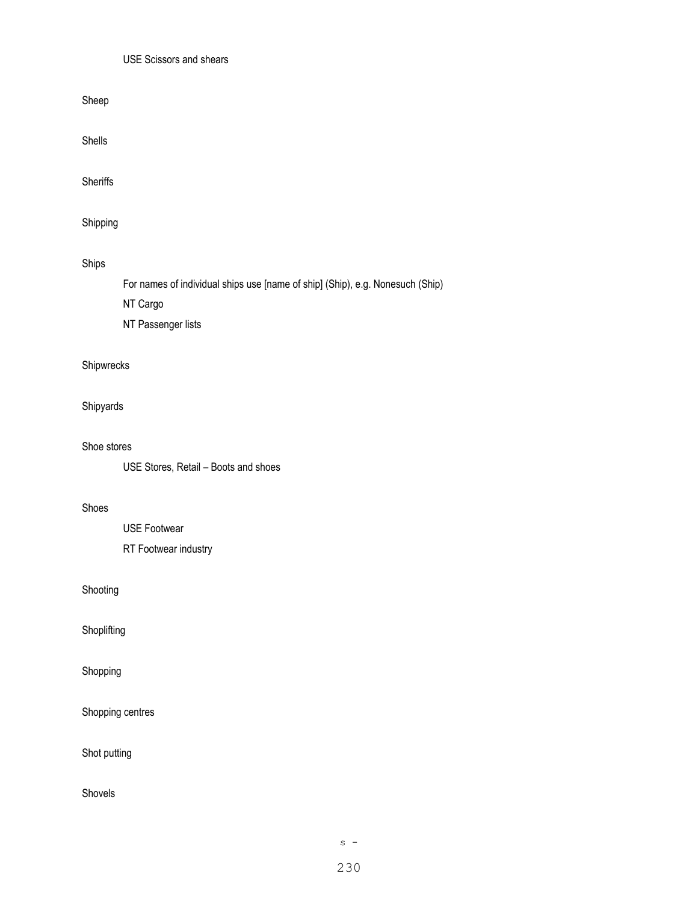## USE Scissors and shears

Sheep

Shells

**Sheriffs** 

Shipping

Ships

For names of individual ships use [name of ship] (Ship), e.g. Nonesuch (Ship)

NT Cargo

NT Passenger lists

# Shipwrecks

Shipyards

## Shoe stores

USE Stores, Retail – Boots and shoes

## Shoes

USE Footwear RT Footwear industry

# Shooting

Shoplifting

## Shopping

Shopping centres

Shot putting

Shovels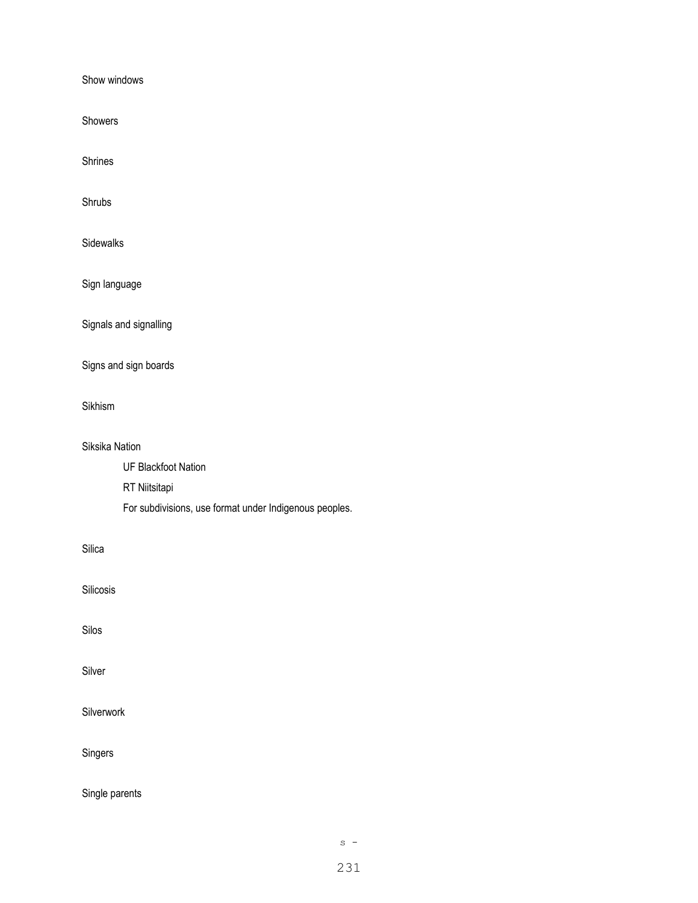Show windows

Showers

Shrines

Shrubs

Sidewalks

Sign language

Signals and signalling

Signs and sign boards

Sikhism

Siksika Nation UF Blackfoot Nation RT Niitsitapi For subdivisions, use format under Indigenous peoples.

Silica

Silicosis

Silos

Silver

Silverwork

Singers

Single parents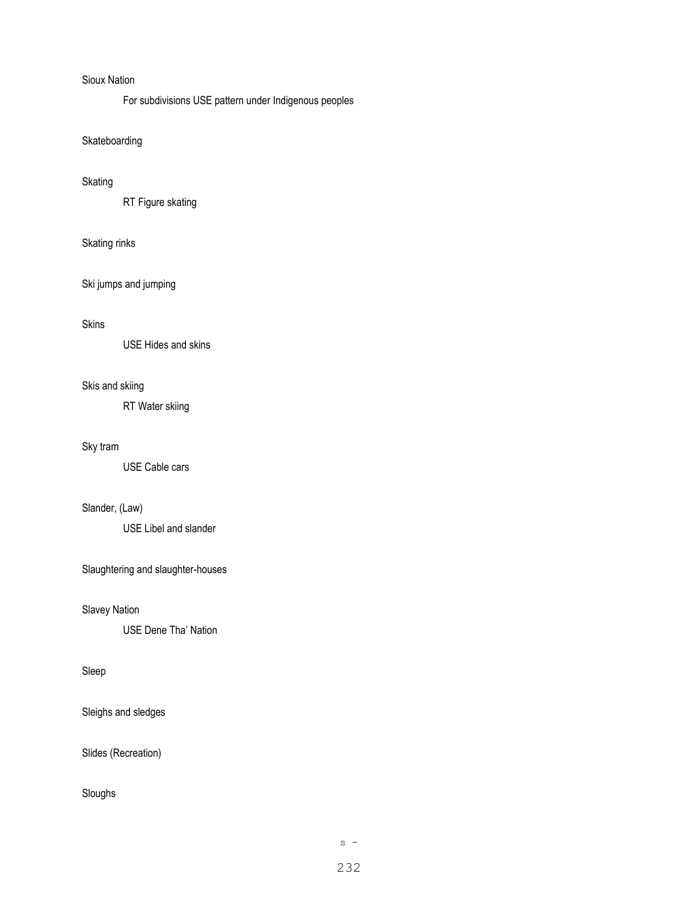### Sioux Nation

For subdivisions USE pattern under Indigenous peoples

# Skateboarding

#### Skating

RT Figure skating

#### Skating rinks

Ski jumps and jumping

### Skins

USE Hides and skins

# Skis and skiing

RT Water skiing

## Sky tram

USE Cable cars

## Slander, (Law)

USE Libel and slander

Slaughtering and slaughter-houses

Slavey Nation

USE Dene Tha' Nation

### Sleep

Sleighs and sledges

Slides (Recreation)

### Sloughs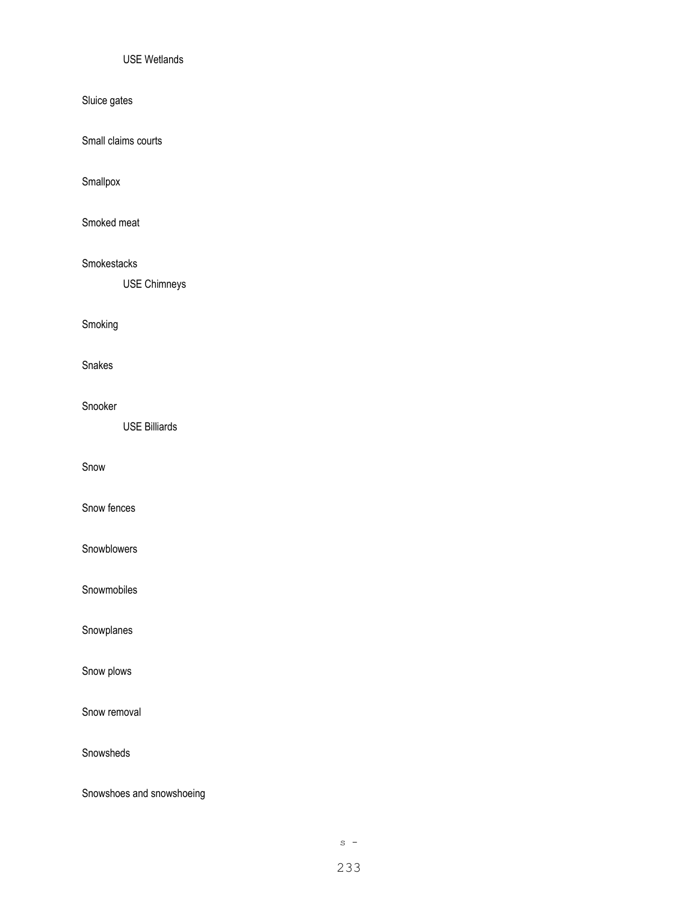### USE Wetlands

Sluice gates

Small claims courts

Smallpox

Smoked meat

Smokestacks

USE Chimneys

Smoking

Snakes

Snooker

USE Billiards

Snow

Snow fences

Snowblowers

Snowmobiles

Snowplanes

Snow plows

Snow removal

Snowsheds

Snowshoes and snowshoeing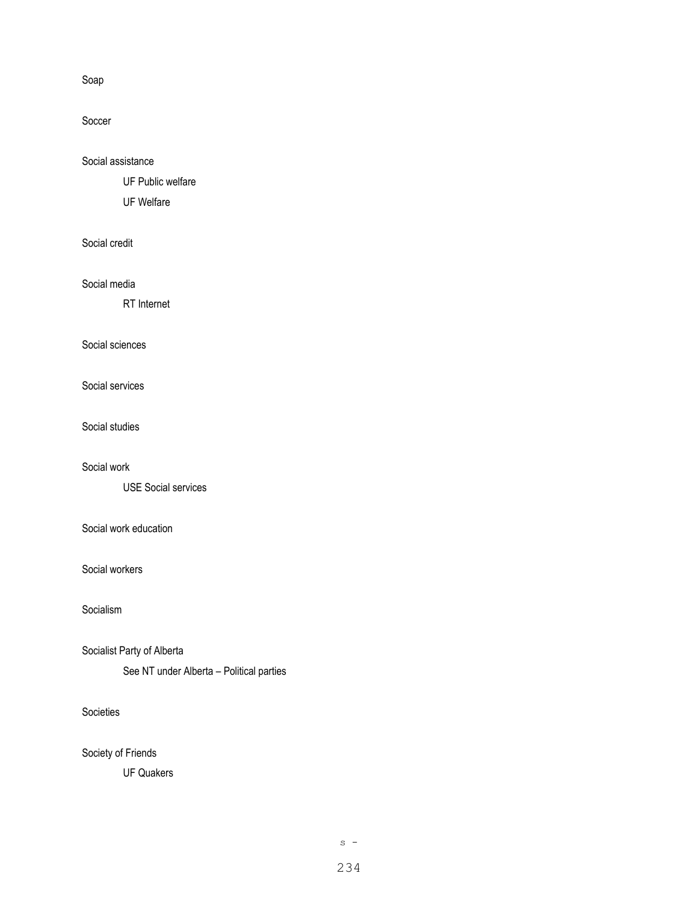Soap

Soccer

Social assistance

UF Public welfare

UF Welfare

Social credit

Social media

RT Internet

Social sciences

Social services

Social studies

Social work

USE Social services

Social work education

Social workers

Socialism

Socialist Party of Alberta

See NT under Alberta – Political parties

Societies

Society of Friends

UF Quakers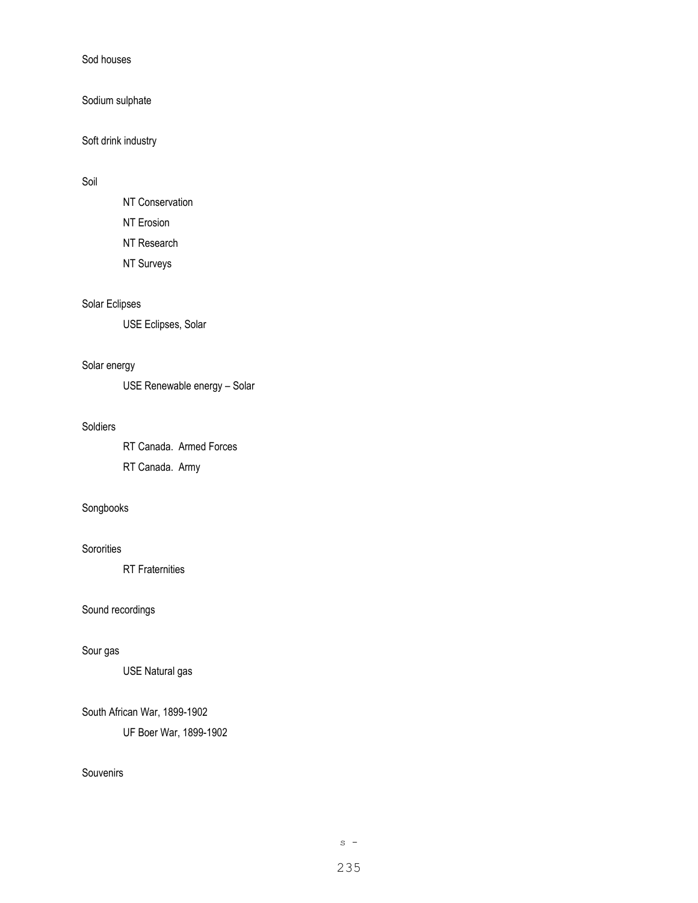Sod houses

Sodium sulphate

Soft drink industry

#### Soil

NT Conservation NT Erosion

NT Research

NT Surveys

# Solar Eclipses

USE Eclipses, Solar

### Solar energy

USE Renewable energy – Solar

#### Soldiers

RT Canada. Armed Forces RT Canada. Army

## Songbooks

## **Sororities**

RT Fraternities

Sound recordings

#### Sour gas

USE Natural gas

## South African War, 1899-1902

UF Boer War, 1899-1902

## **Souvenirs**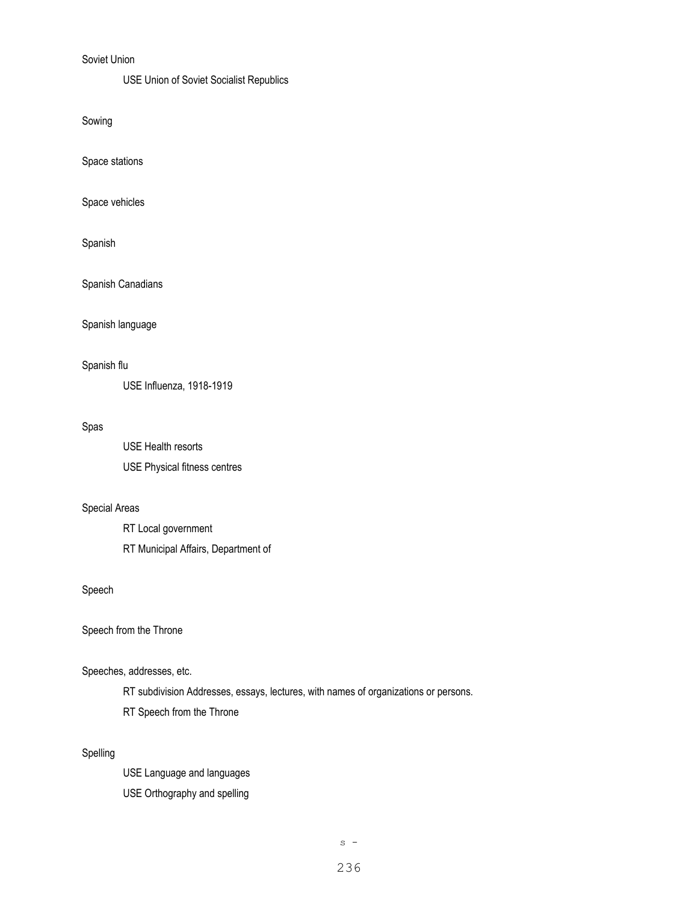## Soviet Union

#### USE Union of Soviet Socialist Republics

Sowing

Space stations

Space vehicles

Spanish

Spanish Canadians

Spanish language

#### Spanish flu

USE Influenza, 1918-1919

#### Spas

USE Health resorts USE Physical fitness centres

### Special Areas

RT Local government RT Municipal Affairs, Department of

## Speech

Speech from the Throne

### Speeches, addresses, etc.

RT subdivision Addresses, essays, lectures, with names of organizations or persons.

RT Speech from the Throne

## Spelling

USE Language and languages USE Orthography and spelling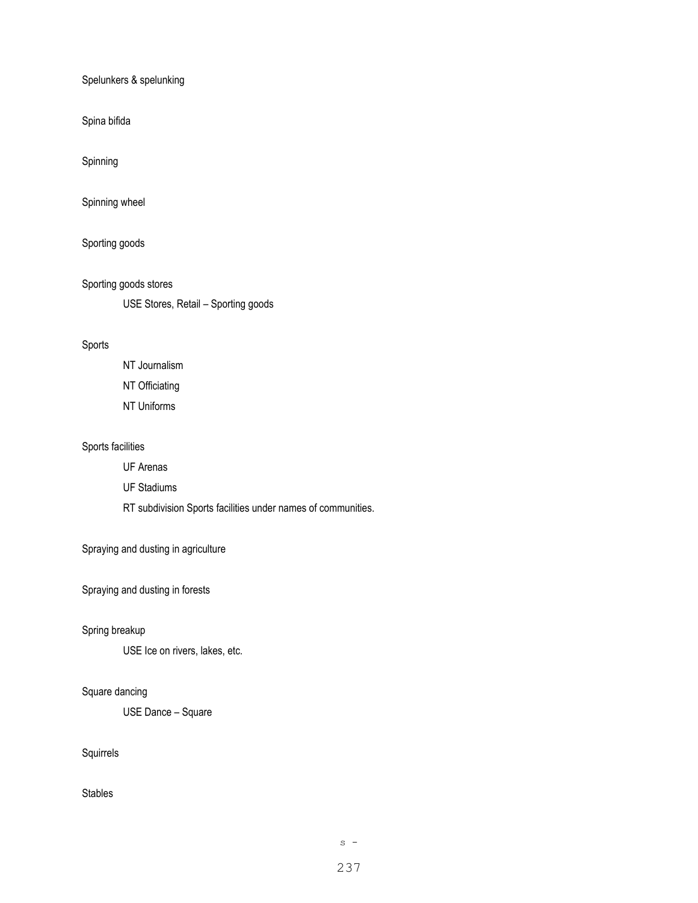Spelunkers & spelunking

Spina bifida

Spinning

Spinning wheel

Sporting goods

Sporting goods stores

USE Stores, Retail – Sporting goods

### Sports

NT Journalism NT Officiating NT Uniforms

### Sports facilities

UF Arenas

UF Stadiums

RT subdivision Sports facilities under names of communities.

### Spraying and dusting in agriculture

Spraying and dusting in forests

### Spring breakup

USE Ice on rivers, lakes, etc.

#### Square dancing

USE Dance – Square

## Squirrels

Stables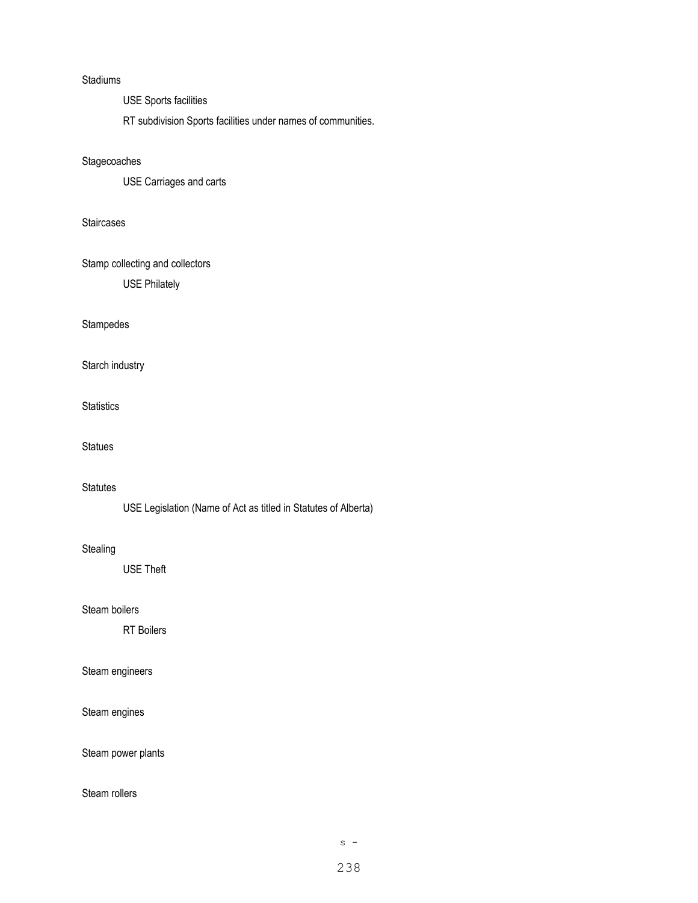### Stadiums

USE Sports facilities

RT subdivision Sports facilities under names of communities.

#### **Stagecoaches**

USE Carriages and carts

#### **Staircases**

Stamp collecting and collectors

USE Philately

#### Stampedes

Starch industry

**Statistics** 

**Statues** 

## **Statutes**

USE Legislation (Name of Act as titled in Statutes of Alberta)

#### **Stealing**

USE Theft

## Steam boilers

RT Boilers

#### Steam engineers

Steam engines

Steam power plants

### Steam rollers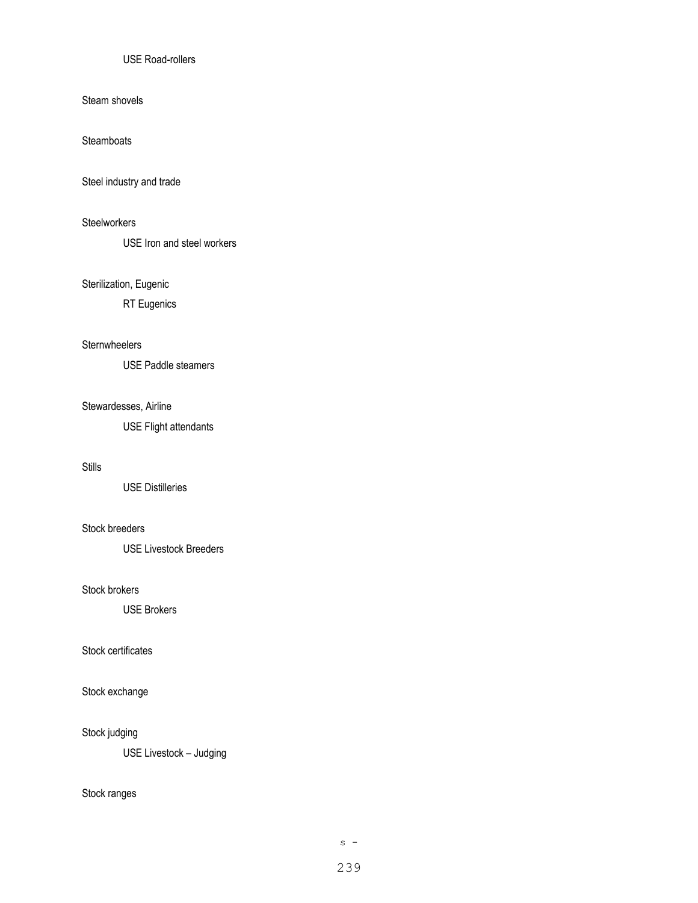## USE Road-rollers

Steam shovels

**Steamboats** 

Steel industry and trade

### **Steelworkers**

USE Iron and steel workers

# Sterilization, Eugenic

RT Eugenics

#### **Sternwheelers**

USE Paddle steamers

# Stewardesses, Airline

USE Flight attendants

#### Stills

USE Distilleries

### Stock breeders

USE Livestock Breeders

#### Stock brokers

USE Brokers

#### Stock certificates

# Stock exchange

#### Stock judging

USE Livestock – Judging

#### Stock ranges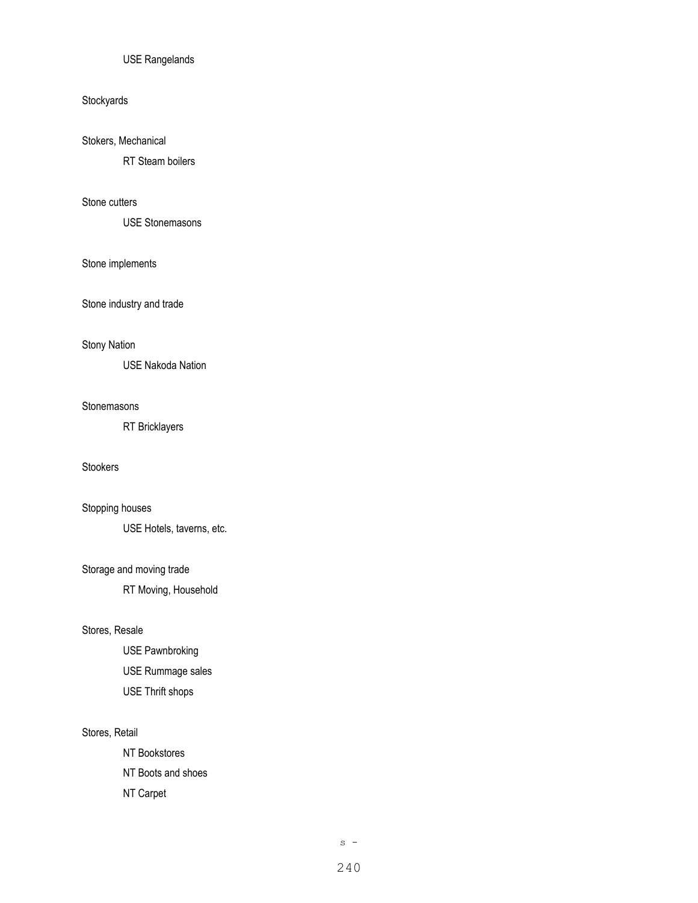#### USE Rangelands

## **Stockyards**

## Stokers, Mechanical

RT Steam boilers

### Stone cutters

USE Stonemasons

### Stone implements

Stone industry and trade

#### Stony Nation

USE Nakoda Nation

#### Stonemasons

RT Bricklayers

## Stookers

## Stopping houses

USE Hotels, taverns, etc.

#### Storage and moving trade

RT Moving, Household

#### Stores, Resale

USE Pawnbroking USE Rummage sales USE Thrift shops

#### Stores, Retail

NT Bookstores NT Boots and shoes NT Carpet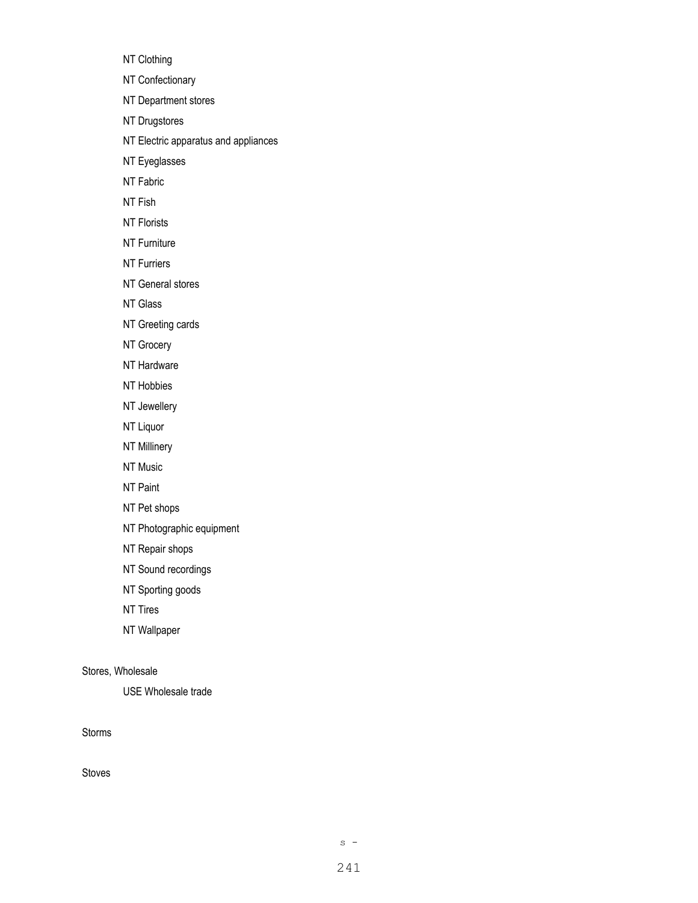NT Clothing

NT Confectionary

NT Department stores

NT Drugstores

NT Electric apparatus and appliances

NT Eyeglasses

NT Fabric

NT Fish

NT Florists

NT Furniture

NT Furriers

NT General stores

NT Glass

NT Greeting cards

NT Grocery

NT Hardware

NT Hobbies

NT Jewellery

NT Liquor

NT Millinery

NT Music

NT Paint

NT Pet shops

NT Photographic equipment

NT Repair shops

NT Sound recordings

NT Sporting goods

NT Tires

NT Wallpaper

Stores, Wholesale

USE Wholesale trade

Storms

Stoves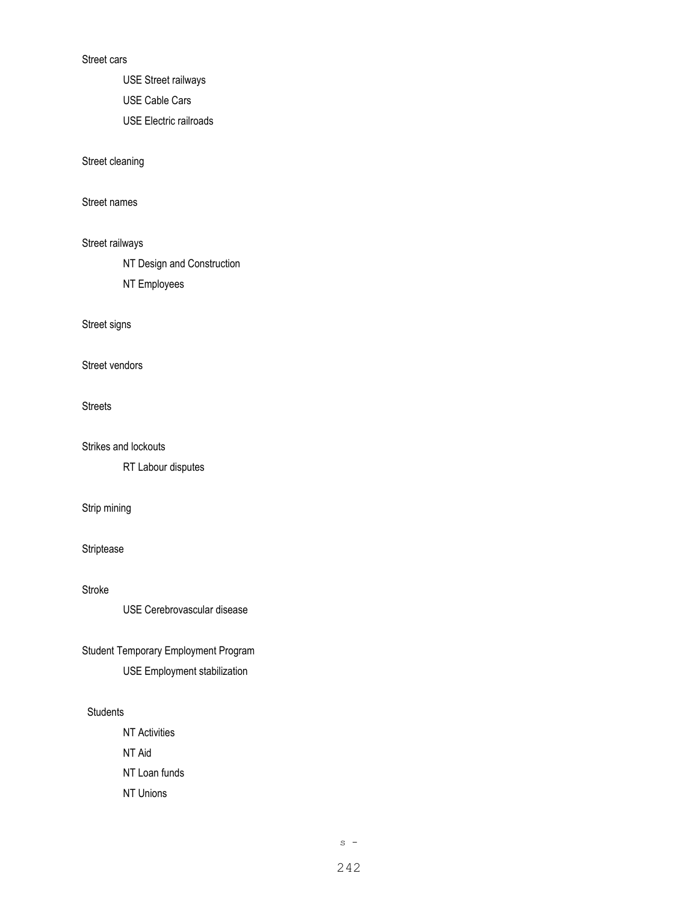#### Street cars

USE Street railways

USE Cable Cars

USE Electric railroads

Street cleaning

Street names

Street railways

NT Design and Construction

NT Employees

Street signs

Street vendors

Streets

Strikes and lockouts

RT Labour disputes

Strip mining

Striptease

Stroke

USE Cerebrovascular disease

Student Temporary Employment Program USE Employment stabilization

## **Students**

NT Activities NT Aid NT Loan funds NT Unions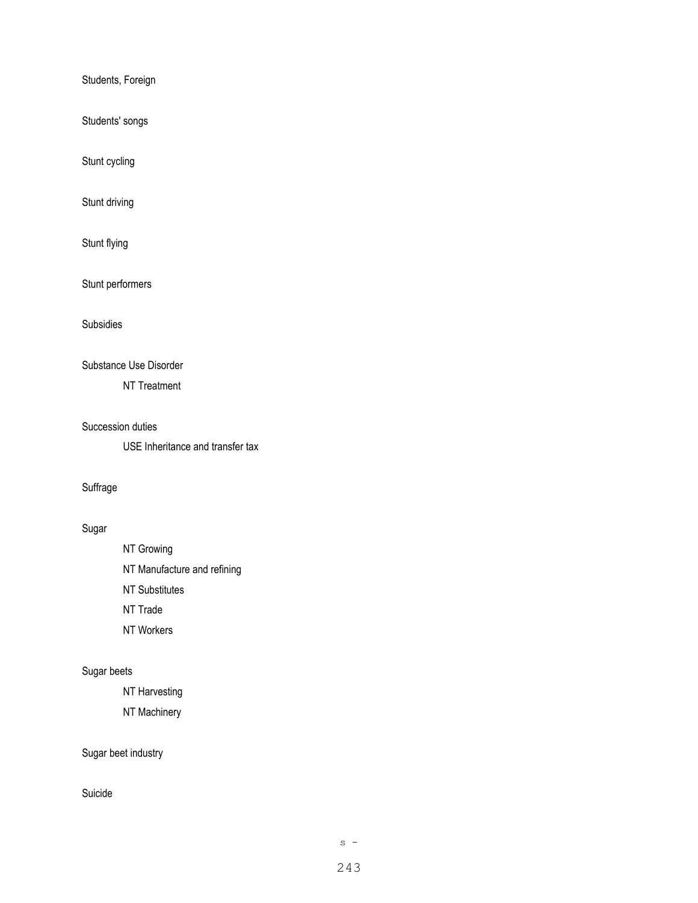Students, Foreign

Students' songs

Stunt cycling

Stunt driving

Stunt flying

Stunt performers

Subsidies

### Substance Use Disorder

NT Treatment

#### Succession duties

USE Inheritance and transfer tax

### Suffrage

# Sugar

NT Growing

NT Manufacture and refining

NT Substitutes

NT Trade

NT Workers

## Sugar beets

NT Harvesting

NT Machinery

## Sugar beet industry

### Suicide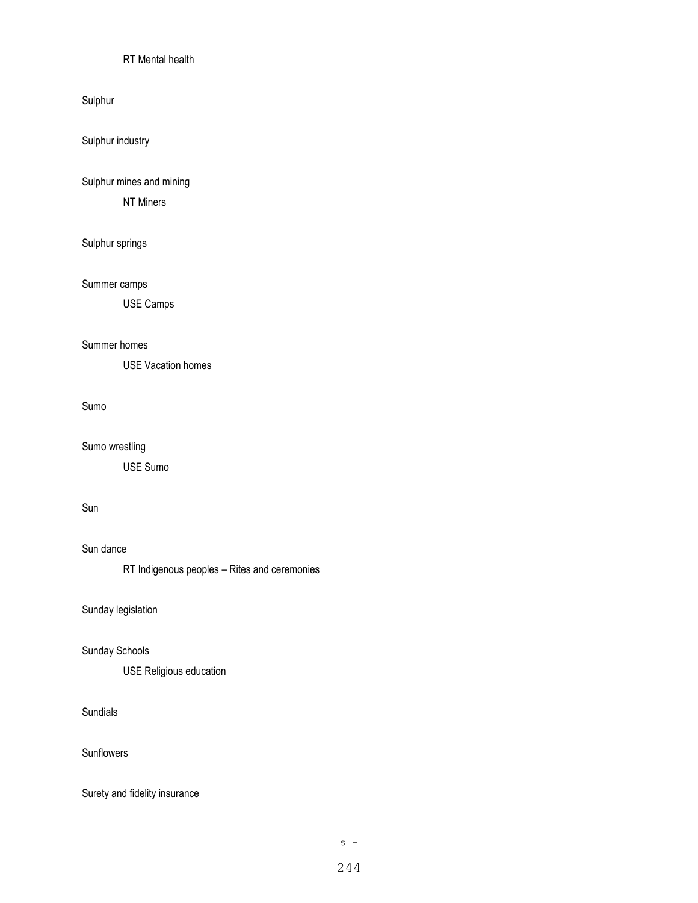## RT Mental health

Sulphur

Sulphur industry

Sulphur mines and mining

NT Miners

# Sulphur springs

### Summer camps

USE Camps

#### Summer homes

USE Vacation homes

#### Sumo

#### Sumo wrestling

USE Sumo

## Sun

## Sun dance

RT Indigenous peoples – Rites and ceremonies

Sunday legislation

#### Sunday Schools

USE Religious education

# Sundials

Sunflowers

Surety and fidelity insurance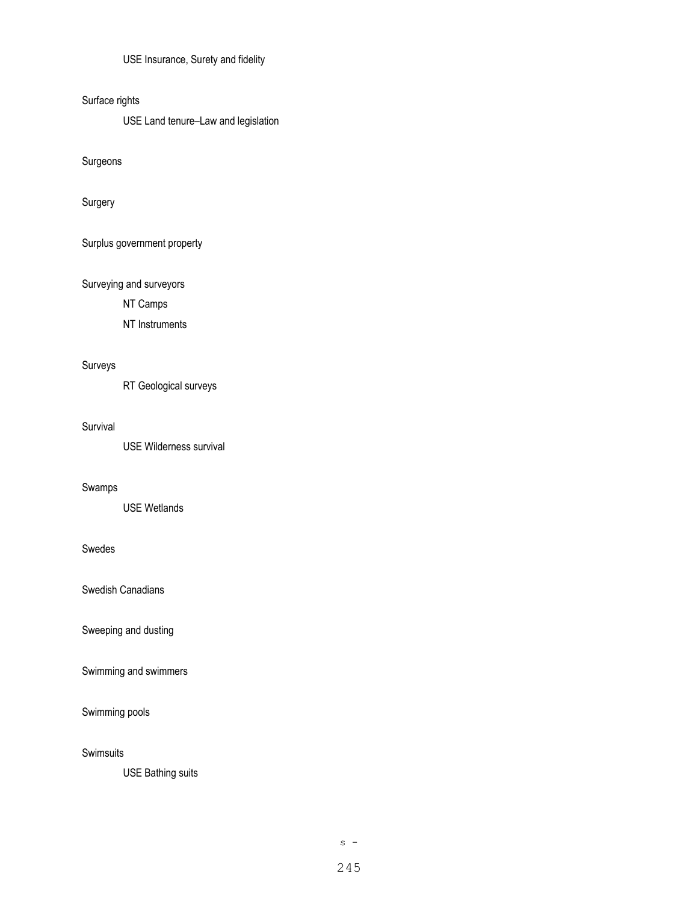USE Insurance, Surety and fidelity

Surface rights

USE Land tenure–Law and legislation

Surgeons

Surgery

Surplus government property

Surveying and surveyors

NT Camps

NT Instruments

# Surveys

RT Geological surveys

#### Survival

USE Wilderness survival

#### Swamps

USE Wetlands

## Swedes

Swedish Canadians

Sweeping and dusting

Swimming and swimmers

### Swimming pools

**Swimsuits** 

USE Bathing suits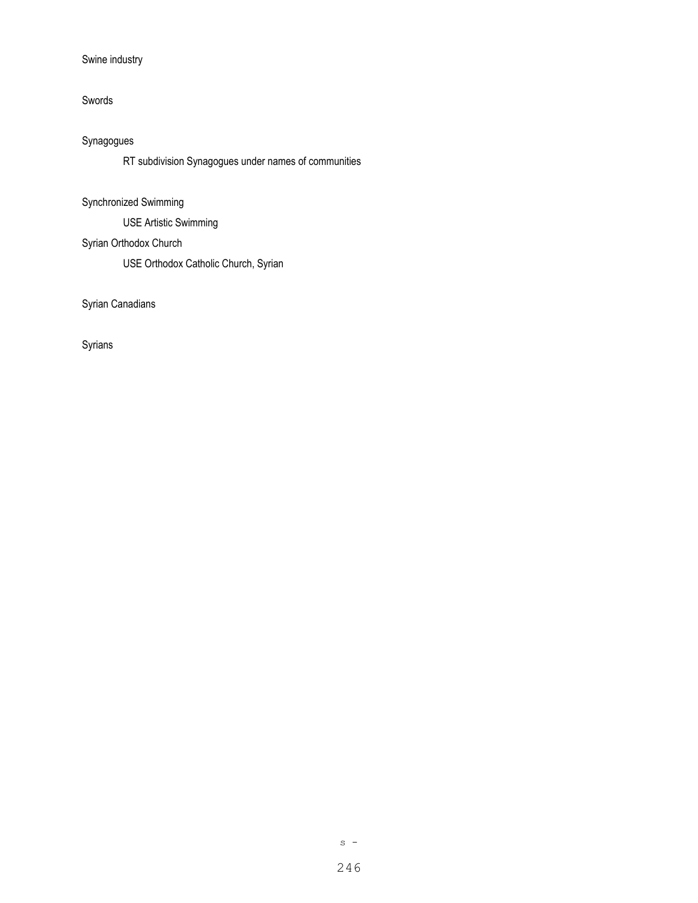# Swine industry

### Swords

# Synagogues

RT subdivision Synagogues under names of communities

# Synchronized Swimming

USE Artistic Swimming

# Syrian Orthodox Church

USE Orthodox Catholic Church, Syrian

Syrian Canadians

Syrians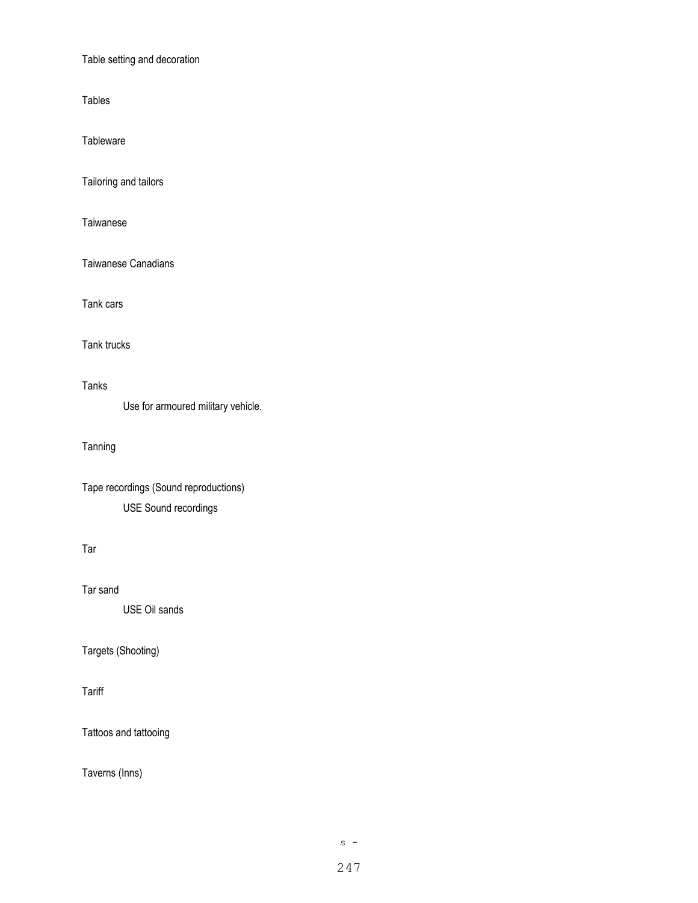Table setting and decoration

Tables

**Tableware** 

Tailoring and tailors

**Taiwanese** 

Taiwanese Canadians

Tank cars

Tank trucks

Tanks

Use for armoured military vehicle.

Tanning

Tape recordings (Sound reproductions) USE Sound recordings

Tar

Tar sand

USE Oil sands

Targets (Shooting)

**Tariff** 

Tattoos and tattooing

Taverns (Inns)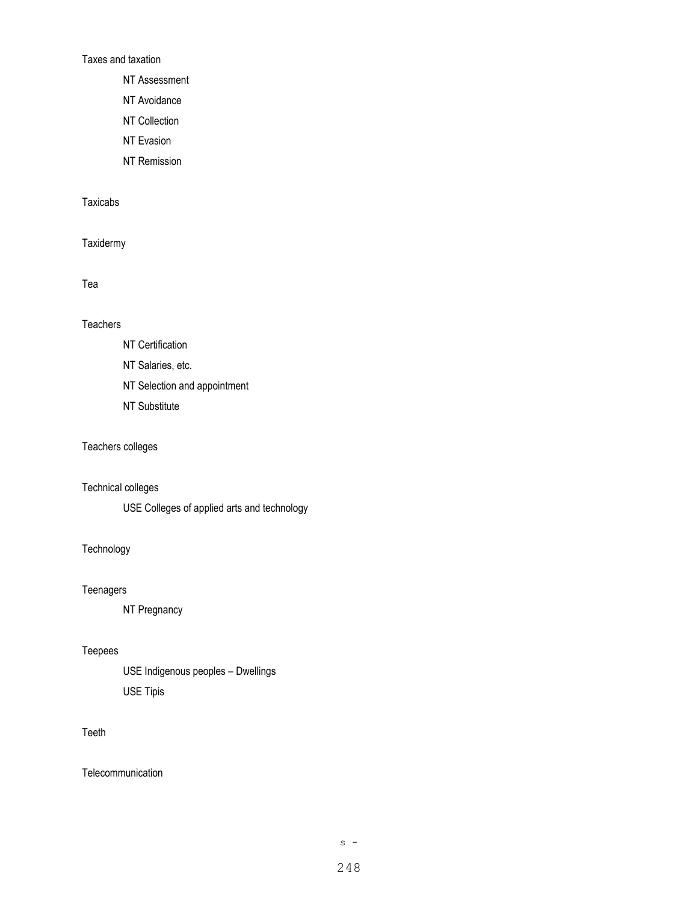Taxes and taxation

NT Assessment

NT Avoidance

NT Collection

NT Evasion

NT Remission

# Taxicabs

**Taxidermy** 

### Tea

## **Teachers**

- NT Certification
- NT Salaries, etc.
- NT Selection and appointment
- NT Substitute

# Teachers colleges

# Technical colleges

USE Colleges of applied arts and technology

## **Technology**

### **Teenagers**

NT Pregnancy

#### Teepees

USE Indigenous peoples – Dwellings USE Tipis

### Teeth

**Telecommunication**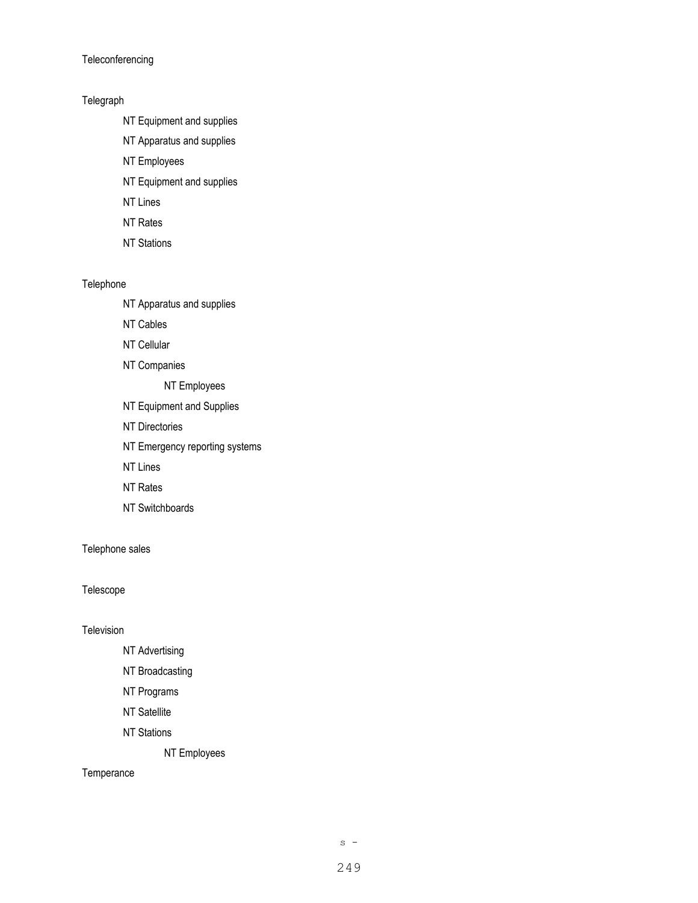**Teleconferencing** 

### Telegraph

- NT Equipment and supplies
- NT Apparatus and supplies
- NT Employees
- NT Equipment and supplies
- NT Lines
- NT Rates
- NT Stations

### Telephone

- NT Apparatus and supplies
- NT Cables
- NT Cellular
- NT Companies

NT Employees

- NT Equipment and Supplies
- NT Directories
- NT Emergency reporting systems
- NT Lines
- NT Rates
- NT Switchboards

Telephone sales

## Telescope

Television

- NT Advertising
- NT Broadcasting
- NT Programs
- NT Satellite
- NT Stations
	- NT Employees

#### **Temperance**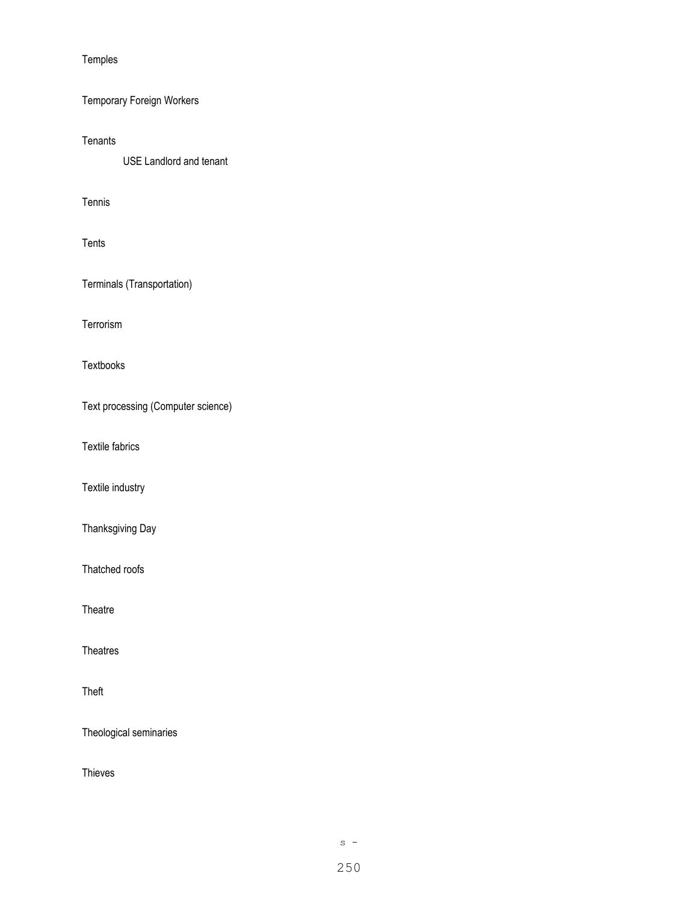Temples

Temporary Foreign Workers

**Tenants** 

USE Landlord and tenant

Tennis

Tents

Terminals (Transportation)

Terrorism

Textbooks

Text processing (Computer science)

Textile fabrics

Textile industry

Thanksgiving Day

Thatched roofs

**Theatre** 

Theatres

Theft

Theological seminaries

Thieves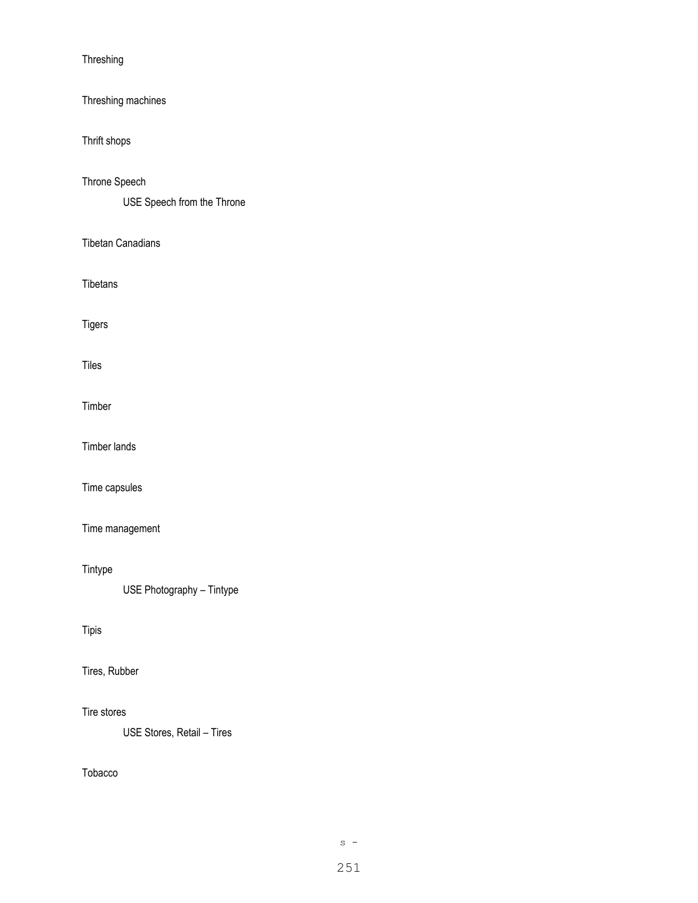Threshing

Threshing machines

Thrift shops

Throne Speech

USE Speech from the Throne

Tibetan Canadians

Tibetans

Tigers

Tiles

Timber

Timber lands

Time capsules

Time management

Tintype

USE Photography – Tintype

## Tipis

Tires, Rubber

Tire stores

USE Stores, Retail – Tires

Tobacco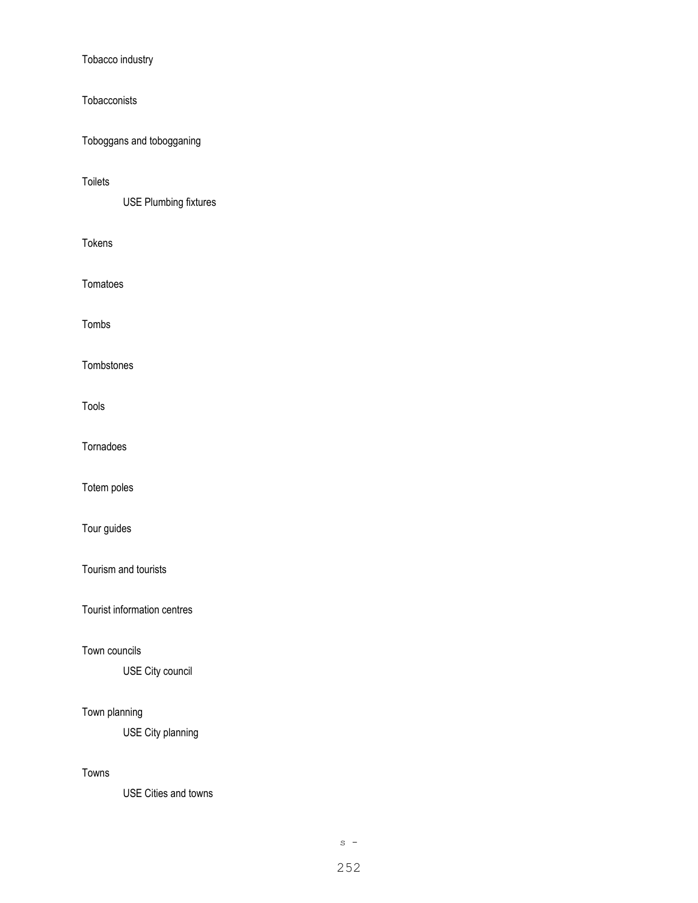Tobacco industry

**Tobacconists** 

Toboggans and tobogganing

Toilets

USE Plumbing fixtures

Tokens

Tomatoes

Tombs

**Tombstones** 

Tools

Tornadoes

Totem poles

Tour guides

Tourism and tourists

Tourist information centres

Town councils

USE City council

# Town planning

USE City planning

## Towns

USE Cities and towns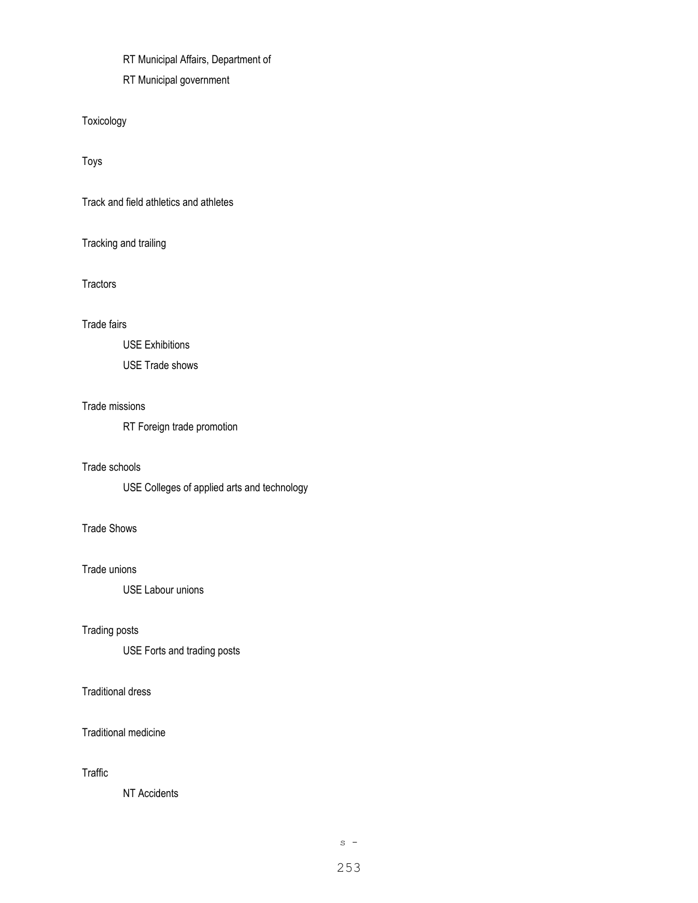RT Municipal Affairs, Department of

RT Municipal government

Toxicology

Toys

Track and field athletics and athletes

Tracking and trailing

**Tractors** 

Trade fairs

USE Exhibitions

USE Trade shows

# Trade missions

RT Foreign trade promotion

# Trade schools

USE Colleges of applied arts and technology

# Trade Shows

Trade unions

USE Labour unions

# Trading posts

USE Forts and trading posts

# Traditional dress

Traditional medicine

# Traffic

NT Accidents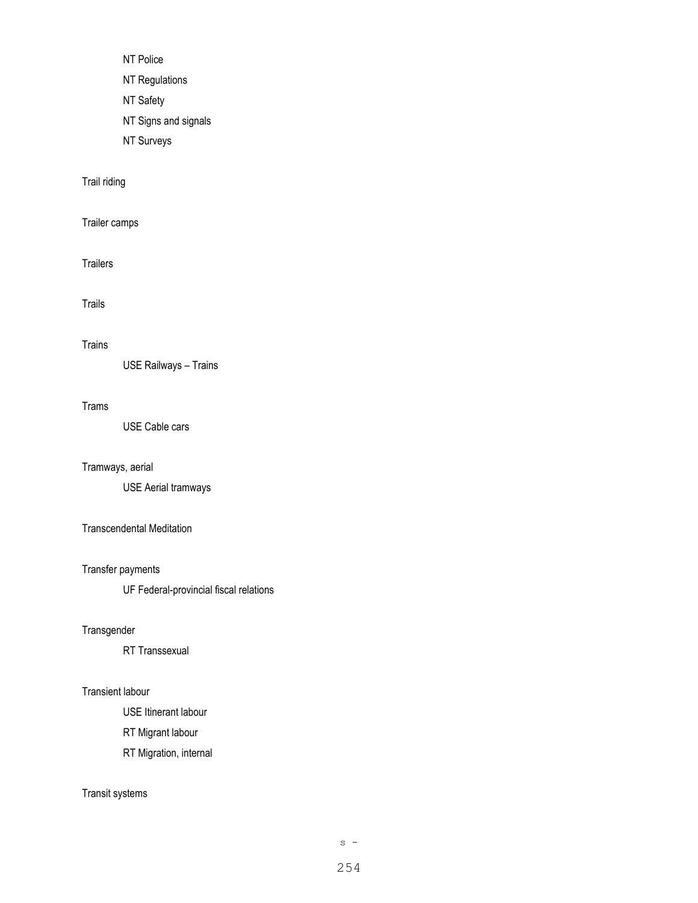- NT Police
- NT Regulations
- NT Safety
- NT Signs and signals
- NT Surveys

# Trail riding

# Trailer camps

**Trailers** 

# Trails

## Trains

USE Railways – Trains

# Trams

USE Cable cars

# Tramways, aerial

USE Aerial tramways

# Transcendental Meditation

# Transfer payments

UF Federal-provincial fiscal relations

# **Transgender**

RT Transsexual

# Transient labour

USE Itinerant labour

RT Migrant labour

RT Migration, internal

# Transit systems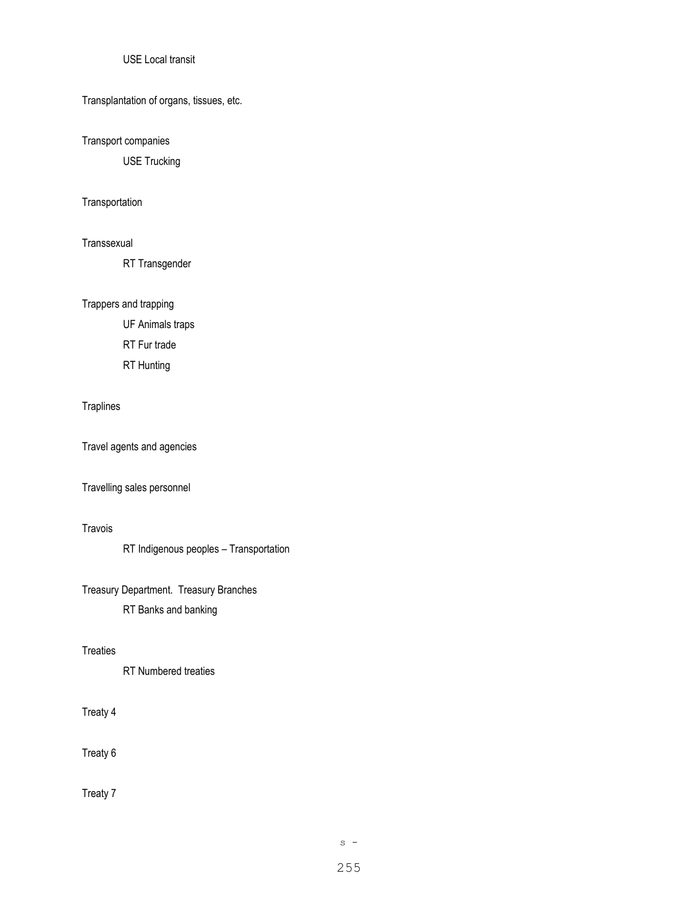# USE Local transit

Transplantation of organs, tissues, etc.

Transport companies

USE Trucking

#### **Transportation**

#### Transsexual

RT Transgender

Trappers and trapping

UF Animals traps

RT Fur trade

RT Hunting

## Traplines

Travel agents and agencies

# Travelling sales personnel

# Travois

RT Indigenous peoples – Transportation

Treasury Department. Treasury Branches

RT Banks and banking

#### **Treaties**

RT Numbered treaties

# Treaty 4

Treaty 6

Treaty 7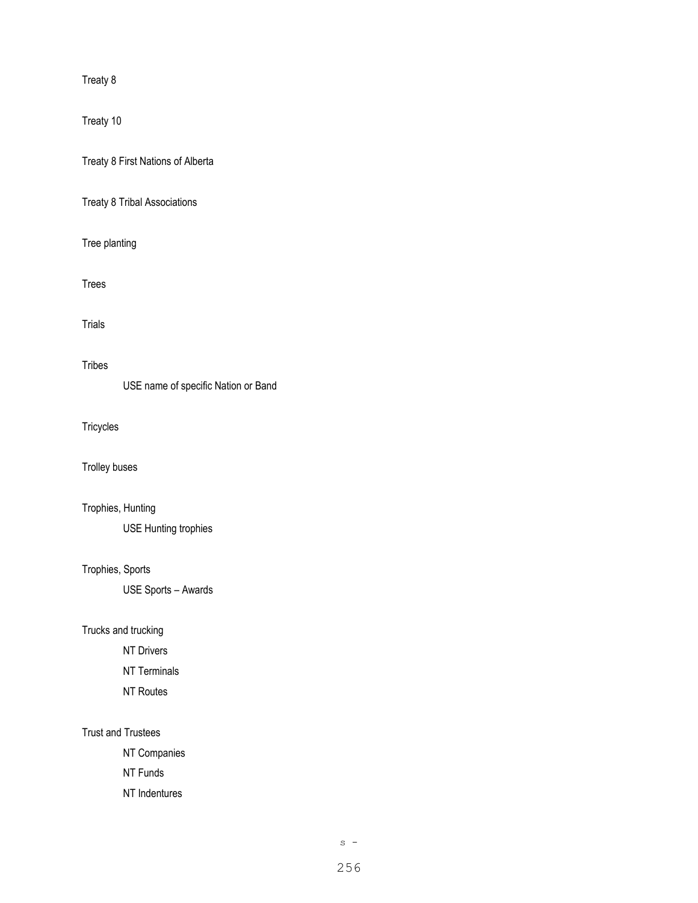Treaty 8

Treaty 10

Treaty 8 First Nations of Alberta

Treaty 8 Tribal Associations

Tree planting

Trees

Trials

# **Tribes**

USE name of specific Nation or Band

**Tricycles** 

Trolley buses

Trophies, Hunting

USE Hunting trophies

# Trophies, Sports

USE Sports – Awards

Trucks and trucking

NT Drivers

NT Terminals

NT Routes

# Trust and Trustees

NT Companies

NT Funds

NT Indentures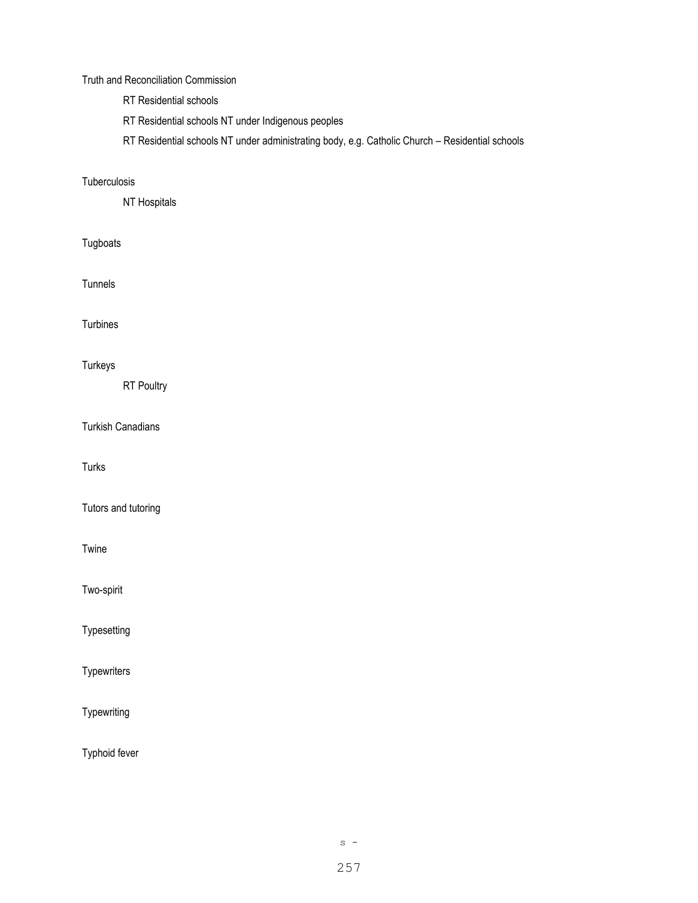#### Truth and Reconciliation Commission

- RT Residential schools
- RT Residential schools NT under Indigenous peoples
- RT Residential schools NT under administrating body, e.g. Catholic Church Residential schools

# **Tuberculosis**

NT Hospitals

# Tugboats

Tunnels

Turbines

# Turkeys

RT Poultry

Turkish Canadians

Turks

Tutors and tutoring

Twine

Two-spirit

**Typesetting** 

**Typewriters** 

Typewriting

Typhoid fever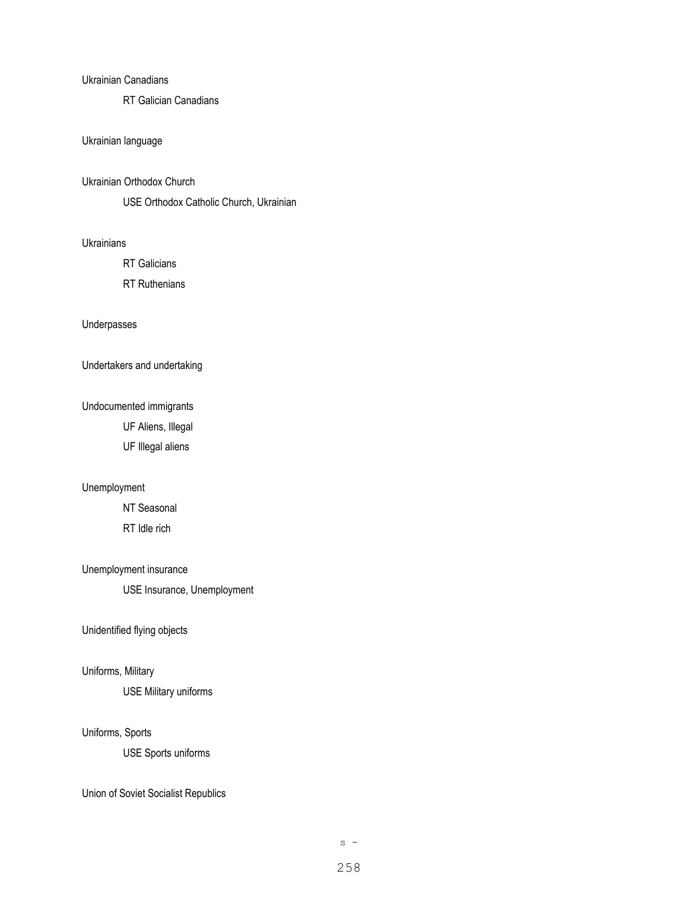#### Ukrainian Canadians

RT Galician Canadians

# Ukrainian language

#### Ukrainian Orthodox Church

USE Orthodox Catholic Church, Ukrainian

#### **Ukrainians**

RT Galicians

RT Ruthenians

#### Underpasses

Undertakers and undertaking

# Undocumented immigrants

UF Aliens, Illegal

UF Illegal aliens

## Unemployment

NT Seasonal RT Idle rich

## Unemployment insurance

USE Insurance, Unemployment

## Unidentified flying objects

# Uniforms, Military

USE Military uniforms

## Uniforms, Sports

USE Sports uniforms

Union of Soviet Socialist Republics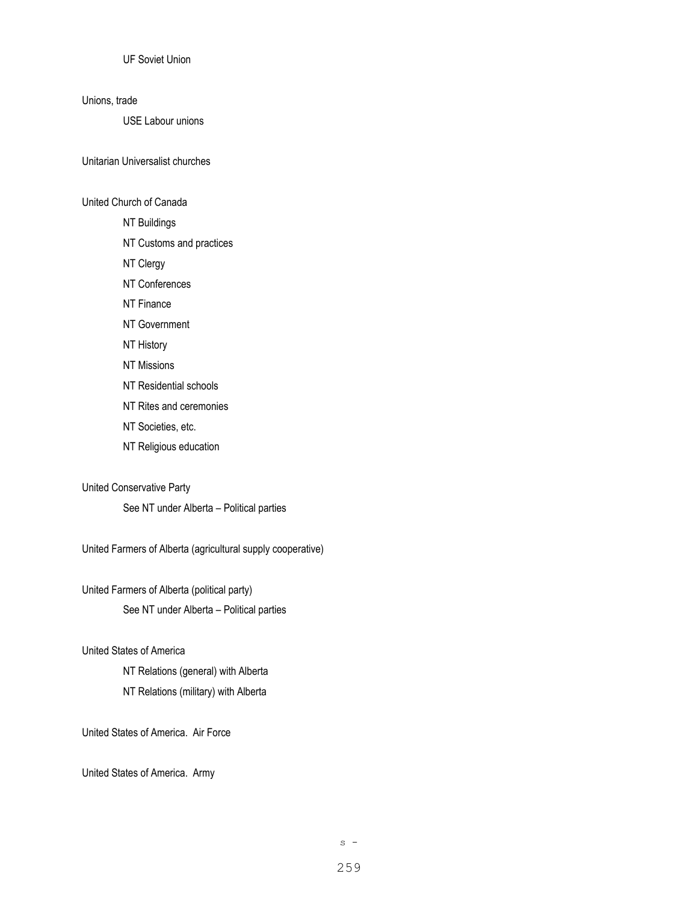UF Soviet Union

#### Unions, trade

USE Labour unions

Unitarian Universalist churches

# United Church of Canada

- NT Buildings
- NT Customs and practices
- NT Clergy
- NT Conferences
- NT Finance
- NT Government
- NT History
- NT Missions
- NT Residential schools
- NT Rites and ceremonies
- NT Societies, etc.
- NT Religious education

#### United Conservative Party

See NT under Alberta – Political parties

United Farmers of Alberta (agricultural supply cooperative)

United Farmers of Alberta (political party) See NT under Alberta – Political parties

#### United States of America

NT Relations (general) with Alberta NT Relations (military) with Alberta

United States of America. Air Force

United States of America. Army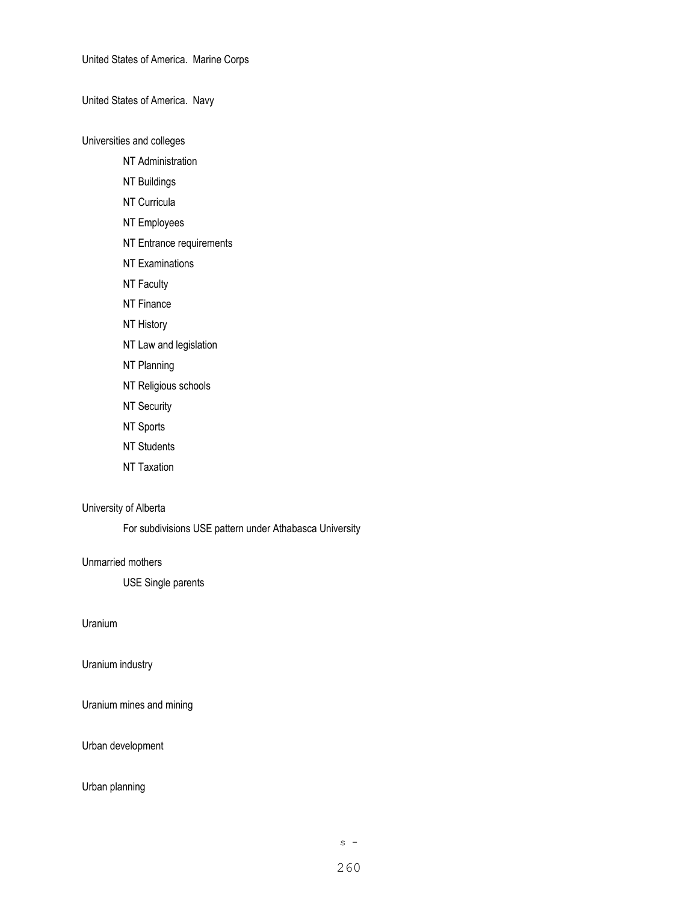United States of America. Marine Corps

United States of America. Navy

Universities and colleges

NT Administration

- NT Buildings
- NT Curricula
- NT Employees
- NT Entrance requirements
- NT Examinations
- NT Faculty
- NT Finance
- NT History
- NT Law and legislation
- NT Planning
- NT Religious schools
- NT Security
- NT Sports
- NT Students
- NT Taxation

# University of Alberta

For subdivisions USE pattern under Athabasca University

# Unmarried mothers

USE Single parents

Uranium

Uranium industry

Uranium mines and mining

Urban development

#### Urban planning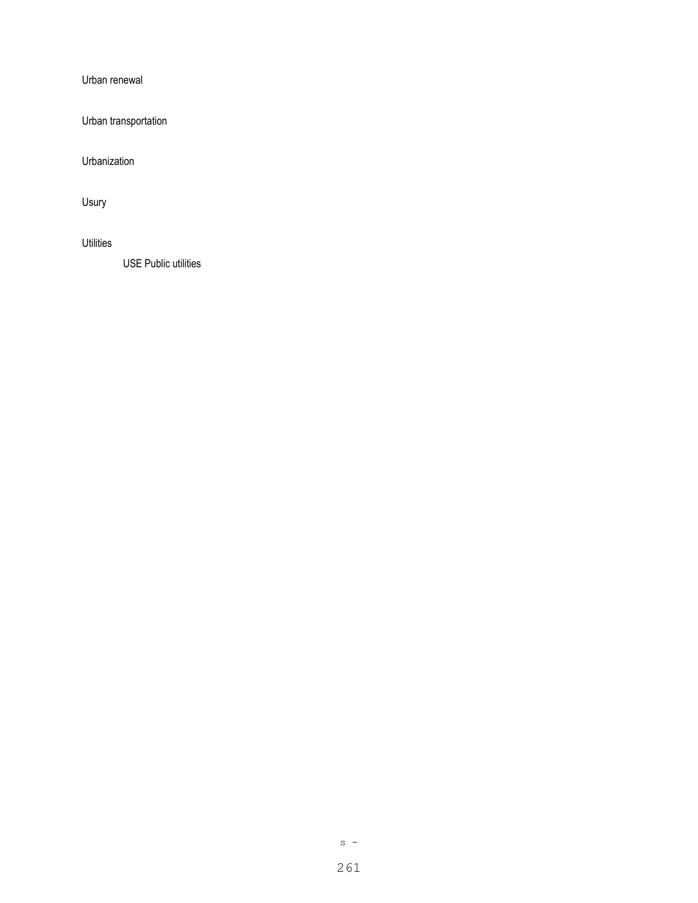Urban renewal

Urban transportation

Urbanization

Usury

**Utilities** 

USE Public utilities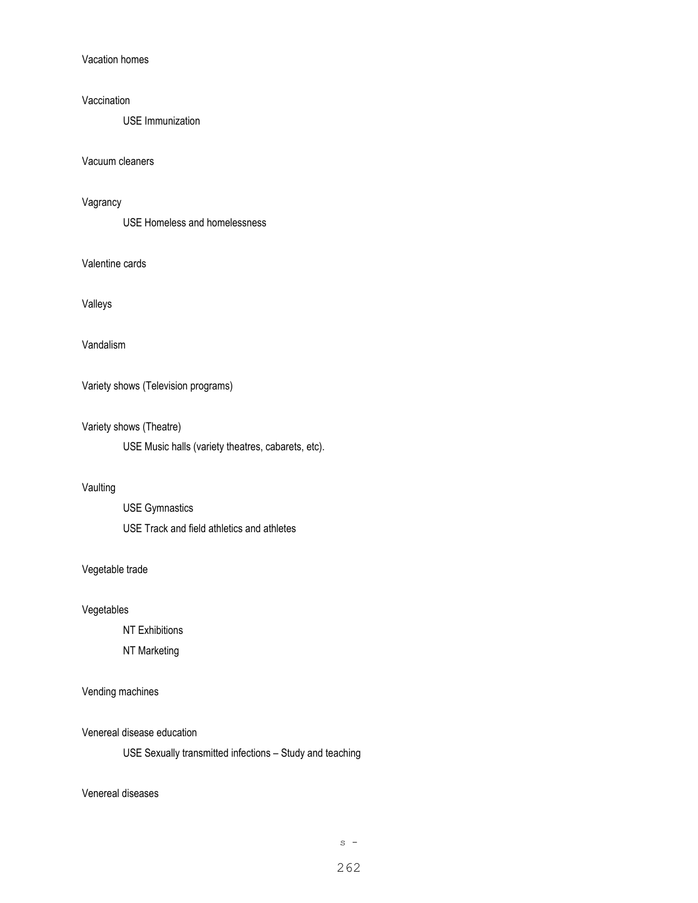Vacation homes

#### Vaccination

USE Immunization

Vacuum cleaners

## Vagrancy

USE Homeless and homelessness

Valentine cards

## Valleys

#### Vandalism

Variety shows (Television programs)

## Variety shows (Theatre)

USE Music halls (variety theatres, cabarets, etc).

# Vaulting

USE Gymnastics USE Track and field athletics and athletes

## Vegetable trade

# Vegetables

NT Exhibitions

#### NT Marketing

# Vending machines

#### Venereal disease education

USE Sexually transmitted infections – Study and teaching

### Venereal diseases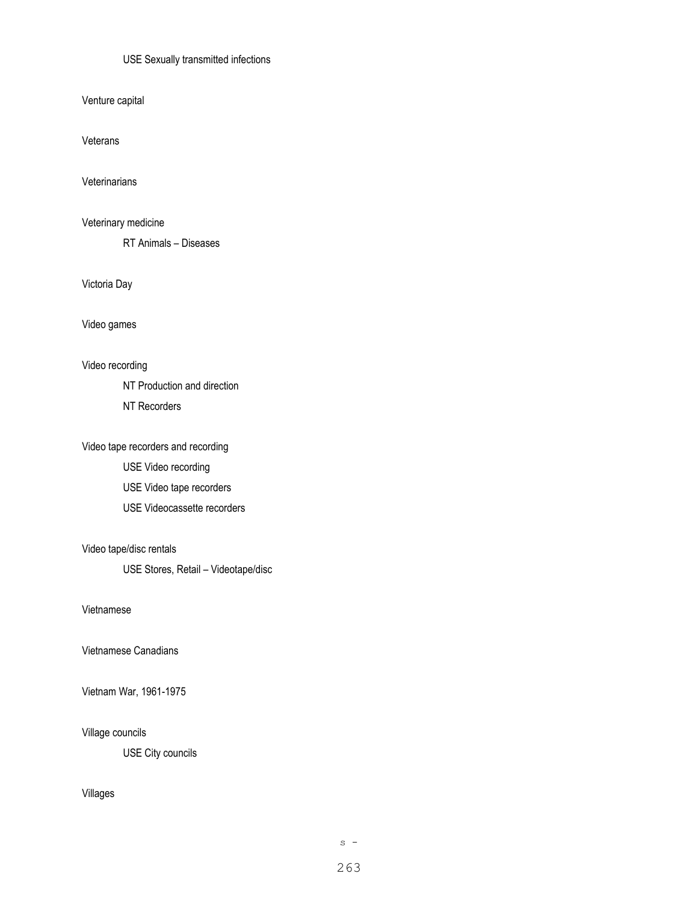## USE Sexually transmitted infections

Venture capital

Veterans

**Veterinarians** 

Veterinary medicine

RT Animals – Diseases

Victoria Day

Video games

Video recording

NT Production and direction

NT Recorders

Video tape recorders and recording USE Video recording USE Video tape recorders USE Videocassette recorders

Video tape/disc rentals

USE Stores, Retail – Videotape/disc

Vietnamese

Vietnamese Canadians

Vietnam War, 1961-1975

Village councils

USE City councils

Villages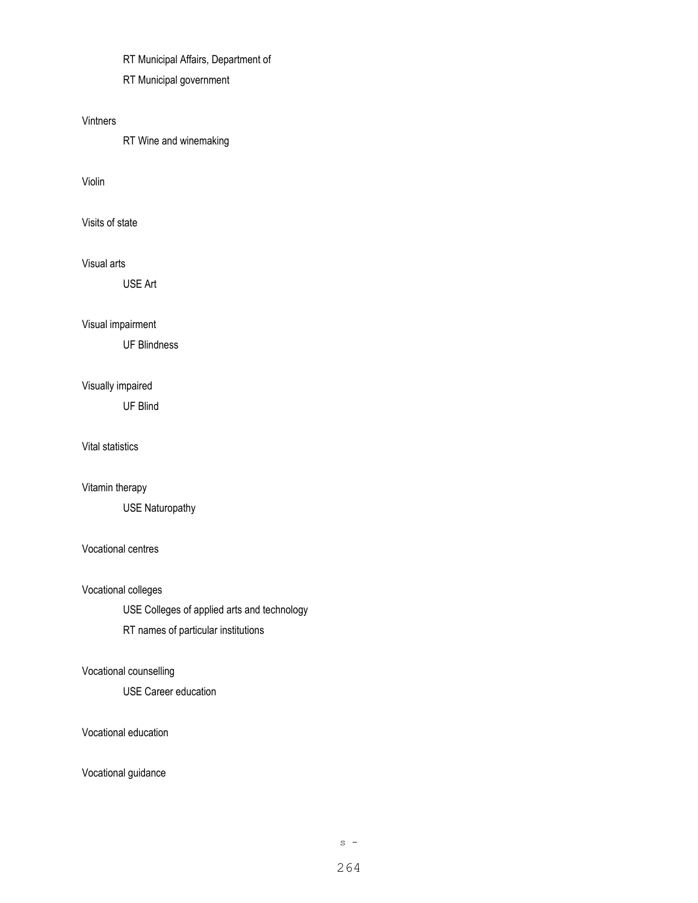RT Municipal Affairs, Department of

RT Municipal government

## Vintners

RT Wine and winemaking

### Violin

Visits of state

# Visual arts

USE Art

# Visual impairment

UF Blindness

# Visually impaired

UF Blind

Vital statistics

# Vitamin therapy

USE Naturopathy

# Vocational centres

Vocational colleges

USE Colleges of applied arts and technology

RT names of particular institutions

# Vocational counselling

USE Career education

#### Vocational education

Vocational guidance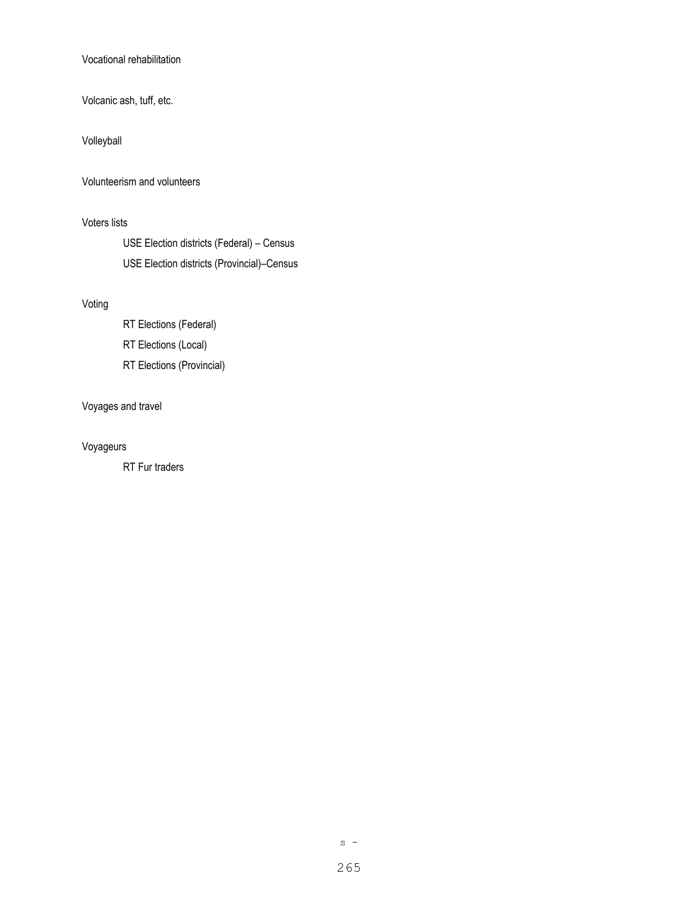Vocational rehabilitation

Volcanic ash, tuff, etc.

Volleyball

Volunteerism and volunteers

Voters lists

USE Election districts (Federal) – Census USE Election districts (Provincial)–Census

# Voting

RT Elections (Federal) RT Elections (Local) RT Elections (Provincial)

# Voyages and travel

# Voyageurs

RT Fur traders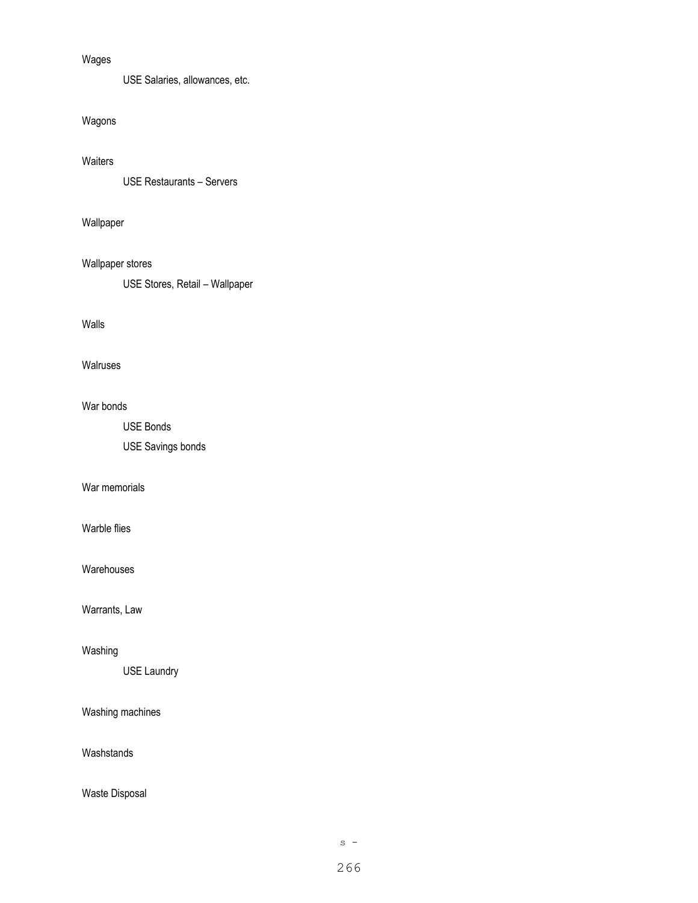# Wages

USE Salaries, allowances, etc.

# Wagons

# **Waiters**

USE Restaurants – Servers

# Wallpaper

# Wallpaper stores

USE Stores, Retail – Wallpaper

# Walls

# Walruses

# War bonds

USE Bonds

USE Savings bonds

## War memorials

### Warble flies

Warehouses

# Warrants, Law

## Washing

USE Laundry

# Washing machines

# Washstands

# Waste Disposal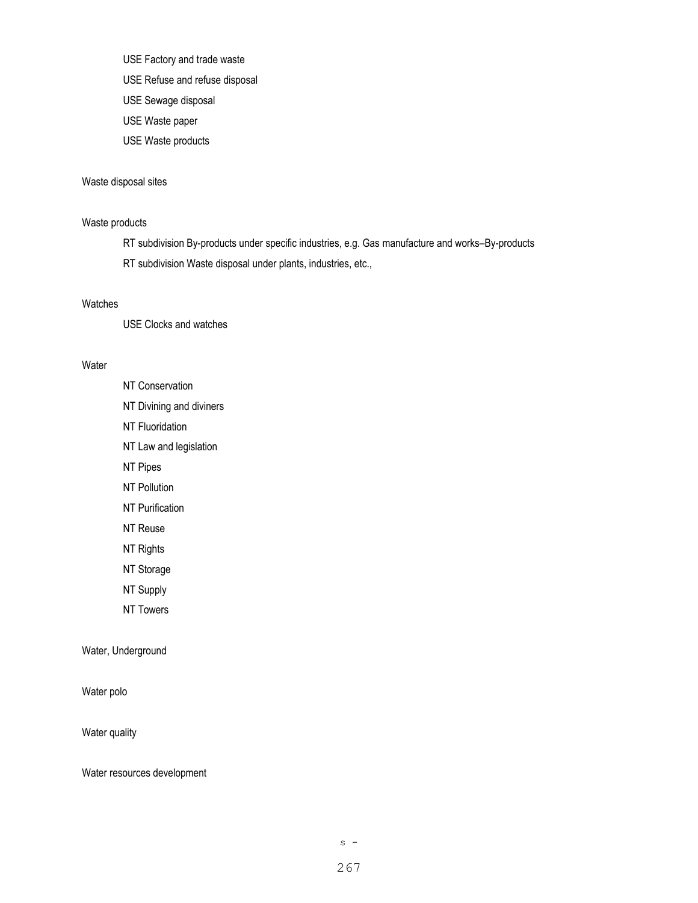USE Factory and trade waste

- USE Refuse and refuse disposal
- USE Sewage disposal
- USE Waste paper
- USE Waste products

## Waste disposal sites

#### Waste products

RT subdivision By-products under specific industries, e.g. Gas manufacture and works–By-products RT subdivision Waste disposal under plants, industries, etc.,

#### Watches

USE Clocks and watches

#### **Water**

NT Conservation NT Divining and diviners NT Fluoridation NT Law and legislation NT Pipes NT Pollution NT Purification NT Reuse NT Rights NT Storage NT Supply

NT Towers

Water, Underground

Water polo

Water quality

Water resources development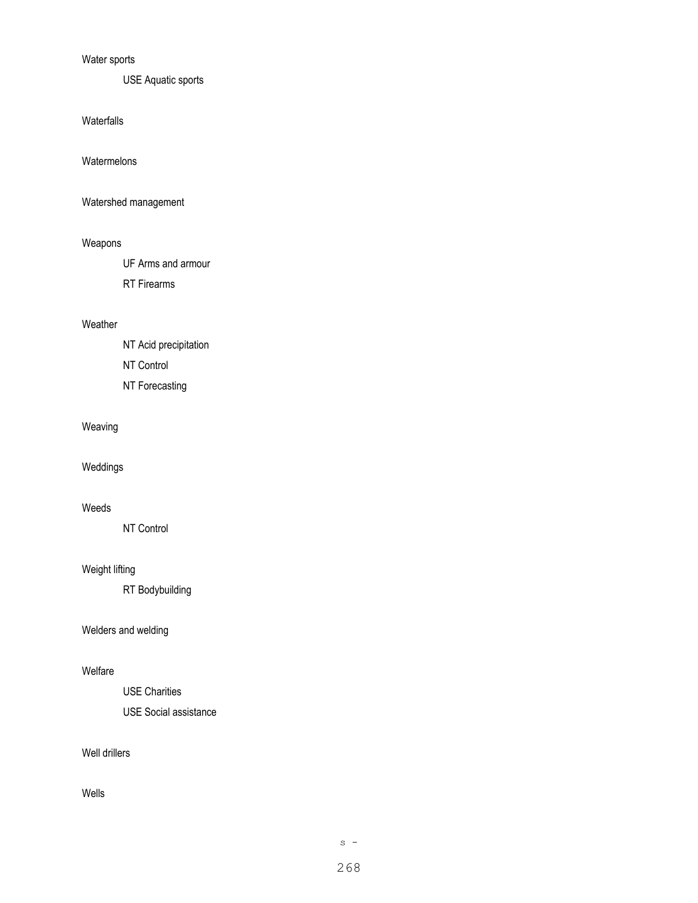# Water sports

USE Aquatic sports

Waterfalls

Watermelons

Watershed management

## Weapons

UF Arms and armour

RT Firearms

# Weather

NT Acid precipitation NT Control NT Forecasting

# Weaving

Weddings

# Weeds

NT Control

# Weight lifting

RT Bodybuilding

# Welders and welding

# Welfare

USE Charities

USE Social assistance

# Well drillers

Wells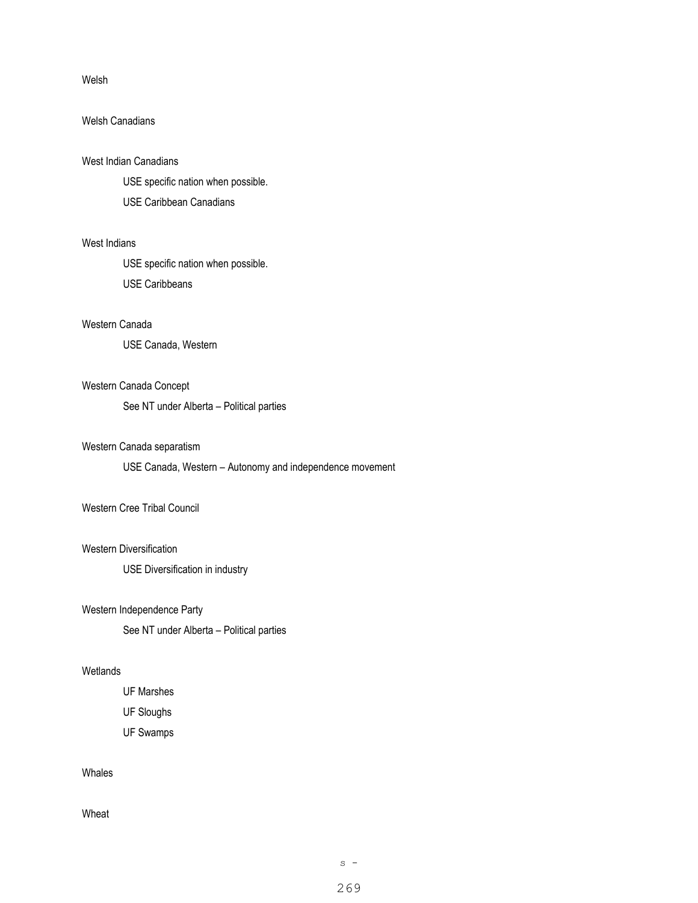#### Welsh

# Welsh Canadians

#### West Indian Canadians

USE specific nation when possible.

USE Caribbean Canadians

# West Indians

USE specific nation when possible.

USE Caribbeans

## Western Canada

USE Canada, Western

# Western Canada Concept

See NT under Alberta – Political parties

#### Western Canada separatism

USE Canada, Western – Autonomy and independence movement

# Western Cree Tribal Council

#### Western Diversification

USE Diversification in industry

#### Western Independence Party

See NT under Alberta – Political parties

# Wetlands

UF Marshes

UF Sloughs

UF Swamps

# Whales

Wheat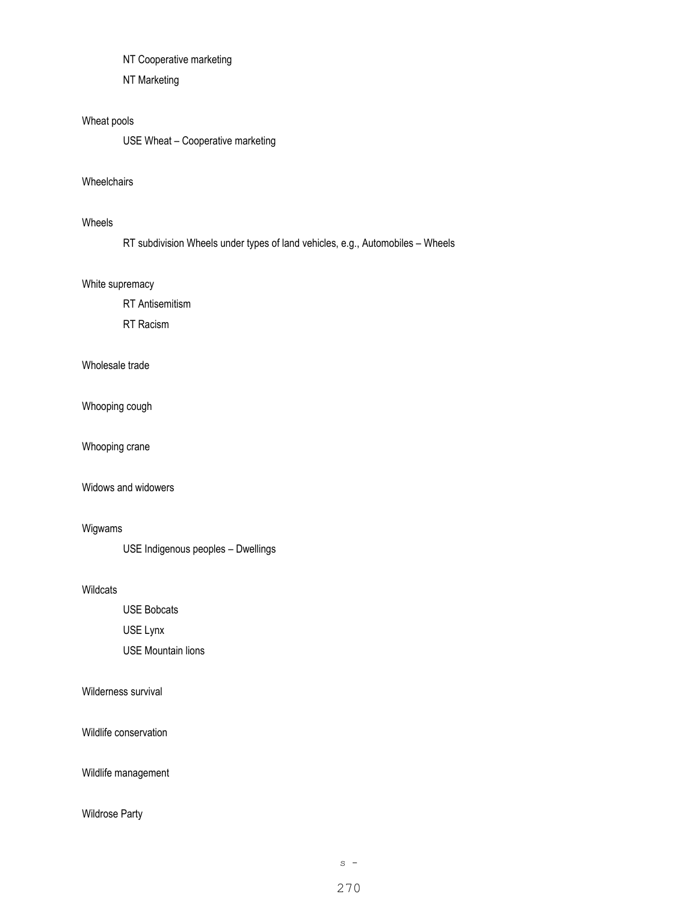NT Cooperative marketing

NT Marketing

#### Wheat pools

USE Wheat – Cooperative marketing

# **Wheelchairs**

# Wheels

RT subdivision Wheels under types of land vehicles, e.g., Automobiles – Wheels

#### White supremacy

RT Antisemitism

RT Racism

# Wholesale trade

Whooping cough

Whooping crane

# Widows and widowers

# Wigwams

USE Indigenous peoples – Dwellings

Wildcats

USE Bobcats

USE Lynx

USE Mountain lions

Wilderness survival

Wildlife conservation

Wildlife management

# Wildrose Party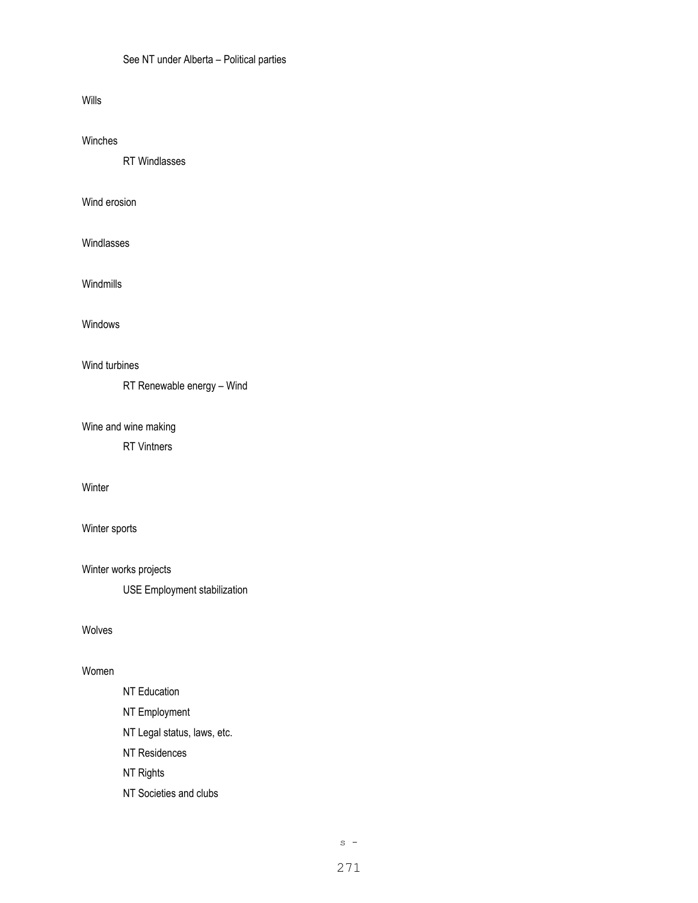## See NT under Alberta – Political parties

#### Wills

# Winches

RT Windlasses

## Wind erosion

Windlasses

Windmills

# Windows

# Wind turbines

RT Renewable energy – Wind

## Wine and wine making

RT Vintners

# Winter

# Winter sports

Winter works projects

USE Employment stabilization

# Wolves

# Women

# NT Education NT Employment NT Legal status, laws, etc.

NT Residences

NT Rights

NT Societies and clubs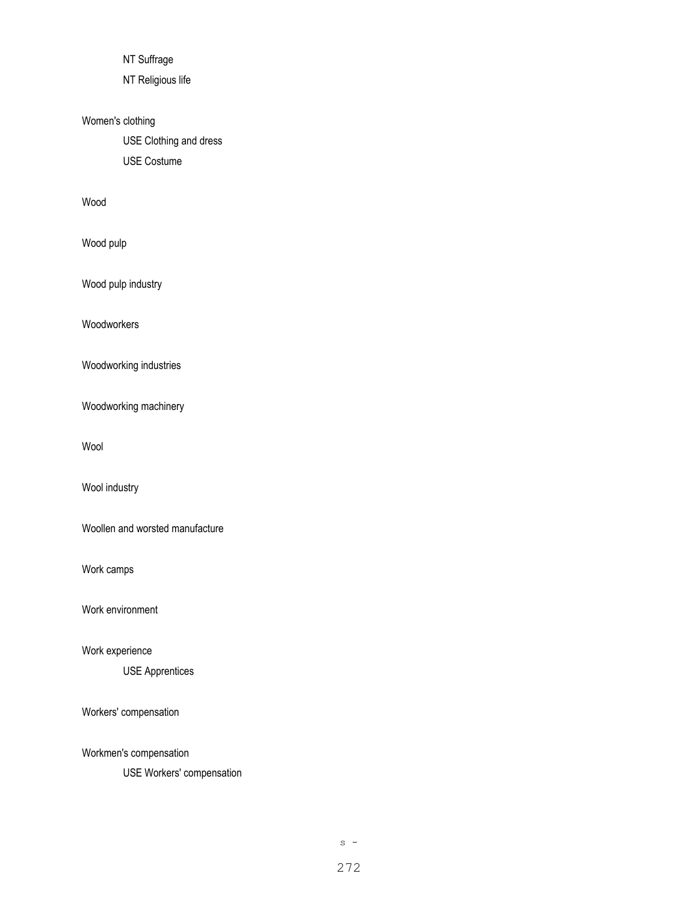NT Suffrage

NT Religious life

# Women's clothing

USE Clothing and dress USE Costume

# Wood

Wood pulp

Wood pulp industry

Woodworkers

Woodworking industries

Woodworking machinery

Wool

Wool industry

Woollen and worsted manufacture

Work camps

Work environment

Work experience

USE Apprentices

Workers' compensation

Workmen's compensation

USE Workers' compensation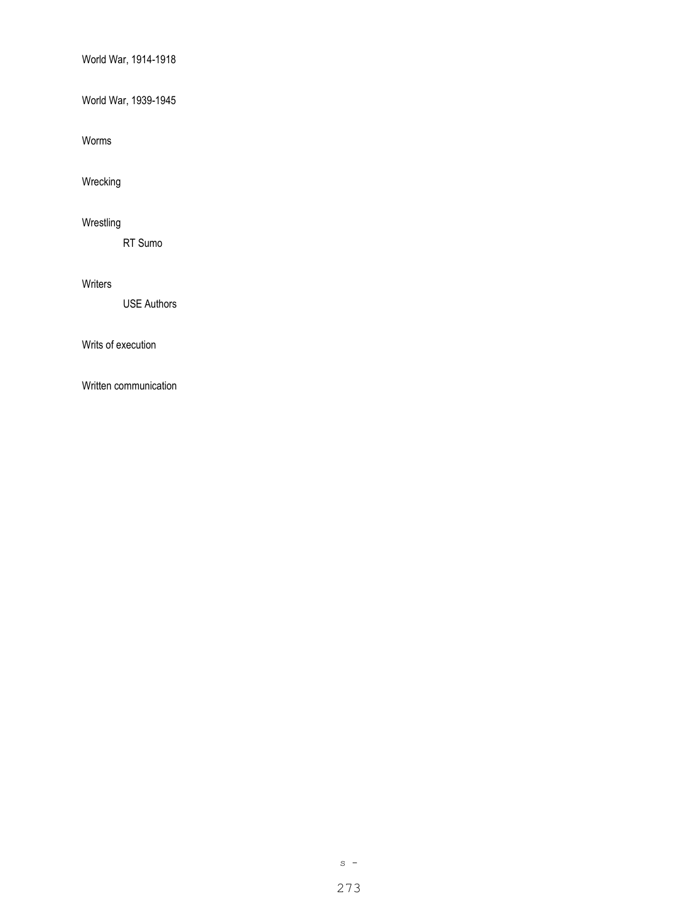World War, 1914-1918

World War, 1939-1945

Worms

Wrecking

# Wrestling

RT Sumo

## Writers

USE Authors

Writs of execution

Written communication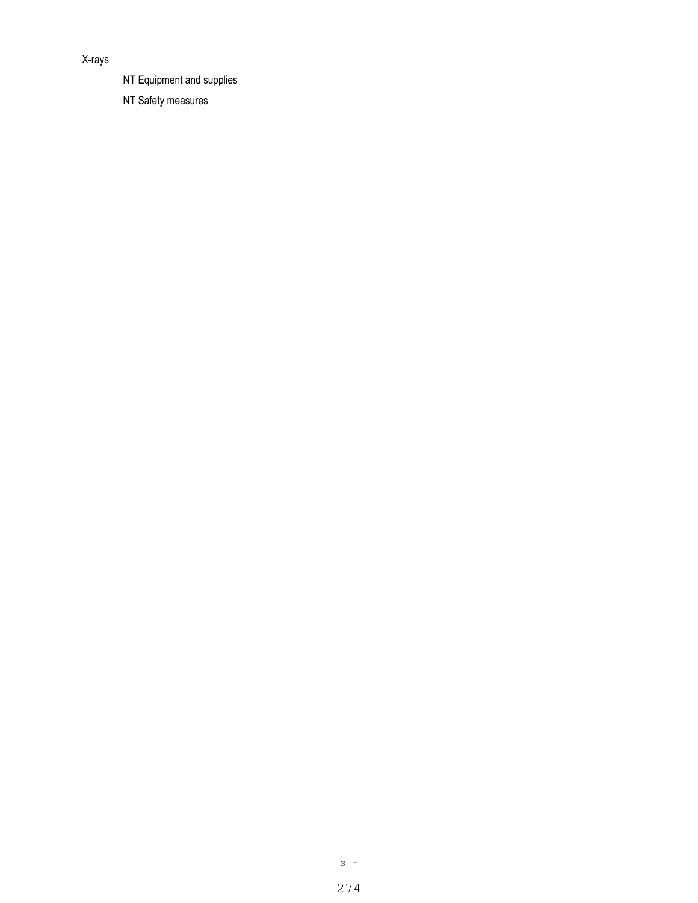# X-rays

NT Equipment and supplies

NT Safety measures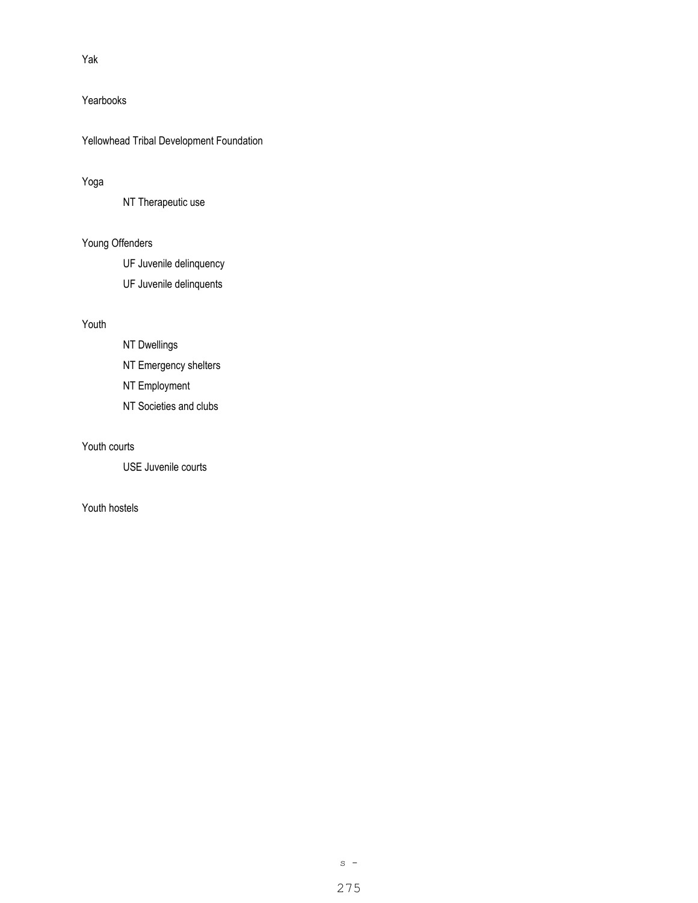# Yak

# Yearbooks

Yellowhead Tribal Development Foundation

# Yoga

NT Therapeutic use

# Young Offenders

UF Juvenile delinquency

UF Juvenile delinquents

# Youth

- NT Dwellings
- NT Emergency shelters
- NT Employment
- NT Societies and clubs

# Youth courts

USE Juvenile courts

# Youth hostels